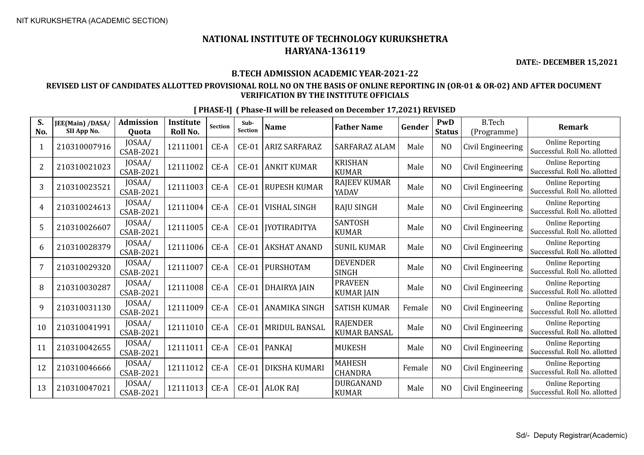**DATE:- DECEMBER 15,2021**

#### **B.TECH ADMISSION ACADEMIC YEAR-2021-22**

#### **REVISED LIST OF CANDIDATES ALLOTTED PROVISIONAL ROLL NO ON THE BASIS OF ONLINE REPORTING IN (OR-01 & OR-02) AND AFTER DOCUMENT VERIFICATION BY THE INSTITUTE OFFICIALS**

| S.<br>No.      | JEE(Main) /DASA/<br>SII App No. | <b>Admission</b><br>Quota | <b>Institute</b><br>Roll No. | <b>Section</b> | Sub-<br><b>Section</b> | <b>Name</b>          | <b>Father Name</b>                     | Gender | PwD<br><b>Status</b> | <b>B.Tech</b><br>(Programme) | <b>Remark</b>                                            |
|----------------|---------------------------------|---------------------------|------------------------------|----------------|------------------------|----------------------|----------------------------------------|--------|----------------------|------------------------------|----------------------------------------------------------|
|                | 210310007916                    | JOSAA/<br>CSAB-2021       | 12111001                     | $CE-A$         | $CE-01$                | <b>ARIZ SARFARAZ</b> | SARFARAZ ALAM                          | Male   | N <sub>O</sub>       | Civil Engineering            | <b>Online Reporting</b><br>Successful. Roll No. allotted |
| $\overline{2}$ | 210310021023                    | JOSAA/<br>CSAB-2021       | 12111002                     | CE-A           | $CE-01$                | <b>ANKIT KUMAR</b>   | <b>KRISHAN</b><br><b>KUMAR</b>         | Male   | N <sub>O</sub>       | Civil Engineering            | <b>Online Reporting</b><br>Successful. Roll No. allotted |
| 3              | 210310023521                    | JOSAA/<br>CSAB-2021       | 12111003                     | $CE-A$         | $CE-01$                | <b>RUPESH KUMAR</b>  | RAJEEV KUMAR<br>YADAV                  | Male   | N <sub>O</sub>       | Civil Engineering            | <b>Online Reporting</b><br>Successful. Roll No. allotted |
| 4              | 210310024613                    | JOSAA/<br>CSAB-2021       | 12111004                     | CE-A           | <b>CE-01</b>           | <b>VISHAL SINGH</b>  | <b>RAJU SINGH</b>                      | Male   | N <sub>O</sub>       | Civil Engineering            | <b>Online Reporting</b><br>Successful. Roll No. allotted |
| 5              | 210310026607                    | JOSAA/<br>CSAB-2021       | 12111005                     | $CE-A$         | $CE-01$                | <b>IYOTIRADITYA</b>  | <b>SANTOSH</b><br><b>KUMAR</b>         | Male   | N <sub>0</sub>       | Civil Engineering            | <b>Online Reporting</b><br>Successful. Roll No. allotted |
| 6              | 210310028379                    | JOSAA/<br>CSAB-2021       | 12111006                     | $CE-A$         | $CE-01$                | <b>AKSHAT ANAND</b>  | <b>SUNIL KUMAR</b>                     | Male   | N <sub>O</sub>       | Civil Engineering            | <b>Online Reporting</b><br>Successful. Roll No. allotted |
| 7              | 210310029320                    | JOSAA/<br>CSAB-2021       | 12111007                     | $CE-A$         | $CE-01$                | <b>PURSHOTAM</b>     | <b>DEVENDER</b><br><b>SINGH</b>        | Male   | N <sub>O</sub>       | Civil Engineering            | <b>Online Reporting</b><br>Successful. Roll No. allotted |
| 8              | 210310030287                    | JOSAA/<br>CSAB-2021       | 12111008                     | CE-A           | $CE-01$                | <b>DHAIRYA JAIN</b>  | <b>PRAVEEN</b><br><b>KUMAR JAIN</b>    | Male   | N <sub>O</sub>       | Civil Engineering            | <b>Online Reporting</b><br>Successful. Roll No. allotted |
| 9              | 210310031130                    | JOSAA/<br>CSAB-2021       | 12111009                     | CE-A           | $CE-01$                | <b>ANAMIKA SINGH</b> | <b>SATISH KUMAR</b>                    | Female | N <sub>O</sub>       | Civil Engineering            | <b>Online Reporting</b><br>Successful. Roll No. allotted |
| 10             | 210310041991                    | JOSAA/<br>CSAB-2021       | 12111010                     | $CE-A$         | $CE-01$                | <b>MRIDUL BANSAL</b> | <b>RAJENDER</b><br><b>KUMAR BANSAL</b> | Male   | N <sub>O</sub>       | Civil Engineering            | <b>Online Reporting</b><br>Successful. Roll No. allotted |
| 11             | 210310042655                    | JOSAA/<br>CSAB-2021       | 12111011                     | CE-A           | $CE-01$                | <b>PANKAI</b>        | <b>MUKESH</b>                          | Male   | N <sub>O</sub>       | Civil Engineering            | <b>Online Reporting</b><br>Successful. Roll No. allotted |
| 12             | 210310046666                    | JOSAA/<br>CSAB-2021       | 12111012                     | $CE-A$         | $CE-01$                | <b>DIKSHA KUMARI</b> | <b>MAHESH</b><br><b>CHANDRA</b>        | Female | N <sub>O</sub>       | Civil Engineering            | <b>Online Reporting</b><br>Successful. Roll No. allotted |
| 13             | 210310047021                    | JOSAA/<br>CSAB-2021       | 12111013                     | $CE-A$         | $CE-01$                | <b>ALOK RAJ</b>      | <b>DURGANAND</b><br><b>KUMAR</b>       | Male   | N <sub>O</sub>       | Civil Engineering            | <b>Online Reporting</b><br>Successful. Roll No. allotted |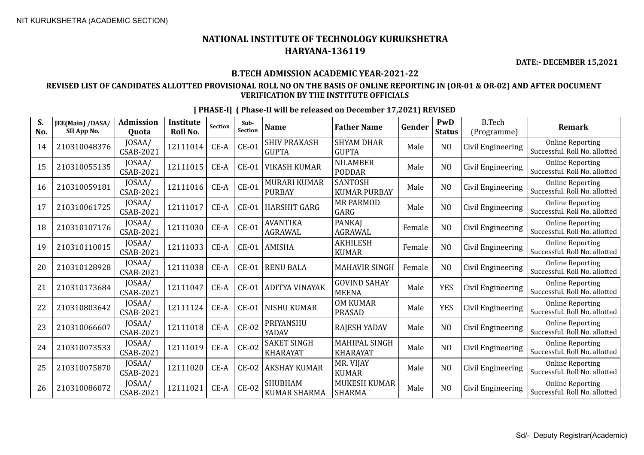**DATE:- DECEMBER 15,2021**

#### **B.TECH ADMISSION ACADEMIC YEAR-2021-22**

#### **REVISED LIST OF CANDIDATES ALLOTTED PROVISIONAL ROLL NO ON THE BASIS OF ONLINE REPORTING IN (OR-01 & OR-02) AND AFTER DOCUMENT VERIFICATION BY THE INSTITUTE OFFICIALS**

| S.<br>No. | JEE(Main) /DASA/<br>SII App No. | <b>Admission</b><br>Quota  | <b>Institute</b><br>Roll No. | Section | Sub-<br><b>Section</b> | <b>Name</b>                           | <b>Father Name</b>                    | Gender | PwD<br><b>Status</b> | <b>B.Tech</b><br>(Programme) | <b>Remark</b>                                            |
|-----------|---------------------------------|----------------------------|------------------------------|---------|------------------------|---------------------------------------|---------------------------------------|--------|----------------------|------------------------------|----------------------------------------------------------|
| 14        | 210310048376                    | JOSAA/<br>CSAB-2021        | 12111014                     | $CE-A$  | $CE-01$                | <b>SHIV PRAKASH</b><br><b>GUPTA</b>   | <b>SHYAM DHAR</b><br><b>GUPTA</b>     | Male   | N <sub>O</sub>       | Civil Engineering            | <b>Online Reporting</b><br>Successful. Roll No. allotted |
| 15        | 210310055135                    | JOSAA/<br>CSAB-2021        | 12111015                     | $CE-A$  | $CE-01$                | <b>VIKASH KUMAR</b>                   | <b>NILAMBER</b><br><b>PODDAR</b>      | Male   | N <sub>0</sub>       | Civil Engineering            | <b>Online Reporting</b><br>Successful. Roll No. allotted |
| 16        | 210310059181                    | JOSAA/<br><b>CSAB-2021</b> | 12111016                     | $CE-A$  | $CE-01$                | MURARI KUMAR<br><b>PURBAY</b>         | <b>SANTOSH</b><br><b>KUMAR PURBAY</b> | Male   | NO                   | Civil Engineering            | <b>Online Reporting</b><br>Successful, Roll No. allotted |
| 17        | 210310061725                    | JOSAA/<br>CSAB-2021        | 12111017                     | $CE-A$  | $CE-01$                | <b>HARSHIT GARG</b>                   | <b>MR PARMOD</b><br>GARG              | Male   | N <sub>O</sub>       | Civil Engineering            | <b>Online Reporting</b><br>Successful. Roll No. allotted |
| 18        | 210310107176                    | JOSAA/<br>CSAB-2021        | 12111030                     | $CE-A$  | $CE-01$                | <b>AVANTIKA</b><br><b>AGRAWAL</b>     | <b>PANKAJ</b><br><b>AGRAWAL</b>       | Female | N <sub>O</sub>       | Civil Engineering            | <b>Online Reporting</b><br>Successful. Roll No. allotted |
| 19        | 210310110015                    | JOSAA/<br><b>CSAB-2021</b> | 12111033                     | CE-A    | $CE-01$                | <b>AMISHA</b>                         | <b>AKHILESH</b><br><b>KUMAR</b>       | Female | N <sub>O</sub>       | Civil Engineering            | <b>Online Reporting</b><br>Successful. Roll No. allotted |
| 20        | 210310128928                    | JOSAA/<br><b>CSAB-2021</b> | 12111038                     | $CE-A$  | $CE-01$                | <b>RENU BALA</b>                      | <b>MAHAVIR SINGH</b>                  | Female | N <sub>O</sub>       | Civil Engineering            | <b>Online Reporting</b><br>Successful. Roll No. allotted |
| 21        | 210310173684                    | JOSAA/<br><b>CSAB-2021</b> | 12111047                     | $CE-A$  | $CE-01$                | <b>ADITYA VINAYAK</b>                 | <b>GOVIND SAHAY</b><br><b>MEENA</b>   | Male   | <b>YES</b>           | Civil Engineering            | <b>Online Reporting</b><br>Successful. Roll No. allotted |
| 22        | 210310803642                    | JOSAA/<br><b>CSAB-2021</b> | 12111124                     | $CE-A$  | $CE-01$                | <b>NISHU KUMAR</b>                    | <b>OM KUMAR</b><br><b>PRASAD</b>      | Male   | <b>YES</b>           | Civil Engineering            | <b>Online Reporting</b><br>Successful. Roll No. allotted |
| 23        | 210310066607                    | JOSAA/<br>CSAB-2021        | 12111018                     | $CE-A$  | $CE-02$                | PRIYANSHU<br>YADAV                    | RAJESH YADAV                          | Male   | N <sub>O</sub>       | Civil Engineering            | <b>Online Reporting</b><br>Successful. Roll No. allotted |
| 24        | 210310073533                    | JOSAA/<br>CSAB-2021        | 12111019                     | $CE-A$  | $CE-02$                | <b>SAKET SINGH</b><br><b>KHARAYAT</b> | MAHIPAL SINGH<br><b>KHARAYAT</b>      | Male   | N <sub>O</sub>       | Civil Engineering            | <b>Online Reporting</b><br>Successful. Roll No. allotted |
| 25        | 210310075870                    | JOSAA/<br>CSAB-2021        | 12111020                     | $CE-A$  | $CE-02$                | AKSHAY KUMAR                          | MR. VIJAY<br><b>KUMAR</b>             | Male   | N <sub>O</sub>       | Civil Engineering            | <b>Online Reporting</b><br>Successful. Roll No. allotted |
| 26        | 210310086072                    | JOSAA/<br>CSAB-2021        | 12111021                     | $CE-A$  | $CE-02$                | <b>SHUBHAM</b><br><b>KUMAR SHARMA</b> | MUKESH KUMAR<br><b>SHARMA</b>         | Male   | N <sub>O</sub>       | Civil Engineering            | <b>Online Reporting</b><br>Successful. Roll No. allotted |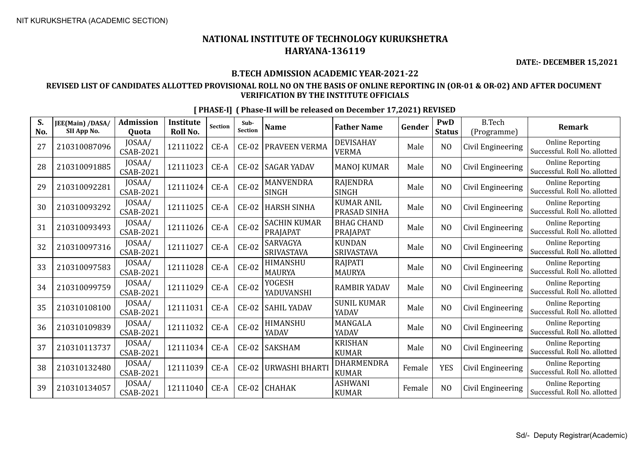**DATE:- DECEMBER 15,2021**

#### **B.TECH ADMISSION ACADEMIC YEAR-2021-22**

#### **REVISED LIST OF CANDIDATES ALLOTTED PROVISIONAL ROLL NO ON THE BASIS OF ONLINE REPORTING IN (OR-01 & OR-02) AND AFTER DOCUMENT VERIFICATION BY THE INSTITUTE OFFICIALS**

|  | [PHASE-I] (Phase-II will be released on December 17,2021) REVISED |  |  |
|--|-------------------------------------------------------------------|--|--|
|  |                                                                   |  |  |

| S.<br>No. | JEE(Main) /DASA/<br>SII App No. | <b>Admission</b><br>Quota  | Institute<br>Roll No. | <b>Section</b> | Sub-<br><b>Section</b> | <b>Name</b>                      | <b>Father Name</b>                 | Gender | PwD<br><b>Status</b> | <b>B.Tech</b><br>(Programme) | <b>Remark</b>                                            |
|-----------|---------------------------------|----------------------------|-----------------------|----------------|------------------------|----------------------------------|------------------------------------|--------|----------------------|------------------------------|----------------------------------------------------------|
| 27        | 210310087096                    | JOSAA/<br><b>CSAB-2021</b> | 12111022              | CE-A           | $CE-02$                | PRAVEEN VERMA                    | <b>DEVISAHAY</b><br><b>VERMA</b>   | Male   | N <sub>O</sub>       | Civil Engineering            | <b>Online Reporting</b><br>Successful. Roll No. allotted |
| 28        | 210310091885                    | JOSAA/<br><b>CSAB-2021</b> | 12111023              | CE-A           | $CE-02$                | <b>SAGAR YADAV</b>               | <b>MANOJ KUMAR</b>                 | Male   | N <sub>O</sub>       | Civil Engineering            | <b>Online Reporting</b><br>Successful. Roll No. allotted |
| 29        | 210310092281                    | JOSAA/<br>CSAB-2021        | 12111024              | CE-A           | $CE-02$                | <b>MANVENDRA</b><br><b>SINGH</b> | <b>RAJENDRA</b><br><b>SINGH</b>    | Male   | N <sub>O</sub>       | Civil Engineering            | <b>Online Reporting</b><br>Successful. Roll No. allotted |
| 30        | 210310093292                    | JOSAA/<br><b>CSAB-2021</b> | 12111025              | CE-A           | $CE-02$                | <b>HARSH SINHA</b>               | <b>KUMAR ANIL</b><br>PRASAD SINHA  | Male   | N <sub>O</sub>       | Civil Engineering            | <b>Online Reporting</b><br>Successful. Roll No. allotted |
| 31        | 210310093493                    | JOSAA/<br><b>CSAB-2021</b> | 12111026              | $CE-A$         | $CE-02$                | <b>SACHIN KUMAR</b><br>PRAJAPAT  | <b>BHAG CHAND</b><br>PRAJAPAT      | Male   | N <sub>O</sub>       | Civil Engineering            | <b>Online Reporting</b><br>Successful. Roll No. allotted |
| 32        | 210310097316                    | JOSAA/<br>CSAB-2021        | 12111027              | CE-A           | $CE-02$                | <b>SARVAGYA</b><br>SRIVASTAVA    | <b>KUNDAN</b><br><b>SRIVASTAVA</b> | Male   | N <sub>O</sub>       | Civil Engineering            | <b>Online Reporting</b><br>Successful. Roll No. allotted |
| 33        | 210310097583                    | JOSAA/<br><b>CSAB-2021</b> | 12111028              | CE-A           | $CE-02$                | HIMANSHU<br><b>MAURYA</b>        | <b>RAJPATI</b><br><b>MAURYA</b>    | Male   | N <sub>O</sub>       | Civil Engineering            | <b>Online Reporting</b><br>Successful. Roll No. allotted |
| 34        | 210310099759                    | JOSAA/<br><b>CSAB-2021</b> | 12111029              | $CE-A$         | $CE-02$                | <b>YOGESH</b><br>YADUVANSHI      | <b>RAMBIR YADAV</b>                | Male   | N <sub>O</sub>       | Civil Engineering            | <b>Online Reporting</b><br>Successful. Roll No. allotted |
| 35        | 210310108100                    | JOSAA/<br>CSAB-2021        | 12111031              | CE-A           | $CE-02$                | <b>SAHIL YADAV</b>               | <b>SUNIL KUMAR</b><br>YADAV        | Male   | N <sub>O</sub>       | Civil Engineering            | <b>Online Reporting</b><br>Successful. Roll No. allotted |
| 36        | 210310109839                    | JOSAA/<br><b>CSAB-2021</b> | 12111032              | CE-A           | $CE-02$                | HIMANSHU<br><b>YADAV</b>         | MANGALA<br>YADAV                   | Male   | N <sub>O</sub>       | Civil Engineering            | <b>Online Reporting</b><br>Successful. Roll No. allotted |
| 37        | 210310113737                    | JOSAA/<br><b>CSAB-2021</b> | 12111034              | $CE-A$         | $CE-02$                | <b>SAKSHAM</b>                   | <b>KRISHAN</b><br><b>KUMAR</b>     | Male   | N <sub>O</sub>       | Civil Engineering            | <b>Online Reporting</b><br>Successful. Roll No. allotted |
| 38        | 210310132480                    | JOSAA/<br>CSAB-2021        | 12111039              | CE-A           | $CE-02$                | <b>URWASHI BHARTI</b>            | DHARMENDRA<br><b>KUMAR</b>         | Female | <b>YES</b>           | Civil Engineering            | <b>Online Reporting</b><br>Successful. Roll No. allotted |
| 39        | 210310134057                    | JOSAA/<br><b>CSAB-2021</b> | 12111040              | CE-A           | $CE-02$                | <b>CHAHAK</b>                    | <b>ASHWANI</b><br><b>KUMAR</b>     | Female | N <sub>O</sub>       | Civil Engineering            | <b>Online Reporting</b><br>Successful. Roll No. allotted |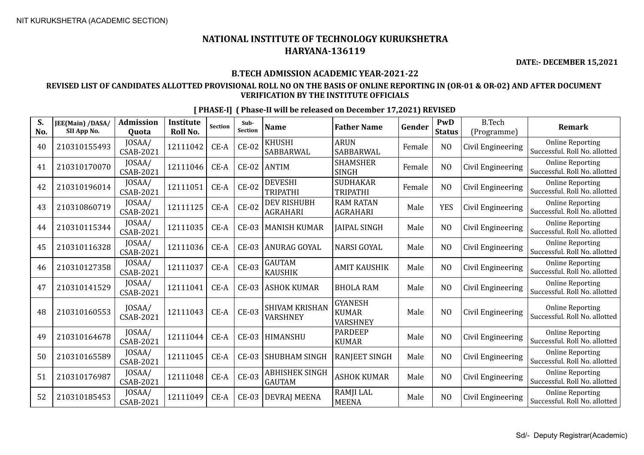**DATE:- DECEMBER 15,2021**

#### **B.TECH ADMISSION ACADEMIC YEAR-2021-22**

#### **REVISED LIST OF CANDIDATES ALLOTTED PROVISIONAL ROLL NO ON THE BASIS OF ONLINE REPORTING IN (OR-01 & OR-02) AND AFTER DOCUMENT VERIFICATION BY THE INSTITUTE OFFICIALS**

| S.<br>No. | JEE(Main) /DASA/<br>SII App No. | <b>Admission</b><br>Quota  | <b>Institute</b><br>Roll No. | Section | Sub-<br><b>Section</b> | <b>Name</b>                           | <b>Father Name</b>                         | Gender | PwD<br><b>Status</b> | <b>B.Tech</b><br>(Programme) | <b>Remark</b>                                            |
|-----------|---------------------------------|----------------------------|------------------------------|---------|------------------------|---------------------------------------|--------------------------------------------|--------|----------------------|------------------------------|----------------------------------------------------------|
| 40        | 210310155493                    | JOSAA/<br><b>CSAB-2021</b> | 12111042                     | $CE-A$  | $CE-02$                | <b>KHUSHI</b><br>SABBARWAL            | <b>ARUN</b><br>SABBARWAL                   | Female | N <sub>O</sub>       | Civil Engineering            | <b>Online Reporting</b><br>Successful. Roll No. allotted |
| 41        | 210310170070                    | JOSAA/<br><b>CSAB-2021</b> | 12111046                     | CE-A    | $CE-02$                | <b>ANTIM</b>                          | <b>SHAMSHER</b><br><b>SINGH</b>            | Female | N <sub>O</sub>       | Civil Engineering            | <b>Online Reporting</b><br>Successful. Roll No. allotted |
| 42        | 210310196014                    | JOSAA/<br><b>CSAB-2021</b> | 12111051                     | CE-A    | $CE-02$                | <b>DEVESHI</b><br><b>TRIPATHI</b>     | <b>SUDHAKAR</b><br><b>TRIPATHI</b>         | Female | N <sub>O</sub>       | Civil Engineering            | <b>Online Reporting</b><br>Successful. Roll No. allotted |
| 43        | 210310860719                    | JOSAA/<br>CSAB-2021        | 12111125                     | $CE-A$  | $CE-02$                | <b>DEV RISHUBH</b><br><b>AGRAHARI</b> | <b>RAM RATAN</b><br><b>AGRAHARI</b>        | Male   | <b>YES</b>           | Civil Engineering            | <b>Online Reporting</b><br>Successful. Roll No. allotted |
| 44        | 210310115344                    | JOSAA/<br><b>CSAB-2021</b> | 12111035                     | CE-A    | <b>CE-03</b>           | <b>MANISH KUMAR</b>                   | <b>JAIPAL SINGH</b>                        | Male   | N <sub>O</sub>       | Civil Engineering            | <b>Online Reporting</b><br>Successful. Roll No. allotted |
| 45        | 210310116328                    | JOSAA/<br><b>CSAB-2021</b> | 12111036                     | CE-A    | <b>CE-03</b>           | ANURAG GOYAL                          | <b>NARSI GOYAL</b>                         | Male   | N <sub>O</sub>       | Civil Engineering            | <b>Online Reporting</b><br>Successful. Roll No. allotted |
| 46        | 210310127358                    | JOSAA/<br><b>CSAB-2021</b> | 12111037                     | $CE-A$  | <b>CE-03</b>           | <b>GAUTAM</b><br><b>KAUSHIK</b>       | <b>AMIT KAUSHIK</b>                        | Male   | N <sub>O</sub>       | Civil Engineering            | <b>Online Reporting</b><br>Successful. Roll No. allotted |
| 47        | 210310141529                    | IOSAA/<br><b>CSAB-2021</b> | 12111041                     | CE-A    | $CE-03$                | <b>ASHOK KUMAR</b>                    | <b>BHOLA RAM</b>                           | Male   | N <sub>O</sub>       | Civil Engineering            | <b>Online Reporting</b><br>Successful. Roll No. allotted |
| 48        | 210310160553                    | JOSAA/<br><b>CSAB-2021</b> | 12111043                     | $CE-A$  | $CE-03$                | <b>SHIVAM KRISHAN</b><br>VARSHNEY     | <b>GYANESH</b><br><b>KUMAR</b><br>VARSHNEY | Male   | N <sub>O</sub>       | Civil Engineering            | <b>Online Reporting</b><br>Successful. Roll No. allotted |
| 49        | 210310164678                    | JOSAA/<br>CSAB-2021        | 12111044                     | $CE-A$  | <b>CE-03</b>           | HIMANSHU                              | <b>PARDEEP</b><br><b>KUMAR</b>             | Male   | N <sub>O</sub>       | Civil Engineering            | <b>Online Reporting</b><br>Successful. Roll No. allotted |
| 50        | 210310165589                    | JOSAA/<br>CSAB-2021        | 12111045                     | CE-A    | <b>CE-03</b>           | <b>SHUBHAM SINGH</b>                  | RANJEET SINGH                              | Male   | N <sub>O</sub>       | Civil Engineering            | <b>Online Reporting</b><br>Successful. Roll No. allotted |
| 51        | 210310176987                    | JOSAA/<br>CSAB-2021        | 12111048                     | $CE-A$  | $CE-03$                | ABHISHEK SINGH<br><b>GAUTAM</b>       | <b>ASHOK KUMAR</b>                         | Male   | N <sub>O</sub>       | Civil Engineering            | <b>Online Reporting</b><br>Successful. Roll No. allotted |
| 52        | 210310185453                    | JOSAA/<br>CSAB-2021        | 12111049                     | $CE-A$  | $CE-03$                | DEVRAJ MEENA                          | RAMJI LAL<br><b>MEENA</b>                  | Male   | N <sub>O</sub>       | Civil Engineering            | <b>Online Reporting</b><br>Successful. Roll No. allotted |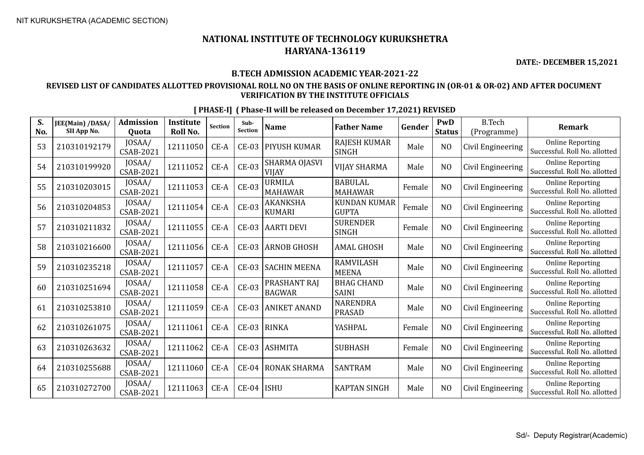**S.** 

### **NATIONAL INSTITUTE OF TECHNOLOGY KURUKSHETRA HARYANA-136119**

**DATE:- DECEMBER 15,2021**

#### **B.TECH ADMISSION ACADEMIC YEAR-2021-22**

#### **REVISED LIST OF CANDIDATES ALLOTTED PROVISIONAL ROLL NO ON THE BASIS OF ONLINE REPORTING IN (OR-01 & OR-02) AND AFTER DOCUMENT VERIFICATION BY THE INSTITUTE OFFICIALS**

**No. JEE(Main) /DASA/ SII App No. Admission Quota Institute Roll No.** Section **Sub-**<br>Section **Sub- Name Father Name Gender PWD Status** B.Tech (Programme) **Remark**  $53$  210310192179 JOSAA/ CSAB-2021 <sup>12111050</sup> CE-A CE-03 PIYUSH KUMAR RAJESH KUMAR RAJESH KUMAR | Male | NO | Civil Engineering | Online Reporting<br>SINGH | Male | NO | Civil Engineering | Successful. Roll No. allotted 54 210310199920 JOSAA/ 12111052 CE-A CE-03 SHARMA OJASVI VIJAY VIJAY SHARMA Male NO Civil Engineering Online Reporting Successful. Roll No. allotted 55 210310203015 JOSAA/  $\begin{array}{c|c|c|c} \text{JOSAA/} & \text{12111053} & \text{CE-A} & \text{CE-03} & \text{MRMILA} \ \text{CSAB-2021} & & \text{2111053} & & \text{CE-A} & \text{MLA} \ \text{MAHAWA} & & & \text{MLA} & \text{MLA} & \text{MLA} & \text{MLA} & \text{MLA} & \text{MLA} & \text{MLA} & \text{MLA} & \text{MLA} & \text{MLA} & \text{MLA} & \text{MLA} & \text{MLA} & \text{MLA} & \text{MLA} & \text{ML$ MAHAWAR BABULAL MAHAWAR Female NO Civil Engineering Online Reporting Successful. Roll No. allotted  $56$  210310204853  $\left| \frac{\text{JOSAA}}{\text{CSAB-2021}} \right|$  $\begin{array}{c|c|c|c} \text{JOSAA/} & \text{12111054} & \text{CE-A} & \text{CE-03} & \text{AKANKSHA} \\ \text{CSAB-2021} & \text{12111054} & \text{CE-A} & \text{CE-03} & \text{KUMARI} \end{array}$ KUMARI KUNDAN KUMAR<br>GUPTA KUNDAN KUMAR | Female | NO  $|$  Civil Engineering  $|$  Successful. Roll No. allotted  $57 \left| 210310211832 \right| 10SAA/$  $\begin{array}{c|c|c} \text{JOSAA/} & 12111055 & \text{CE-A} & \text{CE-03} & \text{AARTI DEVI} & \text{SURENDER} \\ \text{CSAB-2021} & & & & \text{SINGH} \end{array}$ SURENDER | Female | NO | Civil Engineering | Online Reporting | Online Reporting | Successful. Roll No. allotted  $58$  210310216600 JOSAA/ JOSAA/ 12111056 CE-A CE-03 ARNOB GHOSH AMAL GHOSH Male NO Civil Engineering Successful. Roll No. allo Successful. Roll No. allotted  $59 \left\{ 210310235218 \right\} \frac{\text{JOSAA}}{\text{CSAB-2021}}$  $\begin{array}{c|c|c}\n & \text{JOSAA/} \\
 & \text{CSAB-2021}\n\end{array}$  12111057 CE-A CE-03 SACHIN MEENA RAMVILASH RAMVILASH | Male | NO | Civil Engineering | Online Reporting<br>MEENA | Male | NO | Civil Engineering | Successful. Roll No. allotted 60 210310251694 JOSAA/  $\left| \begin{array}{c} 2111058 \end{array} \right|$  CE-A  $\left| \begin{array}{c} C_{\text{E}}-03 \end{array} \right|$  PRASHANT RAJ BAGWAR BHAG CHAND BHAG CHAND | Male | NO | Civil Engineering | Online Reporting | SAINI 61 210310253810  $\bigg| \begin{array}{c} 10SAA/ \\ CSAB-2021 \end{array}$  $\begin{array}{c|c}$  JOSAA/ 12111059 CE-A CE-03 ANIKET ANAND NARENDRA<br>CSAB-2021 12111059 CE-A CE-03 ANIKET ANAND PRASAD NARENDRA | Male | NO | Civil Engineering | Online Reporting<br>PRASAD | Male | NO | Civil Engineering | Successful. Roll No. allotted  $62$  210310261075 JOSAA/ JOSAA/ 12111061 CE-A CE-03 RINKA YASHPAL Female NO Civil Engineering Successful. Roll No. allo<br>CSAB-2021 12111061 CE-A CE-03 RINKA YASHPAL Female NO Civil Engineering Successful. Roll No. allo Successful. Roll No. allotted 63 210310263632 JOSAA/ JOSAA/ 12111062 CE-A CE-03 ASHMITA SUBHASH Female NO Civil Engineering Successful. Roll No. allo<br>CSAB-2021 12111062 CE-A CE-03 ASHMITA SUBHASH Female NO Civil Engineering Successful. Roll No. allo Successful. Roll No. allotted 64 210310255688  $\big|$  JOSAA/<br>CSAB-2021 JOSAA/ 12111060 CE-A CE-04 RONAK SHARMA SANTRAM Male NO Civil Engineering Successful. Roll No. allo Successful. Roll No. allotted 65 210310272700 JOSAA/ JOSAA/ 12111063 CE-A CE-04 ISHU KAPTAN SINGH Male NO Civil Engineering Successful. Roll No. allo<br>CSAB-2021 12111063 CE-A CE-04 ISHU KAPTAN SINGH Male NO Civil Engineering Successful. Roll No. allo

**[ PHASE-I] ( Phase-II will be released on December 17,2021) REVISED**

Successful. Roll No. allotted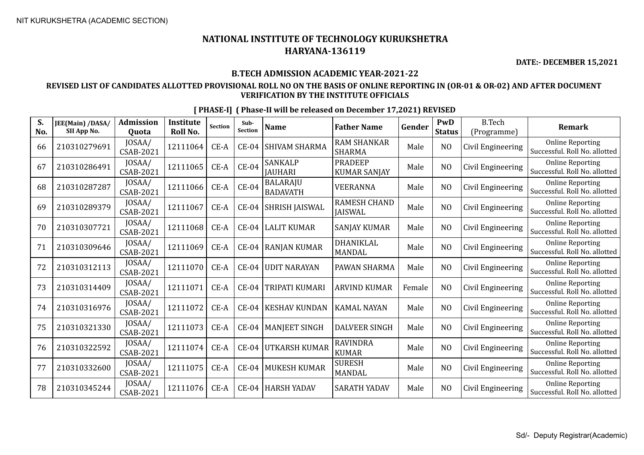**DATE:- DECEMBER 15,2021**

#### **B.TECH ADMISSION ACADEMIC YEAR-2021-22**

#### **REVISED LIST OF CANDIDATES ALLOTTED PROVISIONAL ROLL NO ON THE BASIS OF ONLINE REPORTING IN (OR-01 & OR-02) AND AFTER DOCUMENT VERIFICATION BY THE INSTITUTE OFFICIALS**

| S.<br>No. | JEE(Main) /DASA/<br>SII App No. | <b>Admission</b><br>Quota  | <b>Institute</b><br>Roll No. | <b>Section</b> | Sub-<br>Section | <b>Name</b>                        | <b>Father Name</b>                  | Gender | <b>PwD</b><br><b>Status</b> | <b>B.Tech</b><br>(Programme) | <b>Remark</b>                                            |
|-----------|---------------------------------|----------------------------|------------------------------|----------------|-----------------|------------------------------------|-------------------------------------|--------|-----------------------------|------------------------------|----------------------------------------------------------|
| 66        | 210310279691                    | JOSAA/<br><b>CSAB-2021</b> | 12111064                     | $CE-A$         | $CE-04$         | <b>SHIVAM SHARMA</b>               | <b>RAM SHANKAR</b><br><b>SHARMA</b> | Male   | N <sub>O</sub>              | Civil Engineering            | <b>Online Reporting</b><br>Successful. Roll No. allotted |
| 67        | 210310286491                    | JOSAA/<br>CSAB-2021        | 12111065                     | $CE-A$         | $CE-04$         | <b>SANKALP</b><br><b>JAUHARI</b>   | <b>PRADEEP</b><br>KUMAR SANJAY      | Male   | N <sub>O</sub>              | Civil Engineering            | <b>Online Reporting</b><br>Successful. Roll No. allotted |
| 68        | 210310287287                    | JOSAA/<br><b>CSAB-2021</b> | 12111066                     | $CE-A$         | $CE-04$         | <b>BALARAJU</b><br><b>BADAVATH</b> | <b>VEERANNA</b>                     | Male   | N <sub>O</sub>              | Civil Engineering            | <b>Online Reporting</b><br>Successful. Roll No. allotted |
| 69        | 210310289379                    | JOSAA/<br>CSAB-2021        | 12111067                     | $CE-A$         | $CE-04$         | SHRISH JAISWAL                     | RAMESH CHAND<br><b>JAISWAL</b>      | Male   | N <sub>O</sub>              | Civil Engineering            | <b>Online Reporting</b><br>Successful. Roll No. allotted |
| 70        | 210310307721                    | JOSAA/<br>CSAB-2021        | 12111068                     | CE-A           | $CE-04$         | LALIT KUMAR                        | <b>SANJAY KUMAR</b>                 | Male   | N <sub>O</sub>              | Civil Engineering            | <b>Online Reporting</b><br>Successful. Roll No. allotted |
| 71        | 210310309646                    | JOSAA/<br>CSAB-2021        | 12111069                     | $CE-A$         | $CE-04$         | RANJAN KUMAR                       | DHANIKLAL<br>MANDAL                 | Male   | N <sub>O</sub>              | Civil Engineering            | <b>Online Reporting</b><br>Successful. Roll No. allotted |
| 72        | 210310312113                    | JOSAA/<br>CSAB-2021        | 12111070                     | $CE-A$         | $CE-04$         | <b>UDIT NARAYAN</b>                | PAWAN SHARMA                        | Male   | N <sub>O</sub>              | Civil Engineering            | <b>Online Reporting</b><br>Successful. Roll No. allotted |
| 73        | 210310314409                    | JOSAA/<br>CSAB-2021        | 12111071                     | CE-A           | $CE-04$         | TRIPATI KUMARI                     | ARVIND KUMAR                        | Female | N <sub>O</sub>              | Civil Engineering            | <b>Online Reporting</b><br>Successful. Roll No. allotted |
| 74        | 210310316976                    | JOSAA/<br><b>CSAB-2021</b> | 12111072                     | $CE-A$         | $CE-04$         | <b>KESHAV KUNDAN</b>               | KAMAL NAYAN                         | Male   | N <sub>O</sub>              | Civil Engineering            | <b>Online Reporting</b><br>Successful. Roll No. allotted |
| 75        | 210310321330                    | JOSAA/<br>CSAB-2021        | 12111073                     | $CE-A$         | $CE-04$         | <b>MANJEET SINGH</b>               | <b>DALVEER SINGH</b>                | Male   | N <sub>O</sub>              | Civil Engineering            | <b>Online Reporting</b><br>Successful, Roll No. allotted |
| 76        | 210310322592                    | JOSAA/<br>CSAB-2021        | 12111074                     | CE-A           | $CE-04$         | UTKARSH KUMAR                      | <b>RAVINDRA</b><br><b>KUMAR</b>     | Male   | N <sub>O</sub>              | Civil Engineering            | <b>Online Reporting</b><br>Successful. Roll No. allotted |
| 77        | 210310332600                    | JOSAA/<br><b>CSAB-2021</b> | 12111075                     | $CE-A$         | $CE-04$         | <b>MUKESH KUMAR</b>                | <b>SURESH</b><br><b>MANDAL</b>      | Male   | N <sub>O</sub>              | Civil Engineering            | <b>Online Reporting</b><br>Successful. Roll No. allotted |
| 78        | 210310345244                    | JOSAA/<br>CSAB-2021        | 12111076                     | $CE-A$         | $CE-04$         | HARSH YADAV                        | <b>SARATH YADAV</b>                 | Male   | N <sub>O</sub>              | Civil Engineering            | <b>Online Reporting</b><br>Successful. Roll No. allotted |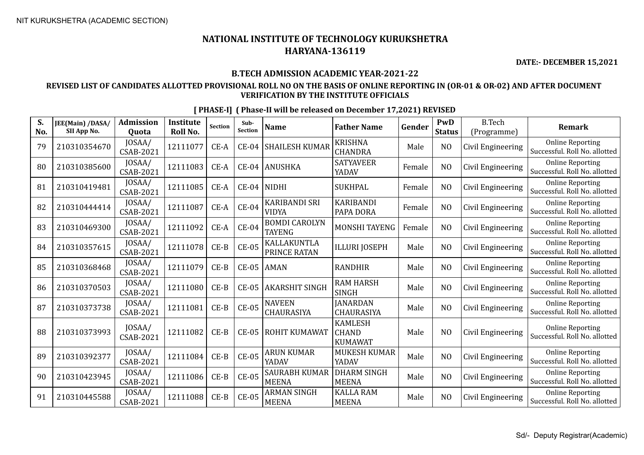**DATE:- DECEMBER 15,2021**

#### **B.TECH ADMISSION ACADEMIC YEAR-2021-22**

#### **REVISED LIST OF CANDIDATES ALLOTTED PROVISIONAL ROLL NO ON THE BASIS OF ONLINE REPORTING IN (OR-01 & OR-02) AND AFTER DOCUMENT VERIFICATION BY THE INSTITUTE OFFICIALS**

| S.<br>No. | JEE(Main) /DASA/<br>SII App No. | <b>Admission</b><br><b>Ouota</b> | <b>Institute</b><br>Roll No. | Section | Sub-<br><b>Section</b> | <b>Name</b>                           | <b>Father Name</b>                               | Gender | PwD<br><b>Status</b> | <b>B.Tech</b><br>(Programme) | <b>Remark</b>                                            |
|-----------|---------------------------------|----------------------------------|------------------------------|---------|------------------------|---------------------------------------|--------------------------------------------------|--------|----------------------|------------------------------|----------------------------------------------------------|
| 79        | 210310354670                    | JOSAA/<br><b>CSAB-2021</b>       | 12111077                     | CE-A    | <b>CE-04</b>           | <b>SHAILESH KUMAR</b>                 | <b>KRISHNA</b><br><b>CHANDRA</b>                 | Male   | N <sub>O</sub>       | Civil Engineering            | <b>Online Reporting</b><br>Successful. Roll No. allotted |
| 80        | 210310385600                    | JOSAA/<br><b>CSAB-2021</b>       | 12111083                     | $CE-A$  | $CE-04$                | <b>ANUSHKA</b>                        | <b>SATYAVEER</b><br>YADAV                        | Female | NO                   | Civil Engineering            | <b>Online Reporting</b><br>Successful. Roll No. allotted |
| 81        | 210310419481                    | JOSAA/<br>CSAB-2021              | 12111085                     | CE-A    | $CE-04$                | <b>NIDHI</b>                          | <b>SUKHPAL</b>                                   | Female | N <sub>O</sub>       | Civil Engineering            | <b>Online Reporting</b><br>Successful. Roll No. allotted |
| 82        | 210310444414                    | JOSAA/<br><b>CSAB-2021</b>       | 12111087                     | $CE-A$  | <b>CE-04</b>           | <b>KARIBANDI SRI</b><br><b>VIDYA</b>  | <b>KARIBANDI</b><br>PAPA DORA                    | Female | N <sub>0</sub>       | Civil Engineering            | <b>Online Reporting</b><br>Successful. Roll No. allotted |
| 83        | 210310469300                    | JOSAA/<br>CSAB-2021              | 12111092                     | CE-A    | <b>CE-04</b>           | <b>BOMDI CAROLYN</b><br><b>TAYENG</b> | MONSHI TAYENG                                    | Female | N <sub>O</sub>       | Civil Engineering            | <b>Online Reporting</b><br>Successful. Roll No. allotted |
| 84        | 210310357615                    | JOSAA/<br>CSAB-2021              | 12111078                     | $CE-B$  | $CE-05$                | KALLAKUNTLA<br>PRINCE RATAN           | <b>ILLURI JOSEPH</b>                             | Male   | N <sub>O</sub>       | Civil Engineering            | <b>Online Reporting</b><br>Successful. Roll No. allotted |
| 85        | 210310368468                    | JOSAA/<br><b>CSAB-2021</b>       | 12111079                     | $CE-B$  | $CE-05$                | <b>AMAN</b>                           | <b>RANDHIR</b>                                   | Male   | N <sub>O</sub>       | Civil Engineering            | <b>Online Reporting</b><br>Successful. Roll No. allotted |
| 86        | 210310370503                    | JOSAA/<br><b>CSAB-2021</b>       | 12111080                     | $CE-B$  | $CE-05$                | <b>AKARSHIT SINGH</b>                 | <b>RAM HARSH</b><br><b>SINGH</b>                 | Male   | N <sub>O</sub>       | Civil Engineering            | <b>Online Reporting</b><br>Successful. Roll No. allotted |
| 87        | 210310373738                    | JOSAA/<br><b>CSAB-2021</b>       | 12111081                     | $CE-B$  | $CE-05$                | <b>NAVEEN</b><br>CHAURASIYA           | <b>JANARDAN</b><br>CHAURASIYA                    | Male   | N <sub>O</sub>       | Civil Engineering            | <b>Online Reporting</b><br>Successful. Roll No. allotted |
| 88        | 210310373993                    | JOSAA/<br><b>CSAB-2021</b>       | 12111082                     | $CE-B$  | $CE-05$                | ROHIT KUMAWAT                         | <b>KAMLESH</b><br><b>CHAND</b><br><b>KUMAWAT</b> | Male   | N <sub>O</sub>       | Civil Engineering            | <b>Online Reporting</b><br>Successful. Roll No. allotted |
| 89        | 210310392377                    | JOSAA/<br>CSAB-2021              | 12111084                     | $CE-B$  | $CE-05$                | ARUN KUMAR<br>YADAV                   | <b>MUKESH KUMAR</b><br>YADAV                     | Male   | N <sub>O</sub>       | Civil Engineering            | <b>Online Reporting</b><br>Successful. Roll No. allotted |
| 90        | 210310423945                    | JOSAA/<br>CSAB-2021              | 12111086                     | $CE-B$  | $CE-05$                | <b>SAURABH KUMAR</b><br><b>MEENA</b>  | <b>DHARM SINGH</b><br><b>MEENA</b>               | Male   | N <sub>O</sub>       | Civil Engineering            | <b>Online Reporting</b><br>Successful. Roll No. allotted |
| 91        | 210310445588                    | JOSAA/<br><b>CSAB-2021</b>       | 12111088                     | $CE-B$  | <b>CE-05</b>           | <b>ARMAN SINGH</b><br><b>MEENA</b>    | <b>KALLA RAM</b><br><b>MEENA</b>                 | Male   | N <sub>O</sub>       | Civil Engineering            | <b>Online Reporting</b><br>Successful. Roll No. allotted |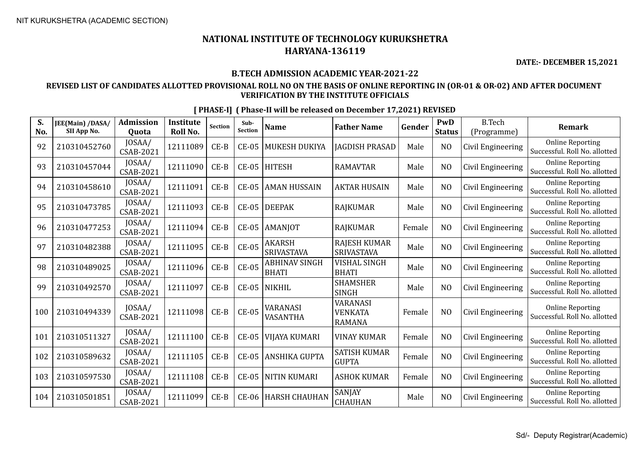**DATE:- DECEMBER 15,2021**

#### **B.TECH ADMISSION ACADEMIC YEAR-2021-22**

#### **REVISED LIST OF CANDIDATES ALLOTTED PROVISIONAL ROLL NO ON THE BASIS OF ONLINE REPORTING IN (OR-01 & OR-02) AND AFTER DOCUMENT VERIFICATION BY THE INSTITUTE OFFICIALS**

| S.<br>No. | JEE(Main) /DASA/<br>SII App No. | <b>Admission</b><br><b>Ouota</b> | <b>Institute</b><br>Roll No. | <b>Section</b> | Sub-<br><b>Section</b> | <b>Name</b>                        | <b>Father Name</b>                                 | Gender | PwD<br><b>Status</b> | <b>B.Tech</b><br>(Programme) | <b>Remark</b>                                            |
|-----------|---------------------------------|----------------------------------|------------------------------|----------------|------------------------|------------------------------------|----------------------------------------------------|--------|----------------------|------------------------------|----------------------------------------------------------|
| 92        | 210310452760                    | JOSAA/<br>CSAB-2021              | 12111089                     | $CE-B$         | <b>CE-05</b>           | MUKESH DUKIYA                      | <b>JAGDISH PRASAD</b>                              | Male   | N <sub>O</sub>       | Civil Engineering            | <b>Online Reporting</b><br>Successful. Roll No. allotted |
| 93        | 210310457044                    | JOSAA/<br>CSAB-2021              | 12111090                     | $CE-B$         | <b>CE-05</b>           | <b>HITESH</b>                      | <b>RAMAVTAR</b>                                    | Male   | NO                   | Civil Engineering            | <b>Online Reporting</b><br>Successful. Roll No. allotted |
| 94        | 210310458610                    | JOSAA/<br>CSAB-2021              | 12111091                     | $CE-B$         | <b>CE-05</b>           | <b>AMAN HUSSAIN</b>                | <b>AKTAR HUSAIN</b>                                | Male   | N <sub>O</sub>       | Civil Engineering            | <b>Online Reporting</b><br>Successful. Roll No. allotted |
| 95        | 210310473785                    | JOSAA/<br>CSAB-2021              | 12111093                     | $CE-B$         | $CE-05$                | <b>DEEPAK</b>                      | <b>RAJKUMAR</b>                                    | Male   | N <sub>O</sub>       | Civil Engineering            | <b>Online Reporting</b><br>Successful. Roll No. allotted |
| 96        | 210310477253                    | JOSAA/<br>CSAB-2021              | 12111094                     | $CE-B$         | $CE-05$                | AMANJOT                            | <b>RAJKUMAR</b>                                    | Female | NO                   | Civil Engineering            | <b>Online Reporting</b><br>Successful. Roll No. allotted |
| 97        | 210310482388                    | JOSAA/<br>CSAB-2021              | 12111095                     | $CE-B$         | $CE-05$                | <b>AKARSH</b><br><b>SRIVASTAVA</b> | <b>RAJESH KUMAR</b><br><b>SRIVASTAVA</b>           | Male   | NO                   | Civil Engineering            | <b>Online Reporting</b><br>Successful. Roll No. allotted |
| 98        | 210310489025                    | JOSAA/<br>CSAB-2021              | 12111096                     | $CE-B$         | $CE-05$                | ABHINAV SINGH<br><b>BHATI</b>      | VISHAL SINGH<br><b>BHATI</b>                       | Male   | NO                   | Civil Engineering            | <b>Online Reporting</b><br>Successful. Roll No. allotted |
| 99        | 210310492570                    | JOSAA/<br>CSAB-2021              | 12111097                     | $CE-B$         | $CE-05$                | <b>NIKHIL</b>                      | <b>SHAMSHER</b><br><b>SINGH</b>                    | Male   | N <sub>O</sub>       | Civil Engineering            | <b>Online Reporting</b><br>Successful. Roll No. allotted |
| 100       | 210310494339                    | JOSAA/<br><b>CSAB-2021</b>       | 12111098                     | $CE-B$         | <b>CE-05</b>           | VARANASI<br>VASANTHA               | <b>VARANASI</b><br><b>VENKATA</b><br><b>RAMANA</b> | Female | N <sub>O</sub>       | Civil Engineering            | <b>Online Reporting</b><br>Successful. Roll No. allotted |
| 101       | 210310511327                    | JOSAA/<br><b>CSAB-2021</b>       | 12111100                     | $CE-B$         | $CE-05$                | VIJAYA KUMARI                      | <b>VINAY KUMAR</b>                                 | Female | N <sub>0</sub>       | Civil Engineering            | <b>Online Reporting</b><br>Successful. Roll No. allotted |
| 102       | 210310589632                    | JOSAA/<br>CSAB-2021              | 12111105                     | $CE-B$         | $CE-05$                | ANSHIKA GUPTA                      | <b>SATISH KUMAR</b><br><b>GUPTA</b>                | Female | N <sub>O</sub>       | Civil Engineering            | <b>Online Reporting</b><br>Successful. Roll No. allotted |
| 103       | 210310597530                    | JOSAA/<br>CSAB-2021              | 12111108                     | $CE-B$         | $CE-05$                | <b>NITIN KUMARI</b>                | <b>ASHOK KUMAR</b>                                 | Female | N <sub>O</sub>       | Civil Engineering            | <b>Online Reporting</b><br>Successful. Roll No. allotted |
| 104       | 210310501851                    | JOSAA/<br>CSAB-2021              | 12111099                     | $CE-B$         | <b>CE-06</b>           | <b>HARSH CHAUHAN</b>               | SANJAY<br>CHAUHAN                                  | Male   | N <sub>O</sub>       | Civil Engineering            | <b>Online Reporting</b><br>Successful. Roll No. allotted |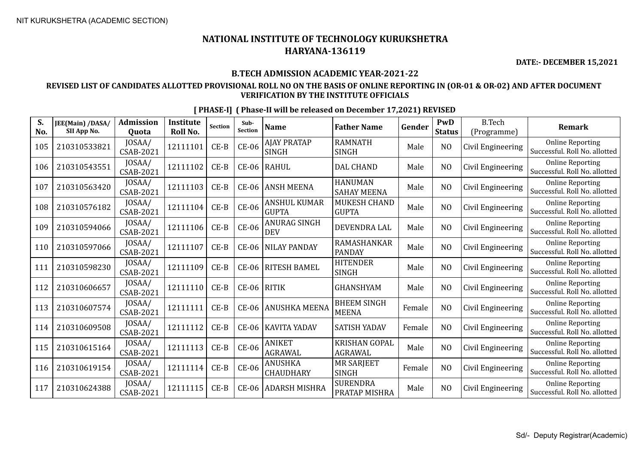**DATE:- DECEMBER 15,2021**

#### **B.TECH ADMISSION ACADEMIC YEAR-2021-22**

#### **REVISED LIST OF CANDIDATES ALLOTTED PROVISIONAL ROLL NO ON THE BASIS OF ONLINE REPORTING IN (OR-01 & OR-02) AND AFTER DOCUMENT VERIFICATION BY THE INSTITUTE OFFICIALS**

| S.<br>No. | JEE(Main) /DASA/<br>SII App No. | <b>Admission</b><br><b>Ouota</b> | <b>Institute</b><br>Roll No. | <b>Section</b> | Sub-<br><b>Section</b> | <b>Name</b>                         | <b>Father Name</b>                     | Gender | PwD<br><b>Status</b> | <b>B.Tech</b><br>(Programme) | <b>Remark</b>                                            |
|-----------|---------------------------------|----------------------------------|------------------------------|----------------|------------------------|-------------------------------------|----------------------------------------|--------|----------------------|------------------------------|----------------------------------------------------------|
| 105       | 210310533821                    | JOSAA/<br><b>CSAB-2021</b>       | 12111101                     | $CE-B$         | <b>CE-06</b>           | AJAY PRATAP<br><b>SINGH</b>         | <b>RAMNATH</b><br><b>SINGH</b>         | Male   | N <sub>O</sub>       | Civil Engineering            | <b>Online Reporting</b><br>Successful. Roll No. allotted |
| 106       | 210310543551                    | JOSAA/<br>CSAB-2021              | 12111102                     | $CE-B$         | CE-06                  | RAHUL                               | <b>DAL CHAND</b>                       | Male   | N <sub>O</sub>       | Civil Engineering            | <b>Online Reporting</b><br>Successful. Roll No. allotted |
| 107       | 210310563420                    | JOSAA/<br>CSAB-2021              | 12111103                     | $CE-B$         | <b>CE-06</b>           | <b>ANSH MEENA</b>                   | <b>HANUMAN</b><br><b>SAHAY MEENA</b>   | Male   | N <sub>O</sub>       | Civil Engineering            | <b>Online Reporting</b><br>Successful, Roll No. allotted |
| 108       | 210310576182                    | JOSAA/<br><b>CSAB-2021</b>       | 12111104                     | $CE-B$         | <b>CE-06</b>           | <b>ANSHUL KUMAR</b><br><b>GUPTA</b> | MUKESH CHAND<br><b>GUPTA</b>           | Male   | N <sub>O</sub>       | Civil Engineering            | <b>Online Reporting</b><br>Successful. Roll No. allotted |
| 109       | 210310594066                    | JOSAA/<br>CSAB-2021              | 12111106                     | $CE-B$         | <b>CE-06</b>           | <b>ANURAG SINGH</b><br><b>DEV</b>   | DEVENDRA LAL                           | Male   | N <sub>O</sub>       | Civil Engineering            | <b>Online Reporting</b><br>Successful. Roll No. allotted |
| 110       | 210310597066                    | JOSAA/<br>CSAB-2021              | 12111107                     | $CE-B$         | <b>CE-06</b>           | <b>NILAY PANDAY</b>                 | RAMASHANKAR<br><b>PANDAY</b>           | Male   | NO                   | Civil Engineering            | <b>Online Reporting</b><br>Successful. Roll No. allotted |
| 111       | 210310598230                    | JOSAA/<br><b>CSAB-2021</b>       | 12111109                     | $CE-B$         | CE-06                  | <b>RITESH BAMEL</b>                 | <b>HITENDER</b><br>SINGH               | Male   | N <sub>O</sub>       | Civil Engineering            | <b>Online Reporting</b><br>Successful. Roll No. allotted |
| 112       | 210310606657                    | JOSAA/<br><b>CSAB-2021</b>       | 12111110                     | $CE-B$         | CE-06                  | RITIK                               | <b>GHANSHYAM</b>                       | Male   | N <sub>O</sub>       | Civil Engineering            | <b>Online Reporting</b><br>Successful. Roll No. allotted |
| 113       | 210310607574                    | JOSAA/<br>CSAB-2021              | 12111111                     | $CE-B$         | <b>CE-06</b>           | ANUSHKA MEENA                       | <b>BHEEM SINGH</b><br><b>MEENA</b>     | Female | N <sub>O</sub>       | Civil Engineering            | <b>Online Reporting</b><br>Successful. Roll No. allotted |
| 114       | 210310609508                    | JOSAA/<br><b>CSAB-2021</b>       | 12111112                     | $CE-B$         | <b>CE-06</b>           | <b>KAVITA YADAV</b>                 | <b>SATISH YADAV</b>                    | Female | N <sub>O</sub>       | Civil Engineering            | <b>Online Reporting</b><br>Successful. Roll No. allotted |
| 115       | 210310615164                    | JOSAA/<br><b>CSAB-2021</b>       | 12111113                     | $CE-B$         | <b>CE-06</b>           | <b>ANIKET</b><br><b>AGRAWAL</b>     | <b>KRISHAN GOPAL</b><br><b>AGRAWAL</b> | Male   | N <sub>O</sub>       | Civil Engineering            | <b>Online Reporting</b><br>Successful. Roll No. allotted |
| 116       | 210310619154                    | JOSAA/<br>CSAB-2021              | 12111114                     | $CE-B$         | <b>CE-06</b>           | <b>ANUSHKA</b><br><b>CHAUDHARY</b>  | MR SARJEET<br><b>SINGH</b>             | Female | N <sub>O</sub>       | Civil Engineering            | <b>Online Reporting</b><br>Successful. Roll No. allotted |
| 117       | 210310624388                    | JOSAA/<br>CSAB-2021              | 12111115                     | $CE-B$         | <b>CE-06</b>           | <b>ADARSH MISHRA</b>                | <b>SURENDRA</b><br>PRATAP MISHRA       | Male   | N <sub>O</sub>       | Civil Engineering            | <b>Online Reporting</b><br>Successful. Roll No. allotted |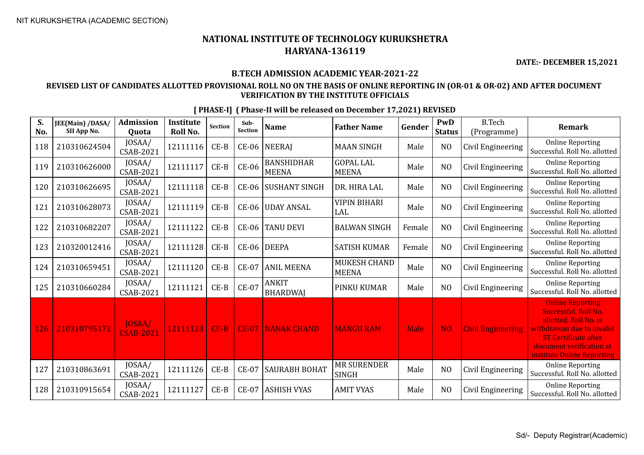**DATE:- DECEMBER 15,2021**

#### **B.TECH ADMISSION ACADEMIC YEAR-2021-22**

#### **REVISED LIST OF CANDIDATES ALLOTTED PROVISIONAL ROLL NO ON THE BASIS OF ONLINE REPORTING IN (OR-01 & OR-02) AND AFTER DOCUMENT VERIFICATION BY THE INSTITUTE OFFICIALS**

| S.<br>No. | JEE(Main) /DASA/<br>SII App No. | <b>Admission</b><br><b>Ouota</b> | <b>Institute</b><br>Roll No. | Section | Sub-<br><b>Section</b> | <b>Name</b>                       | <b>Father Name</b>                 | Gender      | PwD<br><b>Status</b> | <b>B.Tech</b><br>(Programme) | <b>Remark</b>                                                                                                                                                                                  |
|-----------|---------------------------------|----------------------------------|------------------------------|---------|------------------------|-----------------------------------|------------------------------------|-------------|----------------------|------------------------------|------------------------------------------------------------------------------------------------------------------------------------------------------------------------------------------------|
| 118       | 210310624504                    | JOSAA/<br><b>CSAB-2021</b>       | 12111116                     | $CE-B$  | <b>CE-06</b>           | <b>NEERAJ</b>                     | <b>MAAN SINGH</b>                  | Male        | N <sub>O</sub>       | Civil Engineering            | <b>Online Reporting</b><br>Successful. Roll No. allotted                                                                                                                                       |
| 119       | 210310626000                    | JOSAA/<br>CSAB-2021              | 12111117                     | $CE-B$  | <b>CE-06</b>           | <b>BANSHIDHAR</b><br><b>MEENA</b> | <b>GOPAL LAL</b><br><b>MEENA</b>   | Male        | N <sub>O</sub>       | Civil Engineering            | <b>Online Reporting</b><br>Successful. Roll No. allotted                                                                                                                                       |
| 120       | 210310626695                    | JOSAA/<br>CSAB-2021              | 12111118                     | $CE-B$  | <b>CE-06</b>           | <b>SUSHANT SINGH</b>              | DR. HIRA LAL                       | Male        | N <sub>O</sub>       | Civil Engineering            | <b>Online Reporting</b><br>Successful. Roll No. allotted                                                                                                                                       |
| 121       | 210310628073                    | JOSAA/<br><b>CSAB-2021</b>       | 12111119                     | $CE-B$  | CE-06                  | <b>UDAY ANSAL</b>                 | VIPIN BIHARI<br>LAL                | Male        | N <sub>O</sub>       | Civil Engineering            | <b>Online Reporting</b><br>Successful. Roll No. allotted                                                                                                                                       |
| 122       | 210310682207                    | JOSAA/<br><b>CSAB-2021</b>       | 12111122                     | $CE-B$  | <b>CE-06</b>           | <b>TANU DEVI</b>                  | <b>BALWAN SINGH</b>                | Female      | N <sub>O</sub>       | Civil Engineering            | <b>Online Reporting</b><br>Successful. Roll No. allotted                                                                                                                                       |
| 123       | 210320012416                    | JOSAA/<br>CSAB-2021              | 12111128                     | $CE-B$  | <b>CE-06</b>           | <b>DEEPA</b>                      | <b>SATISH KUMAR</b>                | Female      | N <sub>O</sub>       | Civil Engineering            | <b>Online Reporting</b><br>Successful. Roll No. allotted                                                                                                                                       |
| 124       | 210310659451                    | JOSAA/<br>CSAB-2021              | 12111120                     | $CE-B$  | $CE-07$                | <b>ANIL MEENA</b>                 | MUKESH CHAND<br><b>MEENA</b>       | Male        | N <sub>O</sub>       | Civil Engineering            | <b>Online Reporting</b><br>Successful. Roll No. allotted                                                                                                                                       |
| 125       | 210310660284                    | JOSAA/<br>CSAB-2021              | 12111121                     | $CE-B$  | <b>CE-07</b>           | <b>ANKIT</b><br><b>BHARDWAI</b>   | PINKU KUMAR                        | Male        | N <sub>O</sub>       | Civil Engineering            | <b>Online Reporting</b><br>Successful. Roll No. allotted                                                                                                                                       |
| 126       | 210310795172                    | JOSAA/<br><b>CSAB-2021</b>       | 12111123                     | $CE-B$  | <b>CE-07</b>           | <b>NANAK CHAND</b>                | <b>MANGU RAM</b>                   | <b>Male</b> | N <sub>O</sub>       | <b>Civil Engineering</b>     | <b>Online Reporting</b><br>Successful. Roll No.<br>allotted. Roll No. is<br>withdrawan due to invalid<br><b>ST Certificate after</b><br>document verification at<br>institute Online Reporting |
| 127       | 210310863691                    | JOSAA/<br><b>CSAB-2021</b>       | 12111126                     | $CE-B$  | <b>CE-07</b>           | <b>SAURABH BOHAT</b>              | <b>MR SURENDER</b><br><b>SINGH</b> | Male        | N <sub>O</sub>       | Civil Engineering            | <b>Online Reporting</b><br>Successful, Roll No. allotted                                                                                                                                       |
| 128       | 210310915654                    | JOSAA/<br>CSAB-2021              | 12111127                     | $CE-B$  | $CE-07$                | <b>ASHISH VYAS</b>                | <b>AMIT VYAS</b>                   | Male        | N <sub>O</sub>       | Civil Engineering            | <b>Online Reporting</b><br>Successful. Roll No. allotted                                                                                                                                       |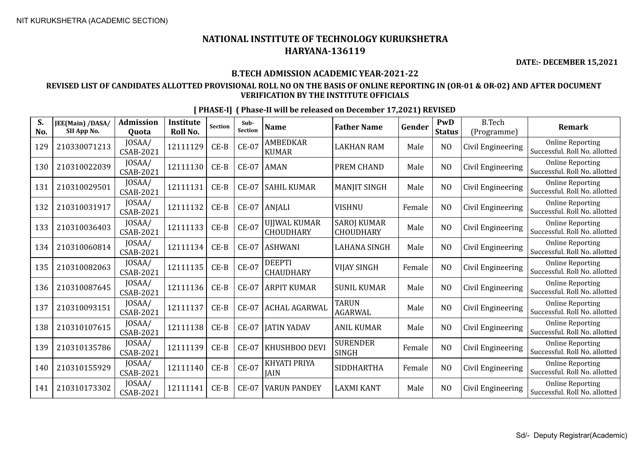**DATE:- DECEMBER 15,2021**

#### **B.TECH ADMISSION ACADEMIC YEAR-2021-22**

#### **REVISED LIST OF CANDIDATES ALLOTTED PROVISIONAL ROLL NO ON THE BASIS OF ONLINE REPORTING IN (OR-01 & OR-02) AND AFTER DOCUMENT VERIFICATION BY THE INSTITUTE OFFICIALS**

| S.<br>No. | JEE(Main) /DASA/<br>SII App No. | <b>Admission</b><br>Quota  | <b>Institute</b><br>Roll No. | <b>Section</b> | Sub-<br><b>Section</b> | <b>Name</b>                 | <b>Father Name</b>                     | Gender | PwD<br><b>Status</b> | <b>B.Tech</b><br>(Programme) | <b>Remark</b>                                            |
|-----------|---------------------------------|----------------------------|------------------------------|----------------|------------------------|-----------------------------|----------------------------------------|--------|----------------------|------------------------------|----------------------------------------------------------|
| 129       | 210330071213                    | JOSAA/<br><b>CSAB-2021</b> | 12111129                     | $CE-B$         | <b>CE-07</b>           | AMBEDKAR<br><b>KUMAR</b>    | <b>LAKHAN RAM</b>                      | Male   | N <sub>O</sub>       | Civil Engineering            | <b>Online Reporting</b><br>Successful. Roll No. allotted |
| 130       | 210310022039                    | JOSAA/<br><b>CSAB-2021</b> | 12111130                     | $CE-B$         | <b>CE-07</b>           | <b>AMAN</b>                 | PREM CHAND                             | Male   | N <sub>O</sub>       | Civil Engineering            | <b>Online Reporting</b><br>Successful. Roll No. allotted |
| 131       | 210310029501                    | JOSAA/<br>CSAB-2021        | 12111131                     | $CE-B$         | $CE-07$                | <b>SAHIL KUMAR</b>          | <b>MANJIT SINGH</b>                    | Male   | N <sub>O</sub>       | Civil Engineering            | <b>Online Reporting</b><br>Successful. Roll No. allotted |
| 132       | 210310031917                    | JOSAA/<br><b>CSAB-2021</b> | 12111132                     | $CE-B$         | <b>CE-07</b>           | <b>ANJALI</b>               | <b>VISHNU</b>                          | Female | N <sub>O</sub>       | Civil Engineering            | <b>Online Reporting</b><br>Successful. Roll No. allotted |
| 133       | 210310036403                    | JOSAA/<br>CSAB-2021        | 12111133                     | $CE-B$         | <b>CE-07</b>           | UJJWAL KUMAR<br>CHOUDHARY   | <b>SAROJ KUMAR</b><br><b>CHOUDHARY</b> | Male   | N <sub>O</sub>       | Civil Engineering            | <b>Online Reporting</b><br>Successful. Roll No. allotted |
| 134       | 210310060814                    | JOSAA/<br><b>CSAB-2021</b> | 12111134                     | $CE-B$         | <b>CE-07</b>           | <b>ASHWANI</b>              | <b>LAHANA SINGH</b>                    | Male   | N <sub>O</sub>       | Civil Engineering            | <b>Online Reporting</b><br>Successful. Roll No. allotted |
| 135       | 210310082063                    | JOSAA/<br>CSAB-2021        | 12111135                     | $CE-B$         | <b>CE-07</b>           | DEEPTI<br><b>CHAUDHARY</b>  | <b>VIJAY SINGH</b>                     | Female | N <sub>O</sub>       | Civil Engineering            | <b>Online Reporting</b><br>Successful. Roll No. allotted |
| 136       | 210310087645                    | JOSAA/<br>CSAB-2021        | 12111136                     | $CE-B$         | <b>CE-07</b>           | <b>ARPIT KUMAR</b>          | <b>SUNIL KUMAR</b>                     | Male   | N <sub>O</sub>       | Civil Engineering            | <b>Online Reporting</b><br>Successful. Roll No. allotted |
| 137       | 210310093151                    | JOSAA/<br><b>CSAB-2021</b> | 12111137                     | $CE-B$         | <b>CE-07</b>           | <b>ACHAL AGARWAL</b>        | <b>TARUN</b><br>AGARWAL                | Male   | N <sub>O</sub>       | Civil Engineering            | <b>Online Reporting</b><br>Successful. Roll No. allotted |
| 138       | 210310107615                    | JOSAA/<br><b>CSAB-2021</b> | 12111138                     | $CE-B$         | $CE-07$                | <b>JATIN YADAV</b>          | <b>ANIL KUMAR</b>                      | Male   | NO                   | Civil Engineering            | <b>Online Reporting</b><br>Successful. Roll No. allotted |
| 139       | 210310135786                    | JOSAA/<br>CSAB-2021        | 12111139                     | $CE-B$         | <b>CE-07</b>           | KHUSHBOO DEVI               | <b>SURENDER</b><br><b>SINGH</b>        | Female | N <sub>O</sub>       | Civil Engineering            | <b>Online Reporting</b><br>Successful. Roll No. allotted |
| 140       | 210310155929                    | JOSAA/<br><b>CSAB-2021</b> | 12111140                     | $CE-B$         | <b>CE-07</b>           | KHYATI PRIYA<br><b>JAIN</b> | <b>SIDDHARTHA</b>                      | Female | N <sub>O</sub>       | Civil Engineering            | <b>Online Reporting</b><br>Successful. Roll No. allotted |
| 141       | 210310173302                    | JOSAA/<br><b>CSAB-2021</b> | 12111141                     | $CE-B$         | $CE-07$                | <b>VARUN PANDEY</b>         | <b>LAXMI KANT</b>                      | Male   | NO                   | Civil Engineering            | <b>Online Reporting</b><br>Successful. Roll No. allotted |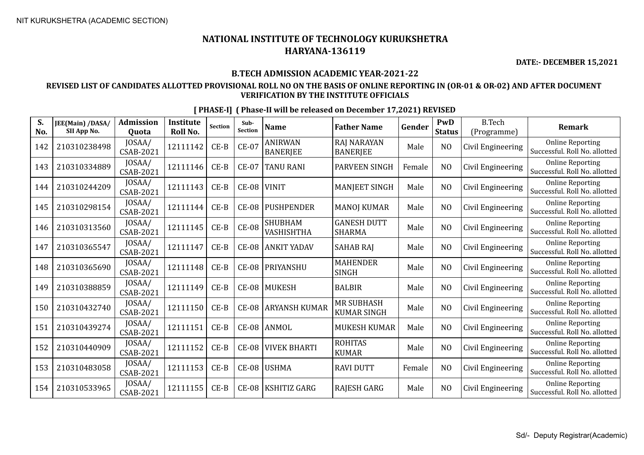**DATE:- DECEMBER 15,2021**

#### **B.TECH ADMISSION ACADEMIC YEAR-2021-22**

#### **REVISED LIST OF CANDIDATES ALLOTTED PROVISIONAL ROLL NO ON THE BASIS OF ONLINE REPORTING IN (OR-01 & OR-02) AND AFTER DOCUMENT VERIFICATION BY THE INSTITUTE OFFICIALS**

| S.<br>No. | JEE(Main) /DASA/<br>SII App No. | <b>Admission</b><br>Quota  | <b>Institute</b><br>Roll No. | Section | Sub-<br><b>Section</b> | <b>Name</b>                       | <b>Father Name</b>                      | Gender | PwD<br><b>Status</b> | <b>B.Tech</b><br>(Programme) | <b>Remark</b>                                            |
|-----------|---------------------------------|----------------------------|------------------------------|---------|------------------------|-----------------------------------|-----------------------------------------|--------|----------------------|------------------------------|----------------------------------------------------------|
| 142       | 210310238498                    | JOSAA/<br>CSAB-2021        | 12111142                     | $CE-B$  | <b>CE-07</b>           | <b>ANIRWAN</b><br><b>BANERJEE</b> | <b>RAJ NARAYAN</b><br><b>BANERJEE</b>   | Male   | N <sub>O</sub>       | Civil Engineering            | <b>Online Reporting</b><br>Successful. Roll No. allotted |
| 143       | 210310334889                    | JOSAA/<br><b>CSAB-2021</b> | 12111146                     | $CE-B$  | $CE-07$                | TANU RANI                         | PARVEEN SINGH                           | Female | N <sub>O</sub>       | Civil Engineering            | <b>Online Reporting</b><br>Successful. Roll No. allotted |
| 144       | 210310244209                    | JOSAA/<br><b>CSAB-2021</b> | 12111143                     | $CE-B$  | <b>CE-08</b>           | <b>VINIT</b>                      | <b>MANJEET SINGH</b>                    | Male   | N <sub>O</sub>       | Civil Engineering            | <b>Online Reporting</b><br>Successful, Roll No. allotted |
| 145       | 210310298154                    | JOSAA/<br>CSAB-2021        | 12111144                     | $CE-B$  | <b>CE-08</b>           | <b>PUSHPENDER</b>                 | <b>MANOJ KUMAR</b>                      | Male   | N <sub>O</sub>       | Civil Engineering            | <b>Online Reporting</b><br>Successful. Roll No. allotted |
| 146       | 210310313560                    | JOSAA/<br>CSAB-2021        | 12111145                     | $CE-B$  | <b>CE-08</b>           | <b>SHUBHAM</b><br>VASHISHTHA      | <b>GANESH DUTT</b><br><b>SHARMA</b>     | Male   | N <sub>O</sub>       | Civil Engineering            | <b>Online Reporting</b><br>Successful. Roll No. allotted |
| 147       | 210310365547                    | JOSAA/<br><b>CSAB-2021</b> | 12111147                     | $CE-B$  | <b>CE-08</b>           | <b>ANKIT YADAV</b>                | <b>SAHAB RAJ</b>                        | Male   | N <sub>O</sub>       | Civil Engineering            | <b>Online Reporting</b><br>Successful, Roll No. allotted |
| 148       | 210310365690                    | JOSAA/<br><b>CSAB-2021</b> | 12111148                     | $CE-B$  | <b>CE-08</b>           | PRIYANSHU                         | <b>MAHENDER</b><br><b>SINGH</b>         | Male   | N <sub>O</sub>       | Civil Engineering            | <b>Online Reporting</b><br>Successful. Roll No. allotted |
| 149       | 210310388859                    | JOSAA/<br><b>CSAB-2021</b> | 12111149                     | $CE-B$  | <b>CE-08</b>           | MUKESH                            | <b>BALBIR</b>                           | Male   | N <sub>O</sub>       | Civil Engineering            | <b>Online Reporting</b><br>Successful. Roll No. allotted |
| 150       | 210310432740                    | JOSAA/<br>CSAB-2021        | 12111150                     | $CE-B$  | <b>CE-08</b>           | <b>ARYANSH KUMAR</b>              | <b>MR SUBHASH</b><br><b>KUMAR SINGH</b> | Male   | N <sub>O</sub>       | Civil Engineering            | <b>Online Reporting</b><br>Successful. Roll No. allotted |
| 151       | 210310439274                    | JOSAA/<br>CSAB-2021        | 12111151                     | $CE-B$  | <b>CE-08</b>           | ANMOL                             | <b>MUKESH KUMAR</b>                     | Male   | N <sub>O</sub>       | Civil Engineering            | <b>Online Reporting</b><br>Successful. Roll No. allotted |
| 152       | 210310440909                    | JOSAA/<br>CSAB-2021        | 12111152                     | $CE-B$  | <b>CE-08</b>           | <b>VIVEK BHARTI</b>               | <b>ROHITAS</b><br><b>KUMAR</b>          | Male   | N <sub>O</sub>       | Civil Engineering            | <b>Online Reporting</b><br>Successful. Roll No. allotted |
| 153       | 210310483058                    | JOSAA/<br>CSAB-2021        | 12111153                     | $CE-B$  | <b>CE-08</b>           | <b>USHMA</b>                      | <b>RAVI DUTT</b>                        | Female | N <sub>O</sub>       | Civil Engineering            | <b>Online Reporting</b><br>Successful. Roll No. allotted |
| 154       | 210310533965                    | JOSAA/<br>CSAB-2021        | 12111155                     | $CE-B$  | <b>CE-08</b>           | KSHITIZ GARG                      | RAJESH GARG                             | Male   | N <sub>O</sub>       | Civil Engineering            | <b>Online Reporting</b><br>Successful. Roll No. allotted |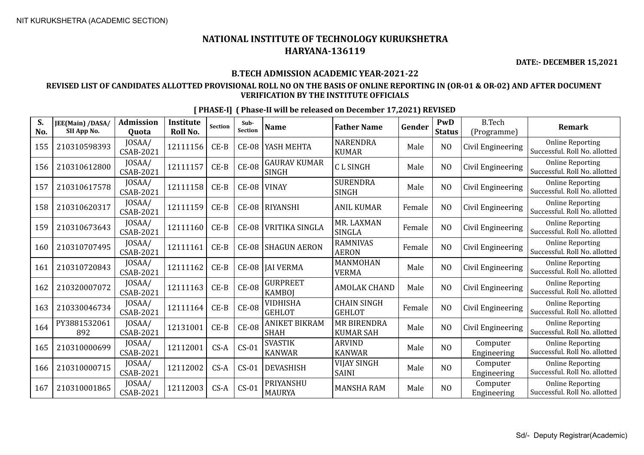**DATE:- DECEMBER 15,2021**

#### **B.TECH ADMISSION ACADEMIC YEAR-2021-22**

#### **REVISED LIST OF CANDIDATES ALLOTTED PROVISIONAL ROLL NO ON THE BASIS OF ONLINE REPORTING IN (OR-01 & OR-02) AND AFTER DOCUMENT VERIFICATION BY THE INSTITUTE OFFICIALS**

| S.<br>No. | JEE(Main) /DASA/<br>SII App No. | <b>Admission</b><br><b>Ouota</b> | <b>Institute</b><br><b>Roll No.</b> | <b>Section</b> | Sub-<br>Section | <b>Name</b>                         | <b>Father Name</b>                     | Gender | PwD<br><b>Status</b> | <b>B.Tech</b><br>(Programme) | <b>Remark</b>                                            |
|-----------|---------------------------------|----------------------------------|-------------------------------------|----------------|-----------------|-------------------------------------|----------------------------------------|--------|----------------------|------------------------------|----------------------------------------------------------|
| 155       | 210310598393                    | JOSAA/<br>CSAB-2021              | 12111156                            | $CE-B$         | <b>CE-08</b>    | YASH MEHTA                          | <b>NARENDRA</b><br><b>KUMAR</b>        | Male   | N <sub>O</sub>       | Civil Engineering            | <b>Online Reporting</b><br>Successful. Roll No. allotted |
| 156       | 210310612800                    | JOSAA/<br>CSAB-2021              | 12111157                            | $CE-B$         | <b>CE-08</b>    | <b>GAURAV KUMAR</b><br><b>SINGH</b> | <b>CLSINGH</b>                         | Male   | N <sub>O</sub>       | Civil Engineering            | <b>Online Reporting</b><br>Successful. Roll No. allotted |
| 157       | 210310617578                    | JOSAA/<br><b>CSAB-2021</b>       | 12111158                            | $CE-B$         | $CE-08$         | <b>VINAY</b>                        | <b>SURENDRA</b><br><b>SINGH</b>        | Male   | N <sub>O</sub>       | Civil Engineering            | <b>Online Reporting</b><br>Successful. Roll No. allotted |
| 158       | 210310620317                    | JOSAA/<br>CSAB-2021              | 12111159                            | $CE-B$         | <b>CE-08</b>    | <b>RIYANSHI</b>                     | <b>ANIL KUMAR</b>                      | Female | N <sub>O</sub>       | Civil Engineering            | <b>Online Reporting</b><br>Successful. Roll No. allotted |
| 159       | 210310673643                    | JOSAA/<br>CSAB-2021              | 12111160                            | $CE-B$         | <b>CE-08</b>    | <b>VRITIKA SINGLA</b>               | MR. LAXMAN<br>SINGLA                   | Female | N <sub>O</sub>       | Civil Engineering            | <b>Online Reporting</b><br>Successful. Roll No. allotted |
| 160       | 210310707495                    | JOSAA/<br><b>CSAB-2021</b>       | 12111161                            | $CE-B$         | <b>CE-08</b>    | <b>SHAGUN AERON</b>                 | <b>RAMNIVAS</b><br><b>AERON</b>        | Female | N <sub>O</sub>       | Civil Engineering            | <b>Online Reporting</b><br>Successful. Roll No. allotted |
| 161       | 210310720843                    | JOSAA/<br>CSAB-2021              | 12111162                            | $CE-B$         | $CE-08$         | <b>JAI VERMA</b>                    | MANMOHAN<br><b>VERMA</b>               | Male   | N <sub>O</sub>       | Civil Engineering            | <b>Online Reporting</b><br>Successful. Roll No. allotted |
| 162       | 210320007072                    | JOSAA/<br><b>CSAB-2021</b>       | 12111163                            | $CE-B$         | <b>CE-08</b>    | <b>GURPREET</b><br><b>KAMBOI</b>    | <b>AMOLAK CHAND</b>                    | Male   | N <sub>O</sub>       | Civil Engineering            | <b>Online Reporting</b><br>Successful. Roll No. allotted |
| 163       | 210330046734                    | JOSAA/<br>CSAB-2021              | 12111164                            | $CE-B$         | <b>CE-08</b>    | <b>VIDHISHA</b><br><b>GEHLOT</b>    | <b>CHAIN SINGH</b><br><b>GEHLOT</b>    | Female | N <sub>O</sub>       | Civil Engineering            | <b>Online Reporting</b><br>Successful. Roll No. allotted |
| 164       | PY3881532061<br>892             | JOSAA/<br><b>CSAB-2021</b>       | 12131001                            | $CE-B$         | $CE-08$         | <b>ANIKET BIKRAM</b><br><b>SHAH</b> | <b>MR BIRENDRA</b><br><b>KUMAR SAH</b> | Male   | N <sub>O</sub>       | Civil Engineering            | <b>Online Reporting</b><br>Successful. Roll No. allotted |
| 165       | 210310000699                    | JOSAA/<br><b>CSAB-2021</b>       | 12112001                            | $CS-A$         | $CS-01$         | <b>SVASTIK</b><br><b>KANWAR</b>     | <b>ARVIND</b><br><b>KANWAR</b>         | Male   | N <sub>O</sub>       | Computer<br>Engineering      | <b>Online Reporting</b><br>Successful. Roll No. allotted |
| 166       | 210310000715                    | JOSAA/<br>CSAB-2021              | 12112002                            | $CS-A$         | $CS-01$         | <b>DEVASHISH</b>                    | VIJAY SINGH<br><b>SAINI</b>            | Male   | NO                   | Computer<br>Engineering      | <b>Online Reporting</b><br>Successful. Roll No. allotted |
| 167       | 210310001865                    | JOSAA/<br><b>CSAB-2021</b>       | 12112003                            | $CS-A$         | $CS-01$         | PRIYANSHU<br><b>MAURYA</b>          | <b>MANSHA RAM</b>                      | Male   | N <sub>O</sub>       | Computer<br>Engineering      | <b>Online Reporting</b><br>Successful. Roll No. allotted |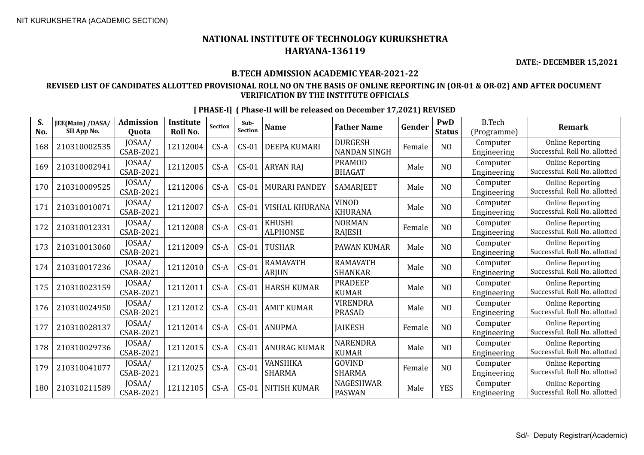**DATE:- DECEMBER 15,2021**

#### **B.TECH ADMISSION ACADEMIC YEAR-2021-22**

#### **REVISED LIST OF CANDIDATES ALLOTTED PROVISIONAL ROLL NO ON THE BASIS OF ONLINE REPORTING IN (OR-01 & OR-02) AND AFTER DOCUMENT VERIFICATION BY THE INSTITUTE OFFICIALS**

| S.<br>No. | JEE(Main) /DASA/<br>SII App No. | <b>Admission</b><br>Quota  | <b>Institute</b><br><b>Roll No.</b> | <b>Section</b> | Sub-<br><b>Section</b> | <b>Name</b>                      | <b>Father Name</b>                    | Gender | <b>PwD</b><br><b>Status</b> | <b>B.Tech</b><br>(Programme) | <b>Remark</b>                                            |
|-----------|---------------------------------|----------------------------|-------------------------------------|----------------|------------------------|----------------------------------|---------------------------------------|--------|-----------------------------|------------------------------|----------------------------------------------------------|
| 168       | 210310002535                    | JOSAA/<br><b>CSAB-2021</b> | 12112004                            | $CS-A$         | $CS-01$                | <b>DEEPA KUMARI</b>              | <b>DURGESH</b><br><b>NANDAN SINGH</b> | Female | N <sub>O</sub>              | Computer<br>Engineering      | <b>Online Reporting</b><br>Successful. Roll No. allotted |
| 169       | 210310002941                    | JOSAA/<br>CSAB-2021        | 12112005                            | $CS-A$         | $CS-01$                | ARYAN RAJ                        | <b>PRAMOD</b><br><b>BHAGAT</b>        | Male   | NO                          | Computer<br>Engineering      | <b>Online Reporting</b><br>Successful. Roll No. allotted |
| 170       | 210310009525                    | JOSAA/<br>CSAB-2021        | 12112006                            | $CS-A$         | $CS-01$                | <b>MURARI PANDEY</b>             | SAMARJEET                             | Male   | N <sub>O</sub>              | Computer<br>Engineering      | <b>Online Reporting</b><br>Successful. Roll No. allotted |
| 171       | 210310010071                    | JOSAA/<br><b>CSAB-2021</b> | 12112007                            | $CS-A$         | $CS-01$                | <b>VISHAL KHURANA</b>            | <b>VINOD</b><br><b>KHURANA</b>        | Male   | N <sub>O</sub>              | Computer<br>Engineering      | <b>Online Reporting</b><br>Successful. Roll No. allotted |
| 172       | 210310012331                    | JOSAA/<br>CSAB-2021        | 12112008                            | $CS-A$         | $CS-01$                | <b>KHUSHI</b><br><b>ALPHONSE</b> | <b>NORMAN</b><br>RAJESH               | Female | NO                          | Computer<br>Engineering      | <b>Online Reporting</b><br>Successful. Roll No. allotted |
| 173       | 210310013060                    | JOSAA/<br>CSAB-2021        | 12112009                            | $CS-A$         | $CS-01$                | <b>TUSHAR</b>                    | PAWAN KUMAR                           | Male   | N <sub>O</sub>              | Computer<br>Engineering      | <b>Online Reporting</b><br>Successful. Roll No. allotted |
| 174       | 210310017236                    | JOSAA/<br>CSAB-2021        | 12112010                            | $CS-A$         | $CS-01$                | <b>RAMAVATH</b><br><b>ARJUN</b>  | <b>RAMAVATH</b><br><b>SHANKAR</b>     | Male   | NO                          | Computer<br>Engineering      | <b>Online Reporting</b><br>Successful. Roll No. allotted |
| 175       | 210310023159                    | JOSAA/<br>CSAB-2021        | 12112011                            | $CS-A$         | $CS-01$                | <b>HARSH KUMAR</b>               | <b>PRADEEP</b><br><b>KUMAR</b>        | Male   | NO                          | Computer<br>Engineering      | <b>Online Reporting</b><br>Successful. Roll No. allotted |
| 176       | 210310024950                    | JOSAA/<br><b>CSAB-2021</b> | 12112012                            | $CS-A$         | $CS-01$                | <b>AMIT KUMAR</b>                | <b>VIRENDRA</b><br><b>PRASAD</b>      | Male   | NO                          | Computer<br>Engineering      | <b>Online Reporting</b><br>Successful. Roll No. allotted |
| 177       | 210310028137                    | JOSAA/<br><b>CSAB-2021</b> | 12112014                            | $CS-A$         | $CS-01$                | <b>ANUPMA</b>                    | <b>JAIKESH</b>                        | Female | N <sub>O</sub>              | Computer<br>Engineering      | <b>Online Reporting</b><br>Successful. Roll No. allotted |
| 178       | 210310029736                    | JOSAA/<br>CSAB-2021        | 12112015                            | $CS-A$         | $CS-01$                | <b>ANURAG KUMAR</b>              | <b>NARENDRA</b><br><b>KUMAR</b>       | Male   | NO                          | Computer<br>Engineering      | <b>Online Reporting</b><br>Successful. Roll No. allotted |
| 179       | 210310041077                    | JOSAA/<br><b>CSAB-2021</b> | 12112025                            | $CS-A$         | $CS-01$                | VANSHIKA<br><b>SHARMA</b>        | GOVIND<br><b>SHARMA</b>               | Female | NO                          | Computer<br>Engineering      | <b>Online Reporting</b><br>Successful. Roll No. allotted |
| 180       | 210310211589                    | JOSAA/<br>CSAB-2021        | 12112105                            | $CS-A$         | $CS-01$                | <b>NITISH KUMAR</b>              | <b>NAGESHWAR</b><br><b>PASWAN</b>     | Male   | <b>YES</b>                  | Computer<br>Engineering      | <b>Online Reporting</b><br>Successful. Roll No. allotted |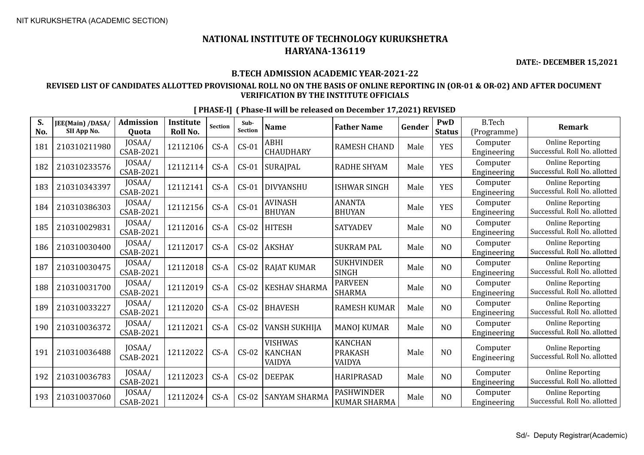**DATE:- DECEMBER 15,2021**

#### **B.TECH ADMISSION ACADEMIC YEAR-2021-22**

#### **REVISED LIST OF CANDIDATES ALLOTTED PROVISIONAL ROLL NO ON THE BASIS OF ONLINE REPORTING IN (OR-01 & OR-02) AND AFTER DOCUMENT VERIFICATION BY THE INSTITUTE OFFICIALS**

| S.<br>No. | JEE(Main) /DASA/<br>SII App No. | <b>Admission</b><br><b>Ouota</b> | <b>Institute</b><br>Roll No. | <b>Section</b> | Sub-<br>Section | <b>Name</b>                                | <b>Father Name</b>                         | Gender | PwD<br><b>Status</b> | <b>B.Tech</b><br>(Programme) | <b>Remark</b>                                            |
|-----------|---------------------------------|----------------------------------|------------------------------|----------------|-----------------|--------------------------------------------|--------------------------------------------|--------|----------------------|------------------------------|----------------------------------------------------------|
| 181       | 210310211980                    | JOSAA/<br><b>CSAB-2021</b>       | 12112106                     | $CS-A$         | $CS-01$         | ABHI<br><b>CHAUDHARY</b>                   | <b>RAMESH CHAND</b>                        | Male   | <b>YES</b>           | Computer<br>Engineering      | <b>Online Reporting</b><br>Successful. Roll No. allotted |
| 182       | 210310233576                    | JOSAA/<br><b>CSAB-2021</b>       | 12112114                     | $CS-A$         | $CS-01$         | <b>SURAJPAL</b>                            | <b>RADHE SHYAM</b>                         | Male   | <b>YES</b>           | Computer<br>Engineering      | <b>Online Reporting</b><br>Successful. Roll No. allotted |
| 183       | 210310343397                    | JOSAA/<br><b>CSAB-2021</b>       | 12112141                     | $CS-A$         | $CS-01$         | <b>DIVYANSHU</b>                           | <b>ISHWAR SINGH</b>                        | Male   | <b>YES</b>           | Computer<br>Engineering      | <b>Online Reporting</b><br>Successful. Roll No. allotted |
| 184       | 210310386303                    | JOSAA/<br>CSAB-2021              | 12112156                     | $CS-A$         | $CS-01$         | <b>AVINASH</b><br><b>BHUYAN</b>            | <b>ANANTA</b><br><b>BHUYAN</b>             | Male   | <b>YES</b>           | Computer<br>Engineering      | <b>Online Reporting</b><br>Successful. Roll No. allotted |
| 185       | 210310029831                    | JOSAA/<br>CSAB-2021              | 12112016                     | $CS-A$         | $CS-02$         | <b>HITESH</b>                              | <b>SATYADEV</b>                            | Male   | NO                   | Computer<br>Engineering      | <b>Online Reporting</b><br>Successful. Roll No. allotted |
| 186       | 210310030400                    | JOSAA/<br>CSAB-2021              | 12112017                     | $CS-A$         | $CS-02$         | <b>AKSHAY</b>                              | <b>SUKRAM PAL</b>                          | Male   | NO                   | Computer<br>Engineering      | <b>Online Reporting</b><br>Successful. Roll No. allotted |
| 187       | 210310030475                    | JOSAA/<br><b>CSAB-2021</b>       | 12112018                     | $CS-A$         | $CS-02$         | <b>RAJAT KUMAR</b>                         | <b>SUKHVINDER</b><br><b>SINGH</b>          | Male   | N <sub>O</sub>       | Computer<br>Engineering      | <b>Online Reporting</b><br>Successful. Roll No. allotted |
| 188       | 210310031700                    | JOSAA/<br>CSAB-2021              | 12112019                     | $CS-A$         | $CS-02$         | <b>KESHAV SHARMA</b>                       | <b>PARVEEN</b><br><b>SHARMA</b>            | Male   | NO                   | Computer<br>Engineering      | <b>Online Reporting</b><br>Successful. Roll No. allotted |
| 189       | 210310033227                    | JOSAA/<br><b>CSAB-2021</b>       | 12112020                     | $CS-A$         | $CS-02$         | <b>BHAVESH</b>                             | <b>RAMESH KUMAR</b>                        | Male   | N <sub>O</sub>       | Computer<br>Engineering      | <b>Online Reporting</b><br>Successful. Roll No. allotted |
| 190       | 210310036372                    | JOSAA/<br>CSAB-2021              | 12112021                     | $CS-A$         | $CS-02$         | VANSH SUKHIJA                              | <b>MANOJ KUMAR</b>                         | Male   | N <sub>O</sub>       | Computer<br>Engineering      | <b>Online Reporting</b><br>Successful. Roll No. allotted |
| 191       | 210310036488                    | JOSAA/<br><b>CSAB-2021</b>       | 12112022                     | $CS-A$         | $CS-02$         | <b>VISHWAS</b><br><b>KANCHAN</b><br>VAIDYA | <b>KANCHAN</b><br><b>PRAKASH</b><br>VAIDYA | Male   | NO                   | Computer<br>Engineering      | <b>Online Reporting</b><br>Successful. Roll No. allotted |
| 192       | 210310036783                    | JOSAA/<br><b>CSAB-2021</b>       | 12112023                     | $CS-A$         | $CS-02$         | <b>DEEPAK</b>                              | <b>HARIPRASAD</b>                          | Male   | N <sub>O</sub>       | Computer<br>Engineering      | <b>Online Reporting</b><br>Successful. Roll No. allotted |
| 193       | 210310037060                    | JOSAA/<br><b>CSAB-2021</b>       | 12112024                     | $CS-A$         | $CS-02$         | <b>SANYAM SHARMA</b>                       | <b>PASHWINDER</b><br><b>KUMAR SHARMA</b>   | Male   | NO                   | Computer<br>Engineering      | <b>Online Reporting</b><br>Successful. Roll No. allotted |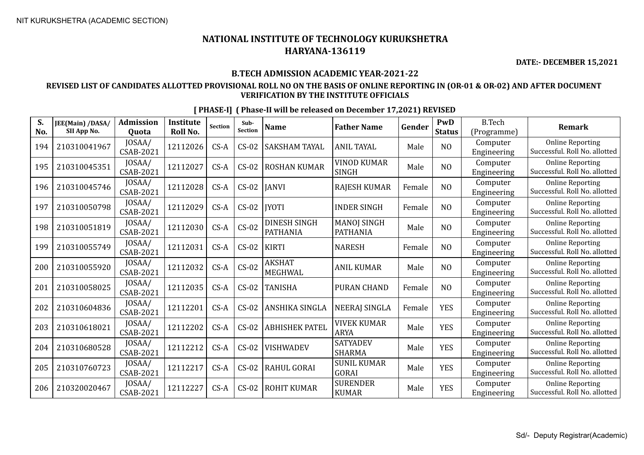**DATE:- DECEMBER 15,2021**

#### **B.TECH ADMISSION ACADEMIC YEAR-2021-22**

#### **REVISED LIST OF CANDIDATES ALLOTTED PROVISIONAL ROLL NO ON THE BASIS OF ONLINE REPORTING IN (OR-01 & OR-02) AND AFTER DOCUMENT VERIFICATION BY THE INSTITUTE OFFICIALS**

| S.<br>No. | JEE(Main) /DASA/<br>SII App No. | <b>Admission</b><br><b>Ouota</b> | <b>Institute</b><br>Roll No. | Section | Sub-<br><b>Section</b> | <b>Name</b>                            | <b>Father Name</b>                    | Gender | PwD<br><b>Status</b> | <b>B.Tech</b><br>(Programme) | <b>Remark</b>                                            |
|-----------|---------------------------------|----------------------------------|------------------------------|---------|------------------------|----------------------------------------|---------------------------------------|--------|----------------------|------------------------------|----------------------------------------------------------|
| 194       | 210310041967                    | JOSAA/<br><b>CSAB-2021</b>       | 12112026                     | $CS-A$  | $CS-02$                | <b>SAKSHAM TAYAL</b>                   | <b>ANIL TAYAL</b>                     | Male   | N <sub>O</sub>       | Computer<br>Engineering      | <b>Online Reporting</b><br>Successful. Roll No. allotted |
| 195       | 210310045351                    | JOSAA/<br>CSAB-2021              | 12112027                     | $CS-A$  | $CS-02$                | <b>ROSHAN KUMAR</b>                    | <b>VINOD KUMAR</b><br>SINGH           | Male   | N <sub>O</sub>       | Computer<br>Engineering      | <b>Online Reporting</b><br>Successful. Roll No. allotted |
| 196       | 210310045746                    | JOSAA/<br><b>CSAB-2021</b>       | 12112028                     | $CS-A$  | $CS-02$                | <b>JANVI</b>                           | <b>RAJESH KUMAR</b>                   | Female | NO                   | Computer<br>Engineering      | <b>Online Reporting</b><br>Successful. Roll No. allotted |
| 197       | 210310050798                    | JOSAA/<br><b>CSAB-2021</b>       | 12112029                     | $CS-A$  | $CS-02$                | <b>IYOTI</b>                           | <b>INDER SINGH</b>                    | Female | NO                   | Computer<br>Engineering      | <b>Online Reporting</b><br>Successful. Roll No. allotted |
| 198       | 210310051819                    | JOSAA/<br>CSAB-2021              | 12112030                     | $CS-A$  | $CS-02$                | <b>DINESH SINGH</b><br><b>PATHANIA</b> | <b>MANOJ SINGH</b><br><b>PATHANIA</b> | Male   | N <sub>O</sub>       | Computer<br>Engineering      | <b>Online Reporting</b><br>Successful. Roll No. allotted |
| 199       | 210310055749                    | JOSAA/<br><b>CSAB-2021</b>       | 12112031                     | $CS-A$  | $CS-02$                | <b>KIRTI</b>                           | <b>NARESH</b>                         | Female | NO                   | Computer<br>Engineering      | <b>Online Reporting</b><br>Successful. Roll No. allotted |
| 200       | 210310055920                    | JOSAA/<br><b>CSAB-2021</b>       | 12112032                     | $CS-A$  | $CS-02$                | <b>AKSHAT</b><br><b>MEGHWAL</b>        | <b>ANIL KUMAR</b>                     | Male   | NO                   | Computer<br>Engineering      | <b>Online Reporting</b><br>Successful. Roll No. allotted |
| 201       | 210310058025                    | JOSAA/<br>CSAB-2021              | 12112035                     | $CS-A$  | $CS-02$                | <b>TANISHA</b>                         | <b>PURAN CHAND</b>                    | Female | N <sub>O</sub>       | Computer<br>Engineering      | <b>Online Reporting</b><br>Successful. Roll No. allotted |
| 202       | 210310604836                    | JOSAA/<br>CSAB-2021              | 12112201                     | $CS-A$  | $CS-02$                | ANSHIKA SINGLA                         | <b>NEERAJ SINGLA</b>                  | Female | <b>YES</b>           | Computer<br>Engineering      | <b>Online Reporting</b><br>Successful. Roll No. allotted |
| 203       | 210310618021                    | JOSAA/<br><b>CSAB-2021</b>       | 12112202                     | $CS-A$  | $CS-02$                | <b>ABHISHEK PATEL</b>                  | <b>VIVEK KUMAR</b><br><b>ARYA</b>     | Male   | <b>YES</b>           | Computer<br>Engineering      | <b>Online Reporting</b><br>Successful. Roll No. allotted |
| 204       | 210310680528                    | JOSAA/<br><b>CSAB-2021</b>       | 12112212                     | $CS-A$  | $CS-02$                | <b>VISHWADEV</b>                       | <b>SATYADEV</b><br><b>SHARMA</b>      | Male   | <b>YES</b>           | Computer<br>Engineering      | <b>Online Reporting</b><br>Successful. Roll No. allotted |
| 205       | 210310760723                    | JOSAA/<br>CSAB-2021              | 12112217                     | $CS-A$  | $CS-02$                | <b>RAHUL GORAI</b>                     | <b>SUNIL KUMAR</b><br>GORAI           | Male   | <b>YES</b>           | Computer<br>Engineering      | <b>Online Reporting</b><br>Successful. Roll No. allotted |
| 206       | 210320020467                    | JOSAA/<br>CSAB-2021              | 12112227                     | $CS-A$  | $CS-02$                | <b>ROHIT KUMAR</b>                     | <b>SURENDER</b><br><b>KUMAR</b>       | Male   | <b>YES</b>           | Computer<br>Engineering      | <b>Online Reporting</b><br>Successful. Roll No. allotted |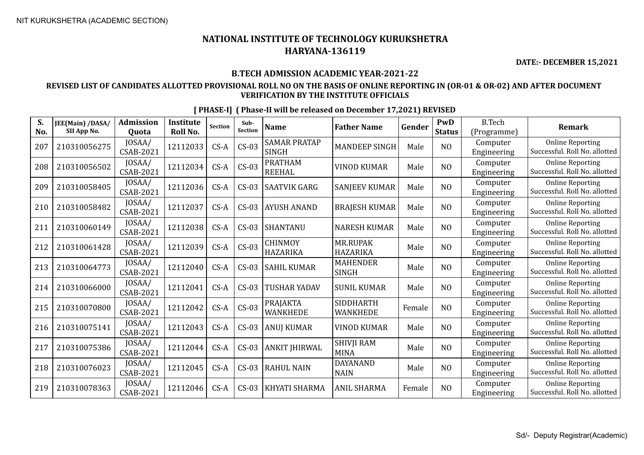**DATE:- DECEMBER 15,2021**

#### **B.TECH ADMISSION ACADEMIC YEAR-2021-22**

#### **REVISED LIST OF CANDIDATES ALLOTTED PROVISIONAL ROLL NO ON THE BASIS OF ONLINE REPORTING IN (OR-01 & OR-02) AND AFTER DOCUMENT VERIFICATION BY THE INSTITUTE OFFICIALS**

| S.<br>No. | JEE(Main) /DASA/<br>SII App No. | <b>Admission</b><br>Quota  | <b>Institute</b><br><b>Roll No.</b> | <b>Section</b> | Sub-<br><b>Section</b> | <b>Name</b>                         | <b>Father Name</b>                  | Gender | PwD<br><b>Status</b> | <b>B.Tech</b><br>(Programme) | <b>Remark</b>                                            |
|-----------|---------------------------------|----------------------------|-------------------------------------|----------------|------------------------|-------------------------------------|-------------------------------------|--------|----------------------|------------------------------|----------------------------------------------------------|
| 207       | 210310056275                    | JOSAA/<br><b>CSAB-2021</b> | 12112033                            | $CS-A$         | $CS-03$                | <b>SAMAR PRATAP</b><br><b>SINGH</b> | <b>MANDEEP SINGH</b>                | Male   | N <sub>O</sub>       | Computer<br>Engineering      | <b>Online Reporting</b><br>Successful. Roll No. allotted |
| 208       | 210310056502                    | JOSAA/<br>CSAB-2021        | 12112034                            | $CS-A$         | $CS-03$                | <b>PRATHAM</b><br><b>REEHAL</b>     | <b>VINOD KUMAR</b>                  | Male   | NO                   | Computer<br>Engineering      | <b>Online Reporting</b><br>Successful. Roll No. allotted |
| 209       | 210310058405                    | JOSAA/<br><b>CSAB-2021</b> | 12112036                            | $CS-A$         | $CS-03$                | <b>SAATVIK GARG</b>                 | <b>SANJEEV KUMAR</b>                | Male   | N <sub>O</sub>       | Computer<br>Engineering      | <b>Online Reporting</b><br>Successful. Roll No. allotted |
| 210       | 210310058482                    | JOSAA/<br><b>CSAB-2021</b> | 12112037                            | $CS-A$         | $CS-03$                | <b>AYUSH ANAND</b>                  | <b>BRAJESH KUMAR</b>                | Male   | N <sub>O</sub>       | Computer<br>Engineering      | <b>Online Reporting</b><br>Successful. Roll No. allotted |
| 211       | 210310060149                    | JOSAA/<br>CSAB-2021        | 12112038                            | $CS-A$         | $CS-03$                | <b>SHANTANU</b>                     | <b>NARESH KUMAR</b>                 | Male   | NO                   | Computer<br>Engineering      | <b>Online Reporting</b><br>Successful. Roll No. allotted |
| 212       | 210310061428                    | JOSAA/<br>CSAB-2021        | 12112039                            | $CS-A$         | $CS-03$                | <b>CHINMOY</b><br><b>HAZARIKA</b>   | <b>MR.RUPAK</b><br><b>HAZARIKA</b>  | Male   | N <sub>O</sub>       | Computer<br>Engineering      | <b>Online Reporting</b><br>Successful. Roll No. allotted |
| 213       | 210310064773                    | JOSAA/<br>CSAB-2021        | 12112040                            | $CS-A$         | $CS-03$                | <b>SAHIL KUMAR</b>                  | <b>MAHENDER</b><br>SINGH            | Male   | NO                   | Computer<br>Engineering      | <b>Online Reporting</b><br>Successful. Roll No. allotted |
| 214       | 210310066000                    | JOSAA/<br><b>CSAB-2021</b> | 12112041                            | $CS-A$         | $CS-03$                | <b>TUSHAR YADAV</b>                 | <b>SUNIL KUMAR</b>                  | Male   | NO                   | Computer<br>Engineering      | <b>Online Reporting</b><br>Successful. Roll No. allotted |
| 215       | 210310070800                    | JOSAA/<br>CSAB-2021        | 12112042                            | $CS-A$         | $CS-03$                | <b>PRAJAKTA</b><br><b>WANKHEDE</b>  | <b>SIDDHARTH</b><br><b>WANKHEDE</b> | Female | N <sub>O</sub>       | Computer<br>Engineering      | <b>Online Reporting</b><br>Successful. Roll No. allotted |
| 216       | 210310075141                    | JOSAA/<br>CSAB-2021        | 12112043                            | $CS-A$         | $CS-03$                | <b>ANUJ KUMAR</b>                   | <b>VINOD KUMAR</b>                  | Male   | N <sub>O</sub>       | Computer<br>Engineering      | <b>Online Reporting</b><br>Successful. Roll No. allotted |
| 217       | 210310075386                    | JOSAA/<br><b>CSAB-2021</b> | 12112044                            | $CS-A$         | $CS-03$                | <b>ANKIT JHIRWAL</b>                | <b>SHIVJI RAM</b><br><b>MINA</b>    | Male   | N <sub>O</sub>       | Computer<br>Engineering      | <b>Online Reporting</b><br>Successful. Roll No. allotted |
| 218       | 210310076023                    | JOSAA/<br>CSAB-2021        | 12112045                            | $CS-A$         | $CS-03$                | <b>RAHUL NAIN</b>                   | <b>DAYANAND</b><br><b>NAIN</b>      | Male   | N <sub>O</sub>       | Computer<br>Engineering      | <b>Online Reporting</b><br>Successful. Roll No. allotted |
| 219       | 210310078363                    | JOSAA/<br><b>CSAB-2021</b> | 12112046                            | $CS-A$         | $CS-03$                | KHYATI SHARMA                       | <b>ANIL SHARMA</b>                  | Female | NO                   | Computer<br>Engineering      | <b>Online Reporting</b><br>Successful. Roll No. allotted |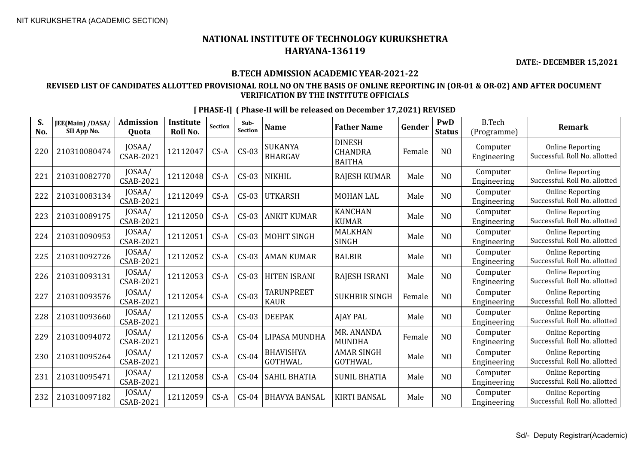**DATE:- DECEMBER 15,2021**

#### **B.TECH ADMISSION ACADEMIC YEAR-2021-22**

#### **REVISED LIST OF CANDIDATES ALLOTTED PROVISIONAL ROLL NO ON THE BASIS OF ONLINE REPORTING IN (OR-01 & OR-02) AND AFTER DOCUMENT VERIFICATION BY THE INSTITUTE OFFICIALS**

| S.<br>No. | JEE(Main) /DASA/<br>SII App No. | <b>Admission</b><br>Quota  | Institute<br>Roll No. | Section | Sub-<br>Section | <b>Name</b>                        | <b>Father Name</b>                               | Gender | PwD<br><b>Status</b> | <b>B.Tech</b><br>(Programme) | <b>Remark</b>                                            |
|-----------|---------------------------------|----------------------------|-----------------------|---------|-----------------|------------------------------------|--------------------------------------------------|--------|----------------------|------------------------------|----------------------------------------------------------|
| 220       | 210310080474                    | JOSAA/<br><b>CSAB-2021</b> | 12112047              | $CS-A$  | $CS-03$         | <b>SUKANYA</b><br><b>BHARGAV</b>   | <b>DINESH</b><br><b>CHANDRA</b><br><b>BAITHA</b> | Female | N <sub>O</sub>       | Computer<br>Engineering      | <b>Online Reporting</b><br>Successful. Roll No. allotted |
| 221       | 210310082770                    | JOSAA/<br><b>CSAB-2021</b> | 12112048              | $CS-A$  | $CS-03$         | <b>NIKHIL</b>                      | <b>RAJESH KUMAR</b>                              | Male   | N <sub>0</sub>       | Computer<br>Engineering      | <b>Online Reporting</b><br>Successful. Roll No. allotted |
| 222       | 210310083134                    | JOSAA/<br><b>CSAB-2021</b> | 12112049              | $CS-A$  | $CS-03$         | <b>UTKARSH</b>                     | <b>MOHAN LAL</b>                                 | Male   | N <sub>0</sub>       | Computer<br>Engineering      | <b>Online Reporting</b><br>Successful. Roll No. allotted |
| 223       | 210310089175                    | JOSAA/<br><b>CSAB-2021</b> | 12112050              | $CS-A$  | $CS-03$         | <b>ANKIT KUMAR</b>                 | <b>KANCHAN</b><br><b>KUMAR</b>                   | Male   | N <sub>O</sub>       | Computer<br>Engineering      | <b>Online Reporting</b><br>Successful. Roll No. allotted |
| 224       | 210310090953                    | JOSAA/<br><b>CSAB-2021</b> | 12112051              | $CS-A$  | $CS-03$         | <b>MOHIT SINGH</b>                 | <b>MALKHAN</b><br><b>SINGH</b>                   | Male   | NO                   | Computer<br>Engineering      | <b>Online Reporting</b><br>Successful. Roll No. allotted |
| 225       | 210310092726                    | JOSAA/<br><b>CSAB-2021</b> | 12112052              | $CS-A$  | $CS-03$         | <b>AMAN KUMAR</b>                  | <b>BALBIR</b>                                    | Male   | N <sub>O</sub>       | Computer<br>Engineering      | <b>Online Reporting</b><br>Successful. Roll No. allotted |
| 226       | 210310093131                    | JOSAA/<br>CSAB-2021        | 12112053              | $CS-A$  | $CS-03$         | <b>HITEN ISRANI</b>                | <b>RAJESH ISRANI</b>                             | Male   | N <sub>0</sub>       | Computer<br>Engineering      | <b>Online Reporting</b><br>Successful. Roll No. allotted |
| 227       | 210310093576                    | JOSAA/<br>CSAB-2021        | 12112054              | $CS-A$  | $CS-03$         | <b>TARUNPREET</b><br><b>KAUR</b>   | <b>SUKHBIR SINGH</b>                             | Female | NO                   | Computer<br>Engineering      | <b>Online Reporting</b><br>Successful. Roll No. allotted |
| 228       | 210310093660                    | JOSAA/<br><b>CSAB-2021</b> | 12112055              | $CS-A$  | $CS-03$         | <b>DEEPAK</b>                      | <b>AJAY PAL</b>                                  | Male   | N <sub>O</sub>       | Computer<br>Engineering      | <b>Online Reporting</b><br>Successful. Roll No. allotted |
| 229       | 210310094072                    | JOSAA/<br>CSAB-2021        | 12112056              | $CS-A$  | $CS-04$         | LIPASA MUNDHA                      | MR. ANANDA<br><b>MUNDHA</b>                      | Female | N <sub>0</sub>       | Computer<br>Engineering      | <b>Online Reporting</b><br>Successful. Roll No. allotted |
| 230       | 210310095264                    | JOSAA/<br><b>CSAB-2021</b> | 12112057              | $CS-A$  | $CS-04$         | <b>BHAVISHYA</b><br><b>GOTHWAL</b> | <b>AMAR SINGH</b><br><b>GOTHWAL</b>              | Male   | N <sub>O</sub>       | Computer<br>Engineering      | <b>Online Reporting</b><br>Successful. Roll No. allotted |
| 231       | 210310095471                    | JOSAA/<br><b>CSAB-2021</b> | 12112058              | $CS-A$  | $CS-04$         | <b>SAHIL BHATIA</b>                | <b>SUNIL BHATIA</b>                              | Male   | N <sub>0</sub>       | Computer<br>Engineering      | <b>Online Reporting</b><br>Successful. Roll No. allotted |
| 232       | 210310097182                    | JOSAA/<br>CSAB-2021        | 12112059              | $CS-A$  | $CS-04$         | <b>BHAVYA BANSAL</b>               | <b>KIRTI BANSAL</b>                              | Male   | N <sub>0</sub>       | Computer<br>Engineering      | <b>Online Reporting</b><br>Successful. Roll No. allotted |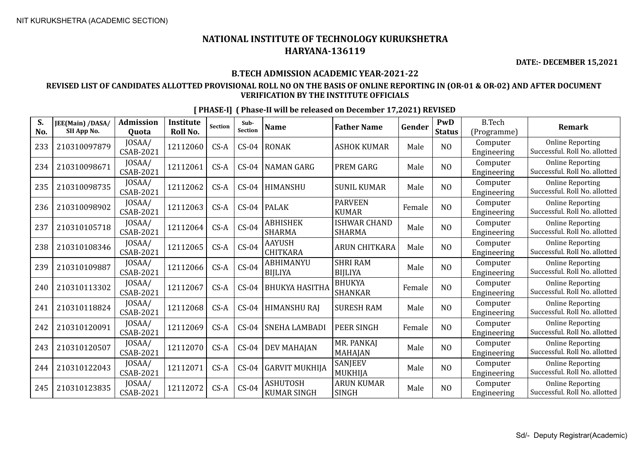**DATE:- DECEMBER 15,2021**

#### **B.TECH ADMISSION ACADEMIC YEAR-2021-22**

#### **REVISED LIST OF CANDIDATES ALLOTTED PROVISIONAL ROLL NO ON THE BASIS OF ONLINE REPORTING IN (OR-01 & OR-02) AND AFTER DOCUMENT VERIFICATION BY THE INSTITUTE OFFICIALS**

| S.<br>No. | JEE(Main) /DASA/<br>SII App No. | <b>Admission</b><br><b>Ouota</b> | <b>Institute</b><br>Roll No. | <b>Section</b> | Sub-<br><b>Section</b> | <b>Name</b>                           | <b>Father Name</b>                   | Gender | PwD<br><b>Status</b> | <b>B.Tech</b><br>(Programme) | <b>Remark</b>                                            |
|-----------|---------------------------------|----------------------------------|------------------------------|----------------|------------------------|---------------------------------------|--------------------------------------|--------|----------------------|------------------------------|----------------------------------------------------------|
| 233       | 210310097879                    | JOSAA/<br><b>CSAB-2021</b>       | 12112060                     | $CS-A$         | $CS-04$                | <b>RONAK</b>                          | <b>ASHOK KUMAR</b>                   | Male   | NO                   | Computer<br>Engineering      | <b>Online Reporting</b><br>Successful. Roll No. allotted |
| 234       | 210310098671                    | JOSAA/<br>CSAB-2021              | 12112061                     | $CS-A$         | $CS-04$                | <b>NAMAN GARG</b>                     | <b>PREM GARG</b>                     | Male   | N <sub>0</sub>       | Computer<br>Engineering      | <b>Online Reporting</b><br>Successful. Roll No. allotted |
| 235       | 210310098735                    | JOSAA/<br>CSAB-2021              | 12112062                     | $CS-A$         | $CS-04$                | <b>HIMANSHU</b>                       | <b>SUNIL KUMAR</b>                   | Male   | N <sub>O</sub>       | Computer<br>Engineering      | <b>Online Reporting</b><br>Successful. Roll No. allotted |
| 236       | 210310098902                    | JOSAA/<br>CSAB-2021              | 12112063                     | $CS-A$         | $CS-04$                | <b>PALAK</b>                          | <b>PARVEEN</b><br><b>KUMAR</b>       | Female | NO                   | Computer<br>Engineering      | <b>Online Reporting</b><br>Successful. Roll No. allotted |
| 237       | 210310105718                    | JOSAA/<br>CSAB-2021              | 12112064                     | $CS-A$         | $CS-04$                | <b>ABHISHEK</b><br><b>SHARMA</b>      | <b>ISHWAR CHAND</b><br><b>SHARMA</b> | Male   | NO                   | Computer<br>Engineering      | <b>Online Reporting</b><br>Successful. Roll No. allotted |
| 238       | 210310108346                    | JOSAA/<br>CSAB-2021              | 12112065                     | $CS-A$         | $CS-04$                | <b>AAYUSH</b><br><b>CHITKARA</b>      | <b>ARUN CHITKARA</b>                 | Male   | N <sub>O</sub>       | Computer<br>Engineering      | <b>Online Reporting</b><br>Successful. Roll No. allotted |
| 239       | 210310109887                    | JOSAA/<br><b>CSAB-2021</b>       | 12112066                     | $CS-A$         | $CS-04$                | <b>ABHIMANYU</b><br><b>BIJLIYA</b>    | <b>SHRI RAM</b><br><b>BIJLIYA</b>    | Male   | NO                   | Computer<br>Engineering      | <b>Online Reporting</b><br>Successful. Roll No. allotted |
| 240       | 210310113302                    | JOSAA/<br>CSAB-2021              | 12112067                     | $CS-A$         | $CS-04$                | <b>BHUKYA HASITHA</b>                 | <b>BHUKYA</b><br>SHANKAR             | Female | NO                   | Computer<br>Engineering      | <b>Online Reporting</b><br>Successful. Roll No. allotted |
| 241       | 210310118824                    | JOSAA/<br>CSAB-2021              | 12112068                     | $CS-A$         | $CS-04$                | <b>HIMANSHU RAJ</b>                   | <b>SURESH RAM</b>                    | Male   | N <sub>O</sub>       | Computer<br>Engineering      | <b>Online Reporting</b><br>Successful. Roll No. allotted |
| 242       | 210310120091                    | JOSAA/<br><b>CSAB-2021</b>       | 12112069                     | $CS-A$         | $CS-04$                | <b>SNEHA LAMBADI</b>                  | <b>PEER SINGH</b>                    | Female | NO                   | Computer<br>Engineering      | <b>Online Reporting</b><br>Successful. Roll No. allotted |
| 243       | 210310120507                    | JOSAA/<br>CSAB-2021              | 12112070                     | $CS-A$         | $CS-04$                | <b>DEV MAHAJAN</b>                    | MR. PANKAJ<br>MAHAJAN                | Male   | NO                   | Computer<br>Engineering      | <b>Online Reporting</b><br>Successful. Roll No. allotted |
| 244       | 210310122043                    | JOSAA/<br>CSAB-2021              | 12112071                     | $CS-A$         | $CS-04$                | <b>GARVIT MUKHIJA</b>                 | SANJEEV<br>MUKHIJA                   | Male   | N <sub>O</sub>       | Computer<br>Engineering      | <b>Online Reporting</b><br>Successful. Roll No. allotted |
| 245       | 210310123835                    | JOSAA/<br>CSAB-2021              | 12112072                     | $CS-A$         | $CS-04$                | <b>ASHUTOSH</b><br><b>KUMAR SINGH</b> | <b>ARUN KUMAR</b><br><b>SINGH</b>    | Male   | NO                   | Computer<br>Engineering      | <b>Online Reporting</b><br>Successful. Roll No. allotted |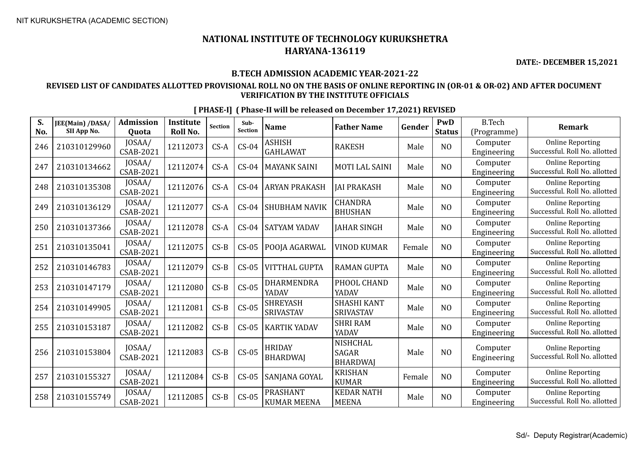**DATE:- DECEMBER 15,2021**

#### **B.TECH ADMISSION ACADEMIC YEAR-2021-22**

#### **REVISED LIST OF CANDIDATES ALLOTTED PROVISIONAL ROLL NO ON THE BASIS OF ONLINE REPORTING IN (OR-01 & OR-02) AND AFTER DOCUMENT VERIFICATION BY THE INSTITUTE OFFICIALS**

| S.<br>No. | JEE(Main) /DASA/<br>SII App No. | <b>Admission</b><br><b>Ouota</b> | <b>Institute</b><br>Roll No. | <b>Section</b> | Sub-<br>Section | <b>Name</b>                           | <b>Father Name</b>                          | Gender | PwD<br><b>Status</b> | <b>B.Tech</b><br>(Programme) | <b>Remark</b>                                            |
|-----------|---------------------------------|----------------------------------|------------------------------|----------------|-----------------|---------------------------------------|---------------------------------------------|--------|----------------------|------------------------------|----------------------------------------------------------|
| 246       | 210310129960                    | JOSAA/<br>CSAB-2021              | 12112073                     | $CS-A$         | $CS-04$         | <b>ASHISH</b><br><b>GAHLAWAT</b>      | <b>RAKESH</b>                               | Male   | NO                   | Computer<br>Engineering      | <b>Online Reporting</b><br>Successful. Roll No. allotted |
| 247       | 210310134662                    | JOSAA/<br><b>CSAB-2021</b>       | 12112074                     | $CS-A$         | $CS-04$         | <b>MAYANK SAINI</b>                   | <b>MOTI LAL SAINI</b>                       | Male   | N <sub>O</sub>       | Computer<br>Engineering      | <b>Online Reporting</b><br>Successful. Roll No. allotted |
| 248       | 210310135308                    | JOSAA/<br>CSAB-2021              | 12112076                     | $CS-A$         | $CS-04$         | <b>ARYAN PRAKASH</b>                  | <b>JAI PRAKASH</b>                          | Male   | NO                   | Computer<br>Engineering      | <b>Online Reporting</b><br>Successful. Roll No. allotted |
| 249       | 210310136129                    | JOSAA/<br>CSAB-2021              | 12112077                     | $CS-A$         | $CS-04$         | SHUBHAM NAVIK                         | <b>CHANDRA</b><br><b>BHUSHAN</b>            | Male   | NO                   | Computer<br>Engineering      | <b>Online Reporting</b><br>Successful. Roll No. allotted |
| 250       | 210310137366                    | JOSAA/<br>CSAB-2021              | 12112078                     | $CS-A$         | $CS-04$         | <b>SATYAM YADAV</b>                   | <b>JAHAR SINGH</b>                          | Male   | NO                   | Computer<br>Engineering      | <b>Online Reporting</b><br>Successful. Roll No. allotted |
| 251       | 210310135041                    | JOSAA/<br>CSAB-2021              | 12112075                     | $CS-B$         | $CS-05$         | POOJA AGARWAL                         | <b>VINOD KUMAR</b>                          | Female | N <sub>O</sub>       | Computer<br>Engineering      | <b>Online Reporting</b><br>Successful. Roll No. allotted |
| 252       | 210310146783                    | JOSAA/<br><b>CSAB-2021</b>       | 12112079                     | $CS-B$         | $CS-05$         | <b>VITTHAL GUPTA</b>                  | <b>RAMAN GUPTA</b>                          | Male   | N <sub>O</sub>       | Computer<br>Engineering      | <b>Online Reporting</b><br>Successful. Roll No. allotted |
| 253       | 210310147179                    | JOSAA/<br><b>CSAB-2021</b>       | 12112080                     | $CS-B$         | $CS-05$         | DHARMENDRA<br>YADAV                   | PHOOL CHAND<br>YADAV                        | Male   | NO                   | Computer<br>Engineering      | <b>Online Reporting</b><br>Successful. Roll No. allotted |
| 254       | 210310149905                    | JOSAA/<br><b>CSAB-2021</b>       | 12112081                     | $CS-B$         | $CS-05$         | <b>SHREYASH</b><br><b>SRIVASTAV</b>   | <b>SHASHI KANT</b><br><b>SRIVASTAV</b>      | Male   | N <sub>O</sub>       | Computer<br>Engineering      | <b>Online Reporting</b><br>Successful. Roll No. allotted |
| 255       | 210310153187                    | JOSAA/<br>CSAB-2021              | 12112082                     | $CS-B$         | $CS-05$         | <b>KARTIK YADAV</b>                   | <b>SHRI RAM</b><br>YADAV                    | Male   | N <sub>O</sub>       | Computer<br>Engineering      | <b>Online Reporting</b><br>Successful. Roll No. allotted |
| 256       | 210310153804                    | JOSAA/<br><b>CSAB-2021</b>       | 12112083                     | $CS-B$         | $CS-05$         | <b>HRIDAY</b><br><b>BHARDWAI</b>      | NISHCHAL<br><b>SAGAR</b><br><b>BHARDWAI</b> | Male   | NO                   | Computer<br>Engineering      | <b>Online Reporting</b><br>Successful. Roll No. allotted |
| 257       | 210310155327                    | JOSAA/<br><b>CSAB-2021</b>       | 12112084                     | $CS-B$         | $CS-05$         | SANJANA GOYAL                         | <b>KRISHAN</b><br><b>KUMAR</b>              | Female | N <sub>O</sub>       | Computer<br>Engineering      | <b>Online Reporting</b><br>Successful. Roll No. allotted |
| 258       | 210310155749                    | JOSAA/<br>CSAB-2021              | 12112085                     | $CS-B$         | $CS-05$         | <b>PRASHANT</b><br><b>KUMAR MEENA</b> | <b>KEDAR NATH</b><br><b>MEENA</b>           | Male   | NO                   | Computer<br>Engineering      | <b>Online Reporting</b><br>Successful. Roll No. allotted |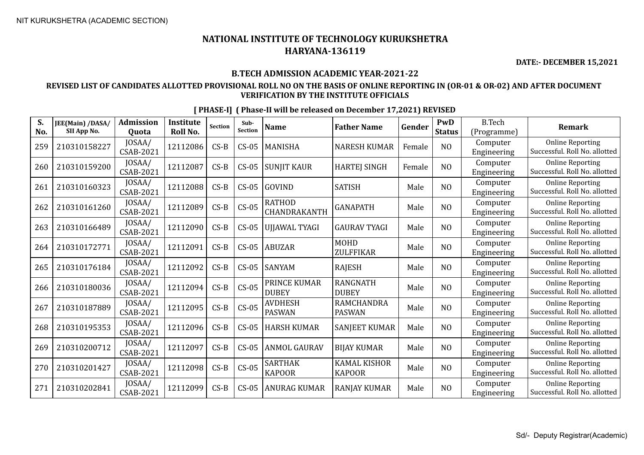**DATE:- DECEMBER 15,2021**

#### **B.TECH ADMISSION ACADEMIC YEAR-2021-22**

#### **REVISED LIST OF CANDIDATES ALLOTTED PROVISIONAL ROLL NO ON THE BASIS OF ONLINE REPORTING IN (OR-01 & OR-02) AND AFTER DOCUMENT VERIFICATION BY THE INSTITUTE OFFICIALS**

| S.<br>No. | JEE(Main) /DASA/<br>SII App No. | <b>Admission</b><br>Quota  | <b>Institute</b><br><b>Roll No.</b> | Section | Sub-<br><b>Section</b> | <b>Name</b>                     | <b>Father Name</b>                   | Gender | PwD<br><b>Status</b> | <b>B.Tech</b><br>(Programme) | <b>Remark</b>                                            |
|-----------|---------------------------------|----------------------------|-------------------------------------|---------|------------------------|---------------------------------|--------------------------------------|--------|----------------------|------------------------------|----------------------------------------------------------|
| 259       | 210310158227                    | JOSAA/<br>CSAB-2021        | 12112086                            | $CS-B$  | $CS-05$                | <b>MANISHA</b>                  | <b>NARESH KUMAR</b>                  | Female | N <sub>O</sub>       | Computer<br>Engineering      | <b>Online Reporting</b><br>Successful. Roll No. allotted |
| 260       | 210310159200                    | JOSAA/<br><b>CSAB-2021</b> | 12112087                            | $CS-B$  | $CS-05$                | <b>SUNIIT KAUR</b>              | <b>HARTEJ SINGH</b>                  | Female | N <sub>O</sub>       | Computer<br>Engineering      | <b>Online Reporting</b><br>Successful. Roll No. allotted |
| 261       | 210310160323                    | JOSAA/<br>CSAB-2021        | 12112088                            | $CS-B$  | $CS-05$                | GOVIND                          | <b>SATISH</b>                        | Male   | N <sub>O</sub>       | Computer<br>Engineering      | <b>Online Reporting</b><br>Successful. Roll No. allotted |
| 262       | 210310161260                    | JOSAA/<br>CSAB-2021        | 12112089                            | $CS-B$  | $CS-05$                | <b>RATHOD</b><br>CHANDRAKANTH   | <b>GANAPATH</b>                      | Male   | N <sub>O</sub>       | Computer<br>Engineering      | <b>Online Reporting</b><br>Successful. Roll No. allotted |
| 263       | 210310166489                    | JOSAA/<br>CSAB-2021        | 12112090                            | $CS-B$  | $CS-05$                | UJJAWAL TYAGI                   | <b>GAURAV TYAGI</b>                  | Male   | N <sub>O</sub>       | Computer<br>Engineering      | <b>Online Reporting</b><br>Successful. Roll No. allotted |
| 264       | 210310172771                    | JOSAA/<br>CSAB-2021        | 12112091                            | $CS-B$  | $CS-05$                | <b>ABUZAR</b>                   | <b>MOHD</b><br>ZULFFIKAR             | Male   | N <sub>0</sub>       | Computer<br>Engineering      | <b>Online Reporting</b><br>Successful. Roll No. allotted |
| 265       | 210310176184                    | JOSAA/<br><b>CSAB-2021</b> | 12112092                            | $CS-B$  | $CS-05$                | <b>SANYAM</b>                   | <b>RAJESH</b>                        | Male   | N <sub>O</sub>       | Computer<br>Engineering      | <b>Online Reporting</b><br>Successful. Roll No. allotted |
| 266       | 210310180036                    | JOSAA/<br>CSAB-2021        | 12112094                            | $CS-B$  | $CS-05$                | PRINCE KUMAR<br><b>DUBEY</b>    | <b>RANGNATH</b><br><b>DUBEY</b>      | Male   | N <sub>O</sub>       | Computer<br>Engineering      | <b>Online Reporting</b><br>Successful. Roll No. allotted |
| 267       | 210310187889                    | JOSAA/<br>CSAB-2021        | 12112095                            | $CS-B$  | $CS-05$                | <b>AVDHESH</b><br><b>PASWAN</b> | <b>RAMCHANDRA</b><br><b>PASWAN</b>   | Male   | N <sub>O</sub>       | Computer<br>Engineering      | <b>Online Reporting</b><br>Successful. Roll No. allotted |
| 268       | 210310195353                    | JOSAA/<br><b>CSAB-2021</b> | 12112096                            | $CS-B$  | $CS-05$                | <b>HARSH KUMAR</b>              | <b>SANJEET KUMAR</b>                 | Male   | N <sub>O</sub>       | Computer<br>Engineering      | <b>Online Reporting</b><br>Successful. Roll No. allotted |
| 269       | 210310200712                    | JOSAA/<br><b>CSAB-2021</b> | 12112097                            | $CS-B$  | $CS-05$                | <b>ANMOL GAURAV</b>             | <b>BIJAY KUMAR</b>                   | Male   | N <sub>O</sub>       | Computer<br>Engineering      | <b>Online Reporting</b><br>Successful. Roll No. allotted |
| 270       | 210310201427                    | JOSAA/<br>CSAB-2021        | 12112098                            | $CS-B$  | $CS-05$                | <b>SARTHAK</b><br><b>KAPOOR</b> | <b>KAMAL KISHOR</b><br><b>KAPOOR</b> | Male   | N <sub>O</sub>       | Computer<br>Engineering      | <b>Online Reporting</b><br>Successful. Roll No. allotted |
| 271       | 210310202841                    | JOSAA/<br><b>CSAB-2021</b> | 12112099                            | $CS-B$  | $CS-05$                | <b>ANURAG KUMAR</b>             | <b>RANJAY KUMAR</b>                  | Male   | N <sub>O</sub>       | Computer<br>Engineering      | <b>Online Reporting</b><br>Successful. Roll No. allotted |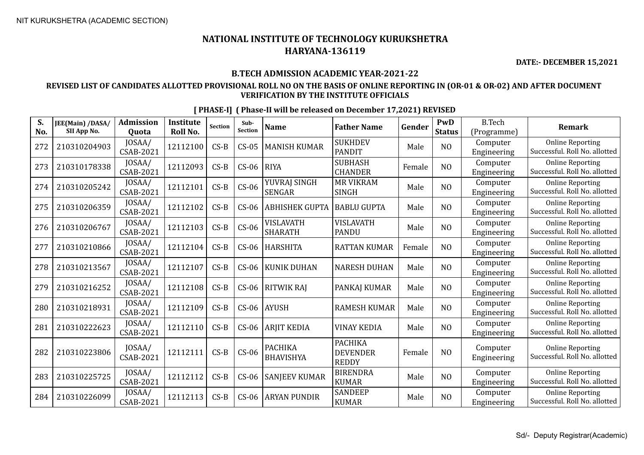**DATE:- DECEMBER 15,2021**

#### **B.TECH ADMISSION ACADEMIC YEAR-2021-22**

#### **REVISED LIST OF CANDIDATES ALLOTTED PROVISIONAL ROLL NO ON THE BASIS OF ONLINE REPORTING IN (OR-01 & OR-02) AND AFTER DOCUMENT VERIFICATION BY THE INSTITUTE OFFICIALS**

|  | [PHASE-I] (Phase-II will be released on December 17,2021) REVISED |  |  |
|--|-------------------------------------------------------------------|--|--|
|  |                                                                   |  |  |

| S.<br>No. | JEE(Main) /DASA/<br>SII App No. | <b>Admission</b><br><b>Ouota</b> | <b>Institute</b><br>Roll No. | Section | Sub-<br><b>Section</b> | <b>Name</b>                        | <b>Father Name</b>                                | Gender | PwD<br><b>Status</b> | <b>B.Tech</b><br>(Programme) | <b>Remark</b>                                            |
|-----------|---------------------------------|----------------------------------|------------------------------|---------|------------------------|------------------------------------|---------------------------------------------------|--------|----------------------|------------------------------|----------------------------------------------------------|
| 272       | 210310204903                    | JOSAA/<br>CSAB-2021              | 12112100                     | $CS-B$  | $CS-05$                | <b>MANISH KUMAR</b>                | <b>SUKHDEV</b><br><b>PANDIT</b>                   | Male   | N <sub>O</sub>       | Computer<br>Engineering      | <b>Online Reporting</b><br>Successful. Roll No. allotted |
| 273       | 210310178338                    | JOSAA/<br><b>CSAB-2021</b>       | 12112093                     | $CS-B$  | $CS-06$                | <b>RIYA</b>                        | <b>SUBHASH</b><br><b>CHANDER</b>                  | Female | N <sub>O</sub>       | Computer<br>Engineering      | <b>Online Reporting</b><br>Successful. Roll No. allotted |
| 274       | 210310205242                    | JOSAA/<br><b>CSAB-2021</b>       | 12112101                     | $CS-B$  | $CS-06$                | YUVRAJ SINGH<br><b>SENGAR</b>      | <b>MR VIKRAM</b><br><b>SINGH</b>                  | Male   | N <sub>O</sub>       | Computer<br>Engineering      | <b>Online Reporting</b><br>Successful. Roll No. allotted |
| 275       | 210310206359                    | JOSAA/<br><b>CSAB-2021</b>       | 12112102                     | $CS-B$  | $CS-06$                | <b>ABHISHEK GUPTA</b>              | <b>BABLU GUPTA</b>                                | Male   | N <sub>O</sub>       | Computer<br>Engineering      | <b>Online Reporting</b><br>Successful. Roll No. allotted |
| 276       | 210310206767                    | JOSAA/<br><b>CSAB-2021</b>       | 12112103                     | $CS-B$  | $CS-06$                | VISLAVATH<br><b>SHARATH</b>        | <b>VISLAVATH</b><br><b>PANDU</b>                  | Male   | N <sub>O</sub>       | Computer<br>Engineering      | <b>Online Reporting</b><br>Successful. Roll No. allotted |
| 277       | 210310210866                    | JOSAA/<br>CSAB-2021              | 12112104                     | $CS-B$  | $CS-06$                | <b>HARSHITA</b>                    | <b>RATTAN KUMAR</b>                               | Female | N <sub>O</sub>       | Computer<br>Engineering      | <b>Online Reporting</b><br>Successful. Roll No. allotted |
| 278       | 210310213567                    | JOSAA/<br>CSAB-2021              | 12112107                     | $CS-B$  | $CS-06$                | <b>KUNIK DUHAN</b>                 | <b>NARESH DUHAN</b>                               | Male   | N <sub>O</sub>       | Computer<br>Engineering      | <b>Online Reporting</b><br>Successful. Roll No. allotted |
| 279       | 210310216252                    | JOSAA/<br>CSAB-2021              | 12112108                     | $CS-B$  | $CS-06$                | <b>RITWIK RAJ</b>                  | PANKAJ KUMAR                                      | Male   | N <sub>O</sub>       | Computer<br>Engineering      | <b>Online Reporting</b><br>Successful. Roll No. allotted |
| 280       | 210310218931                    | JOSAA/<br><b>CSAB-2021</b>       | 12112109                     | $CS-B$  | $CS-06$                | <b>AYUSH</b>                       | <b>RAMESH KUMAR</b>                               | Male   | N <sub>O</sub>       | Computer<br>Engineering      | <b>Online Reporting</b><br>Successful. Roll No. allotted |
| 281       | 210310222623                    | JOSAA/<br><b>CSAB-2021</b>       | 12112110                     | $CS-B$  | $CS-06$                | <b>ARJIT KEDIA</b>                 | <b>VINAY KEDIA</b>                                | Male   | N <sub>O</sub>       | Computer<br>Engineering      | <b>Online Reporting</b><br>Successful. Roll No. allotted |
| 282       | 210310223806                    | JOSAA/<br>CSAB-2021              | 12112111                     | $CS-B$  | $CS-06$                | <b>PACHIKA</b><br><b>BHAVISHYA</b> | <b>PACHIKA</b><br><b>DEVENDER</b><br><b>REDDY</b> | Female | N <sub>O</sub>       | Computer<br>Engineering      | <b>Online Reporting</b><br>Successful. Roll No. allotted |
| 283       | 210310225725                    | JOSAA/<br><b>CSAB-2021</b>       | 12112112                     | $CS-B$  | $CS-06$                | <b>SANJEEV KUMAR</b>               | <b>BIRENDRA</b><br><b>KUMAR</b>                   | Male   | N <sub>O</sub>       | Computer<br>Engineering      | <b>Online Reporting</b><br>Successful. Roll No. allotted |
| 284       | 210310226099                    | JOSAA/<br>CSAB-2021              | 12112113                     | $CS-B$  | $CS-06$                | <b>ARYAN PUNDIR</b>                | <b>SANDEEP</b><br><b>KUMAR</b>                    | Male   | N <sub>O</sub>       | Computer<br>Engineering      | <b>Online Reporting</b><br>Successful. Roll No. allotted |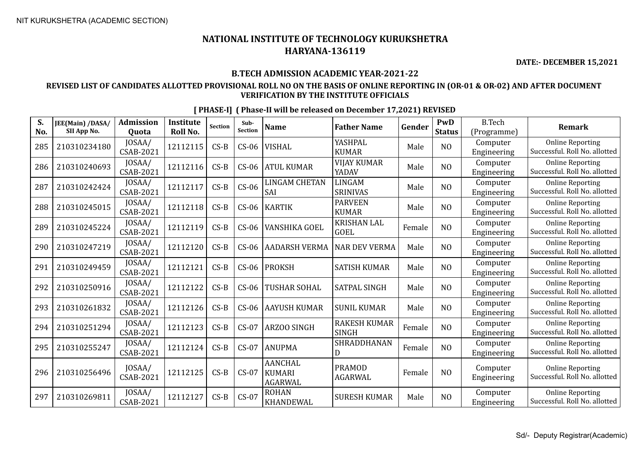**DATE:- DECEMBER 15,2021**

#### **B.TECH ADMISSION ACADEMIC YEAR-2021-22**

#### **REVISED LIST OF CANDIDATES ALLOTTED PROVISIONAL ROLL NO ON THE BASIS OF ONLINE REPORTING IN (OR-01 & OR-02) AND AFTER DOCUMENT VERIFICATION BY THE INSTITUTE OFFICIALS**

| S.  | JEE(Main) /DASA/<br>SII App No. | <b>Admission</b>           | <b>Institute</b><br>Roll No. | <b>Section</b> | Sub-<br><b>Section</b> | <b>Name</b>                                       | <b>Father Name</b>                  | Gender | PwD            | <b>B.Tech</b>           | Remark                                                   |
|-----|---------------------------------|----------------------------|------------------------------|----------------|------------------------|---------------------------------------------------|-------------------------------------|--------|----------------|-------------------------|----------------------------------------------------------|
| No. |                                 | Quota<br>JOSAA/            |                              |                |                        |                                                   | YASHPAL                             |        | <b>Status</b>  | (Programme)<br>Computer | <b>Online Reporting</b>                                  |
| 285 | 210310234180                    | <b>CSAB-2021</b>           | 12112115                     | $CS-B$         | $CS-06$                | <b>VISHAL</b>                                     | <b>KUMAR</b>                        | Male   | N <sub>O</sub> | Engineering             | Successful. Roll No. allotted                            |
| 286 | 210310240693                    | JOSAA/<br>CSAB-2021        | 12112116                     | $CS-B$         | $CS-06$                | <b>ATUL KUMAR</b>                                 | <b>VIJAY KUMAR</b><br>YADAV         | Male   | N <sub>O</sub> | Computer<br>Engineering | <b>Online Reporting</b><br>Successful. Roll No. allotted |
| 287 | 210310242424                    | JOSAA/<br><b>CSAB-2021</b> | 12112117                     | $CS-B$         | $CS-06$                | LINGAM CHETAN<br>SAI                              | LINGAM<br><b>SRINIVAS</b>           | Male   | N <sub>O</sub> | Computer<br>Engineering | <b>Online Reporting</b><br>Successful. Roll No. allotted |
| 288 | 210310245015                    | JOSAA/<br><b>CSAB-2021</b> | 12112118                     | $CS-B$         | $CS-06$                | <b>KARTIK</b>                                     | <b>PARVEEN</b><br><b>KUMAR</b>      | Male   | NO             | Computer<br>Engineering | <b>Online Reporting</b><br>Successful. Roll No. allotted |
| 289 | 210310245224                    | JOSAA/<br><b>CSAB-2021</b> | 12112119                     | $CS-B$         | $CS-06$                | VANSHIKA GOEL                                     | <b>KRISHAN LAL</b><br><b>GOEL</b>   | Female | N <sub>O</sub> | Computer<br>Engineering | <b>Online Reporting</b><br>Successful. Roll No. allotted |
| 290 | 210310247219                    | JOSAA/<br>CSAB-2021        | 12112120                     | $CS-B$         | $CS-06$                | <b>AADARSH VERMA</b>                              | <b>NAR DEV VERMA</b>                | Male   | N <sub>O</sub> | Computer<br>Engineering | <b>Online Reporting</b><br>Successful. Roll No. allotted |
| 291 | 210310249459                    | JOSAA/<br><b>CSAB-2021</b> | 12112121                     | $CS-B$         | $CS-06$                | <b>PROKSH</b>                                     | <b>SATISH KUMAR</b>                 | Male   | N <sub>O</sub> | Computer<br>Engineering | <b>Online Reporting</b><br>Successful. Roll No. allotted |
| 292 | 210310250916                    | JOSAA/<br><b>CSAB-2021</b> | 12112122                     | $CS-B$         | $CS-06$                | TUSHAR SOHAL                                      | <b>SATPAL SINGH</b>                 | Male   | N <sub>O</sub> | Computer<br>Engineering | <b>Online Reporting</b><br>Successful. Roll No. allotted |
| 293 | 210310261832                    | JOSAA/<br><b>CSAB-2021</b> | 12112126                     | $CS-B$         | $CS-06$                | <b>AAYUSH KUMAR</b>                               | <b>SUNIL KUMAR</b>                  | Male   | N <sub>O</sub> | Computer<br>Engineering | <b>Online Reporting</b><br>Successful. Roll No. allotted |
| 294 | 210310251294                    | JOSAA/<br><b>CSAB-2021</b> | 12112123                     | $CS-B$         | $CS-07$                | ARZOO SINGH                                       | <b>RAKESH KUMAR</b><br><b>SINGH</b> | Female | N <sub>O</sub> | Computer<br>Engineering | <b>Online Reporting</b><br>Successful. Roll No. allotted |
| 295 | 210310255247                    | JOSAA/<br><b>CSAB-2021</b> | 12112124                     | $CS-B$         | $CS-07$                | <b>ANUPMA</b>                                     | SHRADDHANAN<br>D                    | Female | N <sub>O</sub> | Computer<br>Engineering | <b>Online Reporting</b><br>Successful. Roll No. allotted |
| 296 | 210310256496                    | JOSAA/<br><b>CSAB-2021</b> | 12112125                     | $CS-B$         | $CS-07$                | <b>AANCHAL</b><br><b>KUMARI</b><br><b>AGARWAL</b> | <b>PRAMOD</b><br><b>AGARWAL</b>     | Female | N <sub>O</sub> | Computer<br>Engineering | <b>Online Reporting</b><br>Successful. Roll No. allotted |
| 297 | 210310269811                    | JOSAA/<br><b>CSAB-2021</b> | 12112127                     | $CS-B$         | $CS-07$                | <b>ROHAN</b><br><b>KHANDEWAL</b>                  | <b>SURESH KUMAR</b>                 | Male   | N <sub>O</sub> | Computer<br>Engineering | <b>Online Reporting</b><br>Successful. Roll No. allotted |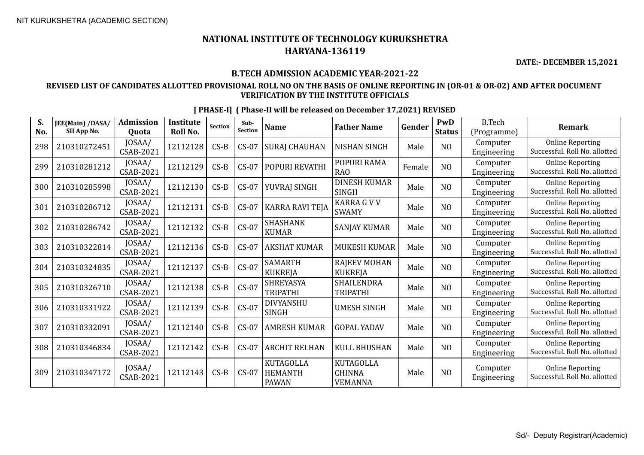**DATE:- DECEMBER 15,2021**

#### **B.TECH ADMISSION ACADEMIC YEAR-2021-22**

#### **REVISED LIST OF CANDIDATES ALLOTTED PROVISIONAL ROLL NO ON THE BASIS OF ONLINE REPORTING IN (OR-01 & OR-02) AND AFTER DOCUMENT VERIFICATION BY THE INSTITUTE OFFICIALS**

| S.<br>No. | JEE(Main) /DASA/<br>SII App No. | <b>Admission</b><br><b>Ouota</b> | <b>Institute</b><br>Roll No. | Section | Sub-<br>Section | <b>Name</b>                                        | <b>Father Name</b>                                  | Gender | PwD<br><b>Status</b> | <b>B.Tech</b><br>(Programme) | <b>Remark</b>                                            |
|-----------|---------------------------------|----------------------------------|------------------------------|---------|-----------------|----------------------------------------------------|-----------------------------------------------------|--------|----------------------|------------------------------|----------------------------------------------------------|
| 298       | 210310272451                    | JOSAA/<br>CSAB-2021              | 12112128                     | $CS-B$  | $CS-07$         | <b>SURAJ CHAUHAN</b>                               | <b>NISHAN SINGH</b>                                 | Male   | N <sub>O</sub>       | Computer<br>Engineering      | <b>Online Reporting</b><br>Successful. Roll No. allotted |
| 299       | 210310281212                    | JOSAA/<br>CSAB-2021              | 12112129                     | $CS-B$  | $CS-07$         | POPURI REVATHI                                     | POPURI RAMA<br><b>RAO</b>                           | Female | N <sub>O</sub>       | Computer<br>Engineering      | <b>Online Reporting</b><br>Successful. Roll No. allotted |
| 300       | 210310285998                    | JOSAA/<br>CSAB-2021              | 12112130                     | $CS-B$  | $CS-07$         | YUVRAJ SINGH                                       | <b>DINESH KUMAR</b><br><b>SINGH</b>                 | Male   | N <sub>O</sub>       | Computer<br>Engineering      | <b>Online Reporting</b><br>Successful. Roll No. allotted |
| 301       | 210310286712                    | JOSAA/<br>CSAB-2021              | 12112131                     | $CS-B$  | $CS-07$         | KARRA RAVI TEJA                                    | <b>KARRA G V V</b><br><b>SWAMY</b>                  | Male   | N <sub>O</sub>       | Computer<br>Engineering      | <b>Online Reporting</b><br>Successful. Roll No. allotted |
| 302       | 210310286742                    | JOSAA/<br>CSAB-2021              | 12112132                     | $CS-B$  | $CS-07$         | <b>SHASHANK</b><br><b>KUMAR</b>                    | <b>SANJAY KUMAR</b>                                 | Male   | N <sub>O</sub>       | Computer<br>Engineering      | <b>Online Reporting</b><br>Successful. Roll No. allotted |
| 303       | 210310322814                    | JOSAA/<br>CSAB-2021              | 12112136                     | $CS-B$  | $CS-07$         | <b>AKSHAT KUMAR</b>                                | <b>MUKESH KUMAR</b>                                 | Male   | N <sub>O</sub>       | Computer<br>Engineering      | <b>Online Reporting</b><br>Successful. Roll No. allotted |
| 304       | 210310324835                    | JOSAA/<br>CSAB-2021              | 12112137                     | $CS-B$  | $CS-07$         | <b>SAMARTH</b><br><b>KUKREJA</b>                   | <b>RAJEEV MOHAN</b><br><b>KUKREJA</b>               | Male   | N <sub>O</sub>       | Computer<br>Engineering      | <b>Online Reporting</b><br>Successful. Roll No. allotted |
| 305       | 210310326710                    | JOSAA/<br><b>CSAB-2021</b>       | 12112138                     | $CS-B$  | $CS-07$         | SHREYASYA<br><b>TRIPATHI</b>                       | SHAILENDRA<br><b>TRIPATHI</b>                       | Male   | N <sub>O</sub>       | Computer<br>Engineering      | <b>Online Reporting</b><br>Successful. Roll No. allotted |
| 306       | 210310331922                    | JOSAA/<br>CSAB-2021              | 12112139                     | $CS-B$  | $CS-07$         | DIVYANSHU<br><b>SINGH</b>                          | <b>UMESH SINGH</b>                                  | Male   | N <sub>0</sub>       | Computer<br>Engineering      | <b>Online Reporting</b><br>Successful. Roll No. allotted |
| 307       | 210310332091                    | JOSAA/<br><b>CSAB-2021</b>       | 12112140                     | $CS-B$  | $CS-07$         | <b>AMRESH KUMAR</b>                                | <b>GOPAL YADAV</b>                                  | Male   | N <sub>O</sub>       | Computer<br>Engineering      | <b>Online Reporting</b><br>Successful. Roll No. allotted |
| 308       | 210310346834                    | JOSAA/<br>CSAB-2021              | 12112142                     | $CS-B$  | $CS-07$         | <b>ARCHIT RELHAN</b>                               | <b>KULL BHUSHAN</b>                                 | Male   | N <sub>O</sub>       | Computer<br>Engineering      | <b>Online Reporting</b><br>Successful. Roll No. allotted |
| 309       | 210310347172                    | JOSAA/<br>CSAB-2021              | 12112143                     | $CS-B$  | $CS-07$         | <b>KUTAGOLLA</b><br><b>HEMANTH</b><br><b>PAWAN</b> | <b>KUTAGOLLA</b><br><b>CHINNA</b><br><b>VEMANNA</b> | Male   | N <sub>O</sub>       | Computer<br>Engineering      | <b>Online Reporting</b><br>Successful. Roll No. allotted |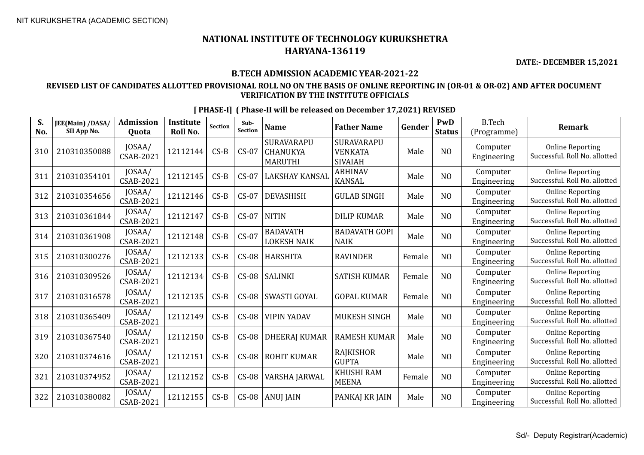**DATE:- DECEMBER 15,2021**

#### **B.TECH ADMISSION ACADEMIC YEAR-2021-22**

#### **REVISED LIST OF CANDIDATES ALLOTTED PROVISIONAL ROLL NO ON THE BASIS OF ONLINE REPORTING IN (OR-01 & OR-02) AND AFTER DOCUMENT VERIFICATION BY THE INSTITUTE OFFICIALS**

| S.<br>No. | JEE(Main) /DASA/<br>SII App No. | <b>Admission</b><br><b>Ouota</b> | <b>Institute</b><br><b>Roll No.</b> | Section | Sub-<br>Section | <b>Name</b>                           | <b>Father Name</b>                      | Gender | PwD<br><b>Status</b> | <b>B.Tech</b><br>(Programme) | <b>Remark</b>                                            |
|-----------|---------------------------------|----------------------------------|-------------------------------------|---------|-----------------|---------------------------------------|-----------------------------------------|--------|----------------------|------------------------------|----------------------------------------------------------|
| 310       | 210310350088                    | JOSAA/<br>CSAB-2021              | 12112144                            | $CS-B$  | $CS-07$         | SURAVARAPU<br>CHANUKYA<br>MARUTHI     | SURAVARAPU<br>VENKATA<br><b>SIVAIAH</b> | Male   | N <sub>O</sub>       | Computer<br>Engineering      | <b>Online Reporting</b><br>Successful. Roll No. allotted |
| 311       | 210310354101                    | JOSAA/<br>CSAB-2021              | 12112145                            | $CS-B$  | $CS-07$         | <b>LAKSHAY KANSAL</b>                 | <b>ABHINAV</b><br><b>KANSAL</b>         | Male   | N <sub>O</sub>       | Computer<br>Engineering      | <b>Online Reporting</b><br>Successful. Roll No. allotted |
| 312       | 210310354656                    | JOSAA/<br>CSAB-2021              | 12112146                            | $CS-B$  | $CS-07$         | <b>DEVASHISH</b>                      | <b>GULAB SINGH</b>                      | Male   | NO                   | Computer<br>Engineering      | <b>Online Reporting</b><br>Successful. Roll No. allotted |
| 313       | 210310361844                    | JOSAA/<br>CSAB-2021              | 12112147                            | $CS-B$  | $CS-07$         | <b>NITIN</b>                          | <b>DILIP KUMAR</b>                      | Male   | N <sub>O</sub>       | Computer<br>Engineering      | <b>Online Reporting</b><br>Successful. Roll No. allotted |
| 314       | 210310361908                    | JOSAA/<br><b>CSAB-2021</b>       | 12112148                            | $CS-B$  | $CS-07$         | <b>BADAVATH</b><br><b>LOKESH NAIK</b> | <b>BADAVATH GOPI</b><br><b>NAIK</b>     | Male   | N <sub>O</sub>       | Computer<br>Engineering      | <b>Online Reporting</b><br>Successful. Roll No. allotted |
| 315       | 210310300276                    | JOSAA/<br><b>CSAB-2021</b>       | 12112133                            | $CS-B$  | $CS-08$         | <b>HARSHITA</b>                       | <b>RAVINDER</b>                         | Female | N <sub>O</sub>       | Computer<br>Engineering      | <b>Online Reporting</b><br>Successful. Roll No. allotted |
| 316       | 210310309526                    | JOSAA/<br><b>CSAB-2021</b>       | 12112134                            | $CS-B$  | $CS-08$         | <b>SALINKI</b>                        | <b>SATISH KUMAR</b>                     | Female | N <sub>O</sub>       | Computer<br>Engineering      | <b>Online Reporting</b><br>Successful. Roll No. allotted |
| 317       | 210310316578                    | JOSAA/<br>CSAB-2021              | 12112135                            | $CS-B$  | $CS-08$         | SWASTI GOYAL                          | <b>GOPAL KUMAR</b>                      | Female | N <sub>O</sub>       | Computer<br>Engineering      | <b>Online Reporting</b><br>Successful. Roll No. allotted |
| 318       | 210310365409                    | JOSAA/<br>CSAB-2021              | 12112149                            | $CS-B$  | $CS-08$         | <b>VIPIN YADAV</b>                    | MUKESH SINGH                            | Male   | N <sub>O</sub>       | Computer<br>Engineering      | <b>Online Reporting</b><br>Successful. Roll No. allotted |
| 319       | 210310367540                    | JOSAA/<br>CSAB-2021              | 12112150                            | $CS-B$  | $CS-08$         | <b>DHEERAJ KUMAR</b>                  | <b>RAMESH KUMAR</b>                     | Male   | N <sub>O</sub>       | Computer<br>Engineering      | <b>Online Reporting</b><br>Successful. Roll No. allotted |
| 320       | 210310374616                    | JOSAA/<br>CSAB-2021              | 12112151                            | $CS-B$  | $CS-08$         | <b>ROHIT KUMAR</b>                    | <b>RAJKISHOR</b><br><b>GUPTA</b>        | Male   | N <sub>O</sub>       | Computer<br>Engineering      | <b>Online Reporting</b><br>Successful. Roll No. allotted |
| 321       | 210310374952                    | JOSAA/<br><b>CSAB-2021</b>       | 12112152                            | $CS-B$  | $CS-08$         | VARSHA JARWAL                         | <b>KHUSHI RAM</b><br><b>MEENA</b>       | Female | N <sub>O</sub>       | Computer<br>Engineering      | <b>Online Reporting</b><br>Successful. Roll No. allotted |
| 322       | 210310380082                    | JOSAA/<br>CSAB-2021              | 12112155                            | $CS-B$  | $CS-08$         | <b>ANUJ JAIN</b>                      | PANKAJ KR JAIN                          | Male   | NO                   | Computer<br>Engineering      | <b>Online Reporting</b><br>Successful. Roll No. allotted |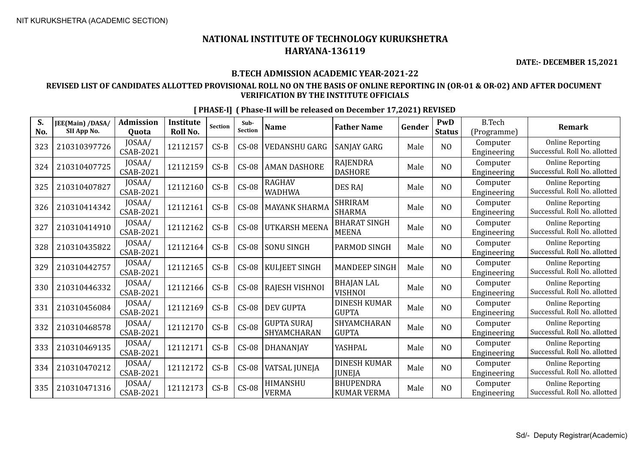**DATE:- DECEMBER 15,2021**

#### **B.TECH ADMISSION ACADEMIC YEAR-2021-22**

#### **REVISED LIST OF CANDIDATES ALLOTTED PROVISIONAL ROLL NO ON THE BASIS OF ONLINE REPORTING IN (OR-01 & OR-02) AND AFTER DOCUMENT VERIFICATION BY THE INSTITUTE OFFICIALS**

| S.  | JEE(Main) /DASA/ | <b>Admission</b>           | Institute | <b>Section</b> | Sub-           | <b>Name</b>                       | <b>Father Name</b>                     | Gender | PwD            | <b>B.Tech</b>           | <b>Remark</b>                                            |
|-----|------------------|----------------------------|-----------|----------------|----------------|-----------------------------------|----------------------------------------|--------|----------------|-------------------------|----------------------------------------------------------|
| No. | SII App No.      | Quota                      | Roll No.  |                | <b>Section</b> |                                   |                                        |        | <b>Status</b>  | (Programme)             |                                                          |
| 323 | 210310397726     | JOSAA/<br><b>CSAB-2021</b> | 12112157  | $CS-B$         | $CS-08$        | <b>VEDANSHU GARG</b>              | SANJAY GARG                            | Male   | N <sub>O</sub> | Computer<br>Engineering | <b>Online Reporting</b><br>Successful. Roll No. allotted |
| 324 | 210310407725     | JOSAA/<br><b>CSAB-2021</b> | 12112159  | $CS-B$         | $CS-08$        | <b>AMAN DASHORE</b>               | <b>RAJENDRA</b><br><b>DASHORE</b>      | Male   | NO             | Computer<br>Engineering | <b>Online Reporting</b><br>Successful. Roll No. allotted |
| 325 | 210310407827     | JOSAA/<br><b>CSAB-2021</b> | 12112160  | $CS-B$         | $CS-08$        | <b>RAGHAV</b><br><b>WADHWA</b>    | DES RAJ                                | Male   | N <sub>O</sub> | Computer<br>Engineering | <b>Online Reporting</b><br>Successful. Roll No. allotted |
| 326 | 210310414342     | JOSAA/<br>CSAB-2021        | 12112161  | $CS-B$         | $CS-08$        | <b>MAYANK SHARMA</b>              | <b>SHRIRAM</b><br><b>SHARMA</b>        | Male   | N <sub>O</sub> | Computer<br>Engineering | <b>Online Reporting</b><br>Successful. Roll No. allotted |
| 327 | 210310414910     | JOSAA/<br><b>CSAB-2021</b> | 12112162  | $CS-B$         | $CS-08$        | <b>UTKARSH MEENA</b>              | <b>BHARAT SINGH</b><br><b>MEENA</b>    | Male   | N <sub>O</sub> | Computer<br>Engineering | <b>Online Reporting</b><br>Successful. Roll No. allotted |
| 328 | 210310435822     | JOSAA/<br><b>CSAB-2021</b> | 12112164  | $CS-B$         | $CS-08$        | <b>SONU SINGH</b>                 | PARMOD SINGH                           | Male   | N <sub>O</sub> | Computer<br>Engineering | <b>Online Reporting</b><br>Successful. Roll No. allotted |
| 329 | 210310442757     | JOSAA/<br><b>CSAB-2021</b> | 12112165  | $CS-B$         | $CS-08$        | <b>KULJEET SINGH</b>              | <b>MANDEEP SINGH</b>                   | Male   | NO             | Computer<br>Engineering | <b>Online Reporting</b><br>Successful. Roll No. allotted |
| 330 | 210310446332     | JOSAA/<br>CSAB-2021        | 12112166  | $CS-B$         | $CS-08$        | <b>RAJESH VISHNOI</b>             | <b>BHAJAN LAL</b><br><b>VISHNOI</b>    | Male   | NO             | Computer<br>Engineering | <b>Online Reporting</b><br>Successful. Roll No. allotted |
| 331 | 210310456084     | JOSAA/<br><b>CSAB-2021</b> | 12112169  | $CS-B$         | $CS-08$        | <b>DEV GUPTA</b>                  | <b>DINESH KUMAR</b><br><b>GUPTA</b>    | Male   | N <sub>O</sub> | Computer<br>Engineering | <b>Online Reporting</b><br>Successful. Roll No. allotted |
| 332 | 210310468578     | JOSAA/<br><b>CSAB-2021</b> | 12112170  | $CS-B$         | $CS-08$        | <b>GUPTA SURAJ</b><br>SHYAMCHARAN | SHYAMCHARAN<br><b>GUPTA</b>            | Male   | N <sub>0</sub> | Computer<br>Engineering | <b>Online Reporting</b><br>Successful. Roll No. allotted |
| 333 | 210310469135     | JOSAA/<br><b>CSAB-2021</b> | 12112171  | $CS-B$         | $CS-08$        | DHANANJAY                         | YASHPAL                                | Male   | N <sub>O</sub> | Computer<br>Engineering | <b>Online Reporting</b><br>Successful. Roll No. allotted |
| 334 | 210310470212     | JOSAA/<br><b>CSAB-2021</b> | 12112172  | $CS-B$         | $CS-08$        | VATSAL JUNEJA                     | <b>DINESH KUMAR</b><br><b>JUNEJA</b>   | Male   | N <sub>O</sub> | Computer<br>Engineering | <b>Online Reporting</b><br>Successful. Roll No. allotted |
| 335 | 210310471316     | JOSAA/<br><b>CSAB-2021</b> | 12112173  | $CS-B$         | $CS-08$        | HIMANSHU<br><b>VERMA</b>          | <b>BHUPENDRA</b><br><b>KUMAR VERMA</b> | Male   | NO             | Computer<br>Engineering | <b>Online Reporting</b><br>Successful. Roll No. allotted |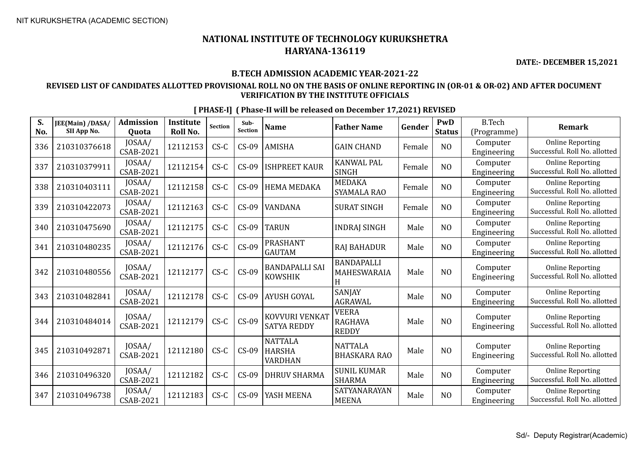**S. No.**

## **NATIONAL INSTITUTE OF TECHNOLOGY KURUKSHETRA HARYANA-136119**

**DATE:- DECEMBER 15,2021**

#### **B.TECH ADMISSION ACADEMIC YEAR-2021-22**

#### **REVISED LIST OF CANDIDATES ALLOTTED PROVISIONAL ROLL NO ON THE BASIS OF ONLINE REPORTING IN (OR-01 & OR-02) AND AFTER DOCUMENT VERIFICATION BY THE INSTITUTE OFFICIALS**

**JEE(Main) /DASA/ SII App No. Admission Quota Institute Roll No.** Section section **Name Father Name Gender PwD Status** B.Tech (Programme) **Remark**  $\begin{array}{c|c|c|c} \text{JOSAA/} & 12112153 & \text{CS-C} & \text{CS-09} & \text{AMISHA} \end{array}$  GAIN CHAND  $\begin{array}{|c|c|c|c|c|} \text{Female} & \text{NO} & \text{Computer} \end{array}$ Engineering  $\begin{array}{c|c}$  JOSAA/ 12112154 CS-C CS-09 SHPREET KAUR SINGH KANWAL PAL  $\begin{array}{|c|c|c|c|c|}\n\hline\n\text{SINGH} & \text{Female} & \text{NO} & \text{Engineering} \\
\hline\n\end{array}$ Engineering  $\begin{array}{c|c|c} \text{JOSAA/} & \text{12112158} & \text{CS-C} & \text{CS-09} & \text{HEMA MEDAKA} & \text{SYAMALA} \end{array}$ MEDAKA<br>SYAMALA RAO Female NO Engineering Engineering

| 336 | 210310376618 | JOSAA/<br>CSAB-2021        | 12112153 | $CS-C$ | $CS-09$ | <b>AMISHA</b>                              | <b>GAIN CHAND</b>                              | Female | N <sub>O</sub> | Computer<br>Engineering | <b>Online Reporting</b><br>Successful. Roll No. allotted |
|-----|--------------|----------------------------|----------|--------|---------|--------------------------------------------|------------------------------------------------|--------|----------------|-------------------------|----------------------------------------------------------|
| 337 | 210310379911 | JOSAA/<br>CSAB-2021        | 12112154 | $CS-C$ | $CS-09$ | <b>ISHPREET KAUR</b>                       | <b>KANWAL PAL</b><br><b>SINGH</b>              | Female | N <sub>O</sub> | Computer<br>Engineering | <b>Online Reporting</b><br>Successful. Roll No. allotted |
| 338 | 210310403111 | JOSAA/<br>CSAB-2021        | 12112158 | $CS-C$ | $CS-09$ | <b>HEMA MEDAKA</b>                         | <b>MEDAKA</b><br><b>SYAMALA RAO</b>            | Female | N <sub>O</sub> | Computer<br>Engineering | <b>Online Reporting</b><br>Successful. Roll No. allotted |
| 339 | 210310422073 | JOSAA/<br>CSAB-2021        | 12112163 | $CS-C$ | $CS-09$ | <b>VANDANA</b>                             | <b>SURAT SINGH</b>                             | Female | N <sub>O</sub> | Computer<br>Engineering | <b>Online Reporting</b><br>Successful, Roll No. allotted |
| 340 | 210310475690 | JOSAA/<br>CSAB-2021        | 12112175 | $CS-C$ | $CS-09$ | <b>TARUN</b>                               | INDRAJ SINGH                                   | Male   | N <sub>O</sub> | Computer<br>Engineering | <b>Online Reporting</b><br>Successful. Roll No. allotted |
| 341 | 210310480235 | JOSAA/<br>CSAB-2021        | 12112176 | $CS-C$ | $CS-09$ | <b>PRASHANT</b><br><b>GAUTAM</b>           | <b>RAJ BAHADUR</b>                             | Male   | N <sub>O</sub> | Computer<br>Engineering | <b>Online Reporting</b><br>Successful. Roll No. allotted |
| 342 | 210310480556 | JOSAA/<br><b>CSAB-2021</b> | 12112177 | $CS-C$ | $CS-09$ | <b>BANDAPALLI SAI</b><br><b>KOWSHIK</b>    | <b>BANDAPALLI</b><br>MAHESWARAIA<br>н          | Male   | N <sub>O</sub> | Computer<br>Engineering | <b>Online Reporting</b><br>Successful. Roll No. allotted |
| 343 | 210310482841 | JOSAA/<br>CSAB-2021        | 12112178 | $CS-C$ | $CS-09$ | AYUSH GOYAL                                | <b>SANJAY</b><br><b>AGRAWAL</b>                | Male   | N <sub>O</sub> | Computer<br>Engineering | <b>Online Reporting</b><br>Successful. Roll No. allotted |
| 344 | 210310484014 | JOSAA/<br>CSAB-2021        | 12112179 | $CS-C$ | $CS-09$ | KOVVURI VENKAT<br><b>SATYA REDDY</b>       | <b>VEERA</b><br><b>RAGHAVA</b><br><b>REDDY</b> | Male   | N <sub>O</sub> | Computer<br>Engineering | <b>Online Reporting</b><br>Successful. Roll No. allotted |
| 345 | 210310492871 | JOSAA/<br>CSAB-2021        | 12112180 | $CS-C$ | $CS-09$ | <b>NATTALA</b><br><b>HARSHA</b><br>VARDHAN | <b>NATTALA</b><br><b>BHASKARA RAO</b>          | Male   | NO             | Computer<br>Engineering | <b>Online Reporting</b><br>Successful. Roll No. allotted |
| 346 | 210310496320 | JOSAA/<br>CSAB-2021        | 12112182 | $CS-C$ | $CS-09$ | <b>DHRUV SHARMA</b>                        | <b>SUNIL KUMAR</b><br><b>SHARMA</b>            | Male   | N <sub>O</sub> | Computer<br>Engineering | <b>Online Reporting</b><br>Successful. Roll No. allotted |
| 347 | 210310496738 | JOSAA/<br>CSAB-2021        | 12112183 | $CS-C$ | $CS-09$ | YASH MEENA                                 | SATYANARAYAN<br><b>MEENA</b>                   | Male   | N <sub>O</sub> | Computer<br>Engineering | <b>Online Reporting</b><br>Successful. Roll No. allotted |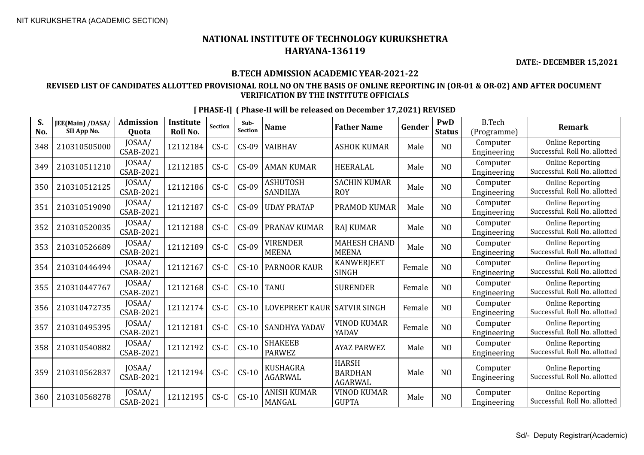**DATE:- DECEMBER 15,2021**

#### **B.TECH ADMISSION ACADEMIC YEAR-2021-22**

#### **REVISED LIST OF CANDIDATES ALLOTTED PROVISIONAL ROLL NO ON THE BASIS OF ONLINE REPORTING IN (OR-01 & OR-02) AND AFTER DOCUMENT VERIFICATION BY THE INSTITUTE OFFICIALS**

| S.<br>No. | JEE(Main) /DASA/<br>SII App No. | <b>Admission</b><br><b>Ouota</b> | <b>Institute</b><br>Roll No. | <b>Section</b> | Sub-<br>Section | <b>Name</b>                       | <b>Father Name</b>                               | Gender | PwD<br><b>Status</b> | <b>B.Tech</b><br>(Programme) | <b>Remark</b>                                            |
|-----------|---------------------------------|----------------------------------|------------------------------|----------------|-----------------|-----------------------------------|--------------------------------------------------|--------|----------------------|------------------------------|----------------------------------------------------------|
| 348       | 210310505000                    | JOSAA/<br><b>CSAB-2021</b>       | 12112184                     | $CS-C$         | $CS-09$         | VAIBHAV                           | <b>ASHOK KUMAR</b>                               | Male   | NO                   | Computer<br>Engineering      | <b>Online Reporting</b><br>Successful. Roll No. allotted |
| 349       | 210310511210                    | JOSAA/<br><b>CSAB-2021</b>       | 12112185                     | $CS-C$         | $CS-09$         | AMAN KUMAR                        | <b>HEERALAL</b>                                  | Male   | N <sub>O</sub>       | Computer<br>Engineering      | <b>Online Reporting</b><br>Successful. Roll No. allotted |
| 350       | 210310512125                    | JOSAA/<br>CSAB-2021              | 12112186                     | $CS-C$         | $CS-09$         | <b>ASHUTOSH</b><br>SANDILYA       | <b>SACHIN KUMAR</b><br><b>ROY</b>                | Male   | N <sub>O</sub>       | Computer<br>Engineering      | <b>Online Reporting</b><br>Successful. Roll No. allotted |
| 351       | 210310519090                    | JOSAA/<br><b>CSAB-2021</b>       | 12112187                     | $CS-C$         | $CS-09$         | <b>UDAY PRATAP</b>                | PRAMOD KUMAR                                     | Male   | N <sub>O</sub>       | Computer<br>Engineering      | <b>Online Reporting</b><br>Successful. Roll No. allotted |
| 352       | 210310520035                    | JOSAA/<br><b>CSAB-2021</b>       | 12112188                     | $CS-C$         | $CS-09$         | PRANAV KUMAR                      | <b>RAJ KUMAR</b>                                 | Male   | N <sub>O</sub>       | Computer<br>Engineering      | <b>Online Reporting</b><br>Successful. Roll No. allotted |
| 353       | 210310526689                    | JOSAA/<br>CSAB-2021              | 12112189                     | $CS-C$         | $CS-09$         | VIRENDER<br><b>MEENA</b>          | <b>MAHESH CHAND</b><br><b>MEENA</b>              | Male   | N <sub>O</sub>       | Computer<br>Engineering      | <b>Online Reporting</b><br>Successful. Roll No. allotted |
| 354       | 210310446494                    | JOSAA/<br>CSAB-2021              | 12112167                     | $CS-C$         | $CS-10$         | PARNOOR KAUR                      | <b>KANWERJEET</b><br><b>SINGH</b>                | Female | N <sub>O</sub>       | Computer<br>Engineering      | <b>Online Reporting</b><br>Successful. Roll No. allotted |
| 355       | 210310447767                    | JOSAA/<br><b>CSAB-2021</b>       | 12112168                     | $CS-C$         | $CS-10$         | <b>TANU</b>                       | <b>SURENDER</b>                                  | Female | N <sub>O</sub>       | Computer<br>Engineering      | <b>Online Reporting</b><br>Successful. Roll No. allotted |
| 356       | 210310472735                    | JOSAA/<br><b>CSAB-2021</b>       | 12112174                     | $CS-C$         | $CS-10$         | <b>LOVEPREET KAUR</b>             | <b>SATVIR SINGH</b>                              | Female | N <sub>O</sub>       | Computer<br>Engineering      | <b>Online Reporting</b><br>Successful. Roll No. allotted |
| 357       | 210310495395                    | JOSAA/<br>CSAB-2021              | 12112181                     | $CS-C$         | $CS-10$         | SANDHYA YADAV                     | <b>VINOD KUMAR</b><br>YADAV                      | Female | N <sub>O</sub>       | Computer<br>Engineering      | <b>Online Reporting</b><br>Successful. Roll No. allotted |
| 358       | 210310540882                    | JOSAA/<br>CSAB-2021              | 12112192                     | $CS-C$         | $CS-10$         | <b>SHAKEEB</b><br><b>PARWEZ</b>   | <b>AYAZ PARWEZ</b>                               | Male   | N <sub>O</sub>       | Computer<br>Engineering      | <b>Online Reporting</b><br>Successful. Roll No. allotted |
| 359       | 210310562837                    | JOSAA/<br><b>CSAB-2021</b>       | 12112194                     | $CS-C$         | $CS-10$         | <b>KUSHAGRA</b><br><b>AGARWAL</b> | <b>HARSH</b><br><b>BARDHAN</b><br><b>AGARWAL</b> | Male   | N <sub>O</sub>       | Computer<br>Engineering      | <b>Online Reporting</b><br>Successful. Roll No. allotted |
| 360       | 210310568278                    | JOSAA/<br><b>CSAB-2021</b>       | 12112195                     | $CS-C$         | $CS-10$         | <b>ANISH KUMAR</b><br>MANGAL      | <b>VINOD KUMAR</b><br><b>GUPTA</b>               | Male   | N <sub>O</sub>       | Computer<br>Engineering      | <b>Online Reporting</b><br>Successful. Roll No. allotted |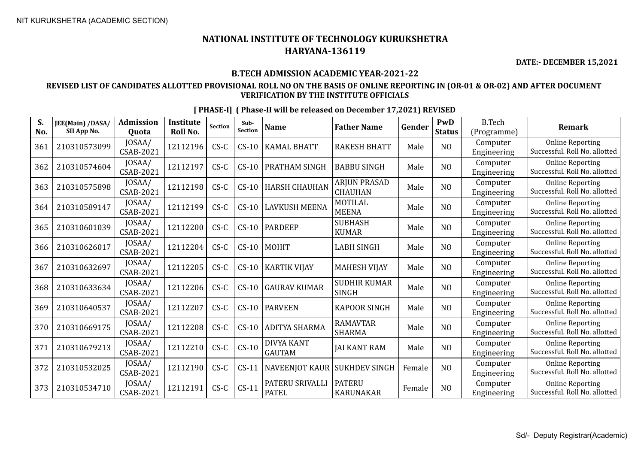**DATE:- DECEMBER 15,2021**

#### **B.TECH ADMISSION ACADEMIC YEAR-2021-22**

#### **REVISED LIST OF CANDIDATES ALLOTTED PROVISIONAL ROLL NO ON THE BASIS OF ONLINE REPORTING IN (OR-01 & OR-02) AND AFTER DOCUMENT VERIFICATION BY THE INSTITUTE OFFICIALS**

| S.<br>No. | JEE(Main) /DASA/<br>SII App No. | <b>Admission</b><br><b>Ouota</b> | <b>Institute</b><br>Roll No. | <b>Section</b> | Sub-<br>Section | <b>Name</b>                     | <b>Father Name</b>                  | Gender | PwD<br><b>Status</b> | <b>B.Tech</b><br>(Programme) | <b>Remark</b>                                            |
|-----------|---------------------------------|----------------------------------|------------------------------|----------------|-----------------|---------------------------------|-------------------------------------|--------|----------------------|------------------------------|----------------------------------------------------------|
| 361       | 210310573099                    | JOSAA/<br>CSAB-2021              | 12112196                     | $CS-C$         | $CS-10$         | <b>KAMAL BHATT</b>              | <b>RAKESH BHATT</b>                 | Male   | N <sub>O</sub>       | Computer<br>Engineering      | <b>Online Reporting</b><br>Successful. Roll No. allotted |
| 362       | 210310574604                    | JOSAA/<br><b>CSAB-2021</b>       | 12112197                     | $CS-C$         | $CS-10$         | PRATHAM SINGH                   | <b>BABBU SINGH</b>                  | Male   | N <sub>O</sub>       | Computer<br>Engineering      | <b>Online Reporting</b><br>Successful. Roll No. allotted |
| 363       | 210310575898                    | JOSAA/<br>CSAB-2021              | 12112198                     | $CS-C$         | $CS-10$         | <b>HARSH CHAUHAN</b>            | <b>ARJUN PRASAD</b><br>CHAUHAN      | Male   | N <sub>O</sub>       | Computer<br>Engineering      | <b>Online Reporting</b><br>Successful. Roll No. allotted |
| 364       | 210310589147                    | JOSAA/<br><b>CSAB-2021</b>       | 12112199                     | $CS-C$         | $CS-10$         | <b>LAVKUSH MEENA</b>            | <b>MOTILAL</b><br><b>MEENA</b>      | Male   | N <sub>O</sub>       | Computer<br>Engineering      | <b>Online Reporting</b><br>Successful. Roll No. allotted |
| 365       | 210310601039                    | JOSAA/<br><b>CSAB-2021</b>       | 12112200                     | $CS-C$         | $CS-10$         | <b>PARDEEP</b>                  | <b>SUBHASH</b><br><b>KUMAR</b>      | Male   | N <sub>O</sub>       | Computer<br>Engineering      | <b>Online Reporting</b><br>Successful. Roll No. allotted |
| 366       | 210310626017                    | JOSAA/<br>CSAB-2021              | 12112204                     | $CS-C$         | $CS-10$         | <b>MOHIT</b>                    | <b>LABH SINGH</b>                   | Male   | NO                   | Computer<br>Engineering      | <b>Online Reporting</b><br>Successful. Roll No. allotted |
| 367       | 210310632697                    | JOSAA/<br><b>CSAB-2021</b>       | 12112205                     | $CS-C$         | $CS-10$         | <b>KARTIK VIJAY</b>             | <b>MAHESH VIJAY</b>                 | Male   | N <sub>O</sub>       | Computer<br>Engineering      | <b>Online Reporting</b><br>Successful. Roll No. allotted |
| 368       | 210310633634                    | JOSAA/<br><b>CSAB-2021</b>       | 12112206                     | $CS-C$         | $CS-10$         | <b>GAURAV KUMAR</b>             | <b>SUDHIR KUMAR</b><br><b>SINGH</b> | Male   | N <sub>O</sub>       | Computer<br>Engineering      | <b>Online Reporting</b><br>Successful. Roll No. allotted |
| 369       | 210310640537                    | JOSAA/<br>CSAB-2021              | 12112207                     | $CS-C$         | $CS-10$         | <b>PARVEEN</b>                  | <b>KAPOOR SINGH</b>                 | Male   | NO                   | Computer<br>Engineering      | <b>Online Reporting</b><br>Successful. Roll No. allotted |
| 370       | 210310669175                    | JOSAA/<br>CSAB-2021              | 12112208                     | $CS-C$         | $CS-10$         | <b>ADITYA SHARMA</b>            | <b>RAMAVTAR</b><br><b>SHARMA</b>    | Male   | NO                   | Computer<br>Engineering      | <b>Online Reporting</b><br>Successful. Roll No. allotted |
| 371       | 210310679213                    | JOSAA/<br><b>CSAB-2021</b>       | 12112210                     | $C S - C$      | $CS-10$         | DIVYA KANT<br><b>GAUTAM</b>     | <b>JAI KANT RAM</b>                 | Male   | N <sub>O</sub>       | Computer<br>Engineering      | <b>Online Reporting</b><br>Successful. Roll No. allotted |
| 372       | 210310532025                    | JOSAA/<br>CSAB-2021              | 12112190                     | $CS-C$         | $CS-11$         | NAVEENJOT KAUR                  | <b>SUKHDEV SINGH</b>                | Female | N <sub>O</sub>       | Computer<br>Engineering      | <b>Online Reporting</b><br>Successful. Roll No. allotted |
| 373       | 210310534710                    | JOSAA/<br>CSAB-2021              | 12112191                     | $CS-C$         | $CS-11$         | PATERU SRIVALLI<br><b>PATEL</b> | <b>PATERU</b><br><b>KARUNAKAR</b>   | Female | NO                   | Computer<br>Engineering      | <b>Online Reporting</b><br>Successful. Roll No. allotted |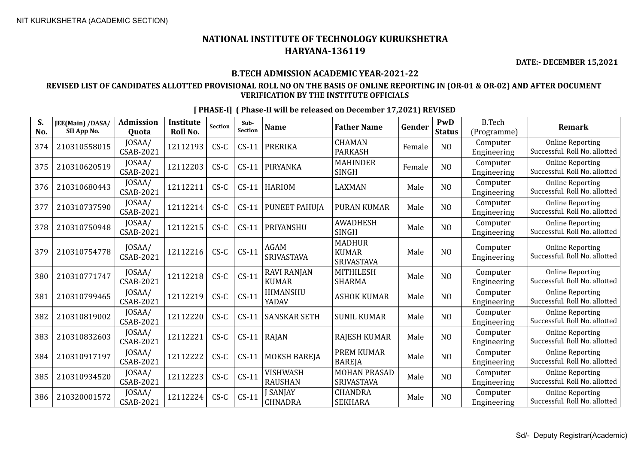**DATE:- DECEMBER 15,2021**

#### **B.TECH ADMISSION ACADEMIC YEAR-2021-22**

#### **REVISED LIST OF CANDIDATES ALLOTTED PROVISIONAL ROLL NO ON THE BASIS OF ONLINE REPORTING IN (OR-01 & OR-02) AND AFTER DOCUMENT VERIFICATION BY THE INSTITUTE OFFICIALS**

| S.<br>No. | JEE(Main) /DASA/<br>SII App No. | <b>Admission</b><br>Ouota  | <b>Institute</b><br>Roll No. | Section | Sub-<br>Section | <b>Name</b>                        | <b>Father Name</b>                                 | Gender | PwD<br><b>Status</b> | <b>B.Tech</b><br>(Programme) | <b>Remark</b>                                            |
|-----------|---------------------------------|----------------------------|------------------------------|---------|-----------------|------------------------------------|----------------------------------------------------|--------|----------------------|------------------------------|----------------------------------------------------------|
| 374       | 210310558015                    | JOSAA/<br>CSAB-2021        | 12112193                     | $CS-C$  | $CS-11$         | <b>PRERIKA</b>                     | <b>CHAMAN</b><br><b>PARKASH</b>                    | Female | N <sub>O</sub>       | Computer<br>Engineering      | <b>Online Reporting</b><br>Successful. Roll No. allotted |
| 375       | 210310620519                    | JOSAA/<br><b>CSAB-2021</b> | 12112203                     | $CS-C$  | $CS-11$         | PIRYANKA                           | <b>MAHINDER</b><br><b>SINGH</b>                    | Female | N <sub>O</sub>       | Computer<br>Engineering      | <b>Online Reporting</b><br>Successful. Roll No. allotted |
| 376       | 210310680443                    | JOSAA/<br><b>CSAB-2021</b> | 12112211                     | $CS-C$  | $CS-11$         | <b>HARIOM</b>                      | <b>LAXMAN</b>                                      | Male   | N <sub>O</sub>       | Computer<br>Engineering      | <b>Online Reporting</b><br>Successful. Roll No. allotted |
| 377       | 210310737590                    | JOSAA/<br><b>CSAB-2021</b> | 12112214                     | $CS-C$  | $CS-11$         | PUNEET PAHUJA                      | <b>PURAN KUMAR</b>                                 | Male   | N <sub>O</sub>       | Computer<br>Engineering      | <b>Online Reporting</b><br>Successful. Roll No. allotted |
| 378       | 210310750948                    | JOSAA/<br>CSAB-2021        | 12112215                     | $CS-C$  | $CS-11$         | PRIYANSHU                          | <b>AWADHESH</b><br><b>SINGH</b>                    | Male   | N <sub>O</sub>       | Computer<br>Engineering      | <b>Online Reporting</b><br>Successful. Roll No. allotted |
| 379       | 210310754778                    | JOSAA/<br>CSAB-2021        | 12112216                     | $CS-C$  | $CS-11$         | <b>AGAM</b><br><b>SRIVASTAVA</b>   | <b>MADHUR</b><br><b>KUMAR</b><br><b>SRIVASTAVA</b> | Male   | N <sub>O</sub>       | Computer<br>Engineering      | <b>Online Reporting</b><br>Successful. Roll No. allotted |
| 380       | 210310771747                    | JOSAA/<br><b>CSAB-2021</b> | 12112218                     | $CS-C$  | $CS-11$         | <b>RAVI RANJAN</b><br><b>KUMAR</b> | <b>MITHILESH</b><br><b>SHARMA</b>                  | Male   | N <sub>O</sub>       | Computer<br>Engineering      | <b>Online Reporting</b><br>Successful. Roll No. allotted |
| 381       | 210310799465                    | JOSAA/<br><b>CSAB-2021</b> | 12112219                     | $CS-C$  | $CS-11$         | HIMANSHU<br>YADAV                  | <b>ASHOK KUMAR</b>                                 | Male   | N <sub>O</sub>       | Computer<br>Engineering      | <b>Online Reporting</b><br>Successful. Roll No. allotted |
| 382       | 210310819002                    | JOSAA/<br><b>CSAB-2021</b> | 12112220                     | $CS-C$  | $CS-11$         | <b>SANSKAR SETH</b>                | <b>SUNIL KUMAR</b>                                 | Male   | N <sub>O</sub>       | Computer<br>Engineering      | <b>Online Reporting</b><br>Successful. Roll No. allotted |
| 383       | 210310832603                    | JOSAA/<br>CSAB-2021        | 12112221                     | $CS-C$  | $CS-11$         | RAJAN                              | <b>RAJESH KUMAR</b>                                | Male   | N <sub>O</sub>       | Computer<br>Engineering      | <b>Online Reporting</b><br>Successful. Roll No. allotted |
| 384       | 210310917197                    | JOSAA/<br><b>CSAB-2021</b> | 12112222                     | $CS-C$  | $CS-11$         | <b>MOKSH BAREJA</b>                | <b>PREM KUMAR</b><br><b>BAREJA</b>                 | Male   | N <sub>O</sub>       | Computer<br>Engineering      | <b>Online Reporting</b><br>Successful. Roll No. allotted |
| 385       | 210310934520                    | JOSAA/<br>CSAB-2021        | 12112223                     | $CS-C$  | $CS-11$         | <b>VISHWASH</b><br><b>RAUSHAN</b>  | <b>MOHAN PRASAD</b><br><b>SRIVASTAVA</b>           | Male   | N <sub>O</sub>       | Computer<br>Engineering      | <b>Online Reporting</b><br>Successful. Roll No. allotted |
| 386       | 210320001572                    | JOSAA/<br><b>CSAB-2021</b> | 12112224                     | $CS-C$  | $CS-11$         | SANJAY<br><b>CHNADRA</b>           | <b>CHANDRA</b><br><b>SEKHARA</b>                   | Male   | N <sub>O</sub>       | Computer<br>Engineering      | <b>Online Reporting</b><br>Successful. Roll No. allotted |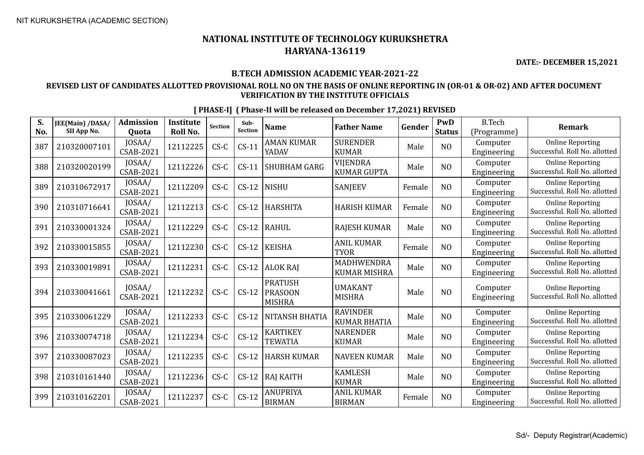**DATE:- DECEMBER 15,2021**

#### **B.TECH ADMISSION ACADEMIC YEAR-2021-22**

#### **REVISED LIST OF CANDIDATES ALLOTTED PROVISIONAL ROLL NO ON THE BASIS OF ONLINE REPORTING IN (OR-01 & OR-02) AND AFTER DOCUMENT VERIFICATION BY THE INSTITUTE OFFICIALS**

| S.<br>No. | JEE(Main) /DASA/<br>SII App No. | <b>Admission</b><br><b>Ouota</b> | <b>Institute</b><br><b>Roll No.</b> | <b>Section</b> | Sub-<br><b>Section</b> | <b>Name</b>                                       | <b>Father Name</b>                     | Gender | PwD<br><b>Status</b> | <b>B.Tech</b><br>(Programme) | <b>Remark</b>                                            |
|-----------|---------------------------------|----------------------------------|-------------------------------------|----------------|------------------------|---------------------------------------------------|----------------------------------------|--------|----------------------|------------------------------|----------------------------------------------------------|
| 387       | 210320007101                    | JOSAA/<br><b>CSAB-2021</b>       | 12112225                            | $CS-C$         | $CS-11$                | <b>AMAN KUMAR</b><br>YADAV                        | <b>SURENDER</b><br><b>KUMAR</b>        | Male   | N <sub>O</sub>       | Computer<br>Engineering      | <b>Online Reporting</b><br>Successful. Roll No. allotted |
| 388       | 210320020199                    | JOSAA/<br><b>CSAB-2021</b>       | 12112226                            | $CS-C$         | $CS-11$                | <b>SHUBHAM GARG</b>                               | <b>VIJENDRA</b><br><b>KUMAR GUPTA</b>  | Male   | N <sub>O</sub>       | Computer<br>Engineering      | <b>Online Reporting</b><br>Successful. Roll No. allotted |
| 389       | 210310672917                    | JOSAA/<br><b>CSAB-2021</b>       | 12112209                            | $CS-C$         | $CS-12$                | <b>NISHU</b>                                      | SANJEEV                                | Female | N <sub>O</sub>       | Computer<br>Engineering      | <b>Online Reporting</b><br>Successful. Roll No. allotted |
| 390       | 210310716641                    | JOSAA/<br><b>CSAB-2021</b>       | 12112213                            | $CS-C$         | $CS-12$                | <b>HARSHITA</b>                                   | <b>HARISH KUMAR</b>                    | Female | N <sub>O</sub>       | Computer<br>Engineering      | <b>Online Reporting</b><br>Successful. Roll No. allotted |
| 391       | 210330001324                    | JOSAA/<br><b>CSAB-2021</b>       | 12112229                            | $CS-C$         | $CS-12$                | <b>RAHUL</b>                                      | <b>RAJESH KUMAR</b>                    | Male   | NO                   | Computer<br>Engineering      | <b>Online Reporting</b><br>Successful. Roll No. allotted |
| 392       | 210330015855                    | JOSAA/<br><b>CSAB-2021</b>       | 12112230                            | $CS-C$         | $CS-12$                | <b>KEISHA</b>                                     | <b>ANIL KUMAR</b><br><b>TYOR</b>       | Female | N <sub>O</sub>       | Computer<br>Engineering      | <b>Online Reporting</b><br>Successful. Roll No. allotted |
| 393       | 210330019891                    | JOSAA/<br><b>CSAB-2021</b>       | 12112231                            | $CS-C$         | $CS-12$                | <b>ALOK RAJ</b>                                   | MADHWENDRA<br><b>KUMAR MISHRA</b>      | Male   | N <sub>O</sub>       | Computer<br>Engineering      | <b>Online Reporting</b><br>Successful. Roll No. allotted |
| 394       | 210330041661                    | JOSAA/<br><b>CSAB-2021</b>       | 12112232                            | $CS-C$         | $CS-12$                | <b>PRATUSH</b><br><b>PRASOON</b><br><b>MISHRA</b> | <b>UMAKANT</b><br><b>MISHRA</b>        | Male   | N <sub>O</sub>       | Computer<br>Engineering      | <b>Online Reporting</b><br>Successful. Roll No. allotted |
| 395       | 210330061229                    | JOSAA/<br><b>CSAB-2021</b>       | 12112233                            | $CS-C$         | $CS-12$                | NITANSH BHATIA                                    | <b>RAVINDER</b><br><b>KUMAR BHATIA</b> | Male   | N <sub>O</sub>       | Computer<br>Engineering      | <b>Online Reporting</b><br>Successful. Roll No. allotted |
| 396       | 210330074718                    | JOSAA/<br><b>CSAB-2021</b>       | 12112234                            | $CS-C$         | $CS-12$                | <b>KARTIKEY</b><br><b>TEWATIA</b>                 | <b>NARENDER</b><br><b>KUMAR</b>        | Male   | N <sub>O</sub>       | Computer<br>Engineering      | <b>Online Reporting</b><br>Successful. Roll No. allotted |
| 397       | 210330087023                    | JOSAA/<br><b>CSAB-2021</b>       | 12112235                            | $CS-C$         | $CS-12$                | <b>HARSH KUMAR</b>                                | <b>NAVEEN KUMAR</b>                    | Male   | N <sub>O</sub>       | Computer<br>Engineering      | <b>Online Reporting</b><br>Successful. Roll No. allotted |
| 398       | 210310161440                    | JOSAA/<br><b>CSAB-2021</b>       | 12112236                            | $CS-C$         | $CS-12$                | <b>RAJ KAITH</b>                                  | <b>KAMLESH</b><br><b>KUMAR</b>         | Male   | N <sub>O</sub>       | Computer<br>Engineering      | <b>Online Reporting</b><br>Successful. Roll No. allotted |
| 399       | 210310162201                    | JOSAA/<br><b>CSAB-2021</b>       | 12112237                            | $CS-C$         | $CS-12$                | ANUPRIYA<br><b>BIRMAN</b>                         | <b>ANIL KUMAR</b><br><b>BIRMAN</b>     | Female | N <sub>O</sub>       | Computer<br>Engineering      | <b>Online Reporting</b><br>Successful. Roll No. allotted |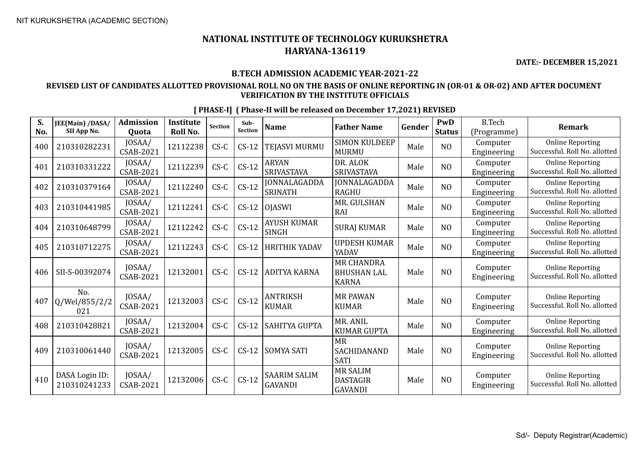**DATE:- DECEMBER 15,2021**

#### **B.TECH ADMISSION ACADEMIC YEAR-2021-22**

#### **REVISED LIST OF CANDIDATES ALLOTTED PROVISIONAL ROLL NO ON THE BASIS OF ONLINE REPORTING IN (OR-01 & OR-02) AND AFTER DOCUMENT VERIFICATION BY THE INSTITUTE OFFICIALS**

| S.<br>No. | JEE(Main) /DASA/<br>SII App No. | <b>Admission</b><br>Quota  | <b>Institute</b><br><b>Roll No.</b> | <b>Section</b> | Sub-<br><b>Section</b> | <b>Name</b>                           | <b>Father Name</b>                                      | Gender | PwD<br><b>Status</b> | <b>B.Tech</b><br>(Programme) | <b>Remark</b>                                            |
|-----------|---------------------------------|----------------------------|-------------------------------------|----------------|------------------------|---------------------------------------|---------------------------------------------------------|--------|----------------------|------------------------------|----------------------------------------------------------|
| 400       | 210310282231                    | JOSAA/<br>CSAB-2021        | 12112238                            | $CS-C$         | $CS-12$                | TEJASVI MURMU                         | <b>SIMON KULDEEP</b><br><b>MURMU</b>                    | Male   | N <sub>O</sub>       | Computer<br>Engineering      | <b>Online Reporting</b><br>Successful. Roll No. allotted |
| 401       | 210310331222                    | JOSAA/<br>CSAB-2021        | 12112239                            | $C S - C$      | $CS-12$                | <b>ARYAN</b><br>SRIVASTAVA            | DR. ALOK<br>SRIVASTAVA                                  | Male   | NO                   | Computer<br>Engineering      | <b>Online Reporting</b><br>Successful. Roll No. allotted |
| 402       | 210310379164                    | JOSAA/<br><b>CSAB-2021</b> | 12112240                            | $CS-C$         | $CS-12$                | JONNALAGADDA<br><b>SRINATH</b>        | <b>JONNALAGADDA</b><br><b>RAGHU</b>                     | Male   | N <sub>O</sub>       | Computer<br>Engineering      | <b>Online Reporting</b><br>Successful. Roll No. allotted |
| 403       | 210310441985                    | JOSAA/<br>CSAB-2021        | 12112241                            | $CS-C$         | $CS-12$                | <b>OJASWI</b>                         | MR. GULSHAN<br>RAI                                      | Male   | NO                   | Computer<br>Engineering      | <b>Online Reporting</b><br>Successful. Roll No. allotted |
| 404       | 210310648799                    | JOSAA/<br>CSAB-2021        | 12112242                            | $CS-C$         | $CS-12$                | <b>AYUSH KUMAR</b><br><b>SINGH</b>    | <b>SURAJ KUMAR</b>                                      | Male   | N <sub>O</sub>       | Computer<br>Engineering      | <b>Online Reporting</b><br>Successful. Roll No. allotted |
| 405       | 210310712275                    | JOSAA/<br>CSAB-2021        | 12112243                            | $CS-C$         | $CS-12$                | <b>HRITHIK YADAV</b>                  | <b>UPDESH KUMAR</b><br>YADAV                            | Male   | N <sub>O</sub>       | Computer<br>Engineering      | <b>Online Reporting</b><br>Successful. Roll No. allotted |
| 406       | SII-S-00392074                  | JOSAA/<br>CSAB-2021        | 12132001                            | $CS-C$         | $CS-12$                | <b>ADITYA KARNA</b>                   | <b>MR CHANDRA</b><br><b>BHUSHAN LAL</b><br><b>KARNA</b> | Male   | N <sub>O</sub>       | Computer<br>Engineering      | <b>Online Reporting</b><br>Successful. Roll No. allotted |
| 407       | No.<br>Q/Wel/855/2/2<br>021     | JOSAA/<br>CSAB-2021        | 12132003                            | $CS-C$         | $CS-12$                | ANTRIKSH<br><b>KUMAR</b>              | <b>MR PAWAN</b><br><b>KUMAR</b>                         | Male   | NO                   | Computer<br>Engineering      | <b>Online Reporting</b><br>Successful. Roll No. allotted |
| 408       | 210310428821                    | JOSAA/<br>CSAB-2021        | 12132004                            | $CS-C$         | $CS-12$                | SAHITYA GUPTA                         | MR. ANIL<br><b>KUMAR GUPTA</b>                          | Male   | N <sub>O</sub>       | Computer<br>Engineering      | <b>Online Reporting</b><br>Successful. Roll No. allotted |
| 409       | 210310061440                    | JOSAA/<br><b>CSAB-2021</b> | 12132005                            | $CS-C$         | $CS-12$                | <b>SOMYA SATI</b>                     | <b>MR</b><br>SACHIDANAND<br><b>SATI</b>                 | Male   | N <sub>O</sub>       | Computer<br>Engineering      | <b>Online Reporting</b><br>Successful. Roll No. allotted |
| 410       | DASA Login ID:<br>210310241233  | JOSAA/<br>CSAB-2021        | 12132006                            | $CS-C$         | $CS-12$                | <b>SAARIM SALIM</b><br><b>GAVANDI</b> | <b>MR SALIM</b><br><b>DASTAGIR</b><br><b>GAVANDI</b>    | Male   | N <sub>O</sub>       | Computer<br>Engineering      | <b>Online Reporting</b><br>Successful. Roll No. allotted |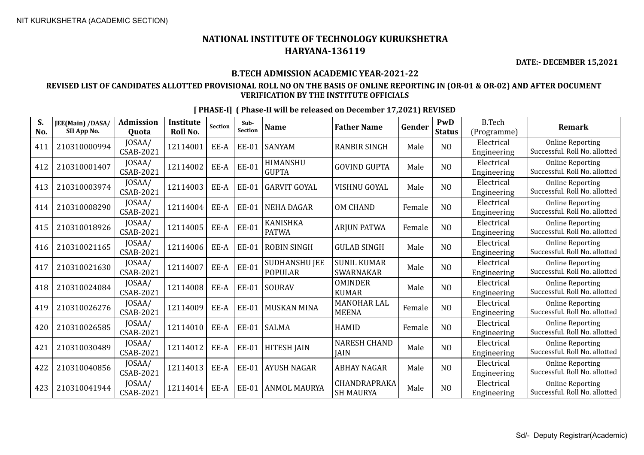**DATE:- DECEMBER 15,2021**

#### **B.TECH ADMISSION ACADEMIC YEAR-2021-22**

#### **REVISED LIST OF CANDIDATES ALLOTTED PROVISIONAL ROLL NO ON THE BASIS OF ONLINE REPORTING IN (OR-01 & OR-02) AND AFTER DOCUMENT VERIFICATION BY THE INSTITUTE OFFICIALS**

| S.<br>No. | JEE(Main) /DASA/<br>SII App No. | <b>Admission</b><br>Quota  | <b>Institute</b><br><b>Roll No.</b> | <b>Section</b> | Sub-<br><b>Section</b> | <b>Name</b>                     | <b>Father Name</b>                     | Gender | <b>PwD</b><br><b>Status</b> | <b>B.Tech</b><br>(Programme) | <b>Remark</b>                                            |
|-----------|---------------------------------|----------------------------|-------------------------------------|----------------|------------------------|---------------------------------|----------------------------------------|--------|-----------------------------|------------------------------|----------------------------------------------------------|
| 411       | 210310000994                    | JOSAA/<br><b>CSAB-2021</b> | 12114001                            | EE-A           | <b>EE-01</b>           | <b>SANYAM</b>                   | <b>RANBIR SINGH</b>                    | Male   | N <sub>O</sub>              | Electrical<br>Engineering    | <b>Online Reporting</b><br>Successful. Roll No. allotted |
| 412       | 210310001407                    | JOSAA/<br>CSAB-2021        | 12114002                            | EE-A           | <b>EE-01</b>           | HIMANSHU<br><b>GUPTA</b>        | <b>GOVIND GUPTA</b>                    | Male   | N <sub>O</sub>              | Electrical<br>Engineering    | <b>Online Reporting</b><br>Successful. Roll No. allotted |
| 413       | 210310003974                    | JOSAA/<br><b>CSAB-2021</b> | 12114003                            | EE-A           | <b>EE-01</b>           | <b>GARVIT GOYAL</b>             | <b>VISHNU GOYAL</b>                    | Male   | N <sub>O</sub>              | Electrical<br>Engineering    | <b>Online Reporting</b><br>Successful. Roll No. allotted |
| 414       | 210310008290                    | JOSAA/<br><b>CSAB-2021</b> | 12114004                            | EE-A           | <b>EE-01</b>           | <b>NEHA DAGAR</b>               | <b>OM CHAND</b>                        | Female | N <sub>O</sub>              | Electrical<br>Engineering    | <b>Online Reporting</b><br>Successful. Roll No. allotted |
| 415       | 210310018926                    | JOSAA/<br><b>CSAB-2021</b> | 12114005                            | EE-A           | <b>EE-01</b>           | KANISHKA<br><b>PATWA</b>        | <b>ARJUN PATWA</b>                     | Female | N <sub>O</sub>              | Electrical<br>Engineering    | <b>Online Reporting</b><br>Successful. Roll No. allotted |
| 416       | 210310021165                    | JOSAA/<br><b>CSAB-2021</b> | 12114006                            | EE-A           | <b>EE-01</b>           | <b>ROBIN SINGH</b>              | <b>GULAB SINGH</b>                     | Male   | N <sub>O</sub>              | Electrical<br>Engineering    | <b>Online Reporting</b><br>Successful. Roll No. allotted |
| 417       | 210310021630                    | JOSAA/<br><b>CSAB-2021</b> | 12114007                            | EE-A           | <b>EE-01</b>           | SUDHANSHU JEE<br><b>POPULAR</b> | <b>SUNIL KUMAR</b><br><b>SWARNAKAR</b> | Male   | N <sub>O</sub>              | Electrical<br>Engineering    | <b>Online Reporting</b><br>Successful. Roll No. allotted |
| 418       | 210310024084                    | JOSAA/<br>CSAB-2021        | 12114008                            | EE-A           | <b>EE-01</b>           | <b>SOURAV</b>                   | <b>OMINDER</b><br><b>KUMAR</b>         | Male   | N <sub>O</sub>              | Electrical<br>Engineering    | <b>Online Reporting</b><br>Successful. Roll No. allotted |
| 419       | 210310026276                    | JOSAA/<br><b>CSAB-2021</b> | 12114009                            | EE-A           | <b>EE-01</b>           | <b>MUSKAN MINA</b>              | <b>MANOHAR LAL</b><br><b>MEENA</b>     | Female | N <sub>O</sub>              | Electrical<br>Engineering    | <b>Online Reporting</b><br>Successful. Roll No. allotted |
| 420       | 210310026585                    | JOSAA/<br><b>CSAB-2021</b> | 12114010                            | EE-A           | <b>EE-01</b>           | <b>SALMA</b>                    | <b>HAMID</b>                           | Female | N <sub>O</sub>              | Electrical<br>Engineering    | <b>Online Reporting</b><br>Successful. Roll No. allotted |
| 421       | 210310030489                    | JOSAA/<br><b>CSAB-2021</b> | 12114012                            | EE-A           | <b>EE-01</b>           | <b>HITESH JAIN</b>              | <b>NARESH CHAND</b><br><b>JAIN</b>     | Male   | N <sub>O</sub>              | Electrical<br>Engineering    | <b>Online Reporting</b><br>Successful. Roll No. allotted |
| 422       | 210310040856                    | JOSAA/<br><b>CSAB-2021</b> | 12114013                            | EE-A           | <b>EE-01</b>           | <b>AYUSH NAGAR</b>              | <b>ABHAY NAGAR</b>                     | Male   | N <sub>O</sub>              | Electrical<br>Engineering    | <b>Online Reporting</b><br>Successful. Roll No. allotted |
| 423       | 210310041944                    | JOSAA/<br><b>CSAB-2021</b> | 12114014                            | EE-A           | <b>EE-01</b>           | <b>ANMOL MAURYA</b>             | CHANDRAPRAKA<br><b>SH MAURYA</b>       | Male   | N <sub>O</sub>              | Electrical<br>Engineering    | <b>Online Reporting</b><br>Successful. Roll No. allotted |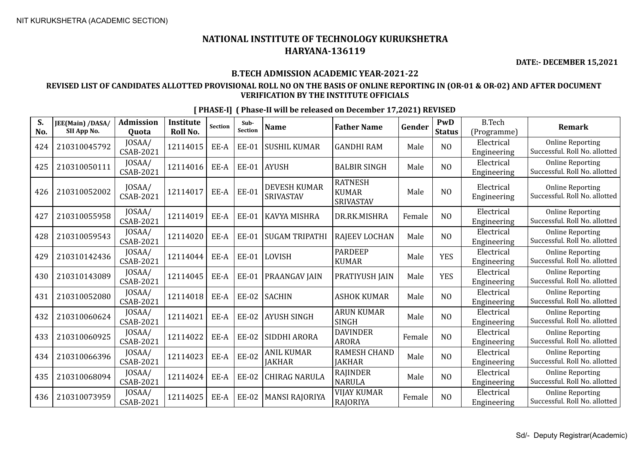**DATE:- DECEMBER 15,2021**

#### **B.TECH ADMISSION ACADEMIC YEAR-2021-22**

#### **REVISED LIST OF CANDIDATES ALLOTTED PROVISIONAL ROLL NO ON THE BASIS OF ONLINE REPORTING IN (OR-01 & OR-02) AND AFTER DOCUMENT VERIFICATION BY THE INSTITUTE OFFICIALS**

|  | [PHASE-I] (Phase-II will be released on December 17,2021) REVISED |  |  |
|--|-------------------------------------------------------------------|--|--|
|  |                                                                   |  |  |

| S.<br>No. | <b>JEE(Main) /DASA/</b><br>SII App No. | <b>Admission</b><br>Quota  | <b>Institute</b><br>Roll No. | Section | Sub-<br><b>Section</b> | <b>Name</b>                             | <b>Father Name</b>                          | Gender | PwD<br><b>Status</b> | <b>B.Tech</b><br>(Programme) | <b>Remark</b>                                            |
|-----------|----------------------------------------|----------------------------|------------------------------|---------|------------------------|-----------------------------------------|---------------------------------------------|--------|----------------------|------------------------------|----------------------------------------------------------|
| 424       | 210310045792                           | JOSAA/<br>CSAB-2021        | 12114015                     | EE-A    | <b>EE-01</b>           | <b>SUSHIL KUMAR</b>                     | <b>GANDHI RAM</b>                           | Male   | N <sub>O</sub>       | Electrical<br>Engineering    | <b>Online Reporting</b><br>Successful. Roll No. allotted |
| 425       | 210310050111                           | JOSAA/<br>CSAB-2021        | 12114016                     | EE-A    | <b>EE-01</b>           | <b>AYUSH</b>                            | <b>BALBIR SINGH</b>                         | Male   | N <sub>O</sub>       | Electrical<br>Engineering    | <b>Online Reporting</b><br>Successful. Roll No. allotted |
| 426       | 210310052002                           | JOSAA/<br><b>CSAB-2021</b> | 12114017                     | EE-A    | <b>EE-01</b>           | <b>DEVESH KUMAR</b><br><b>SRIVASTAV</b> | <b>RATNESH</b><br><b>KUMAR</b><br>SRIVASTAV | Male   | N <sub>O</sub>       | Electrical<br>Engineering    | <b>Online Reporting</b><br>Successful. Roll No. allotted |
| 427       | 210310055958                           | JOSAA/<br><b>CSAB-2021</b> | 12114019                     | EE-A    | <b>EE-01</b>           | <b>KAVYA MISHRA</b>                     | DR.RK.MISHRA                                | Female | N <sub>O</sub>       | Electrical<br>Engineering    | <b>Online Reporting</b><br>Successful. Roll No. allotted |
| 428       | 210310059543                           | JOSAA/<br><b>CSAB-2021</b> | 12114020                     | EE-A    | <b>EE-01</b>           | <b>SUGAM TRIPATHI</b>                   | RAJEEV LOCHAN                               | Male   | N <sub>O</sub>       | Electrical<br>Engineering    | <b>Online Reporting</b><br>Successful. Roll No. allotted |
| 429       | 210310142436                           | JOSAA/<br><b>CSAB-2021</b> | 12114044                     | EE-A    | <b>EE-01</b>           | LOVISH                                  | <b>PARDEEP</b><br><b>KUMAR</b>              | Male   | <b>YES</b>           | Electrical<br>Engineering    | <b>Online Reporting</b><br>Successful. Roll No. allotted |
| 430       | 210310143089                           | JOSAA/<br><b>CSAB-2021</b> | 12114045                     | EE-A    | <b>EE-01</b>           | PRAANGAV JAIN                           | PRATIYUSH JAIN                              | Male   | <b>YES</b>           | Electrical<br>Engineering    | <b>Online Reporting</b><br>Successful. Roll No. allotted |
| 431       | 210310052080                           | JOSAA/<br><b>CSAB-2021</b> | 12114018                     | EE-A    | <b>EE-02</b>           | <b>SACHIN</b>                           | <b>ASHOK KUMAR</b>                          | Male   | N <sub>O</sub>       | Electrical<br>Engineering    | <b>Online Reporting</b><br>Successful. Roll No. allotted |
| 432       | 210310060624                           | JOSAA/<br><b>CSAB-2021</b> | 12114021                     | EE-A    | <b>EE-02</b>           | <b>AYUSH SINGH</b>                      | <b>ARUN KUMAR</b><br><b>SINGH</b>           | Male   | N <sub>O</sub>       | Electrical<br>Engineering    | <b>Online Reporting</b><br>Successful. Roll No. allotted |
| 433       | 210310060925                           | JOSAA/<br><b>CSAB-2021</b> | 12114022                     | EE-A    | <b>EE-02</b>           | SIDDHI ARORA                            | <b>DAVINDER</b><br><b>ARORA</b>             | Female | N <sub>O</sub>       | Electrical<br>Engineering    | <b>Online Reporting</b><br>Successful. Roll No. allotted |
| 434       | 210310066396                           | JOSAA/<br><b>CSAB-2021</b> | 12114023                     | EE-A    | <b>EE-02</b>           | <b>ANIL KUMAR</b><br><b>JAKHAR</b>      | <b>RAMESH CHAND</b><br><b>JAKHAR</b>        | Male   | N <sub>O</sub>       | Electrical<br>Engineering    | <b>Online Reporting</b><br>Successful. Roll No. allotted |
| 435       | 210310068094                           | JOSAA/<br><b>CSAB-2021</b> | 12114024                     | EE-A    | <b>EE-02</b>           | <b>CHIRAG NARULA</b>                    | <b>RAJINDER</b><br><b>NARULA</b>            | Male   | N <sub>O</sub>       | Electrical<br>Engineering    | <b>Online Reporting</b><br>Successful. Roll No. allotted |
| 436       | 210310073959                           | JOSAA/<br><b>CSAB-2021</b> | 12114025                     | EE-A    | <b>EE-02</b>           | <b>MANSI RAJORIYA</b>                   | <b>VIJAY KUMAR</b><br><b>RAJORIYA</b>       | Female | N <sub>O</sub>       | Electrical<br>Engineering    | <b>Online Reporting</b><br>Successful. Roll No. allotted |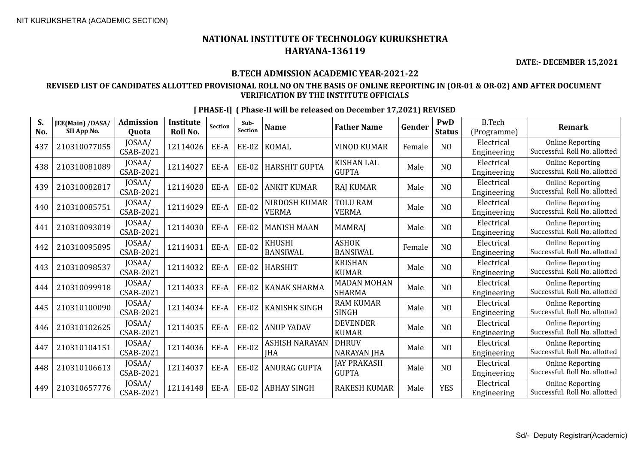**No.**

## **NATIONAL INSTITUTE OF TECHNOLOGY KURUKSHETRA HARYANA-136119**

**DATE:- DECEMBER 15,2021**

#### **B.TECH ADMISSION ACADEMIC YEAR-2021-22**

#### **REVISED LIST OF CANDIDATES ALLOTTED PROVISIONAL ROLL NO ON THE BASIS OF ONLINE REPORTING IN (OR-01 & OR-02) AND AFTER DOCUMENT VERIFICATION BY THE INSTITUTE OFFICIALS**

| S.<br>No. | JEE(Main) /DASA/<br>SII App No. | <b>Admission</b><br>Quota  | <b>Institute</b><br>Roll No. | Section | Sub-<br><b>Section</b> | <b>Name</b>                         | <b>Father Name</b>                  | Gender | PwD<br><b>Status</b> | <b>B.Tech</b><br>(Programme) | <b>Remark</b>                                            |
|-----------|---------------------------------|----------------------------|------------------------------|---------|------------------------|-------------------------------------|-------------------------------------|--------|----------------------|------------------------------|----------------------------------------------------------|
| 437       | 210310077055                    | JOSAA/<br><b>CSAB-2021</b> | 12114026                     | EE-A    | <b>EE-02</b>           | <b>KOMAL</b>                        | <b>VINOD KUMAR</b>                  | Female | N <sub>O</sub>       | Electrical<br>Engineering    | <b>Online Reporting</b><br>Successful. Roll No. allotted |
| 438       | 210310081089                    | JOSAA/<br>CSAB-2021        | 12114027                     | EE-A    | <b>EE-02</b>           | <b>HARSHIT GUPTA</b>                | <b>KISHAN LAL</b><br><b>GUPTA</b>   | Male   | NO                   | Electrical<br>Engineering    | <b>Online Reporting</b><br>Successful. Roll No. allotted |
| 439       | 210310082817                    | JOSAA/<br>CSAB-2021        | 12114028                     | EE-A    | <b>EE-02</b>           | <b>ANKIT KUMAR</b>                  | <b>RAJ KUMAR</b>                    | Male   | NO                   | Electrical<br>Engineering    | <b>Online Reporting</b><br>Successful. Roll No. allotted |
| 440       | 210310085751                    | JOSAA/<br>CSAB-2021        | 12114029                     | EE-A    | <b>EE-02</b>           | NIRDOSH KUMAR<br><b>VERMA</b>       | <b>TOLU RAM</b><br><b>VERMA</b>     | Male   | N <sub>O</sub>       | Electrical<br>Engineering    | <b>Online Reporting</b><br>Successful. Roll No. allotted |
| 441       | 210310093019                    | JOSAA/<br><b>CSAB-2021</b> | 12114030                     | EE-A    | <b>EE-02</b>           | <b>MANISH MAAN</b>                  | <b>MAMRAJ</b>                       | Male   | NO                   | Electrical<br>Engineering    | <b>Online Reporting</b><br>Successful. Roll No. allotted |
| 442       | 210310095895                    | JOSAA/<br><b>CSAB-2021</b> | 12114031                     | EE-A    | <b>EE-02</b>           | <b>KHUSHI</b><br><b>BANSIWAL</b>    | <b>ASHOK</b><br><b>BANSIWAL</b>     | Female | N <sub>O</sub>       | Electrical<br>Engineering    | <b>Online Reporting</b><br>Successful. Roll No. allotted |
| 443       | 210310098537                    | JOSAA/<br>CSAB-2021        | 12114032                     | EE-A    | <b>EE-02</b>           | <b>HARSHIT</b>                      | <b>KRISHAN</b><br><b>KUMAR</b>      | Male   | N <sub>O</sub>       | Electrical<br>Engineering    | <b>Online Reporting</b><br>Successful. Roll No. allotted |
| 444       | 210310099918                    | JOSAA/<br>CSAB-2021        | 12114033                     | EE-A    | <b>EE-02</b>           | <b>KANAK SHARMA</b>                 | <b>MADAN MOHAN</b><br><b>SHARMA</b> | Male   | NO                   | Electrical<br>Engineering    | <b>Online Reporting</b><br>Successful. Roll No. allotted |
| 445       | 210310100090                    | JOSAA/<br>CSAB-2021        | 12114034                     | EE-A    | <b>EE-02</b>           | <b>KANISHK SINGH</b>                | <b>RAM KUMAR</b><br><b>SINGH</b>    | Male   | N <sub>O</sub>       | Electrical<br>Engineering    | <b>Online Reporting</b><br>Successful. Roll No. allotted |
| 446       | 210310102625                    | JOSAA/<br>CSAB-2021        | 12114035                     | EE-A    | <b>EE-02</b>           | <b>ANUP YADAV</b>                   | <b>DEVENDER</b><br><b>KUMAR</b>     | Male   | N <sub>O</sub>       | Electrical<br>Engineering    | <b>Online Reporting</b><br>Successful. Roll No. allotted |
| 447       | 210310104151                    | JOSAA/<br><b>CSAB-2021</b> | 12114036                     | EE-A    | <b>EE-02</b>           | <b>ASHISH NARAYAN</b><br><b>IHA</b> | <b>DHRUV</b><br><b>NARAYAN JHA</b>  | Male   | N <sub>O</sub>       | Electrical<br>Engineering    | <b>Online Reporting</b><br>Successful. Roll No. allotted |
| 448       | 210310106613                    | JOSAA/<br>CSAB-2021        | 12114037                     | EE-A    | <b>EE-02</b>           | <b>ANURAG GUPTA</b>                 | <b>JAY PRAKASH</b><br><b>GUPTA</b>  | Male   | NO                   | Electrical<br>Engineering    | <b>Online Reporting</b><br>Successful. Roll No. allotted |
| 449       | 210310657776                    | JOSAA/<br><b>CSAB-2021</b> | 12114148                     | EE-A    | <b>EE-02</b>           | <b>ABHAY SINGH</b>                  | <b>RAKESH KUMAR</b>                 | Male   | <b>YES</b>           | Electrical<br>Engineering    | <b>Online Reporting</b><br>Successful. Roll No. allotted |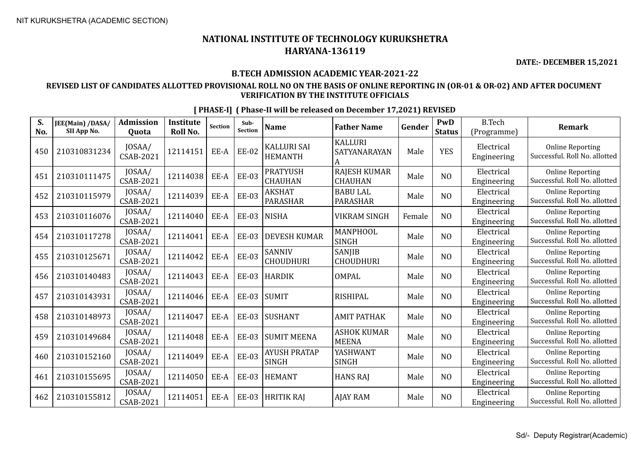**DATE:- DECEMBER 15,2021**

#### **B.TECH ADMISSION ACADEMIC YEAR-2021-22**

#### **REVISED LIST OF CANDIDATES ALLOTTED PROVISIONAL ROLL NO ON THE BASIS OF ONLINE REPORTING IN (OR-01 & OR-02) AND AFTER DOCUMENT VERIFICATION BY THE INSTITUTE OFFICIALS**

| S.<br>No. | JEE(Main) /DASA/<br>SII App No. | <b>Admission</b><br>Quota  | <b>Institute</b><br>Roll No. | <b>Section</b> | Sub-<br>Section | <b>Name</b>                          | <b>Father Name</b>                    | Gender | PwD<br><b>Status</b> | <b>B.Tech</b><br>(Programme) | <b>Remark</b>                                            |
|-----------|---------------------------------|----------------------------|------------------------------|----------------|-----------------|--------------------------------------|---------------------------------------|--------|----------------------|------------------------------|----------------------------------------------------------|
| 450       | 210310831234                    | JOSAA/<br>CSAB-2021        | 12114151                     | EE-A           | <b>EE-02</b>    | <b>KALLURI SAI</b><br><b>HEMANTH</b> | <b>KALLURI</b><br>SATYANARAYAN<br>A   | Male   | <b>YES</b>           | Electrical<br>Engineering    | <b>Online Reporting</b><br>Successful. Roll No. allotted |
| 451       | 210310111475                    | JOSAA/<br>CSAB-2021        | 12114038                     | EE-A           | <b>EE-03</b>    | <b>PRATYUSH</b><br><b>CHAUHAN</b>    | <b>RAJESH KUMAR</b><br><b>CHAUHAN</b> | Male   | N <sub>O</sub>       | Electrical<br>Engineering    | <b>Online Reporting</b><br>Successful. Roll No. allotted |
| 452       | 210310115979                    | JOSAA/<br>CSAB-2021        | 12114039                     | EE-A           | <b>EE-03</b>    | <b>AKSHAT</b><br>PARASHAR            | <b>BABU LAL</b><br><b>PARASHAR</b>    | Male   | N <sub>0</sub>       | Electrical<br>Engineering    | <b>Online Reporting</b><br>Successful. Roll No. allotted |
| 453       | 210310116076                    | JOSAA/<br>CSAB-2021        | 12114040                     | EE-A           | <b>EE-03</b>    | <b>NISHA</b>                         | <b>VIKRAM SINGH</b>                   | Female | N <sub>O</sub>       | Electrical<br>Engineering    | <b>Online Reporting</b><br>Successful. Roll No. allotted |
| 454       | 210310117278                    | JOSAA/<br>CSAB-2021        | 12114041                     | EE-A           | <b>EE-03</b>    | <b>DEVESH KUMAR</b>                  | MANPHOOL<br><b>SINGH</b>              | Male   | NO                   | Electrical<br>Engineering    | <b>Online Reporting</b><br>Successful. Roll No. allotted |
| 455       | 210310125671                    | JOSAA/<br><b>CSAB-2021</b> | 12114042                     | EE-A           | <b>EE-03</b>    | SANNIV<br><b>CHOUDHURI</b>           | <b>SANJIB</b><br><b>CHOUDHURI</b>     | Male   | NO                   | Electrical<br>Engineering    | <b>Online Reporting</b><br>Successful. Roll No. allotted |
| 456       | 210310140483                    | JOSAA/<br><b>CSAB-2021</b> | 12114043                     | EE-A           | <b>EE-03</b>    | <b>HARDIK</b>                        | OMPAL                                 | Male   | NO                   | Electrical<br>Engineering    | <b>Online Reporting</b><br>Successful. Roll No. allotted |
| 457       | 210310143931                    | JOSAA/<br>CSAB-2021        | 12114046                     | EE-A           | <b>EE-03</b>    | SUMIT                                | <b>RISHIPAL</b>                       | Male   | NO                   | Electrical<br>Engineering    | <b>Online Reporting</b><br>Successful. Roll No. allotted |
| 458       | 210310148973                    | JOSAA/<br>CSAB-2021        | 12114047                     | EE-A           | <b>EE-03</b>    | SUSHANT                              | <b>AMIT PATHAK</b>                    | Male   | N <sub>O</sub>       | Electrical<br>Engineering    | <b>Online Reporting</b><br>Successful. Roll No. allotted |
| 459       | 210310149684                    | JOSAA/<br>CSAB-2021        | 12114048                     | EE-A           | <b>EE-03</b>    | <b>SUMIT MEENA</b>                   | <b>ASHOK KUMAR</b><br><b>MEENA</b>    | Male   | NO                   | Electrical<br>Engineering    | <b>Online Reporting</b><br>Successful. Roll No. allotted |
| 460       | 210310152160                    | JOSAA/<br>CSAB-2021        | 12114049                     | EE-A           | <b>EE-03</b>    | <b>AYUSH PRATAP</b><br><b>SINGH</b>  | YASHWANT<br><b>SINGH</b>              | Male   | N <sub>O</sub>       | Electrical<br>Engineering    | <b>Online Reporting</b><br>Successful. Roll No. allotted |
| 461       | 210310155695                    | JOSAA/<br>CSAB-2021        | 12114050                     | EE-A           | <b>EE-03</b>    | <b>HEMANT</b>                        | <b>HANS RAJ</b>                       | Male   | NO                   | Electrical<br>Engineering    | <b>Online Reporting</b><br>Successful. Roll No. allotted |
| 462       | 210310155812                    | JOSAA/<br><b>CSAB-2021</b> | 12114051                     | EE-A           | <b>EE-03</b>    | <b>HRITIK RAJ</b>                    | <b>AJAY RAM</b>                       | Male   | N <sub>O</sub>       | Electrical<br>Engineering    | <b>Online Reporting</b><br>Successful. Roll No. allotted |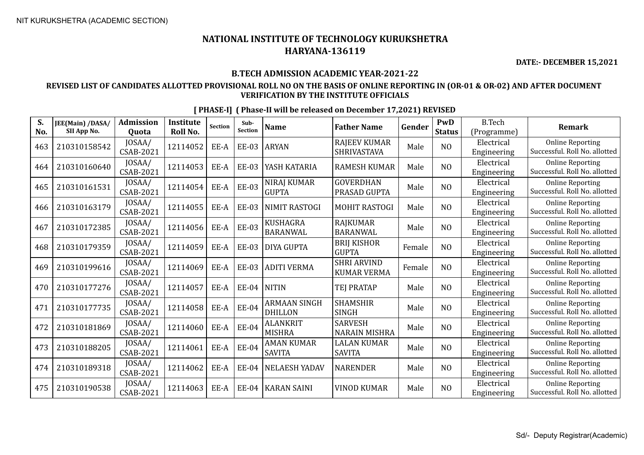474 210310189318 JOSAA/

 $475$  210310190538  $\bigg| \begin{array}{c} 10 SAA/ \\ CSAB-2021 \end{array}$ 

**S. No.**

## **NATIONAL INSTITUTE OF TECHNOLOGY KURUKSHETRA HARYANA-136119**

**DATE:- DECEMBER 15,2021**

#### **B.TECH ADMISSION ACADEMIC YEAR-2021-22**

### **REVISED LIST OF CANDIDATES ALLOTTED PROVISIONAL ROLL NO ON THE BASIS OF ONLINE REPORTING IN (OR-01 & OR-02) AND AFTER DOCUMENT VERIFICATION BY THE INSTITUTE OFFICIALS**

| S.<br>No. | JEE(Main) /DASA/<br>SII App No. | <b>Admission</b>                    | <b>Institute</b><br>Roll No. | <b>Section</b> | Sub-<br>Section | <b>Name</b>                           | <b>Father Name</b>                       | Gender | PwD<br><b>Status</b> | <b>B.Tech</b>                            | <b>Remark</b>                                            |
|-----------|---------------------------------|-------------------------------------|------------------------------|----------------|-----------------|---------------------------------------|------------------------------------------|--------|----------------------|------------------------------------------|----------------------------------------------------------|
| 463       | 210310158542                    | Quota<br>JOSAA/<br><b>CSAB-2021</b> | 12114052                     | EE-A           | <b>EE-03</b>    | <b>ARYAN</b>                          | <b>RAJEEV KUMAR</b><br>SHRIVASTAVA       | Male   | NO                   | (Programme)<br>Electrical<br>Engineering | <b>Online Reporting</b><br>Successful. Roll No. allotted |
| 464       | 210310160640                    | JOSAA/<br>CSAB-2021                 | 12114053                     | EE-A           | <b>EE-03</b>    | YASH KATARIA                          | <b>RAMESH KUMAR</b>                      | Male   | NO                   | Electrical<br>Engineering                | <b>Online Reporting</b><br>Successful. Roll No. allotted |
| 465       | 210310161531                    | JOSAA/<br>CSAB-2021                 | 12114054                     | EE-A           | <b>EE-03</b>    | NIRAJ KUMAR<br><b>GUPTA</b>           | <b>GOVERDHAN</b><br>PRASAD GUPTA         | Male   | NO                   | Electrical<br>Engineering                | <b>Online Reporting</b><br>Successful. Roll No. allotted |
| 466       | 210310163179                    | JOSAA/<br>CSAB-2021                 | 12114055                     | EE-A           | <b>EE-03</b>    | NIMIT RASTOGI                         | <b>MOHIT RASTOGI</b>                     | Male   | NO                   | Electrical<br>Engineering                | <b>Online Reporting</b><br>Successful. Roll No. allotted |
| 467       | 210310172385                    | JOSAA/<br>CSAB-2021                 | 12114056                     | EE-A           | <b>EE-03</b>    | <b>KUSHAGRA</b><br><b>BARANWAL</b>    | RAJKUMAR<br><b>BARANWAL</b>              | Male   | NO                   | Electrical<br>Engineering                | <b>Online Reporting</b><br>Successful. Roll No. allotted |
| 468       | 210310179359                    | JOSAA/<br>CSAB-2021                 | 12114059                     | EE-A           | <b>EE-03</b>    | <b>DIYA GUPTA</b>                     | <b>BRIJ KISHOR</b><br><b>GUPTA</b>       | Female | NO                   | Electrical<br>Engineering                | <b>Online Reporting</b><br>Successful. Roll No. allotted |
| 469       | 210310199616                    | JOSAA/<br>CSAB-2021                 | 12114069                     | EE-A           | <b>EE-03</b>    | <b>ADITI VERMA</b>                    | <b>SHRI ARVIND</b><br><b>KUMAR VERMA</b> | Female | NO                   | Electrical<br>Engineering                | <b>Online Reporting</b><br>Successful. Roll No. allotted |
| 470       | 210310177276                    | JOSAA/<br>CSAB-2021                 | 12114057                     | EE-A           | EE-04           | <b>NITIN</b>                          | <b>TEJ PRATAP</b>                        | Male   | NO                   | Electrical<br>Engineering                | <b>Online Reporting</b><br>Successful. Roll No. allotted |
| 471       | 210310177735                    | JOSAA/<br><b>CSAB-2021</b>          | 12114058                     | EE-A           | <b>EE-04</b>    | <b>ARMAAN SINGH</b><br><b>DHILLON</b> | <b>SHAMSHIR</b><br><b>SINGH</b>          | Male   | NO                   | Electrical<br>Engineering                | <b>Online Reporting</b><br>Successful. Roll No. allotted |
| 472       | 210310181869                    | JOSAA/<br>CSAB-2021                 | 12114060                     | EE-A           | EE-04           | <b>ALANKRIT</b><br><b>MISHRA</b>      | <b>SARVESH</b><br><b>NARAIN MISHRA</b>   | Male   | NO                   | Electrical<br>Engineering                | <b>Online Reporting</b><br>Successful. Roll No. allotted |
| 473       | 210310188205                    | JOSAA/<br>CSAB-2021                 | 12114061                     | EE-A           | <b>EE-04</b>    | <b>AMAN KUMAR</b><br><b>SAVITA</b>    | <b>LALAN KUMAR</b><br><b>SAVITA</b>      | Male   | NO                   | Electrical<br>Engineering                | <b>Online Reporting</b><br>Successful. Roll No. allotted |

 $\begin{array}{c|c|c|c} \text{JOSAA/} & 12114062 & \text{EE-A} & \text{EE-04} & \text{NELAESH YADAV} & \text{NARENDER} & \text{Male} & \text{NO} & \text{Ehectrical} \\ \text{CSAB-2021} & & & & & \text{Engineering} \end{array}$ 

CSAB-2021 <sup>12114063</sup> EE-A EE-04 KARAN SAINI VINOD KUMAR Male NO Electrical

#### **[ PHASE-I] ( Phase-II will be released on December 17,2021) REVISED**

Online Reporting Successful. Roll No. allotted

Online Reporting Successful. Roll No. allotted

Engineering

Engineering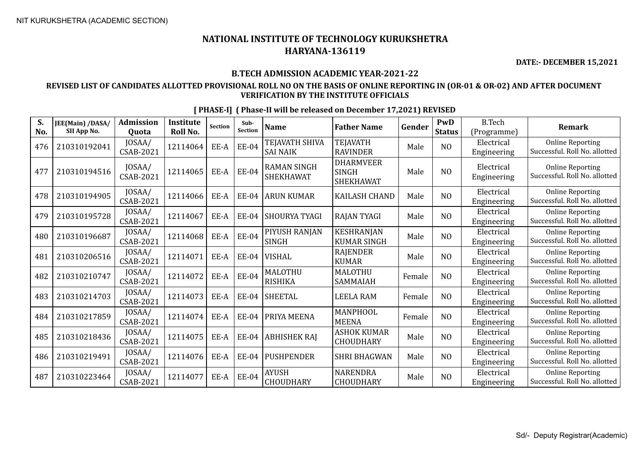**DATE:- DECEMBER 15,2021**

## **B.TECH ADMISSION ACADEMIC YEAR-2021-22**

## **REVISED LIST OF CANDIDATES ALLOTTED PROVISIONAL ROLL NO ON THE BASIS OF ONLINE REPORTING IN (OR-01 & OR-02) AND AFTER DOCUMENT VERIFICATION BY THE INSTITUTE OFFICIALS**

| S.<br>No. | JEE(Main) /DASA/<br>SII App No. | <b>Admission</b><br>Quota  | <b>Institute</b><br>Roll No. | <b>Section</b> | Sub-<br><b>Section</b> | <b>Name</b>                            | <b>Father Name</b>                                   | Gender | <b>PwD</b><br><b>Status</b> | <b>B.Tech</b><br>(Programme) | <b>Remark</b>                                            |
|-----------|---------------------------------|----------------------------|------------------------------|----------------|------------------------|----------------------------------------|------------------------------------------------------|--------|-----------------------------|------------------------------|----------------------------------------------------------|
| 476       | 210310192041                    | JOSAA/<br>CSAB-2021        | 12114064                     | EE-A           | <b>EE-04</b>           | TEJAVATH SHIVA<br><b>SAI NAIK</b>      | <b>TEJAVATH</b><br><b>RAVINDER</b>                   | Male   | N <sub>O</sub>              | Electrical<br>Engineering    | <b>Online Reporting</b><br>Successful. Roll No. allotted |
| 477       | 210310194516                    | JOSAA/<br>CSAB-2021        | 12114065                     | EE-A           | <b>EE-04</b>           | <b>RAMAN SINGH</b><br><b>SHEKHAWAT</b> | <b>DHARMVEER</b><br><b>SINGH</b><br><b>SHEKHAWAT</b> | Male   | N <sub>O</sub>              | Electrical<br>Engineering    | <b>Online Reporting</b><br>Successful. Roll No. allotted |
| 478       | 210310194905                    | JOSAA/<br>CSAB-2021        | 12114066                     | EE-A           | <b>EE-04</b>           | <b>ARUN KUMAR</b>                      | <b>KAILASH CHAND</b>                                 | Male   | N <sub>O</sub>              | Electrical<br>Engineering    | <b>Online Reporting</b><br>Successful. Roll No. allotted |
| 479       | 210310195728                    | JOSAA/<br><b>CSAB-2021</b> | 12114067                     | EE-A           | <b>EE-04</b>           | <b>SHOURYA TYAGI</b>                   | <b>RAJAN TYAGI</b>                                   | Male   | N <sub>O</sub>              | Electrical<br>Engineering    | <b>Online Reporting</b><br>Successful. Roll No. allotted |
| 480       | 210310196687                    | JOSAA/<br><b>CSAB-2021</b> | 12114068                     | EE-A           | <b>EE-04</b>           | PIYUSH RANJAN<br><b>SINGH</b>          | <b>KESHRANJAN</b><br><b>KUMAR SINGH</b>              | Male   | N <sub>O</sub>              | Electrical<br>Engineering    | <b>Online Reporting</b><br>Successful. Roll No. allotted |
| 481       | 210310206516                    | JOSAA/<br>CSAB-2021        | 12114071                     | EE-A           | <b>EE-04</b>           | <b>VISHAL</b>                          | <b>RAJENDER</b><br><b>KUMAR</b>                      | Male   | N <sub>O</sub>              | Electrical<br>Engineering    | <b>Online Reporting</b><br>Successful. Roll No. allotted |
| 482       | 210310210747                    | JOSAA/<br><b>CSAB-2021</b> | 12114072                     | EE-A           | <b>EE-04</b>           | <b>MALOTHU</b><br><b>RISHIKA</b>       | <b>MALOTHU</b><br>SAMMAIAH                           | Female | NO                          | Electrical<br>Engineering    | <b>Online Reporting</b><br>Successful. Roll No. allotted |
| 483       | 210310214703                    | JOSAA/<br><b>CSAB-2021</b> | 12114073                     | EE-A           | <b>EE-04</b>           | <b>SHEETAL</b>                         | <b>LEELA RAM</b>                                     | Female | N <sub>O</sub>              | Electrical<br>Engineering    | <b>Online Reporting</b><br>Successful. Roll No. allotted |
| 484       | 210310217859                    | JOSAA/<br><b>CSAB-2021</b> | 12114074                     | EE-A           | <b>EE-04</b>           | <b>PRIYA MEENA</b>                     | MANPHOOL<br><b>MEENA</b>                             | Female | N <sub>O</sub>              | Electrical<br>Engineering    | <b>Online Reporting</b><br>Successful. Roll No. allotted |
| 485       | 210310218436                    | JOSAA/<br><b>CSAB-2021</b> | 12114075                     | EE-A           | <b>EE-04</b>           | <b>ABHISHEK RAJ</b>                    | <b>ASHOK KUMAR</b><br>CHOUDHARY                      | Male   | N <sub>O</sub>              | Electrical<br>Engineering    | <b>Online Reporting</b><br>Successful. Roll No. allotted |
| 486       | 210310219491                    | JOSAA/<br>CSAB-2021        | 12114076                     | EE-A           | <b>EE-04</b>           | <b>PUSHPENDER</b>                      | <b>SHRI BHAGWAN</b>                                  | Male   | NO                          | Electrical<br>Engineering    | <b>Online Reporting</b><br>Successful. Roll No. allotted |
| 487       | 210310223464                    | JOSAA/<br>CSAB-2021        | 12114077                     | EE-A           | <b>EE-04</b>           | <b>AYUSH</b><br>CHOUDHARY              | <b>NARENDRA</b><br>CHOUDHARY                         | Male   | N <sub>O</sub>              | Electrical<br>Engineering    | <b>Online Reporting</b><br>Successful. Roll No. allotted |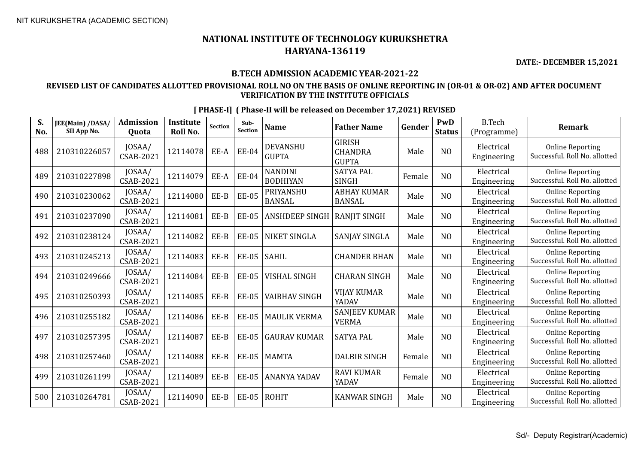**DATE:- DECEMBER 15,2021**

## **B.TECH ADMISSION ACADEMIC YEAR-2021-22**

## **REVISED LIST OF CANDIDATES ALLOTTED PROVISIONAL ROLL NO ON THE BASIS OF ONLINE REPORTING IN (OR-01 & OR-02) AND AFTER DOCUMENT VERIFICATION BY THE INSTITUTE OFFICIALS**

| S.<br>No. | JEE(Main) /DASA/<br>SII App No. | <b>Admission</b><br>Quota  | <b>Institute</b><br>Roll No. | <b>Section</b> | Sub-<br><b>Section</b> | <b>Name</b>                       | <b>Father Name</b>                              | Gender | PwD<br><b>Status</b> | <b>B.Tech</b><br>(Programme) | <b>Remark</b>                                            |
|-----------|---------------------------------|----------------------------|------------------------------|----------------|------------------------|-----------------------------------|-------------------------------------------------|--------|----------------------|------------------------------|----------------------------------------------------------|
| 488       | 210310226057                    | JOSAA/<br><b>CSAB-2021</b> | 12114078                     | EE-A           | <b>EE-04</b>           | <b>DEVANSHU</b><br><b>GUPTA</b>   | <b>GIRISH</b><br><b>CHANDRA</b><br><b>GUPTA</b> | Male   | NO                   | Electrical<br>Engineering    | <b>Online Reporting</b><br>Successful. Roll No. allotted |
| 489       | 210310227898                    | JOSAA/<br><b>CSAB-2021</b> | 12114079                     | EE-A           | <b>EE-04</b>           | <b>NANDINI</b><br><b>BODHIYAN</b> | <b>SATYA PAL</b><br><b>SINGH</b>                | Female | N <sub>O</sub>       | Electrical<br>Engineering    | <b>Online Reporting</b><br>Successful. Roll No. allotted |
| 490       | 210310230062                    | JOSAA/<br>CSAB-2021        | 12114080                     | EE-B           | <b>EE-05</b>           | PRIYANSHU<br><b>BANSAL</b>        | <b>ABHAY KUMAR</b><br><b>BANSAL</b>             | Male   | N <sub>O</sub>       | Electrical<br>Engineering    | <b>Online Reporting</b><br>Successful. Roll No. allotted |
| 491       | 210310237090                    | JOSAA/<br>CSAB-2021        | 12114081                     | EE-B           | <b>EE-05</b>           | <b>ANSHDEEP SINGH</b>             | <b>RANJIT SINGH</b>                             | Male   | N <sub>O</sub>       | Electrical<br>Engineering    | <b>Online Reporting</b><br>Successful. Roll No. allotted |
| 492       | 210310238124                    | JOSAA/<br>CSAB-2021        | 12114082                     | EE-B           | <b>EE-05</b>           | NIKET SINGLA                      | SANJAY SINGLA                                   | Male   | NO                   | Electrical<br>Engineering    | <b>Online Reporting</b><br>Successful. Roll No. allotted |
| 493       | 210310245213                    | JOSAA/<br><b>CSAB-2021</b> | 12114083                     | EE-B           | <b>EE-05</b>           | SAHIL                             | <b>CHANDER BHAN</b>                             | Male   | N <sub>O</sub>       | Electrical<br>Engineering    | <b>Online Reporting</b><br>Successful. Roll No. allotted |
| 494       | 210310249666                    | JOSAA/<br><b>CSAB-2021</b> | 12114084                     | EE-B           | <b>EE-05</b>           | <b>VISHAL SINGH</b>               | <b>CHARAN SINGH</b>                             | Male   | N <sub>O</sub>       | Electrical<br>Engineering    | <b>Online Reporting</b><br>Successful. Roll No. allotted |
| 495       | 210310250393                    | JOSAA/<br><b>CSAB-2021</b> | 12114085                     | EE-B           | <b>EE-05</b>           | <b>VAIBHAV SINGH</b>              | VIJAY KUMAR<br>YADAV                            | Male   | N <sub>O</sub>       | Electrical<br>Engineering    | <b>Online Reporting</b><br>Successful. Roll No. allotted |
| 496       | 210310255182                    | JOSAA/<br><b>CSAB-2021</b> | 12114086                     | EE-B           | <b>EE-05</b>           | <b>MAULIK VERMA</b>               | <b>SANJEEV KUMAR</b><br><b>VERMA</b>            | Male   | N <sub>O</sub>       | Electrical<br>Engineering    | <b>Online Reporting</b><br>Successful. Roll No. allotted |
| 497       | 210310257395                    | JOSAA/<br>CSAB-2021        | 12114087                     | EE-B           | <b>EE-05</b>           | <b>GAURAV KUMAR</b>               | <b>SATYA PAL</b>                                | Male   | N <sub>O</sub>       | Electrical<br>Engineering    | <b>Online Reporting</b><br>Successful. Roll No. allotted |
| 498       | 210310257460                    | JOSAA/<br><b>CSAB-2021</b> | 12114088                     | EE-B           | <b>EE-05</b>           | <b>MAMTA</b>                      | <b>DALBIR SINGH</b>                             | Female | N <sub>O</sub>       | Electrical<br>Engineering    | <b>Online Reporting</b><br>Successful. Roll No. allotted |
| 499       | 210310261199                    | JOSAA/<br><b>CSAB-2021</b> | 12114089                     | $EE-B$         | <b>EE-05</b>           | <b>ANANYA YADAV</b>               | <b>RAVI KUMAR</b><br>YADAV                      | Female | N <sub>O</sub>       | Electrical<br>Engineering    | <b>Online Reporting</b><br>Successful. Roll No. allotted |
| 500       | 210310264781                    | JOSAA/<br><b>CSAB-2021</b> | 12114090                     | EE-B           | <b>EE-05</b>           | <b>ROHIT</b>                      | <b>KANWAR SINGH</b>                             | Male   | N <sub>O</sub>       | Electrical<br>Engineering    | <b>Online Reporting</b><br>Successful. Roll No. allotted |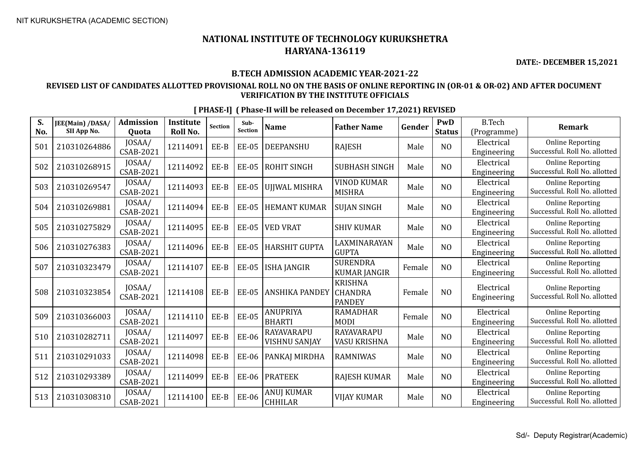**DATE:- DECEMBER 15,2021**

## **B.TECH ADMISSION ACADEMIC YEAR-2021-22**

## **REVISED LIST OF CANDIDATES ALLOTTED PROVISIONAL ROLL NO ON THE BASIS OF ONLINE REPORTING IN (OR-01 & OR-02) AND AFTER DOCUMENT VERIFICATION BY THE INSTITUTE OFFICIALS**

| S.<br>No. | JEE(Main) /DASA/<br>SII App No. | <b>Admission</b><br><b>Ouota</b> | <b>Institute</b><br>Roll No. | <b>Section</b> | Sub-<br><b>Section</b> | <b>Name</b>                  | <b>Father Name</b>                                | Gender | PwD<br><b>Status</b> | <b>B.Tech</b><br>(Programme) | <b>Remark</b>                                            |
|-----------|---------------------------------|----------------------------------|------------------------------|----------------|------------------------|------------------------------|---------------------------------------------------|--------|----------------------|------------------------------|----------------------------------------------------------|
| 501       | 210310264886                    | JOSAA/<br><b>CSAB-2021</b>       | 12114091                     | EE-B           | <b>EE-05</b>           | DEEPANSHU                    | <b>RAJESH</b>                                     | Male   | N <sub>O</sub>       | Electrical<br>Engineering    | <b>Online Reporting</b><br>Successful. Roll No. allotted |
| 502       | 210310268915                    | JOSAA/<br><b>CSAB-2021</b>       | 12114092                     | EE-B           | <b>EE-05</b>           | <b>ROHIT SINGH</b>           | <b>SUBHASH SINGH</b>                              | Male   | N <sub>O</sub>       | Electrical<br>Engineering    | <b>Online Reporting</b><br>Successful. Roll No. allotted |
| 503       | 210310269547                    | JOSAA/<br>CSAB-2021              | 12114093                     | EE-B           | <b>EE-05</b>           | UJJWAL MISHRA                | <b>VINOD KUMAR</b><br><b>MISHRA</b>               | Male   | NO                   | Electrical<br>Engineering    | <b>Online Reporting</b><br>Successful. Roll No. allotted |
| 504       | 210310269881                    | JOSAA/<br><b>CSAB-2021</b>       | 12114094                     | EE-B           | <b>EE-05</b>           | <b>HEMANT KUMAR</b>          | <b>SUJAN SINGH</b>                                | Male   | NO                   | Electrical<br>Engineering    | <b>Online Reporting</b><br>Successful. Roll No. allotted |
| 505       | 210310275829                    | JOSAA/<br><b>CSAB-2021</b>       | 12114095                     | EE-B           | <b>EE-05</b>           | VED VRAT                     | SHIV KUMAR                                        | Male   | N <sub>O</sub>       | Electrical<br>Engineering    | <b>Online Reporting</b><br>Successful. Roll No. allotted |
| 506       | 210310276383                    | JOSAA/<br><b>CSAB-2021</b>       | 12114096                     | EE-B           | <b>EE-05</b>           | <b>HARSHIT GUPTA</b>         | LAXMINARAYAN<br><b>GUPTA</b>                      | Male   | NO                   | Electrical<br>Engineering    | <b>Online Reporting</b><br>Successful. Roll No. allotted |
| 507       | 210310323479                    | JOSAA/<br><b>CSAB-2021</b>       | 12114107                     | EE-B           | <b>EE-05</b>           | <b>ISHA JANGIR</b>           | <b>SURENDRA</b><br><b>KUMAR JANGIR</b>            | Female | NO                   | Electrical<br>Engineering    | <b>Online Reporting</b><br>Successful. Roll No. allotted |
| 508       | 210310323854                    | JOSAA/<br><b>CSAB-2021</b>       | 12114108                     | EE-B           | <b>EE-05</b>           | <b>ANSHIKA PANDEY</b>        | <b>KRISHNA</b><br><b>CHANDRA</b><br><b>PANDEY</b> | Female | NO                   | Electrical<br>Engineering    | <b>Online Reporting</b><br>Successful. Roll No. allotted |
| 509       | 210310366003                    | JOSAA/<br><b>CSAB-2021</b>       | 12114110                     | EE-B           | <b>EE-05</b>           | ANUPRIYA<br><b>BHARTI</b>    | <b>RAMADHAR</b><br><b>MODI</b>                    | Female | N <sub>O</sub>       | Electrical<br>Engineering    | <b>Online Reporting</b><br>Successful. Roll No. allotted |
| 510       | 210310282711                    | JOSAA/<br><b>CSAB-2021</b>       | 12114097                     | EE-B           | <b>EE-06</b>           | RAYAVARAPU<br>VISHNU SANJAY  | RAYAVARAPU<br>VASU KRISHNA                        | Male   | N <sub>O</sub>       | Electrical<br>Engineering    | <b>Online Reporting</b><br>Successful. Roll No. allotted |
| 511       | 210310291033                    | JOSAA/<br><b>CSAB-2021</b>       | 12114098                     | EE-B           | <b>EE-06</b>           | PANKAJ MIRDHA                | <b>RAMNIWAS</b>                                   | Male   | NO                   | Electrical<br>Engineering    | <b>Online Reporting</b><br>Successful. Roll No. allotted |
| 512       | 210310293389                    | JOSAA/<br><b>CSAB-2021</b>       | 12114099                     | EE-B           | <b>EE-06</b>           | <b>PRATEEK</b>               | <b>RAJESH KUMAR</b>                               | Male   | N <sub>O</sub>       | Electrical<br>Engineering    | <b>Online Reporting</b><br>Successful. Roll No. allotted |
| 513       | 210310308310                    | JOSAA/<br><b>CSAB-2021</b>       | 12114100                     | EE-B           | <b>EE-06</b>           | ANUJ KUMAR<br><b>CHHILAR</b> | <b>VIJAY KUMAR</b>                                | Male   | NO                   | Electrical<br>Engineering    | <b>Online Reporting</b><br>Successful. Roll No. allotted |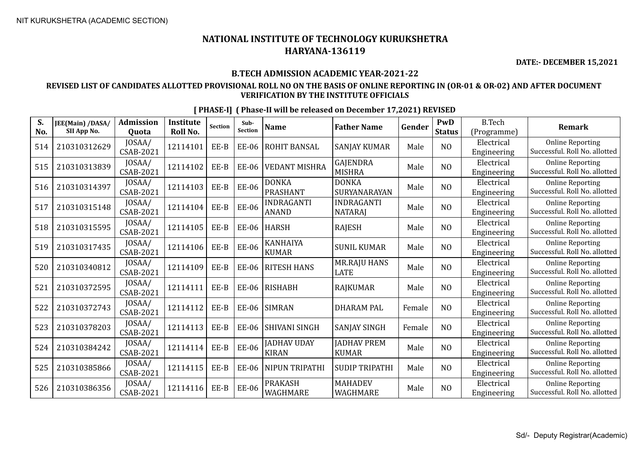**DATE:- DECEMBER 15,2021**

### **B.TECH ADMISSION ACADEMIC YEAR-2021-22**

## **REVISED LIST OF CANDIDATES ALLOTTED PROVISIONAL ROLL NO ON THE BASIS OF ONLINE REPORTING IN (OR-01 & OR-02) AND AFTER DOCUMENT VERIFICATION BY THE INSTITUTE OFFICIALS**

| S.<br>No. | JEE(Main) /DASA/<br>SII App No. | <b>Admission</b><br>Quota  | Institute<br><b>Roll No.</b> | Section | Sub-<br>Section | <b>Name</b>                        | <b>Father Name</b>                  | Gender | <b>PwD</b><br><b>Status</b> | <b>B.Tech</b><br>(Programme) | <b>Remark</b>                                            |
|-----------|---------------------------------|----------------------------|------------------------------|---------|-----------------|------------------------------------|-------------------------------------|--------|-----------------------------|------------------------------|----------------------------------------------------------|
| 514       | 210310312629                    | JOSAA/<br><b>CSAB-2021</b> | 12114101                     | EE-B    | EE-06           | ROHIT BANSAL                       | <b>SANJAY KUMAR</b>                 | Male   | NO                          | Electrical<br>Engineering    | <b>Online Reporting</b><br>Successful. Roll No. allotted |
| 515       | 210310313839                    | JOSAA/<br>CSAB-2021        | 12114102                     | EE-B    | <b>EE-06</b>    | <b>VEDANT MISHRA</b>               | GAJENDRA<br><b>MISHRA</b>           | Male   | N <sub>O</sub>              | Electrical<br>Engineering    | <b>Online Reporting</b><br>Successful. Roll No. allotted |
| 516       | 210310314397                    | JOSAA/<br><b>CSAB-2021</b> | 12114103                     | EE-B    | EE-06           | <b>DONKA</b><br><b>PRASHANT</b>    | <b>DONKA</b><br>SURYANARAYAN        | Male   | NO                          | Electrical<br>Engineering    | <b>Online Reporting</b><br>Successful. Roll No. allotted |
| 517       | 210310315148                    | JOSAA/<br><b>CSAB-2021</b> | 12114104                     | EE-B    | EE-06           | INDRAGANTI<br><b>ANAND</b>         | <b>INDRAGANTI</b><br><b>NATARAJ</b> | Male   | N <sub>O</sub>              | Electrical<br>Engineering    | <b>Online Reporting</b><br>Successful. Roll No. allotted |
| 518       | 210310315595                    | JOSAA/<br>CSAB-2021        | 12114105                     | EE-B    | <b>EE-06</b>    | HARSH                              | <b>RAJESH</b>                       | Male   | N <sub>O</sub>              | Electrical<br>Engineering    | <b>Online Reporting</b><br>Successful. Roll No. allotted |
| 519       | 210310317435                    | JOSAA/<br>CSAB-2021        | 12114106                     | EE-B    | EE-06           | <b>KANHAIYA</b><br><b>KUMAR</b>    | <b>SUNIL KUMAR</b>                  | Male   | N <sub>0</sub>              | Electrical<br>Engineering    | <b>Online Reporting</b><br>Successful. Roll No. allotted |
| 520       | 210310340812                    | JOSAA/<br>CSAB-2021        | 12114109                     | EE-B    | <b>EE-06</b>    | <b>RITESH HANS</b>                 | <b>MR.RAJU HANS</b><br><b>LATE</b>  | Male   | N <sub>O</sub>              | Electrical<br>Engineering    | <b>Online Reporting</b><br>Successful. Roll No. allotted |
| 521       | 210310372595                    | JOSAA/<br><b>CSAB-2021</b> | 12114111                     | EE-B    | EE-06           | RISHABH                            | <b>RAJKUMAR</b>                     | Male   | N <sub>O</sub>              | Electrical<br>Engineering    | <b>Online Reporting</b><br>Successful. Roll No. allotted |
| 522       | 210310372743                    | JOSAA/<br>CSAB-2021        | 12114112                     | EE-B    | EE-06           | <b>SIMRAN</b>                      | <b>DHARAM PAL</b>                   | Female | NO                          | Electrical<br>Engineering    | <b>Online Reporting</b><br>Successful. Roll No. allotted |
| 523       | 210310378203                    | JOSAA/<br><b>CSAB-2021</b> | 12114113                     | EE-B    | EE-06           | <b>SHIVANI SINGH</b>               | <b>SANJAY SINGH</b>                 | Female | N <sub>O</sub>              | Electrical<br>Engineering    | <b>Online Reporting</b><br>Successful. Roll No. allotted |
| 524       | 210310384242                    | JOSAA/<br><b>CSAB-2021</b> | 12114114                     | EE-B    | <b>EE-06</b>    | <b>JADHAV UDAY</b><br><b>KIRAN</b> | <b>JADHAV PREM</b><br><b>KUMAR</b>  | Male   | N <sub>O</sub>              | Electrical<br>Engineering    | <b>Online Reporting</b><br>Successful. Roll No. allotted |
| 525       | 210310385866                    | JOSAA/<br>CSAB-2021        | 12114115                     | EE-B    | EE-06           | NIPUN TRIPATHI                     | <b>SUDIP TRIPATHI</b>               | Male   | NO                          | Electrical<br>Engineering    | <b>Online Reporting</b><br>Successful. Roll No. allotted |
| 526       | 210310386356                    | JOSAA/<br><b>CSAB-2021</b> | 12114116                     | EE-B    | <b>EE-06</b>    | PRAKASH<br>WAGHMARE                | <b>MAHADEV</b><br>WAGHMARE          | Male   | N <sub>0</sub>              | Electrical<br>Engineering    | <b>Online Reporting</b><br>Successful. Roll No. allotted |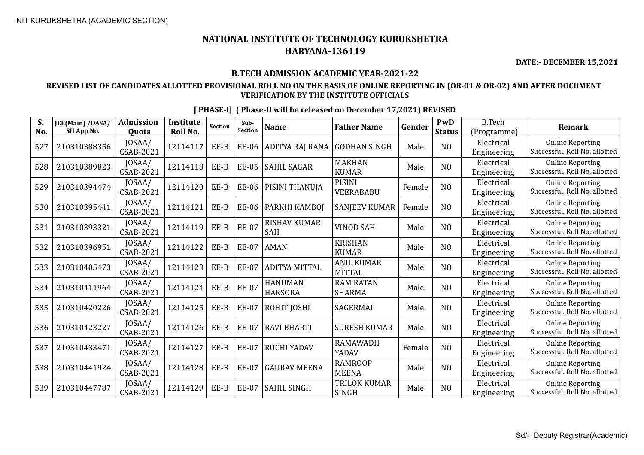**DATE:- DECEMBER 15,2021**

## **B.TECH ADMISSION ACADEMIC YEAR-2021-22**

### **REVISED LIST OF CANDIDATES ALLOTTED PROVISIONAL ROLL NO ON THE BASIS OF ONLINE REPORTING IN (OR-01 & OR-02) AND AFTER DOCUMENT VERIFICATION BY THE INSTITUTE OFFICIALS**

| S.  | JEE(Main) /DASA/ | <b>Admission</b>           | <b>Institute</b> | <b>Section</b> | Sub-         | <b>Name</b>                       | <b>Father Name</b>                | Gender | PwD            | <b>B.Tech</b>             | <b>Remark</b>                                            |
|-----|------------------|----------------------------|------------------|----------------|--------------|-----------------------------------|-----------------------------------|--------|----------------|---------------------------|----------------------------------------------------------|
| No. | SII App No.      | Quota                      | Roll No.         |                | Section      |                                   |                                   |        | <b>Status</b>  | (Programme)               |                                                          |
| 527 | 210310388356     | JOSAA/<br>CSAB-2021        | 12114117         | EE-B           | <b>EE-06</b> | ADITYA RAJ RANA                   | <b>GODHAN SINGH</b>               | Male   | N <sub>O</sub> | Electrical<br>Engineering | <b>Online Reporting</b><br>Successful. Roll No. allotted |
| 528 | 210310389823     | JOSAA/<br>CSAB-2021        | 12114118         | EE-B           | <b>EE-06</b> | <b>SAHIL SAGAR</b>                | <b>MAKHAN</b><br><b>KUMAR</b>     | Male   | N <sub>O</sub> | Electrical<br>Engineering | <b>Online Reporting</b><br>Successful. Roll No. allotted |
| 529 | 210310394474     | JOSAA/<br>CSAB-2021        | 12114120         | EE-B           | <b>EE-06</b> | PISINI THANUJA                    | <b>PISINI</b><br><b>VEERABABU</b> | Female | N <sub>O</sub> | Electrical<br>Engineering | <b>Online Reporting</b><br>Successful. Roll No. allotted |
| 530 | 210310395441     | JOSAA/<br>CSAB-2021        | 12114121         | EE-B           | <b>EE-06</b> | PARKHI KAMBOJ                     | <b>SANJEEV KUMAR</b>              | Female | N <sub>O</sub> | Electrical<br>Engineering | <b>Online Reporting</b><br>Successful. Roll No. allotted |
| 531 | 210310393321     | JOSAA/<br>CSAB-2021        | 12114119         | EE-B           | <b>EE-07</b> | <b>RISHAV KUMAR</b><br><b>SAH</b> | <b>VINOD SAH</b>                  | Male   | N <sub>O</sub> | Electrical<br>Engineering | <b>Online Reporting</b><br>Successful. Roll No. allotted |
| 532 | 210310396951     | JOSAA/<br>CSAB-2021        | 12114122         | EE-B           | <b>EE-07</b> | <b>AMAN</b>                       | <b>KRISHAN</b><br><b>KUMAR</b>    | Male   | N <sub>O</sub> | Electrical<br>Engineering | <b>Online Reporting</b><br>Successful. Roll No. allotted |
| 533 | 210310405473     | JOSAA/<br>CSAB-2021        | 12114123         | EE-B           | <b>EE-07</b> | <b>ADITYA MITTAL</b>              | ANIL KUMAR<br><b>MITTAL</b>       | Male   | N <sub>O</sub> | Electrical<br>Engineering | <b>Online Reporting</b><br>Successful. Roll No. allotted |
| 534 | 210310411964     | JOSAA/<br>CSAB-2021        | 12114124         | EE-B           | <b>EE-07</b> | <b>HANUMAN</b><br><b>HARSORA</b>  | <b>RAM RATAN</b><br><b>SHARMA</b> | Male   | N <sub>O</sub> | Electrical<br>Engineering | <b>Online Reporting</b><br>Successful. Roll No. allotted |
| 535 | 210310420226     | JOSAA/<br><b>CSAB-2021</b> | 12114125         | EE-B           | <b>EE-07</b> | ROHIT JOSHI                       | SAGERMAL                          | Male   | N <sub>O</sub> | Electrical<br>Engineering | <b>Online Reporting</b><br>Successful. Roll No. allotted |
| 536 | 210310423227     | JOSAA/<br>CSAB-2021        | 12114126         | EE-B           | <b>EE-07</b> | <b>RAVI BHARTI</b>                | <b>SURESH KUMAR</b>               | Male   | N <sub>O</sub> | Electrical<br>Engineering | <b>Online Reporting</b><br>Successful. Roll No. allotted |
| 537 | 210310433471     | JOSAA/<br>CSAB-2021        | 12114127         | EE-B           | <b>EE-07</b> | <b>RUCHI YADAV</b>                | <b>RAMAWADH</b><br>YADAV          | Female | N <sub>O</sub> | Electrical<br>Engineering | <b>Online Reporting</b><br>Successful. Roll No. allotted |
| 538 | 210310441924     | JOSAA/<br>CSAB-2021        | 12114128         | EE-B           | <b>EE-07</b> | <b>GAURAV MEENA</b>               | <b>RAMROOP</b><br><b>MEENA</b>    | Male   | N <sub>O</sub> | Electrical<br>Engineering | <b>Online Reporting</b><br>Successful. Roll No. allotted |
| 539 | 210310447787     | JOSAA/<br>CSAB-2021        | 12114129         | EE-B           | <b>EE-07</b> | <b>SAHIL SINGH</b>                | TRILOK KUMAR<br><b>SINGH</b>      | Male   | N <sub>O</sub> | Electrical<br>Engineering | <b>Online Reporting</b><br>Successful. Roll No. allotted |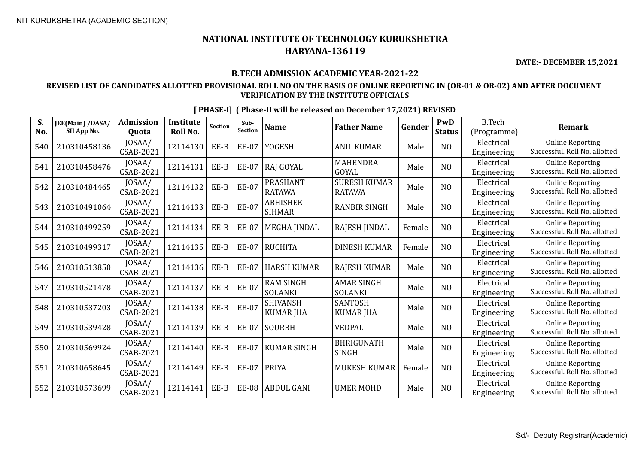**DATE:- DECEMBER 15,2021**

## **B.TECH ADMISSION ACADEMIC YEAR-2021-22**

## **REVISED LIST OF CANDIDATES ALLOTTED PROVISIONAL ROLL NO ON THE BASIS OF ONLINE REPORTING IN (OR-01 & OR-02) AND AFTER DOCUMENT VERIFICATION BY THE INSTITUTE OFFICIALS**

| S.<br>No. | JEE(Main) /DASA/<br>SII App No. | <b>Admission</b><br>Quota  | <b>Institute</b><br><b>Roll No.</b> | <b>Section</b> | Sub-<br><b>Section</b> | <b>Name</b>                         | <b>Father Name</b>                   | Gender | PwD<br><b>Status</b> | <b>B.Tech</b><br>(Programme) | <b>Remark</b>                                            |
|-----------|---------------------------------|----------------------------|-------------------------------------|----------------|------------------------|-------------------------------------|--------------------------------------|--------|----------------------|------------------------------|----------------------------------------------------------|
| 540       | 210310458136                    | JOSAA/<br>CSAB-2021        | 12114130                            | EE-B           | <b>EE-07</b>           | <b>YOGESH</b>                       | <b>ANIL KUMAR</b>                    | Male   | N <sub>O</sub>       | Electrical<br>Engineering    | <b>Online Reporting</b><br>Successful. Roll No. allotted |
| 541       | 210310458476                    | JOSAA/<br>CSAB-2021        | 12114131                            | EE-B           | <b>EE-07</b>           | <b>RAJ GOYAL</b>                    | <b>MAHENDRA</b><br>GOYAL             | Male   | N <sub>O</sub>       | Electrical<br>Engineering    | <b>Online Reporting</b><br>Successful. Roll No. allotted |
| 542       | 210310484465                    | JOSAA/<br><b>CSAB-2021</b> | 12114132                            | $EE-B$         | <b>EE-07</b>           | PRASHANT<br><b>RATAWA</b>           | <b>SURESH KUMAR</b><br><b>RATAWA</b> | Male   | N <sub>0</sub>       | Electrical<br>Engineering    | <b>Online Reporting</b><br>Successful. Roll No. allotted |
| 543       | 210310491064                    | JOSAA/<br>CSAB-2021        | 12114133                            | EE-B           | <b>EE-07</b>           | <b>ABHISHEK</b><br><b>SIHMAR</b>    | <b>RANBIR SINGH</b>                  | Male   | NO                   | Electrical<br>Engineering    | <b>Online Reporting</b><br>Successful. Roll No. allotted |
| 544       | 210310499259                    | JOSAA/<br>CSAB-2021        | 12114134                            | EE-B           | <b>EE-07</b>           | <b>MEGHA JINDAL</b>                 | RAJESH JINDAL                        | Female | NO                   | Electrical<br>Engineering    | <b>Online Reporting</b><br>Successful. Roll No. allotted |
| 545       | 210310499317                    | JOSAA/<br>CSAB-2021        | 12114135                            | $EE-B$         | <b>EE-07</b>           | <b>RUCHITA</b>                      | <b>DINESH KUMAR</b>                  | Female | N <sub>O</sub>       | Electrical<br>Engineering    | <b>Online Reporting</b><br>Successful. Roll No. allotted |
| 546       | 210310513850                    | JOSAA/<br><b>CSAB-2021</b> | 12114136                            | EE-B           | <b>EE-07</b>           | <b>HARSH KUMAR</b>                  | <b>RAJESH KUMAR</b>                  | Male   | NO                   | Electrical<br>Engineering    | <b>Online Reporting</b><br>Successful. Roll No. allotted |
| 547       | 210310521478                    | JOSAA/<br>CSAB-2021        | 12114137                            | EE-B           | <b>EE-07</b>           | <b>RAM SINGH</b><br><b>SOLANKI</b>  | <b>AMAR SINGH</b><br><b>SOLANKI</b>  | Male   | N <sub>O</sub>       | Electrical<br>Engineering    | <b>Online Reporting</b><br>Successful. Roll No. allotted |
| 548       | 210310537203                    | JOSAA/<br>CSAB-2021        | 12114138                            | EE-B           | <b>EE-07</b>           | <b>SHIVANSH</b><br><b>KUMAR JHA</b> | <b>SANTOSH</b><br><b>KUMAR JHA</b>   | Male   | N <sub>0</sub>       | Electrical<br>Engineering    | <b>Online Reporting</b><br>Successful. Roll No. allotted |
| 549       | 210310539428                    | JOSAA/<br><b>CSAB-2021</b> | 12114139                            | EE-B           | <b>EE-07</b>           | <b>SOURBH</b>                       | <b>VEDPAL</b>                        | Male   | NO                   | Electrical<br>Engineering    | <b>Online Reporting</b><br>Successful. Roll No. allotted |
| 550       | 210310569924                    | JOSAA/<br>CSAB-2021        | 12114140                            | EE-B           | <b>EE-07</b>           | <b>KUMAR SINGH</b>                  | <b>BHRIGUNATH</b><br><b>SINGH</b>    | Male   | N <sub>O</sub>       | Electrical<br>Engineering    | <b>Online Reporting</b><br>Successful. Roll No. allotted |
| 551       | 210310658645                    | JOSAA/<br>CSAB-2021        | 12114149                            | $EE-B$         | <b>EE-07</b>           | <b>PRIYA</b>                        | <b>MUKESH KUMAR</b>                  | Female | NO                   | Electrical<br>Engineering    | <b>Online Reporting</b><br>Successful. Roll No. allotted |
| 552       | 210310573699                    | JOSAA/<br><b>CSAB-2021</b> | 12114141                            | EE-B           | <b>EE-08</b>           | <b>ABDUL GANI</b>                   | <b>UMER MOHD</b>                     | Male   | N <sub>O</sub>       | Electrical<br>Engineering    | <b>Online Reporting</b><br>Successful. Roll No. allotted |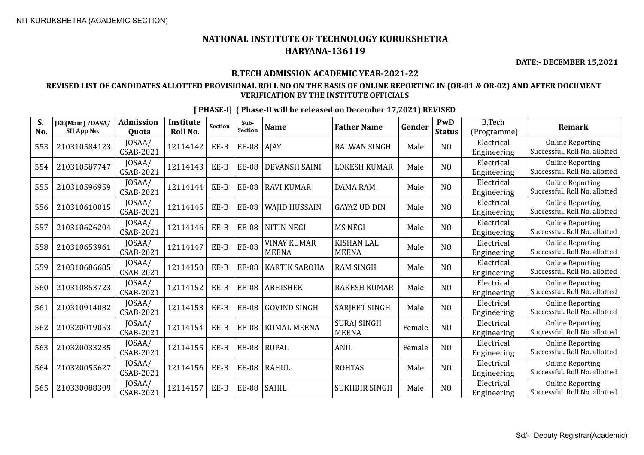**DATE:- DECEMBER 15,2021**

### **B.TECH ADMISSION ACADEMIC YEAR-2021-22**

## **REVISED LIST OF CANDIDATES ALLOTTED PROVISIONAL ROLL NO ON THE BASIS OF ONLINE REPORTING IN (OR-01 & OR-02) AND AFTER DOCUMENT VERIFICATION BY THE INSTITUTE OFFICIALS**

| S.<br>No. | JEE(Main) /DASA/<br>SII App No. | <b>Admission</b><br><b>Ouota</b> | <b>Institute</b><br>Roll No. | Section | Sub-<br><b>Section</b> | <b>Name</b>                 | <b>Father Name</b>                 | Gender | <b>PwD</b><br><b>Status</b> | <b>B.Tech</b><br>(Programme) | <b>Remark</b>                                            |
|-----------|---------------------------------|----------------------------------|------------------------------|---------|------------------------|-----------------------------|------------------------------------|--------|-----------------------------|------------------------------|----------------------------------------------------------|
| 553       | 210310584123                    | JOSAA/<br><b>CSAB-2021</b>       | 12114142                     | EE-B    | <b>EE-08</b>           | <b>AJAY</b>                 | <b>BALWAN SINGH</b>                | Male   | N <sub>O</sub>              | Electrical<br>Engineering    | <b>Online Reporting</b><br>Successful. Roll No. allotted |
| 554       | 210310587747                    | JOSAA/<br><b>CSAB-2021</b>       | 12114143                     | EE-B    | <b>EE-08</b>           | <b>DEVANSH SAINI</b>        | <b>LOKESH KUMAR</b>                | Male   | N <sub>O</sub>              | Electrical<br>Engineering    | <b>Online Reporting</b><br>Successful. Roll No. allotted |
| 555       | 210310596959                    | JOSAA/<br><b>CSAB-2021</b>       | 12114144                     | EE-B    | <b>EE-08</b>           | <b>RAVI KUMAR</b>           | <b>DAMA RAM</b>                    | Male   | N <sub>O</sub>              | Electrical<br>Engineering    | <b>Online Reporting</b><br>Successful. Roll No. allotted |
| 556       | 210310610015                    | JOSAA/<br><b>CSAB-2021</b>       | 12114145                     | EE-B    | <b>EE-08</b>           | <b>WAJID HUSSAIN</b>        | <b>GAYAZ UD DIN</b>                | Male   | NO                          | Electrical<br>Engineering    | <b>Online Reporting</b><br>Successful. Roll No. allotted |
| 557       | 210310626204                    | JOSAA/<br><b>CSAB-2021</b>       | 12114146                     | EE-B    | <b>EE-08</b>           | <b>NITIN NEGI</b>           | <b>MS NEGI</b>                     | Male   | NO                          | Electrical<br>Engineering    | <b>Online Reporting</b><br>Successful. Roll No. allotted |
| 558       | 210310653961                    | JOSAA/<br><b>CSAB-2021</b>       | 12114147                     | EE-B    | <b>EE-08</b>           | VINAY KUMAR<br><b>MEENA</b> | <b>KISHAN LAL</b><br><b>MEENA</b>  | Male   | N <sub>O</sub>              | Electrical<br>Engineering    | <b>Online Reporting</b><br>Successful. Roll No. allotted |
| 559       | 210310686685                    | JOSAA/<br><b>CSAB-2021</b>       | 12114150                     | EE-B    | <b>EE-08</b>           | <b>KARTIK SAROHA</b>        | <b>RAM SINGH</b>                   | Male   | NO                          | Electrical<br>Engineering    | <b>Online Reporting</b><br>Successful. Roll No. allotted |
| 560       | 210310853723                    | JOSAA/<br><b>CSAB-2021</b>       | 12114152                     | EE-B    | <b>EE-08</b>           | <b>ABHISHEK</b>             | <b>RAKESH KUMAR</b>                | Male   | NO                          | Electrical<br>Engineering    | <b>Online Reporting</b><br>Successful. Roll No. allotted |
| 561       | 210310914082                    | JOSAA/<br>CSAB-2021              | 12114153                     | EE-B    | <b>EE-08</b>           | <b>GOVIND SINGH</b>         | <b>SARJEET SINGH</b>               | Male   | NO                          | Electrical<br>Engineering    | <b>Online Reporting</b><br>Successful. Roll No. allotted |
| 562       | 210320019053                    | JOSAA/<br>CSAB-2021              | 12114154                     | EE-B    | <b>EE-08</b>           | <b>KOMAL MEENA</b>          | <b>SURAJ SINGH</b><br><b>MEENA</b> | Female | NO                          | Electrical<br>Engineering    | <b>Online Reporting</b><br>Successful. Roll No. allotted |
| 563       | 210320033235                    | JOSAA/<br><b>CSAB-2021</b>       | 12114155                     | EE-B    | <b>EE-08</b>           | RUPAL                       | ANIL                               | Female | N <sub>O</sub>              | Electrical<br>Engineering    | <b>Online Reporting</b><br>Successful. Roll No. allotted |
| 564       | 210320055627                    | JOSAA/<br>CSAB-2021              | 12114156                     | EE-B    | <b>EE-08</b>           | RAHUL                       | <b>ROHTAS</b>                      | Male   | N <sub>O</sub>              | Electrical<br>Engineering    | <b>Online Reporting</b><br>Successful. Roll No. allotted |
| 565       | 210330088309                    | JOSAA/<br>CSAB-2021              | 12114157                     | EE-B    | <b>EE-08</b>           | SAHIL                       | <b>SUKHBIR SINGH</b>               | Male   | N <sub>O</sub>              | Electrical<br>Engineering    | <b>Online Reporting</b><br>Successful. Roll No. allotted |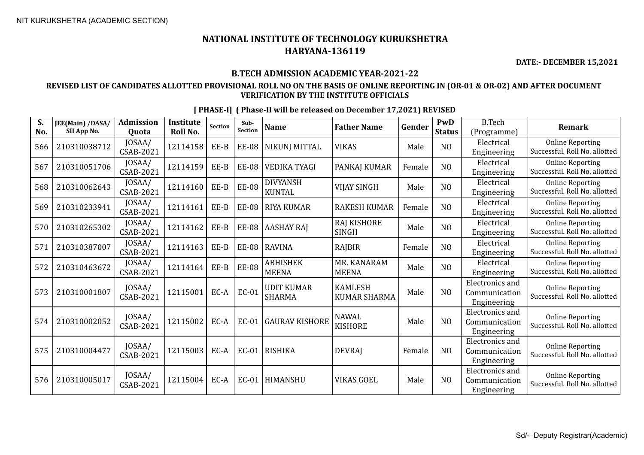**DATE:- DECEMBER 15,2021**

### **B.TECH ADMISSION ACADEMIC YEAR-2021-22**

## **REVISED LIST OF CANDIDATES ALLOTTED PROVISIONAL ROLL NO ON THE BASIS OF ONLINE REPORTING IN (OR-01 & OR-02) AND AFTER DOCUMENT VERIFICATION BY THE INSTITUTE OFFICIALS**

| S.<br>No. | JEE(Main) /DASA/<br>SII App No. | <b>Admission</b><br>Quota  | <b>Institute</b><br>Roll No. | Section | Sub-<br><b>Section</b> | <b>Name</b>                        | <b>Father Name</b>                    | Gender | PwD<br><b>Status</b> | <b>B.Tech</b><br>(Programme)                           | Remark                                                   |
|-----------|---------------------------------|----------------------------|------------------------------|---------|------------------------|------------------------------------|---------------------------------------|--------|----------------------|--------------------------------------------------------|----------------------------------------------------------|
| 566       | 210310038712                    | JOSAA/<br>CSAB-2021        | 12114158                     | EE-B    | <b>EE-08</b>           | NIKUNJ MITTAL                      | <b>VIKAS</b>                          | Male   | N <sub>O</sub>       | Electrical<br>Engineering                              | <b>Online Reporting</b><br>Successful. Roll No. allotted |
| 567       | 210310051706                    | JOSAA/<br>CSAB-2021        | 12114159                     | EE-B    | <b>EE-08</b>           | <b>VEDIKA TYAGI</b>                | <b>PANKAJ KUMAR</b>                   | Female | N <sub>O</sub>       | Electrical<br>Engineering                              | <b>Online Reporting</b><br>Successful. Roll No. allotted |
| 568       | 210310062643                    | JOSAA/<br>CSAB-2021        | 12114160                     | EE-B    | <b>EE-08</b>           | <b>DIVYANSH</b><br><b>KUNTAL</b>   | VIJAY SINGH                           | Male   | N <sub>O</sub>       | Electrical<br>Engineering                              | <b>Online Reporting</b><br>Successful. Roll No. allotted |
| 569       | 210310233941                    | JOSAA/<br>CSAB-2021        | 12114161                     | EE-B    | <b>EE-08</b>           | <b>RIYA KUMAR</b>                  | <b>RAKESH KUMAR</b>                   | Female | N <sub>O</sub>       | Electrical<br>Engineering                              | <b>Online Reporting</b><br>Successful. Roll No. allotted |
| 570       | 210310265302                    | JOSAA/<br>CSAB-2021        | 12114162                     | EE-B    | <b>EE-08</b>           | <b>AASHAY RAJ</b>                  | <b>RAJ KISHORE</b><br><b>SINGH</b>    | Male   | N <sub>O</sub>       | Electrical<br>Engineering                              | <b>Online Reporting</b><br>Successful. Roll No. allotted |
| 571       | 210310387007                    | JOSAA/<br>CSAB-2021        | 12114163                     | EE-B    | <b>EE-08</b>           | <b>RAVINA</b>                      | RAJBIR                                | Female | N <sub>O</sub>       | Electrical<br>Engineering                              | <b>Online Reporting</b><br>Successful. Roll No. allotted |
| 572       | 210310463672                    | JOSAA/<br><b>CSAB-2021</b> | 12114164                     | EE-B    | <b>EE-08</b>           | <b>ABHISHEK</b><br><b>MEENA</b>    | MR. KANARAM<br><b>MEENA</b>           | Male   | N <sub>O</sub>       | Electrical<br>Engineering                              | <b>Online Reporting</b><br>Successful. Roll No. allotted |
| 573       | 210310001807                    | JOSAA/<br><b>CSAB-2021</b> | 12115001                     | EC-A    | <b>EC-01</b>           | <b>UDIT KUMAR</b><br><b>SHARMA</b> | <b>KAMLESH</b><br><b>KUMAR SHARMA</b> | Male   | N <sub>O</sub>       | Electronics and<br>Communication<br>Engineering        | <b>Online Reporting</b><br>Successful. Roll No. allotted |
| 574       | 210310002052                    | JOSAA/<br><b>CSAB-2021</b> | 12115002                     | EC-A    | EC-01                  | <b>GAURAV KISHORE</b>              | <b>NAWAL</b><br><b>KISHORE</b>        | Male   | N <sub>O</sub>       | Electronics and<br>Communication<br>Engineering        | <b>Online Reporting</b><br>Successful. Roll No. allotted |
| 575       | 210310004477                    | JOSAA/<br><b>CSAB-2021</b> | 12115003                     | EC-A    | EC-01                  | RISHIKA                            | <b>DEVRAI</b>                         | Female | N <sub>O</sub>       | <b>Electronics</b> and<br>Communication<br>Engineering | <b>Online Reporting</b><br>Successful. Roll No. allotted |
| 576       | 210310005017                    | JOSAA/<br><b>CSAB-2021</b> | 12115004                     | EC-A    | <b>EC-01</b>           | <b>HIMANSHU</b>                    | <b>VIKAS GOEL</b>                     | Male   | NO                   | Electronics and<br>Communication<br>Engineering        | <b>Online Reporting</b><br>Successful. Roll No. allotted |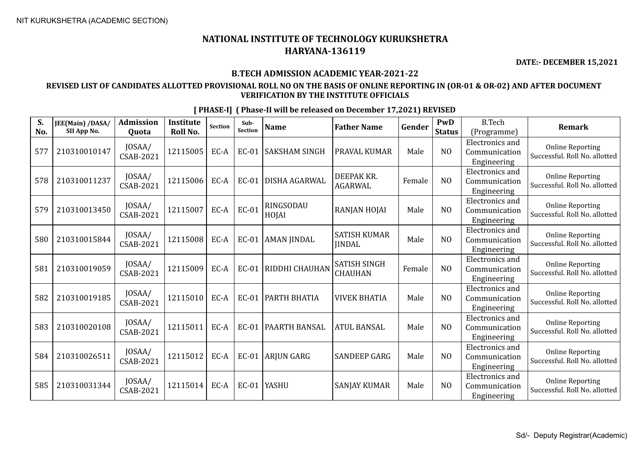**DATE:- DECEMBER 15,2021**

## **B.TECH ADMISSION ACADEMIC YEAR-2021-22**

## **REVISED LIST OF CANDIDATES ALLOTTED PROVISIONAL ROLL NO ON THE BASIS OF ONLINE REPORTING IN (OR-01 & OR-02) AND AFTER DOCUMENT VERIFICATION BY THE INSTITUTE OFFICIALS**

| S.<br>No. | JEE(Main) /DASA/<br>SII App No. | <b>Admission</b><br>Quota  | <b>Institute</b><br><b>Roll No.</b> | <b>Section</b> | Sub-<br>Section | <b>Name</b>          | <b>Father Name</b>                    | Gender | PwD<br><b>Status</b> | <b>B.Tech</b><br>(Programme)                           | Remark                                                   |
|-----------|---------------------------------|----------------------------|-------------------------------------|----------------|-----------------|----------------------|---------------------------------------|--------|----------------------|--------------------------------------------------------|----------------------------------------------------------|
| 577       | 210310010147                    | JOSAA/<br>CSAB-2021        | 12115005                            | EC-A           | <b>EC-01</b>    | <b>SAKSHAM SINGH</b> | PRAVAL KUMAR                          | Male   | NO                   | <b>Electronics</b> and<br>Communication<br>Engineering | <b>Online Reporting</b><br>Successful. Roll No. allotted |
| 578       | 210310011237                    | JOSAA/<br>CSAB-2021        | 12115006                            | EC-A           | <b>EC-01</b>    | DISHA AGARWAL        | DEEPAK KR.<br><b>AGARWAL</b>          | Female | N <sub>O</sub>       | Electronics and<br>Communication<br>Engineering        | <b>Online Reporting</b><br>Successful. Roll No. allotted |
| 579       | 210310013450                    | JOSAA/<br>CSAB-2021        | 12115007                            | EC-A           | EC-01           | RINGSODAU<br>HOJAI   | RANJAN HOJAI                          | Male   | N <sub>0</sub>       | Electronics and<br>Communication<br>Engineering        | <b>Online Reporting</b><br>Successful. Roll No. allotted |
| 580       | 210310015844                    | JOSAA/<br>CSAB-2021        | 12115008                            | EC-A           | <b>EC-01</b>    | <b>AMAN JINDAL</b>   | <b>SATISH KUMAR</b><br><b>IINDAL</b>  | Male   | NO                   | Electronics and<br>Communication<br>Engineering        | <b>Online Reporting</b><br>Successful. Roll No. allotted |
| 581       | 210310019059                    | JOSAA/<br><b>CSAB-2021</b> | 12115009                            | EC-A           | <b>EC-01</b>    | RIDDHI CHAUHAN       | <b>SATISH SINGH</b><br><b>CHAUHAN</b> | Female | N <sub>O</sub>       | <b>Electronics</b> and<br>Communication<br>Engineering | <b>Online Reporting</b><br>Successful. Roll No. allotted |
| 582       | 210310019185                    | JOSAA/<br>CSAB-2021        | 12115010                            | EC-A           | <b>EC-01</b>    | PARTH BHATIA         | <b>VIVEK BHATIA</b>                   | Male   | N <sub>0</sub>       | Electronics and<br>Communication<br>Engineering        | <b>Online Reporting</b><br>Successful. Roll No. allotted |
| 583       | 210310020108                    | JOSAA/<br>CSAB-2021        | 12115011                            | EC-A           | <b>EC-01</b>    | PAARTH BANSAL        | <b>ATUL BANSAL</b>                    | Male   | N <sub>0</sub>       | <b>Electronics and</b><br>Communication<br>Engineering | <b>Online Reporting</b><br>Successful. Roll No. allotted |
| 584       | 210310026511                    | JOSAA/<br>CSAB-2021        | 12115012                            | EC-A           | EC-01           | <b>ARJUN GARG</b>    | <b>SANDEEP GARG</b>                   | Male   | N <sub>0</sub>       | <b>Electronics</b> and<br>Communication<br>Engineering | <b>Online Reporting</b><br>Successful. Roll No. allotted |
| 585       | 210310031344                    | JOSAA/<br>CSAB-2021        | 12115014                            | EC-A           | EC-01           | <b>YASHU</b>         | <b>SANJAY KUMAR</b>                   | Male   | N <sub>0</sub>       | Electronics and<br>Communication<br>Engineering        | <b>Online Reporting</b><br>Successful. Roll No. allotted |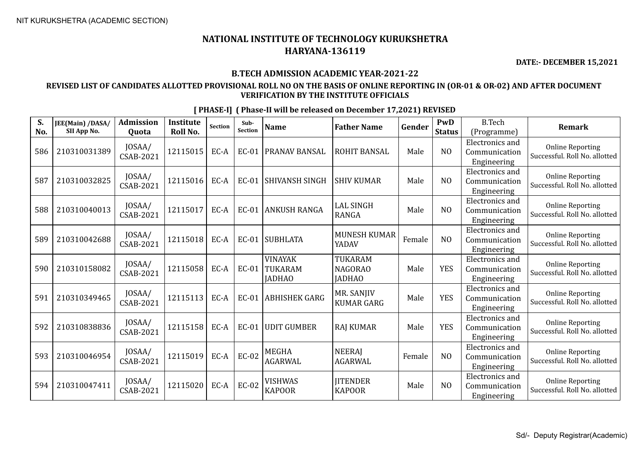593 210310046954 JOSAA/

594 210310047411 | JOSAA/

 $\begin{array}{c|c|c} \text{JOSAA/} & \text{12115019} & \text{EC-A} & \text{EC-02} & \text{MEGHA} \\ \text{CSAB-2021} & \text{12115019} & \text{EC-A} & \text{EC-02} & \text{AGARW}/ \\ \end{array}$ 

 $\begin{array}{c|c|c|c} \text{JOSAA/} & \text{12115020} & \text{EC-A} & \text{EC-02} & \text{VISHWAS} \\ \text{CSAB-2021} & & & & \text{KL02} & \text{ECA} \\ \end{array}$ 

**S. No.**

## **NATIONAL INSTITUTE OF TECHNOLOGY KURUKSHETRA HARYANA-136119**

**DATE:- DECEMBER 15,2021**

#### **B.TECH ADMISSION ACADEMIC YEAR-2021-22**

### **REVISED LIST OF CANDIDATES ALLOTTED PROVISIONAL ROLL NO ON THE BASIS OF ONLINE REPORTING IN (OR-01 & OR-02) AND AFTER DOCUMENT VERIFICATION BY THE INSTITUTE OFFICIALS**

**JEE(Main) /DASA/ SII App No. Admission Quota Institute Roll No.** Section **Sub-**<br>Section **Sub- Name Father Name Gender PWD Status** B.Tech (Programme) **Remark** 586 210310031389 JOSAA/  $\begin{bmatrix} 0.037 \text{mJ} \\ \text{CSAB-2021} \end{bmatrix}$  12115015 EC-A EC-01 PRANAV BANSAL ROHIT BANSAL Male  $\begin{bmatrix} 0.037 \text{mJ} \\ \text{M} \end{bmatrix}$ Electronics and Communication Engineering Online Reporting Successful. Roll No. allotted 587 210310032825 JOSAA/  $\begin{bmatrix} 0.037 \text{mJ} \\ \text{CSAB-2021} \end{bmatrix}$  12115016 EC-A EC-01 SHIVANSH SINGH SHIV KUMAR Male NO Electronics and Communication Engineering Online Reporting Successful. Roll No. allotted 588 210310040013 JOSAA/  $\begin{bmatrix} 2115017 \end{bmatrix}$  EC-A EC-01 ANKUSH RANGA LAL SINGH RANGA Male NO Electronics and Communication Engineering Online Reporting Successful. Roll No. allotted 589 210310042688 JOSAA/ 12115018 EC-A EC-01 SUBHLATA MUNESH KUMAR Female | NO Electronics and Communication Engineering Online Reporting Successful. Roll No. allotted <sup>590</sup> <sup>210310158082</sup> JOSAA/  $\text{CSAB-2021}$  12115058 EC-A EC-01 VINAYAK TUKARAM **JADHAO** TUKARAM NAGORAO **JADHAO** Male | YES Electronics and Communication Engineering Online Reporting Successful. Roll No. allotted  $591 \begin{bmatrix} 210310349465 \end{bmatrix}$   $\begin{bmatrix}$  JOSAA/<br>CSAB-2021  $\begin{array}{c|c|c} \text{JOSAA/} & \text{12115113} & \text{EC-A} & \text{EC-01} & \text{ABHISHEK GARG} & \text{M R. SANJIV} \\ \text{CSAB-2021} & & & & \text{LUMAR GAF} \end{array}$ MR. SANJIV  $\begin{array}{|c|c|c|c|}\n\hline\n\text{KUMAR GARG} & \text{Male} & \text{YES}\n\end{array}$ Electronics and Communication Engineering Online Reporting Successful. Roll No. allotted  $592 \left\{ 210310838836 \right\} \frac{\text{JOSAA}}{\text{CSAB-2021}}$  $\begin{array}{c|c|c|c|c|c} \text{CSAB-2021} & 12115158 & \text{EC-A} & \text{EC-01} & \text{UDIT GUMBER} & \text{RAJ KUMAR} & \text{Male} & \text{YES} \end{array}$ Electronics and Communication Engineering Online Reporting Successful. Roll No. allotted Electronics and

**NEERAI** 

**IITENDER** 

AGARWAL Female NO

KAPOOR Male NO

AGARWAL

KAPOOR

#### **[ PHASE-I] ( Phase-II will be released on December 17,2021) REVISED**

Online Reporting Successful. Roll No. allotted

Online Reporting Successful. Roll No. allotted

Communication Engineering

Electronics and Communication Engineering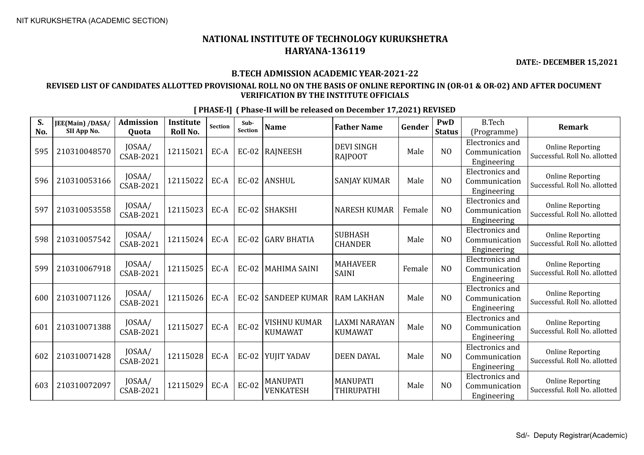**DATE:- DECEMBER 15,2021**

#### **B.TECH ADMISSION ACADEMIC YEAR-2021-22**

### **REVISED LIST OF CANDIDATES ALLOTTED PROVISIONAL ROLL NO ON THE BASIS OF ONLINE REPORTING IN (OR-01 & OR-02) AND AFTER DOCUMENT VERIFICATION BY THE INSTITUTE OFFICIALS**

**S. No. JEE(Main) /DASA/ SII App No. Admission Quota Institute Roll No.** Section **Sub-**<br>Section **Sub- Name Father Name Gender PWD Status** B.Tech (Programme) **Remark** 595 210310048570 JOSAA/  $\begin{array}{c|c|c} \text{JOSAA/} & \text{12115021} & \text{EC-A} & \text{EC-02} & \text{RAJNEESH} \end{array}$  RAJPOOT DEVI SINGH Male NO Electronics and Communication Engineering Online Reporting Successful. Roll No. allotted 596 210310053166 JOSAA/  $\begin{array}{c|c|c|c|c|c} \text{CSAR-2021} & \text{12115022} & \text{EC-A} & \text{EC-02} & \text{ANSHUL} \end{array}$  SANJAY KUMAR Male NO Electronics and Communication Engineering Online Reporting Successful. Roll No. allotted  $597 \Big| 210310053558 \Big| 10SAA/$ CSAB-2021 <sup>12115023</sup> EC-A EC-02 SHAKSHI NARESH KUMAR Female NO Electronics and Communication Engineering Online Reporting Successful. Roll No. allotted 598 210310057542 JOSAA/  $\begin{array}{c|c}$  JOSAA/  $\end{array}$  12115024 EC-A EC-02 GARV BHATIA  $\begin{array}{c}$  SUBHASH CHANDER SUBHASH | Male | NO Electronics and Communication Engineering Online Reporting Successful. Roll No. allotted  $599 \big| 210310067918 \big| 10SAA / 15AB-2021$  $\begin{array}{c|c}\n\text{JOSAA/} \\
\text{CSAB-2021}\n\end{array}$  12115025 EC-A EC-02 MAHIMA SAINI  $\begin{array}{c}\n\text{MAHAVEER} \\
\text{SAINI}\n\end{array}$ MAHAVEER<br>SAINI Female NO Electronics and Communication Engineering Online Reporting Successful. Roll No. allotted 600 210310071126 JOSAA/  $\begin{bmatrix} 0.03 \text{AA} \\ \text{CSAB-2021} \end{bmatrix}$  12115026 EC-A EC-02 SANDEEP KUMAR RAM LAKHAN Male NO Electronics and Communication Engineering Online Reporting Successful. Roll No. allotted 601 210310071388  $\bigg| \begin{array}{c} 10SAA/ \\ CSAB-2021 \end{array}$  $\left| \begin{array}{c} 12115027 \end{array} \right|$  EC-A  $\left| \begin{array}{c} E$ C-02 WISHNU KUMAR **KUMAWAT** LAXMI NARAYAN KUMAWAT Male | NO Electronics and Communication Engineering Online Reporting Successful. Roll No. allotted 602 210310071428  $\left| \begin{array}{c} 10SAA/ \\ CSAB-2021 \end{array} \right|$ CSAB-2021 <sup>12115028</sup> EC-A EC-02 YUJIT YADAV DEEN DAYAL Male NO Electronics and Communication Engineering Online Reporting Successful. Roll No. allotted 603 210310072097 JOSAA/  $\left| \begin{array}{c} 12115029 \end{array} \right|$  EC-A  $\left| \begin{array}{c} ECA \end{array} \right|$  EC-02 MANUPATI VENKATESH MANUPATI MANUTATI Male NO Electronics and Communication Engineering Online Reporting Successful. Roll No. allotted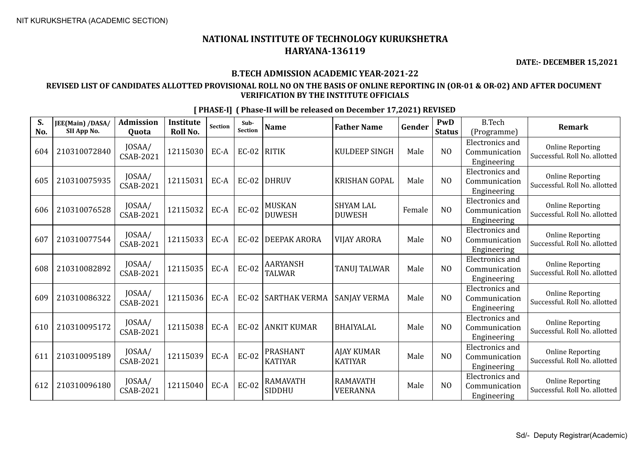**DATE:- DECEMBER 15,2021**

## **B.TECH ADMISSION ACADEMIC YEAR-2021-22**

## **REVISED LIST OF CANDIDATES ALLOTTED PROVISIONAL ROLL NO ON THE BASIS OF ONLINE REPORTING IN (OR-01 & OR-02) AND AFTER DOCUMENT VERIFICATION BY THE INSTITUTE OFFICIALS**

| S.  | JEE(Main) /DASA/ | <b>Admission</b>           | Institute       | Section | Sub-<br><b>Section</b> | <b>Name</b>                       | <b>Father Name</b>                  | Gender | <b>PwD</b>     | <b>B.Tech</b>                                          | <b>Remark</b>                                            |
|-----|------------------|----------------------------|-----------------|---------|------------------------|-----------------------------------|-------------------------------------|--------|----------------|--------------------------------------------------------|----------------------------------------------------------|
| No. | SII App No.      | Quota                      | <b>Roll No.</b> |         |                        |                                   |                                     |        | <b>Status</b>  | (Programme)                                            |                                                          |
| 604 | 210310072840     | JOSAA/<br><b>CSAB-2021</b> | 12115030        | EC-A    | <b>EC-02</b>           | <b>RITIK</b>                      | <b>KULDEEP SINGH</b>                | Male   | N <sub>O</sub> | Electronics and<br>Communication<br>Engineering        | <b>Online Reporting</b><br>Successful. Roll No. allotted |
| 605 | 210310075935     | JOSAA/<br>CSAB-2021        | 12115031        | EC-A    | EC-02                  | <b>DHRUV</b>                      | <b>KRISHAN GOPAL</b>                | Male   | NO             | <b>Electronics</b> and<br>Communication<br>Engineering | <b>Online Reporting</b><br>Successful. Roll No. allotted |
| 606 | 210310076528     | JOSAA/<br>CSAB-2021        | 12115032        | EC-A    | EC-02                  | <b>MUSKAN</b><br><b>DUWESH</b>    | <b>SHYAM LAL</b><br><b>DUWESH</b>   | Female | N <sub>O</sub> | Electronics and<br>Communication<br>Engineering        | <b>Online Reporting</b><br>Successful. Roll No. allotted |
| 607 | 210310077544     | JOSAA/<br>CSAB-2021        | 12115033        | EC-A    | <b>EC-02</b>           | <b>DEEPAK ARORA</b>               | <b>VIJAY ARORA</b>                  | Male   | N <sub>O</sub> | <b>Electronics</b> and<br>Communication<br>Engineering | <b>Online Reporting</b><br>Successful. Roll No. allotted |
| 608 | 210310082892     | JOSAA/<br><b>CSAB-2021</b> | 12115035        | EC-A    | <b>EC-02</b>           | <b>AARYANSH</b><br><b>TALWAR</b>  | TANUJ TALWAR                        | Male   | N <sub>O</sub> | <b>Electronics and</b><br>Communication<br>Engineering | <b>Online Reporting</b><br>Successful. Roll No. allotted |
| 609 | 210310086322     | JOSAA/<br>CSAB-2021        | 12115036        | EC-A    |                        | EC-02 SARTHAK VERMA               | <b>SANJAY VERMA</b>                 | Male   | N <sub>O</sub> | <b>Electronics and</b><br>Communication<br>Engineering | <b>Online Reporting</b><br>Successful. Roll No. allotted |
| 610 | 210310095172     | JOSAA/<br>CSAB-2021        | 12115038        | EC-A    | $EC-02$                | <b>ANKIT KUMAR</b>                | <b>BHAIYALAL</b>                    | Male   | N <sub>O</sub> | <b>Electronics</b> and<br>Communication<br>Engineering | <b>Online Reporting</b><br>Successful. Roll No. allotted |
| 611 | 210310095189     | JOSAA/<br><b>CSAB-2021</b> | 12115039        | $EC-A$  | <b>EC-02</b>           | <b>PRASHANT</b><br><b>KATIYAR</b> | <b>AJAY KUMAR</b><br><b>KATIYAR</b> | Male   | N <sub>O</sub> | <b>Electronics</b> and<br>Communication<br>Engineering | <b>Online Reporting</b><br>Successful. Roll No. allotted |
| 612 | 210310096180     | JOSAA/<br>CSAB-2021        | 12115040        | EC-A    | <b>EC-02</b>           | <b>RAMAVATH</b><br>SIDDHU         | <b>RAMAVATH</b><br><b>VEERANNA</b>  | Male   | N <sub>O</sub> | <b>Electronics</b> and<br>Communication<br>Engineering | <b>Online Reporting</b><br>Successful. Roll No. allotted |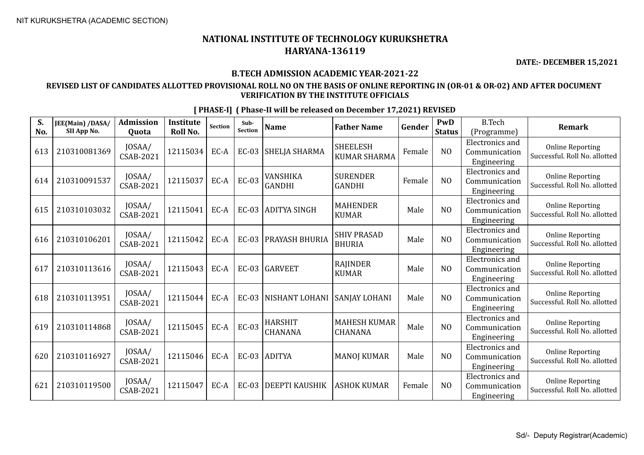**DATE:- DECEMBER 15,2021**

## **B.TECH ADMISSION ACADEMIC YEAR-2021-22**

## **REVISED LIST OF CANDIDATES ALLOTTED PROVISIONAL ROLL NO ON THE BASIS OF ONLINE REPORTING IN (OR-01 & OR-02) AND AFTER DOCUMENT VERIFICATION BY THE INSTITUTE OFFICIALS**

| S.<br>No. | JEE(Main) /DASA/<br>SII App No. | <b>Admission</b><br>Quota  | <b>Institute</b><br><b>Roll No.</b> | <b>Section</b> | Sub-<br><b>Section</b> | <b>Name</b>                      | <b>Father Name</b>                     | Gender | PwD<br><b>Status</b> | <b>B.Tech</b><br>(Programme)                           | <b>Remark</b>                                            |
|-----------|---------------------------------|----------------------------|-------------------------------------|----------------|------------------------|----------------------------------|----------------------------------------|--------|----------------------|--------------------------------------------------------|----------------------------------------------------------|
| 613       | 210310081369                    | JOSAA/<br><b>CSAB-2021</b> | 12115034                            | EC-A           | <b>EC-03</b>           | SHELJA SHARMA                    | <b>SHEELESH</b><br><b>KUMAR SHARMA</b> | Female | N <sub>O</sub>       | Electronics and<br>Communication<br>Engineering        | <b>Online Reporting</b><br>Successful. Roll No. allotted |
| 614       | 210310091537                    | JOSAA/<br>CSAB-2021        | 12115037                            | EC-A           | <b>EC-03</b>           | <b>VANSHIKA</b><br><b>GANDHI</b> | <b>SURENDER</b><br><b>GANDHI</b>       | Female | N <sub>O</sub>       | Electronics and<br>Communication<br>Engineering        | <b>Online Reporting</b><br>Successful. Roll No. allotted |
| 615       | 210310103032                    | JOSAA/<br>CSAB-2021        | 12115041                            | EC-A           | <b>EC-03</b>           | <b>ADITYA SINGH</b>              | <b>MAHENDER</b><br><b>KUMAR</b>        | Male   | NO                   | Electronics and<br>Communication<br>Engineering        | <b>Online Reporting</b><br>Successful. Roll No. allotted |
| 616       | 210310106201                    | JOSAA/<br>CSAB-2021        | 12115042                            | EC-A           | <b>EC-03</b>           | PRAYASH BHURIA                   | <b>SHIV PRASAD</b><br><b>BHURIA</b>    | Male   | NO                   | Electronics and<br>Communication<br>Engineering        | <b>Online Reporting</b><br>Successful. Roll No. allotted |
| 617       | 210310113616                    | JOSAA/<br>CSAB-2021        | 12115043                            | EC-A           |                        | EC-03 GARVEET                    | RAJINDER<br><b>KUMAR</b>               | Male   | NO                   | <b>Electronics and</b><br>Communication<br>Engineering | <b>Online Reporting</b><br>Successful. Roll No. allotted |
| 618       | 210310113951                    | JOSAA/<br>CSAB-2021        | 12115044                            | EC-A           | $EC-03$                | NISHANT LOHANI                   | SANJAY LOHANI                          | Male   | N <sub>O</sub>       | Electronics and<br>Communication<br>Engineering        | <b>Online Reporting</b><br>Successful. Roll No. allotted |
| 619       | 210310114868                    | JOSAA/<br><b>CSAB-2021</b> | 12115045                            | EC-A           | <b>EC-03</b>           | <b>HARSHIT</b><br><b>CHANANA</b> | <b>MAHESH KUMAR</b><br><b>CHANANA</b>  | Male   | NO                   | Electronics and<br>Communication<br>Engineering        | <b>Online Reporting</b><br>Successful. Roll No. allotted |
| 620       | 210310116927                    | JOSAA/<br><b>CSAB-2021</b> | 12115046                            | EC-A           |                        | EC-03 ADITYA                     | <b>MANOJ KUMAR</b>                     | Male   | N <sub>O</sub>       | Electronics and<br>Communication<br>Engineering        | <b>Online Reporting</b><br>Successful. Roll No. allotted |
| 621       | 210310119500                    | JOSAA/<br>CSAB-2021        | 12115047                            | EC-A           | $EC-03$                | DEEPTI KAUSHIK                   | <b>ASHOK KUMAR</b>                     | Female | N <sub>O</sub>       | Electronics and<br>Communication<br>Engineering        | <b>Online Reporting</b><br>Successful. Roll No. allotted |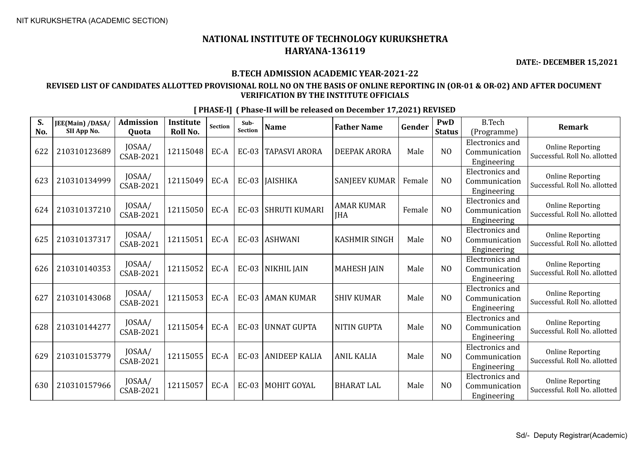$\overline{\mathbf{c}}$ 

## **NATIONAL INSTITUTE OF TECHNOLOGY KURUKSHETRA HARYANA-136119**

**DATE:- DECEMBER 15,2021**

### **B.TECH ADMISSION ACADEMIC YEAR-2021-22**

## **REVISED LIST OF CANDIDATES ALLOTTED PROVISIONAL ROLL NO ON THE BASIS OF ONLINE REPORTING IN (OR-01 & OR-02) AND AFTER DOCUMENT VERIFICATION BY THE INSTITUTE OFFICIALS**

**[ PHASE-I] ( Phase-II will be released on December 17,2021) REVISED JEE(Main) /DASA/ Admission Institute Quota Roll No. Sub-Sub- Name Father Name Gender PWD Status**  $R$ Tech  $\begin{bmatrix} 0.037 \text{mJ} & 12115048 \text{ECA} & \text{EC-03} \end{bmatrix}$ TAPASVI ARORA | DEEPAK ARORA | Male | NO Electronics and Communication Engineering

| No. | JEE(MAIII) / DASA/<br>SII App No. | 7 MHLIJJJIVII<br>Quota     | moututt<br>Roll No. | Section | Juv-<br>Section | <b>Name</b>          | <b>Father Name</b>              | Gender | 1 VV 12<br><b>Status</b> | <b>D.ICCII</b><br>(Programme)                   | <b>Remark</b>                                            |
|-----|-----------------------------------|----------------------------|---------------------|---------|-----------------|----------------------|---------------------------------|--------|--------------------------|-------------------------------------------------|----------------------------------------------------------|
| 622 | 210310123689                      | JOSAA/<br>CSAB-2021        | 12115048            | EC-A    | <b>EC-03</b>    | <b>TAPASVI ARORA</b> | <b>DEEPAK ARORA</b>             | Male   | N <sub>O</sub>           | Electronics and<br>Communication<br>Engineering | <b>Online Reporting</b><br>Successful. Roll No. allotted |
| 623 | 210310134999                      | JOSAA/<br>CSAB-2021        | 12115049            | EC-A    |                 | EC-03   JAISHIKA     | <b>SANJEEV KUMAR</b>            | Female | N <sub>O</sub>           | Electronics and<br>Communication<br>Engineering | <b>Online Reporting</b><br>Successful. Roll No. allotted |
| 624 | 210310137210                      | JOSAA/<br><b>CSAB-2021</b> | 12115050            | EC-A    | <b>EC-03</b>    | <b>SHRUTI KUMARI</b> | <b>AMAR KUMAR</b><br><b>JHA</b> | Female | N <sub>O</sub>           | Electronics and<br>Communication<br>Engineering | <b>Online Reporting</b><br>Successful. Roll No. allotted |
| 625 | 210310137317                      | JOSAA/<br>CSAB-2021        | 12115051            | EC-A    | $EC-03$         | <b>ASHWANI</b>       | <b>KASHMIR SINGH</b>            | Male   | N <sub>O</sub>           | Electronics and<br>Communication<br>Engineering | <b>Online Reporting</b><br>Successful. Roll No. allotted |
| 626 | 210310140353                      | JOSAA/<br>CSAB-2021        | 12115052            | EC-A    | EC-03           | NIKHIL JAIN          | <b>MAHESH JAIN</b>              | Male   | N <sub>O</sub>           | Electronics and<br>Communication<br>Engineering | <b>Online Reporting</b><br>Successful. Roll No. allotted |
| 627 | 210310143068                      | JOSAA/<br>CSAB-2021        | 12115053            | EC-A    | <b>EC-03</b>    | <b>AMAN KUMAR</b>    | <b>SHIV KUMAR</b>               | Male   | N <sub>O</sub>           | Electronics and<br>Communication<br>Engineering | <b>Online Reporting</b><br>Successful. Roll No. allotted |
| 628 | 210310144277                      | JOSAA/<br>CSAB-2021        | 12115054            | EC-A    | <b>EC-03</b>    | <b>UNNAT GUPTA</b>   | <b>NITIN GUPTA</b>              | Male   | N <sub>O</sub>           | Electronics and<br>Communication<br>Engineering | <b>Online Reporting</b><br>Successful. Roll No. allotted |
| 629 | 210310153779                      | JOSAA/<br>CSAB-2021        | 12115055            | EC-A    | <b>EC-03</b>    | <b>ANIDEEP KALIA</b> | <b>ANIL KALIA</b>               | Male   | N <sub>O</sub>           | Electronics and<br>Communication<br>Engineering | <b>Online Reporting</b><br>Successful. Roll No. allotted |
| 630 | 210310157966                      | JOSAA/<br>CSAB-2021        | 12115057            | EC-A    | <b>EC-03</b>    | <b>MOHIT GOYAL</b>   | <b>BHARAT LAL</b>               | Male   | N <sub>O</sub>           | Electronics and<br>Communication<br>Engineering | <b>Online Reporting</b><br>Successful. Roll No. allotted |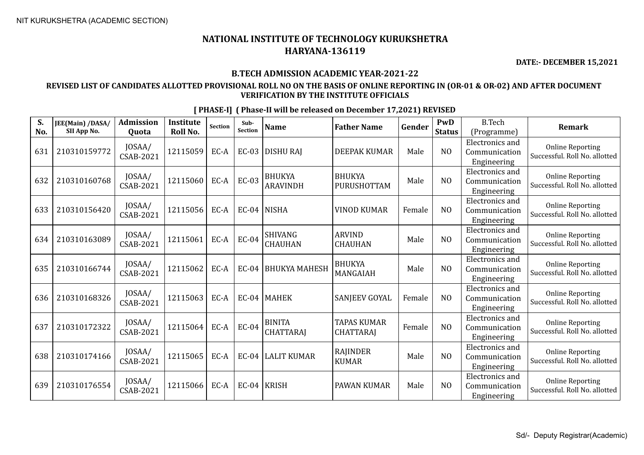**DATE:- DECEMBER 15,2021**

## **B.TECH ADMISSION ACADEMIC YEAR-2021-22**

## **REVISED LIST OF CANDIDATES ALLOTTED PROVISIONAL ROLL NO ON THE BASIS OF ONLINE REPORTING IN (OR-01 & OR-02) AND AFTER DOCUMENT VERIFICATION BY THE INSTITUTE OFFICIALS**

| S.  | JEE(Main) /DASA/ | <b>Admission</b>           | <b>Institute</b> | <b>Section</b> | Sub-<br>Section | <b>Name</b>                       | <b>Father Name</b>                     | Gender | PwD            | <b>B.Tech</b>                                          | Remark                                                   |
|-----|------------------|----------------------------|------------------|----------------|-----------------|-----------------------------------|----------------------------------------|--------|----------------|--------------------------------------------------------|----------------------------------------------------------|
| No. | SII App No.      | Quota                      | <b>Roll No.</b>  |                |                 |                                   |                                        |        | <b>Status</b>  | (Programme)                                            |                                                          |
| 631 | 210310159772     | JOSAA/<br>CSAB-2021        | 12115059         | EC-A           | <b>EC-03</b>    | <b>DISHURAJ</b>                   | <b>DEEPAK KUMAR</b>                    | Male   | N <sub>O</sub> | Electronics and<br>Communication<br>Engineering        | <b>Online Reporting</b><br>Successful. Roll No. allotted |
| 632 | 210310160768     | JOSAA/<br>CSAB-2021        | 12115060         | EC-A           | $EC-03$         | <b>BHUKYA</b><br><b>ARAVINDH</b>  | <b>BHUKYA</b><br>PURUSHOTTAM           | Male   | N <sub>O</sub> | Electronics and<br>Communication<br>Engineering        | <b>Online Reporting</b><br>Successful. Roll No. allotted |
| 633 | 210310156420     | JOSAA/<br>CSAB-2021        | 12115056         | EC-A           | <b>EC-04</b>    | <b>NISHA</b>                      | <b>VINOD KUMAR</b>                     | Female | N <sub>O</sub> | <b>Electronics</b> and<br>Communication<br>Engineering | <b>Online Reporting</b><br>Successful. Roll No. allotted |
| 634 | 210310163089     | JOSAA/<br>CSAB-2021        | 12115061         | EC-A           | <b>EC-04</b>    | <b>SHIVANG</b><br><b>CHAUHAN</b>  | <b>ARVIND</b><br><b>CHAUHAN</b>        | Male   | N <sub>O</sub> | <b>Electronics</b> and<br>Communication<br>Engineering | <b>Online Reporting</b><br>Successful. Roll No. allotted |
| 635 | 210310166744     | JOSAA/<br><b>CSAB-2021</b> | 12115062         | EC-A           | <b>EC-04</b>    | <b>BHUKYA MAHESH</b>              | <b>BHUKYA</b><br>MANGAIAH              | Male   | N <sub>O</sub> | <b>Electronics and</b><br>Communication<br>Engineering | <b>Online Reporting</b><br>Successful. Roll No. allotted |
| 636 | 210310168326     | JOSAA/<br><b>CSAB-2021</b> | 12115063         | EC-A           |                 | EC-04   MAHEK                     | SANJEEV GOYAL                          | Female | N <sub>O</sub> | <b>Electronics</b> and<br>Communication<br>Engineering | <b>Online Reporting</b><br>Successful. Roll No. allotted |
| 637 | 210310172322     | JOSAA/<br>CSAB-2021        | 12115064         | EC-A           | <b>EC-04</b>    | <b>BINITA</b><br><b>CHATTARAJ</b> | <b>TAPAS KUMAR</b><br><b>CHATTARAJ</b> | Female | N <sub>O</sub> | <b>Electronics</b> and<br>Communication<br>Engineering | <b>Online Reporting</b><br>Successful. Roll No. allotted |
| 638 | 210310174166     | JOSAA/<br>CSAB-2021        | 12115065         | EC-A           | <b>EC-04</b>    | <b>LALIT KUMAR</b>                | RAJINDER<br><b>KUMAR</b>               | Male   | N <sub>O</sub> | <b>Electronics and</b><br>Communication<br>Engineering | <b>Online Reporting</b><br>Successful. Roll No. allotted |
| 639 | 210310176554     | JOSAA/<br>CSAB-2021        | 12115066         | EC-A           | <b>EC-04</b>    | <b>KRISH</b>                      | PAWAN KUMAR                            | Male   | N <sub>O</sub> | <b>Electronics</b> and<br>Communication<br>Engineering | <b>Online Reporting</b><br>Successful. Roll No. allotted |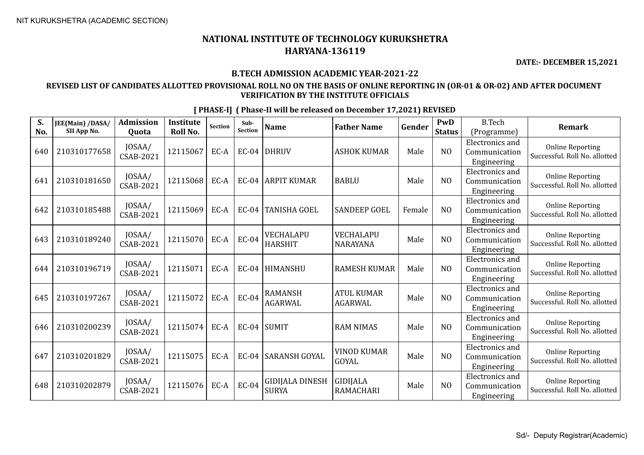## **NATIONAL INSTITUTE OF TECHNOLOGY KURUKSHETRA HARYANA-136119**

**DATE:- DECEMBER 15,2021**

## **B.TECH ADMISSION ACADEMIC YEAR-2021-22**

### **REVISED LIST OF CANDIDATES ALLOTTED PROVISIONAL ROLL NO ON THE BASIS OF ONLINE REPORTING IN (OR-01 & OR-02) AND AFTER DOCUMENT VERIFICATION BY THE INSTITUTE OFFICIALS**

|           |                                 | <b>Admission</b>           | Institute |                |                        |                                        |                                     |        | PwD            | <b>B.Tech</b>                                          |                                                          |
|-----------|---------------------------------|----------------------------|-----------|----------------|------------------------|----------------------------------------|-------------------------------------|--------|----------------|--------------------------------------------------------|----------------------------------------------------------|
| S.<br>No. | JEE(Main) /DASA/<br>SII App No. | Quota                      | Roll No.  | <b>Section</b> | Sub-<br><b>Section</b> | <b>Name</b>                            | <b>Father Name</b>                  | Gender | <b>Status</b>  | (Programme)                                            | <b>Remark</b>                                            |
| 640       | 210310177658                    | JOSAA/<br>CSAB-2021        | 12115067  | EC-A           | <b>EC-04</b>           | <b>DHRUV</b>                           | <b>ASHOK KUMAR</b>                  | Male   | N <sub>O</sub> | Electronics and<br>Communication<br>Engineering        | <b>Online Reporting</b><br>Successful. Roll No. allotted |
| 641       | 210310181650                    | JOSAA/<br>CSAB-2021        | 12115068  | EC-A           | <b>EC-04</b>           | <b>ARPIT KUMAR</b>                     | <b>BABLU</b>                        | Male   | N <sub>O</sub> | <b>Electronics</b> and<br>Communication<br>Engineering | <b>Online Reporting</b><br>Successful. Roll No. allotted |
| 642       | 210310185488                    | JOSAA/<br><b>CSAB-2021</b> | 12115069  | EC-A           | <b>EC-04</b>           | <b>TANISHA GOEL</b>                    | <b>SANDEEP GOEL</b>                 | Female | N <sub>O</sub> | Electronics and<br>Communication<br>Engineering        | <b>Online Reporting</b><br>Successful. Roll No. allotted |
| 643       | 210310189240                    | JOSAA/<br>CSAB-2021        | 12115070  | EC-A           | <b>EC-04</b>           | VECHALAPU<br><b>HARSHIT</b>            | VECHALAPU<br><b>NARAYANA</b>        | Male   | N <sub>0</sub> | Electronics and<br>Communication<br>Engineering        | <b>Online Reporting</b><br>Successful. Roll No. allotted |
| 644       | 210310196719                    | JOSAA/<br><b>CSAB-2021</b> | 12115071  | EC-A           | <b>EC-04</b>           | HIMANSHU                               | <b>RAMESH KUMAR</b>                 | Male   | N <sub>O</sub> | Electronics and<br>Communication<br>Engineering        | <b>Online Reporting</b><br>Successful. Roll No. allotted |
| 645       | 210310197267                    | JOSAA/<br>CSAB-2021        | 12115072  | EC-A           | <b>EC-04</b>           | <b>RAMANSH</b><br><b>AGARWAL</b>       | <b>ATUL KUMAR</b><br><b>AGARWAL</b> | Male   | N <sub>O</sub> | Electronics and<br>Communication<br>Engineering        | <b>Online Reporting</b><br>Successful. Roll No. allotted |
| 646       | 210310200239                    | JOSAA/<br>CSAB-2021        | 12115074  | EC-A           | <b>EC-04</b>           | SUMIT                                  | <b>RAM NIMAS</b>                    | Male   | N <sub>O</sub> | Electronics and<br>Communication<br>Engineering        | <b>Online Reporting</b><br>Successful. Roll No. allotted |
| 647       | 210310201829                    | JOSAA/<br>CSAB-2021        | 12115075  | EC-A           | <b>EC-04</b>           | SARANSH GOYAL                          | <b>VINOD KUMAR</b><br><b>GOYAL</b>  | Male   | N <sub>O</sub> | <b>Electronics</b> and<br>Communication<br>Engineering | <b>Online Reporting</b><br>Successful. Roll No. allotted |
| 648       | 210310202879                    | JOSAA/<br>CSAB-2021        | 12115076  | EC-A           | $EC-04$                | <b>GIDIJALA DINESH</b><br><b>SURYA</b> | GIDIJALA<br><b>RAMACHARI</b>        | Male   | N <sub>O</sub> | Electronics and<br>Communication<br>En alma antona     | <b>Online Reporting</b><br>Successful. Roll No. allotted |

**[ PHASE-I] ( Phase-II will be released on December 17,2021) REVISED**

Engineering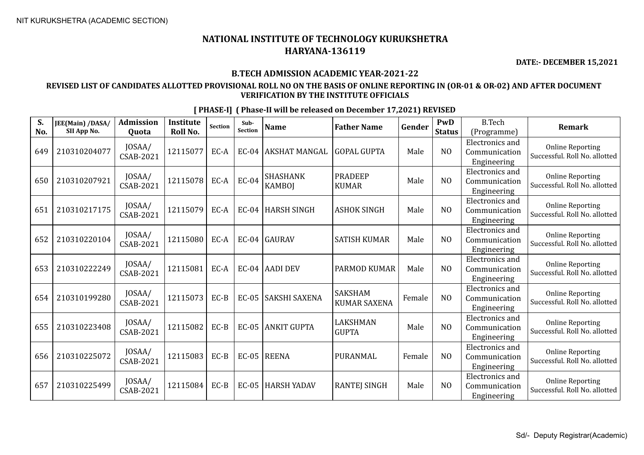**DATE:- DECEMBER 15,2021**

## **B.TECH ADMISSION ACADEMIC YEAR-2021-22**

## **REVISED LIST OF CANDIDATES ALLOTTED PROVISIONAL ROLL NO ON THE BASIS OF ONLINE REPORTING IN (OR-01 & OR-02) AND AFTER DOCUMENT VERIFICATION BY THE INSTITUTE OFFICIALS**

| S.  | JEE(Main) /DASA/ | <b>Admission</b>           | <b>Institute</b> | Section | Sub-<br><b>Section</b> | <b>Name</b>                      | <b>Father Name</b>                    | Gender | PwD            | <b>B.Tech</b>                                          | <b>Remark</b>                                            |
|-----|------------------|----------------------------|------------------|---------|------------------------|----------------------------------|---------------------------------------|--------|----------------|--------------------------------------------------------|----------------------------------------------------------|
| No. | SII App No.      | Quota                      | Roll No.         |         |                        |                                  |                                       |        | <b>Status</b>  | (Programme)                                            |                                                          |
| 649 | 210310204077     | JOSAA/<br>CSAB-2021        | 12115077         | EC-A    | <b>EC-04</b>           | <b>AKSHAT MANGAL</b>             | <b>GOPAL GUPTA</b>                    | Male   | N <sub>O</sub> | Electronics and<br>Communication<br>Engineering        | <b>Online Reporting</b><br>Successful. Roll No. allotted |
| 650 | 210310207921     | JOSAA/<br><b>CSAB-2021</b> | 12115078         | EC-A    | <b>EC-04</b>           | <b>SHASHANK</b><br><b>KAMBOI</b> | <b>PRADEEP</b><br><b>KUMAR</b>        | Male   | N <sub>O</sub> | Electronics and<br>Communication<br>Engineering        | <b>Online Reporting</b><br>Successful. Roll No. allotted |
| 651 | 210310217175     | JOSAA/<br><b>CSAB-2021</b> | 12115079         | EC-A    | $EC-04$                | HARSH SINGH                      | <b>ASHOK SINGH</b>                    | Male   | N <sub>O</sub> | <b>Electronics</b> and<br>Communication<br>Engineering | <b>Online Reporting</b><br>Successful, Roll No. allotted |
| 652 | 210310220104     | JOSAA/<br>CSAB-2021        | 12115080         | EC-A    | $EC-04$                | GAURAV                           | <b>SATISH KUMAR</b>                   | Male   | N <sub>O</sub> | <b>Electronics</b> and<br>Communication<br>Engineering | <b>Online Reporting</b><br>Successful. Roll No. allotted |
| 653 | 210310222249     | JOSAA/<br>CSAB-2021        | 12115081         | EC-A    | $EC-04$                | AADI DEV                         | <b>PARMOD KUMAR</b>                   | Male   | N <sub>O</sub> | <b>Electronics</b> and<br>Communication<br>Engineering | <b>Online Reporting</b><br>Successful. Roll No. allotted |
| 654 | 210310199280     | JOSAA/<br><b>CSAB-2021</b> | 12115073         | $EC-B$  | <b>EC-05</b>           | <b>SAKSHI SAXENA</b>             | <b>SAKSHAM</b><br><b>KUMAR SAXENA</b> | Female | N <sub>O</sub> | <b>Electronics and</b><br>Communication<br>Engineering | <b>Online Reporting</b><br>Successful. Roll No. allotted |
| 655 | 210310223408     | JOSAA/<br><b>CSAB-2021</b> | 12115082         | $EC-B$  | <b>EC-05</b>           | <b>ANKIT GUPTA</b>               | LAKSHMAN<br><b>GUPTA</b>              | Male   | N <sub>O</sub> | Electronics and<br>Communication<br>Engineering        | <b>Online Reporting</b><br>Successful. Roll No. allotted |
| 656 | 210310225072     | JOSAA/<br><b>CSAB-2021</b> | 12115083         | $EC-B$  | $EC-05$                | REENA                            | PURANMAL                              | Female | N <sub>O</sub> | <b>Electronics</b> and<br>Communication<br>Engineering | <b>Online Reporting</b><br>Successful. Roll No. allotted |
| 657 | 210310225499     | JOSAA/<br>CSAB-2021        | 12115084         | $EC-B$  | <b>EC-05</b>           | HARSH YADAV                      | <b>RANTEJ SINGH</b>                   | Male   | N <sub>O</sub> | Electronics and<br>Communication<br>Engineering        | <b>Online Reporting</b><br>Successful. Roll No. allotted |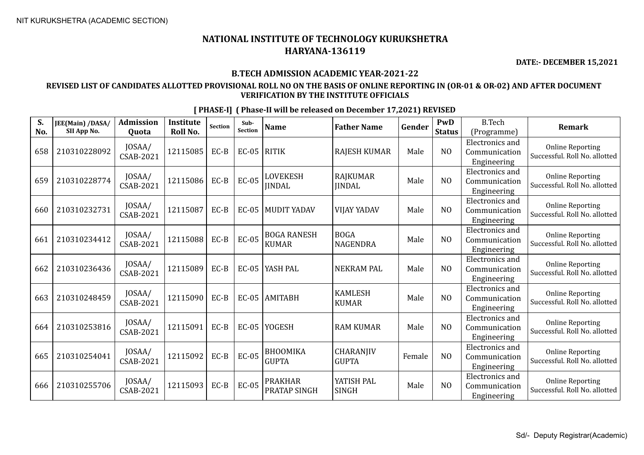**DATE:- DECEMBER 15,2021**

## **B.TECH ADMISSION ACADEMIC YEAR-2021-22**

## **REVISED LIST OF CANDIDATES ALLOTTED PROVISIONAL ROLL NO ON THE BASIS OF ONLINE REPORTING IN (OR-01 & OR-02) AND AFTER DOCUMENT VERIFICATION BY THE INSTITUTE OFFICIALS**

**[ PHASE-I] ( Phase-II will be released on December 17,2021) REVISED S. JEE(Main) /DASA/ Admission Institute Quota Roll No. Sub-Section Name Father Name Gender PwD Status** B.Tech CSAB-2021 <sup>12115085</sup> EC-B EC-05 RITIK RAJESH KUMAR Male NO Electronics and Communication Engineering

| No. | JEE(MAIII) / DASA/<br>SII App No. | 7101111331V11<br><b>Quota</b> | moututt<br><b>Roll No.</b> | Section | Juv-<br><b>Section</b> | <b>Name</b>                        | <b>Father Name</b>               | Gender | 1 VV LA<br><b>Status</b> | <b>D.ICCII</b><br>(Programme)                          | <b>Remark</b>                                            |
|-----|-----------------------------------|-------------------------------|----------------------------|---------|------------------------|------------------------------------|----------------------------------|--------|--------------------------|--------------------------------------------------------|----------------------------------------------------------|
| 658 | 210310228092                      | JOSAA/<br>CSAB-2021           | 12115085                   | $EC-B$  | $EC-05$                | <b>RITIK</b>                       | <b>RAJESH KUMAR</b>              | Male   | N <sub>O</sub>           | <b>Electronics</b> and<br>Communication<br>Engineering | <b>Online Reporting</b><br>Successful. Roll No. allotted |
| 659 | 210310228774                      | JOSAA/<br><b>CSAB-2021</b>    | 12115086                   | $EC-B$  | <b>EC-05</b>           | LOVEKESH<br><b>JINDAL</b>          | <b>RAJKUMAR</b><br><b>IINDAL</b> | Male   | N <sub>O</sub>           | Electronics and<br>Communication<br>Engineering        | <b>Online Reporting</b><br>Successful. Roll No. allotted |
| 660 | 210310232731                      | JOSAA/<br><b>CSAB-2021</b>    | 12115087                   | $EC-B$  | $EC-05$                | <b>MUDIT YADAV</b>                 | <b>VIJAY YADAV</b>               | Male   | N <sub>O</sub>           | Electronics and<br>Communication<br>Engineering        | <b>Online Reporting</b><br>Successful. Roll No. allotted |
| 661 | 210310234412                      | JOSAA/<br>CSAB-2021           | 12115088                   | $EC-B$  | <b>EC-05</b>           | <b>BOGA RANESH</b><br><b>KUMAR</b> | <b>BOGA</b><br>NAGENDRA          | Male   | N <sub>O</sub>           | <b>Electronics</b> and<br>Communication<br>Engineering | <b>Online Reporting</b><br>Successful. Roll No. allotted |
| 662 | 210310236436                      | JOSAA/<br><b>CSAB-2021</b>    | 12115089                   | $EC-B$  | <b>EC-05</b>           | YASH PAL                           | <b>NEKRAM PAL</b>                | Male   | N <sub>O</sub>           | Electronics and<br>Communication<br>Engineering        | <b>Online Reporting</b><br>Successful. Roll No. allotted |
| 663 | 210310248459                      | JOSAA/<br><b>CSAB-2021</b>    | 12115090                   | $EC-B$  | $EC-05$                | <b>AMITABH</b>                     | <b>KAMLESH</b><br><b>KUMAR</b>   | Male   | N <sub>O</sub>           | Electronics and<br>Communication<br>Engineering        | <b>Online Reporting</b><br>Successful. Roll No. allotted |
| 664 | 210310253816                      | JOSAA/<br>CSAB-2021           | 12115091                   | $EC-B$  | $EC-05$                | <b>YOGESH</b>                      | <b>RAM KUMAR</b>                 | Male   | N <sub>O</sub>           | <b>Electronics</b> and<br>Communication<br>Engineering | <b>Online Reporting</b><br>Successful. Roll No. allotted |
| 665 | 210310254041                      | JOSAA/<br>CSAB-2021           | 12115092                   | $EC-B$  | $EC-05$                | <b>BHOOMIKA</b><br><b>GUPTA</b>    | CHARANJIV<br><b>GUPTA</b>        | Female | N <sub>O</sub>           | Electronics and<br>Communication<br>Engineering        | <b>Online Reporting</b><br>Successful. Roll No. allotted |
| 666 | 210310255706                      | JOSAA/<br>CSAB-2021           | 12115093                   | $EC-B$  | <b>EC-05</b>           | <b>PRAKHAR</b><br>PRATAP SINGH     | YATISH PAL<br><b>SINGH</b>       | Male   | N <sub>O</sub>           | Electronics and<br>Communication<br>Engineering        | <b>Online Reporting</b><br>Successful. Roll No. allotted |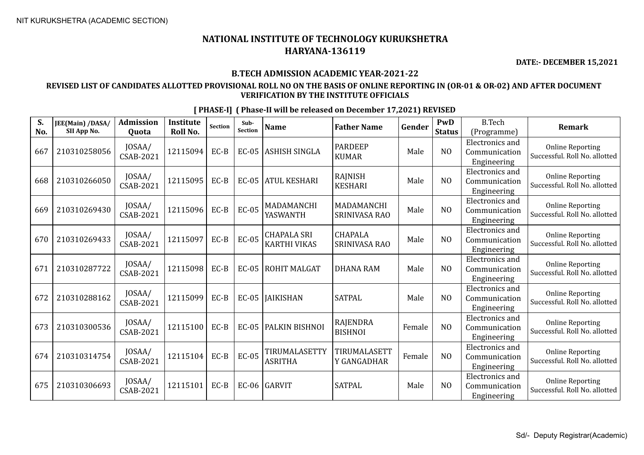**DATE:- DECEMBER 15,2021**

#### **B.TECH ADMISSION ACADEMIC YEAR-2021-22**

### **REVISED LIST OF CANDIDATES ALLOTTED PROVISIONAL ROLL NO ON THE BASIS OF ONLINE REPORTING IN (OR-01 & OR-02) AND AFTER DOCUMENT VERIFICATION BY THE INSTITUTE OFFICIALS**

**S. No. JEE(Main) /DASA/ SII App No. Admission Quota Institute Roll No.** Section **Sub-**<br>Section **Sub- Name Father Name Gender PWD Status** B.Tech (Programme) **Remark** 667 210310258056 JOSAA/  $\begin{array}{c|c}$  JOSAA/ 12115094 EC-B EC-05 ASHISH SINGLA PARDEEP PARDEEP | Male | NO Electronics and Communication Engineering Online Reporting Successful. Roll No. allotted 668 210310266050 JOSAA/  $\begin{array}{c|c|c} \text{JOSAA/} & \text{12115095} & \text{EC-B} & \text{EC-05} & \text{ATUL KESHARI} & \text{KBSHARI} \end{array}$ RAJNISH | Male | NO Electronics and Communication Engineering Online Reporting Successful. Roll No. allotted 669 210310269430 JOSAA/  $\begin{array}{c|c|c|c} \text{JOSAA/} & \text{12115096} & \text{EC-B} & \text{EC-05} & \text{MADAMANCHI} \\ \text{CSAB-2021} & & & & \text{YASWANTH} \end{array}$ YASWANTH MADAMANCHI MADAMANUTI Male NO Electronics and Communication Engineering Online Reporting Successful. Roll No. allotted  $670$  210310269433  $\bigg|$  JOSAA/<br>CSAB-2021 CSAB-2021 <sup>12115097</sup> EC-B EC-05 CHAPALA SRI KARTHI VIKAS CHAPALA SRINIVASA RAO Male NO Electronics and Communication Engineering Online Reporting Successful. Roll No. allotted  $671 \Big| 210310287722 \Big| 10SAA / CSAB-2021$ CSAB-2021 <sup>12115098</sup> EC-B EC-05 ROHIT MALGAT DHANA RAM Male NO Electronics and Communication Engineering Online Reporting Successful. Roll No. allotted 672 210310288162 JOSAA/  $\begin{array}{|c|c|c|c|c|c|c|c|c|} \hline \text{CSAB-2021} & \text{12115099} & \text{EC-B} & \text{EC-05} & \text{JAIKISHAN} \ \hline \end{array}$  SATPAL Male MO Electronics and Communication Engineering Online Reporting Successful. Roll No. allotted  $673 \begin{array}{|c|c|c|c|c|} \hline 210310300536 & JOSAA/ \\ \hline & & & CSAB-2021 \hline \end{array}$  $\begin{array}{c|c|c|c} \text{JOSAA/} & \text{12115100} & \text{EC-B} & \text{EC-05} & \text{PALKIN BISHNOI} & \text{RAJENDRA} \\ \text{CSAB-2021} & & & & & \text{BISHNOI} \end{array}$ RAJENDRA Female NO Electronics and Communication Engineering Online Reporting Successful. Roll No. allotted  $674 \begin{bmatrix} 210310314754 \end{bmatrix}$   $\begin{bmatrix}$  JOSAA/<br>CSAB-2021 CSAB-2021 <sup>12115104</sup> EC-B EC-05 TIRUMALASETTY ASRITHA TIRUMALASETT Y GANGADHAR | Female | NO Electronics and Communication Engineering Online Reporting Successful. Roll No. allotted 675 210310306693  $\bigg| \begin{array}{c} 10SAA/ \\ CSAB-2021 \end{array}$ CSAB-2021 <sup>12115101</sup> EC-B EC-06 GARVIT SATPAL Male NO Electronics and Communication Engineering Online Reporting Successful. Roll No. allotted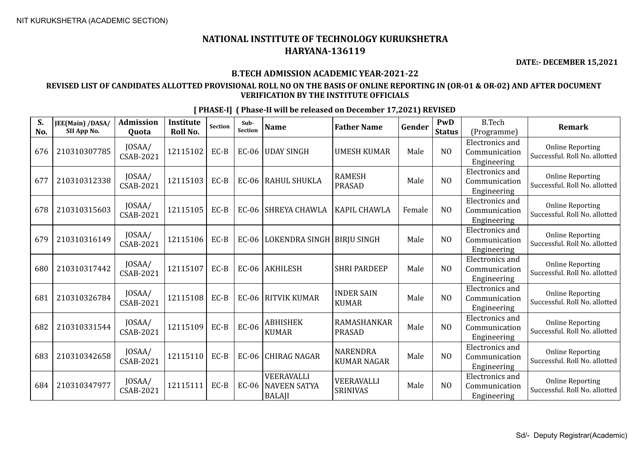**DATE:- DECEMBER 15,2021**

### **B.TECH ADMISSION ACADEMIC YEAR-2021-22**

## **REVISED LIST OF CANDIDATES ALLOTTED PROVISIONAL ROLL NO ON THE BASIS OF ONLINE REPORTING IN (OR-01 & OR-02) AND AFTER DOCUMENT VERIFICATION BY THE INSTITUTE OFFICIALS**

| S.  | JEE(Main) /DASA/ | <b>Admission</b>           | <b>Institute</b> | <b>Section</b> | Sub-<br>Section | <b>Name</b>                                        | <b>Father Name</b>                    | Gender | PwD            | <b>B.Tech</b>                                          | <b>Remark</b>                                            |
|-----|------------------|----------------------------|------------------|----------------|-----------------|----------------------------------------------------|---------------------------------------|--------|----------------|--------------------------------------------------------|----------------------------------------------------------|
| No. | SII App No.      | Quota                      | <b>Roll No.</b>  |                |                 |                                                    |                                       |        | <b>Status</b>  | (Programme)                                            |                                                          |
| 676 | 210310307785     | JOSAA/<br>CSAB-2021        | 12115102         | $EC-B$         | $EC-06$         | <b>UDAY SINGH</b>                                  | <b>UMESH KUMAR</b>                    | Male   | N <sub>O</sub> | <b>Electronics</b> and<br>Communication<br>Engineering | <b>Online Reporting</b><br>Successful. Roll No. allotted |
| 677 | 210310312338     | JOSAA/<br>CSAB-2021        | 12115103         | $EC-B$         | <b>EC-06</b>    | <b>RAHUL SHUKLA</b>                                | <b>RAMESH</b><br><b>PRASAD</b>        | Male   | N <sub>O</sub> | <b>Electronics</b> and<br>Communication<br>Engineering | <b>Online Reporting</b><br>Successful. Roll No. allotted |
| 678 | 210310315603     | JOSAA/<br>CSAB-2021        | 12115105         | EC-B           | $EC-06$         | SHREYA CHAWLA                                      | <b>KAPIL CHAWLA</b>                   | Female | N <sub>O</sub> | <b>Electronics</b> and<br>Communication<br>Engineering | <b>Online Reporting</b><br>Successful. Roll No. allotted |
| 679 | 210310316149     | JOSAA/<br>CSAB-2021        | 12115106         | $EC-B$         | $EC-06$         | LOKENDRA SINGH   BIRJU SINGH                       |                                       | Male   | N <sub>O</sub> | <b>Electronics</b> and<br>Communication<br>Engineering | <b>Online Reporting</b><br>Successful. Roll No. allotted |
| 680 | 210310317442     | JOSAA/<br>CSAB-2021        | 12115107         | $EC-B$         |                 | EC-06 AKHILESH                                     | <b>SHRI PARDEEP</b>                   | Male   | N <sub>O</sub> | <b>Electronics</b> and<br>Communication<br>Engineering | <b>Online Reporting</b><br>Successful. Roll No. allotted |
| 681 | 210310326784     | JOSAA/<br>CSAB-2021        | 12115108         | $EC-B$         | $EC-06$         | RITVIK KUMAR                                       | <b>INDER SAIN</b><br><b>KUMAR</b>     | Male   | N <sub>O</sub> | Electronics and<br>Communication<br>Engineering        | <b>Online Reporting</b><br>Successful. Roll No. allotted |
| 682 | 210310331544     | JOSAA/<br><b>CSAB-2021</b> | 12115109         | $EC-B$         | EC-06           | <b>ABHISHEK</b><br><b>KUMAR</b>                    | RAMASHANKAR<br><b>PRASAD</b>          | Male   | N <sub>O</sub> | Electronics and<br>Communication<br>Engineering        | <b>Online Reporting</b><br>Successful. Roll No. allotted |
| 683 | 210310342658     | JOSAA/<br><b>CSAB-2021</b> | 12115110         | $EC-B$         | EC-06           | <b>CHIRAG NAGAR</b>                                | <b>NARENDRA</b><br><b>KUMAR NAGAR</b> | Male   | N <sub>O</sub> | <b>Electronics</b> and<br>Communication<br>Engineering | <b>Online Reporting</b><br>Successful. Roll No. allotted |
| 684 | 210310347977     | JOSAA/<br>CSAB-2021        | 12115111         | $EC-B$         | $EC-06$         | VEERAVALLI<br><b>NAVEEN SATYA</b><br><b>BALAJI</b> | VEERAVALLI<br><b>SRINIVAS</b>         | Male   | N <sub>O</sub> | <b>Electronics</b> and<br>Communication<br>Engineering | <b>Online Reporting</b><br>Successful. Roll No. allotted |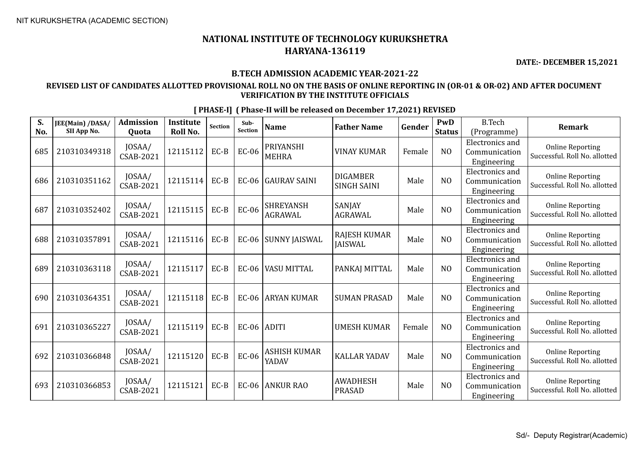**DATE:- DECEMBER 15,2021**

### **B.TECH ADMISSION ACADEMIC YEAR-2021-22**

## **REVISED LIST OF CANDIDATES ALLOTTED PROVISIONAL ROLL NO ON THE BASIS OF ONLINE REPORTING IN (OR-01 & OR-02) AND AFTER DOCUMENT VERIFICATION BY THE INSTITUTE OFFICIALS**

| S.<br>No. | JEE(Main) /DASA/<br>SII App No. | <b>Admission</b><br>Quota  | <b>Institute</b><br><b>Roll No.</b> | Section | Sub-<br><b>Section</b> | <b>Name</b>                        | <b>Father Name</b>                    | Gender | PwD<br><b>Status</b> | <b>B.Tech</b><br>(Programme)                           | <b>Remark</b>                                            |
|-----------|---------------------------------|----------------------------|-------------------------------------|---------|------------------------|------------------------------------|---------------------------------------|--------|----------------------|--------------------------------------------------------|----------------------------------------------------------|
| 685       | 210310349318                    | JOSAA/<br>CSAB-2021        | 12115112                            | $EC-B$  | <b>EC-06</b>           | <b>PRIYANSHI</b><br><b>MEHRA</b>   | <b>VINAY KUMAR</b>                    | Female | N <sub>O</sub>       | <b>Electronics</b> and<br>Communication<br>Engineering | <b>Online Reporting</b><br>Successful. Roll No. allotted |
| 686       | 210310351162                    | JOSAA/<br>CSAB-2021        | 12115114                            | $EC-B$  | <b>EC-06</b>           | <b>GAURAV SAINI</b>                | <b>DIGAMBER</b><br><b>SINGH SAINI</b> | Male   | N <sub>O</sub>       | Electronics and<br>Communication<br>Engineering        | <b>Online Reporting</b><br>Successful. Roll No. allotted |
| 687       | 210310352402                    | JOSAA/<br>CSAB-2021        | 12115115                            | $EC-B$  | <b>EC-06</b>           | <b>SHREYANSH</b><br><b>AGRAWAL</b> | SANJAY<br><b>AGRAWAL</b>              | Male   | N <sub>O</sub>       | <b>Electronics</b> and<br>Communication<br>Engineering | <b>Online Reporting</b><br>Successful. Roll No. allotted |
| 688       | 210310357891                    | JOSAA/<br><b>CSAB-2021</b> | 12115116                            | $EC-B$  | <b>EC-06</b>           | <b>SUNNY JAISWAL</b>               | <b>RAJESH KUMAR</b><br><b>JAISWAL</b> | Male   | N <sub>O</sub>       | Electronics and<br>Communication<br>Engineering        | <b>Online Reporting</b><br>Successful. Roll No. allotted |
| 689       | 210310363118                    | JOSAA/<br>CSAB-2021        | 12115117                            | $EC-B$  | <b>EC-06</b>           | VASU MITTAL                        | PANKAJ MITTAL                         | Male   | N <sub>O</sub>       | <b>Electronics</b> and<br>Communication<br>Engineering | <b>Online Reporting</b><br>Successful. Roll No. allotted |
| 690       | 210310364351                    | JOSAA/<br><b>CSAB-2021</b> | 12115118                            | $EC-B$  | $EC-06$                | <b>ARYAN KUMAR</b>                 | <b>SUMAN PRASAD</b>                   | Male   | N <sub>O</sub>       | <b>Electronics</b> and<br>Communication<br>Engineering | <b>Online Reporting</b><br>Successful. Roll No. allotted |
| 691       | 210310365227                    | JOSAA/<br>CSAB-2021        | 12115119                            | $EC-B$  | $EC-06$                | ADITI                              | <b>UMESH KUMAR</b>                    | Female | NO                   | <b>Electronics</b> and<br>Communication<br>Engineering | <b>Online Reporting</b><br>Successful. Roll No. allotted |
| 692       | 210310366848                    | JOSAA/<br>CSAB-2021        | 12115120                            | $EC-B$  | <b>EC-06</b>           | ASHISH KUMAR<br>YADAV              | <b>KALLAR YADAV</b>                   | Male   | N <sub>O</sub>       | Electronics and<br>Communication<br>Engineering        | <b>Online Reporting</b><br>Successful. Roll No. allotted |
| 693       | 210310366853                    | JOSAA/<br>CSAB-2021        | 12115121                            | $EC-B$  | <b>EC-06</b>           | <b>ANKUR RAO</b>                   | <b>AWADHESH</b><br><b>PRASAD</b>      | Male   | N <sub>O</sub>       | Electronics and<br>Communication<br>Engineering        | <b>Online Reporting</b><br>Successful. Roll No. allotted |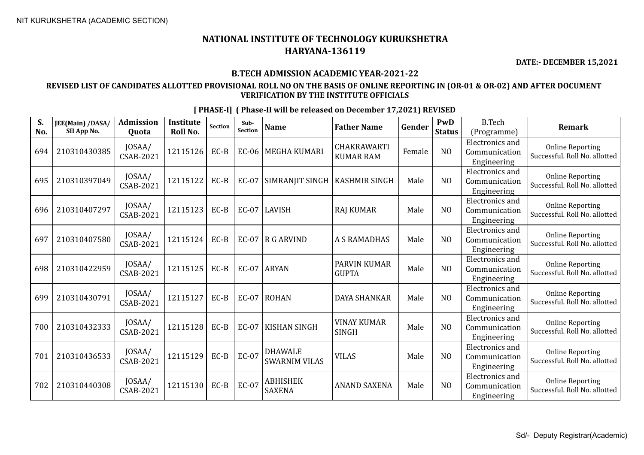**DATE:- DECEMBER 15,2021**

## **B.TECH ADMISSION ACADEMIC YEAR-2021-22**

## **REVISED LIST OF CANDIDATES ALLOTTED PROVISIONAL ROLL NO ON THE BASIS OF ONLINE REPORTING IN (OR-01 & OR-02) AND AFTER DOCUMENT VERIFICATION BY THE INSTITUTE OFFICIALS**

| S.<br>No. | JEE(Main) /DASA/<br>SII App No. | Admission<br>Quota         | <b>Institute</b><br>Roll No. | Section | Sub-<br>Section | <b>Name</b>                            | <b>Father Name</b>                 | Gender | PwD<br><b>Status</b> | <b>B.Tech</b><br>(Programme)                           | <b>Remark</b>                                            |
|-----------|---------------------------------|----------------------------|------------------------------|---------|-----------------|----------------------------------------|------------------------------------|--------|----------------------|--------------------------------------------------------|----------------------------------------------------------|
| 694       | 210310430385                    | JOSAA/<br><b>CSAB-2021</b> | 12115126                     | $EC-B$  | <b>EC-06</b>    | <b>MEGHA KUMARI</b>                    | CHAKRAWARTI<br><b>KUMAR RAM</b>    | Female | N <sub>O</sub>       | <b>Electronics</b> and<br>Communication<br>Engineering | <b>Online Reporting</b><br>Successful. Roll No. allotted |
| 695       | 210310397049                    | JOSAA/<br>CSAB-2021        | 12115122                     | $EC-B$  | EC-07           | SIMRANJIT SINGH                        | <b>KASHMIR SINGH</b>               | Male   | N <sub>O</sub>       | <b>Electronics</b> and<br>Communication<br>Engineering | <b>Online Reporting</b><br>Successful. Roll No. allotted |
| 696       | 210310407297                    | JOSAA/<br>CSAB-2021        | 12115123                     | $EC-B$  | EC-07           | LAVISH                                 | <b>RAJ KUMAR</b>                   | Male   | N <sub>O</sub>       | Electronics and<br>Communication<br>Engineering        | <b>Online Reporting</b><br>Successful. Roll No. allotted |
| 697       | 210310407580                    | JOSAA/<br>CSAB-2021        | 12115124                     | $EC-B$  | EC-07           | $\overline{R}$ G ARVIND                | <b>A S RAMADHAS</b>                | Male   | N <sub>O</sub>       | <b>Electronics</b> and<br>Communication<br>Engineering | <b>Online Reporting</b><br>Successful. Roll No. allotted |
| 698       | 210310422959                    | JOSAA/<br>CSAB-2021        | 12115125                     | $EC-B$  | <b>EC-07</b>    | <b>ARYAN</b>                           | PARVIN KUMAR<br><b>GUPTA</b>       | Male   | N <sub>O</sub>       | Electronics and<br>Communication<br>Engineering        | <b>Online Reporting</b><br>Successful. Roll No. allotted |
| 699       | 210310430791                    | JOSAA/<br><b>CSAB-2021</b> | 12115127                     | $EC-B$  | EC-07           | ROHAN                                  | <b>DAYA SHANKAR</b>                | Male   | N <sub>O</sub>       | <b>Electronics</b> and<br>Communication<br>Engineering | <b>Online Reporting</b><br>Successful. Roll No. allotted |
| 700       | 210310432333                    | JOSAA/<br><b>CSAB-2021</b> | 12115128                     | $EC-B$  | <b>EC-07</b>    | <b>KISHAN SINGH</b>                    | <b>VINAY KUMAR</b><br><b>SINGH</b> | Male   | NO                   | <b>Electronics</b> and<br>Communication<br>Engineering | <b>Online Reporting</b><br>Successful. Roll No. allotted |
| 701       | 210310436533                    | JOSAA/<br><b>CSAB-2021</b> | 12115129                     | $EC-B$  | EC-07           | <b>DHAWALE</b><br><b>SWARNIM VILAS</b> | <b>VILAS</b>                       | Male   | N <sub>O</sub>       | Electronics and<br>Communication<br>Engineering        | <b>Online Reporting</b><br>Successful. Roll No. allotted |
| 702       | 210310440308                    | JOSAA/<br>CSAB-2021        | 12115130                     | $EC-B$  | <b>EC-07</b>    | <b>ABHISHEK</b><br><b>SAXENA</b>       | <b>ANAND SAXENA</b>                | Male   | N <sub>O</sub>       | <b>Electronics</b> and<br>Communication<br>Engineering | <b>Online Reporting</b><br>Successful. Roll No. allotted |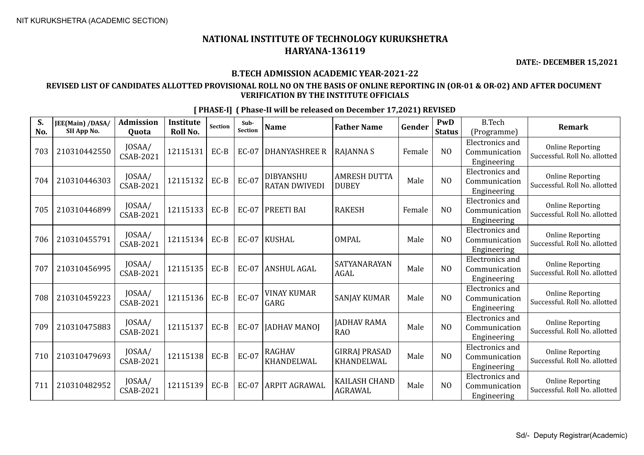**DATE:- DECEMBER 15,2021**

## **B.TECH ADMISSION ACADEMIC YEAR-2021-22**

## **REVISED LIST OF CANDIDATES ALLOTTED PROVISIONAL ROLL NO ON THE BASIS OF ONLINE REPORTING IN (OR-01 & OR-02) AND AFTER DOCUMENT VERIFICATION BY THE INSTITUTE OFFICIALS**

| S.<br>No. | JEE(Main) /DASA/<br>SII App No. | <b>Admission</b><br>Quota  | <b>Institute</b><br>Roll No. | <b>Section</b> | Sub-<br><b>Section</b> | <b>Name</b>                              | <b>Father Name</b>                     | Gender | PwD<br><b>Status</b> | <b>B.Tech</b><br>(Programme)                           | <b>Remark</b>                                            |
|-----------|---------------------------------|----------------------------|------------------------------|----------------|------------------------|------------------------------------------|----------------------------------------|--------|----------------------|--------------------------------------------------------|----------------------------------------------------------|
| 703       | 210310442550                    | JOSAA/<br>CSAB-2021        | 12115131                     | $EC-B$         | <b>EC-07</b>           | <b>DHANYASHREE R</b>                     | <b>RAJANNA S</b>                       | Female | N <sub>O</sub>       | Electronics and<br>Communication<br>Engineering        | <b>Online Reporting</b><br>Successful. Roll No. allotted |
| 704       | 210310446303                    | JOSAA/<br>CSAB-2021        | 12115132                     | $EC-B$         | EC-07                  | <b>DIBYANSHU</b><br><b>RATAN DWIVEDI</b> | <b>AMRESH DUTTA</b><br><b>DUBEY</b>    | Male   | NO                   | <b>Electronics</b> and<br>Communication<br>Engineering | <b>Online Reporting</b><br>Successful. Roll No. allotted |
| 705       | 210310446899                    | JOSAA/<br><b>CSAB-2021</b> | 12115133                     | $EC-B$         | <b>EC-07</b>           | PREETI BAI                               | <b>RAKESH</b>                          | Female | N <sub>O</sub>       | <b>Electronics</b> and<br>Communication<br>Engineering | <b>Online Reporting</b><br>Successful. Roll No. allotted |
| 706       | 210310455791                    | JOSAA/<br>CSAB-2021        | 12115134                     | EC-B           | <b>EC-07</b>           | <b>KUSHAL</b>                            | <b>OMPAL</b>                           | Male   | N <sub>O</sub>       | <b>Electronics</b> and<br>Communication<br>Engineering | <b>Online Reporting</b><br>Successful. Roll No. allotted |
| 707       | 210310456995                    | JOSAA/<br>CSAB-2021        | 12115135                     | $EC-B$         | <b>EC-07</b>           | <b>ANSHUL AGAL</b>                       | SATYANARAYAN<br><b>AGAL</b>            | Male   | N <sub>O</sub>       | Electronics and<br>Communication<br>Engineering        | <b>Online Reporting</b><br>Successful. Roll No. allotted |
| 708       | 210310459223                    | JOSAA/<br><b>CSAB-2021</b> | 12115136                     | $EC-B$         | <b>EC-07</b>           | <b>VINAY KUMAR</b><br>GARG               | <b>SANJAY KUMAR</b>                    | Male   | N <sub>0</sub>       | Electronics and<br>Communication<br>Engineering        | <b>Online Reporting</b><br>Successful. Roll No. allotted |
| 709       | 210310475883                    | JOSAA/<br>CSAB-2021        | 12115137                     | $EC-B$         | <b>EC-07</b>           | <b>JADHAV MANOJ</b>                      | JADHAV RAMA<br><b>RAO</b>              | Male   | NO                   | <b>Electronics</b> and<br>Communication<br>Engineering | <b>Online Reporting</b><br>Successful. Roll No. allotted |
| 710       | 210310479693                    | JOSAA/<br><b>CSAB-2021</b> | 12115138                     | $EC-B$         | <b>EC-07</b>           | <b>RAGHAV</b><br>KHANDELWAL              | <b>GIRRAJ PRASAD</b><br>KHANDELWAL     | Male   | N <sub>O</sub>       | Electronics and<br>Communication<br>Engineering        | <b>Online Reporting</b><br>Successful. Roll No. allotted |
| 711       | 210310482952                    | JOSAA/<br>CSAB-2021        | 12115139                     | $EC-B$         | <b>EC-07</b>           | ARPIT AGRAWAL                            | <b>KAILASH CHAND</b><br><b>AGRAWAL</b> | Male   | N <sub>O</sub>       | Electronics and<br>Communication<br>Engineering        | <b>Online Reporting</b><br>Successful. Roll No. allotted |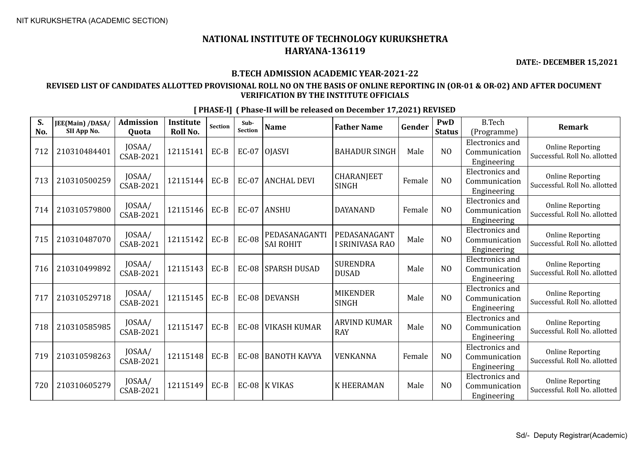**DATE:- DECEMBER 15,2021**

#### **B.TECH ADMISSION ACADEMIC YEAR-2021-22**

### **REVISED LIST OF CANDIDATES ALLOTTED PROVISIONAL ROLL NO ON THE BASIS OF ONLINE REPORTING IN (OR-01 & OR-02) AND AFTER DOCUMENT VERIFICATION BY THE INSTITUTE OFFICIALS**

**S. No. JEE(Main) /DASA/ SII App No. Admission Quota Institute Roll No.** Section **Sub-**<br>Section **Sub- Name Father Name Gender PWD Status** B.Tech (Programme) **Remark** <sup>712</sup> <sup>210310484401</sup> JOSAA/  $\begin{bmatrix} 0.57 \text{mJ} & 12115141 \end{bmatrix}$  EC-B  $\begin{bmatrix} 0.57 \text{mJ} & 12115141 \end{bmatrix}$  EC-07  $\begin{bmatrix} 0 \text{JASVI} & 0 \end{bmatrix}$  BAHADUR SINGH Male  $\begin{bmatrix} 0.07 \text{mJ} & 0 \end{bmatrix}$ Electronics and Communication Engineering Online Reporting Successful. Roll No. allotted 713 210310500259 JOSAA/  $\begin{array}{c|c}$  JOSAA/ 12115144 EC-B EC-07 ANCHAL DEVI  $\begin{array}{c} \text{CHARANJEET} \\ \text{SINGH} \end{array}$ CHARANJEET | Female | NO Electronics and Communication Engineering Online Reporting Successful. Roll No. allotted 714 210310579800 JOSAA/ CSAB-2021 <sup>12115146</sup> EC-B EC-07 ANSHU DAYANAND Female NO Electronics and Communication Engineering Online Reporting Successful. Roll No. allotted 715 210310487070 JOSAA/  $\lceil 12115142 \rceil$  EC-B  $\lceil$  EC-08 PEDASANAGANTI SAI ROHIT PEDASANAGANT I SRINIVASA RAO Male NO Electronics and Communication Engineering Online Reporting Successful. Roll No. allotted 716 210310499892 JOSAA/  $\begin{array}{c|c}$  JOSAA/  $\end{array}$  12115143 EC-B EC-08 SPARSH DUSAD SURENDRA SURENDRA | Male | NO Electronics and Communication Engineering Online Reporting Successful. Roll No. allotted 717 210310529718 JOSAA/  $\begin{array}{c|c|c}\n & \text{JOSAA/} \\
\text{CSAB-2021} & \text{12115145} & \text{EC-B} \\
\end{array}$  EC-08 DEVANSH SINGH MIKENDER<br>SINGH Male NO Electronics and Communication Engineering Online Reporting Successful. Roll No. allotted 718 210310585985 JOSAA/  $\begin{array}{c|c|c|c} \text{JOSAA/} & 12115147 & \text{EC-B} & \text{EC-08} & \text{VIKASH KUMAR} & \text{ARY} \\ \text{CSAB-2021} & & & & \text{E} & \text{E} & \text{C-B} & \text{VIKASH KUMAR} & \text{RAY} \\ \end{array}$  $\begin{array}{c|c}\n\hline\n\text{RAY}\n\end{array}$  Male  $\begin{array}{|c|c|}\n\hline\n\text{MAY}\n\end{array}$ Electronics and Communication Engineering Online Reporting Successful. Roll No. allotted  $719 \big| 210310598263 \big| 10SAA / CSAB-2021$ CSAB-2021 <sup>12115148</sup> EC-B EC-08 BANOTH KAVYA VENKANNA Female NO Electronics and Communication Engineering Online Reporting Successful. Roll No. allotted 720 210310605279 JOSAA/  $\begin{array}{c|c|c|c|c|c} \text{CSAB-2021} & 12115149 & \text{EC-B} & \text{EC-08} & \text{K VIKAS} \end{array}$  K HEERAMAN Male NO Electronics and Communication Engineering Online Reporting Successful. Roll No. allotted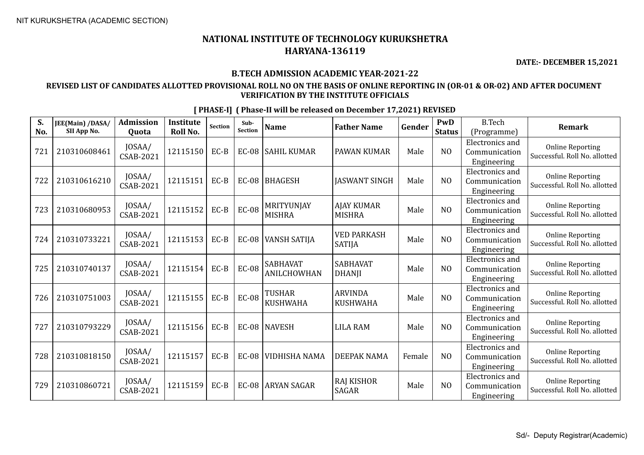**DATE:- DECEMBER 15,2021**

### **B.TECH ADMISSION ACADEMIC YEAR-2021-22**

## **REVISED LIST OF CANDIDATES ALLOTTED PROVISIONAL ROLL NO ON THE BASIS OF ONLINE REPORTING IN (OR-01 & OR-02) AND AFTER DOCUMENT VERIFICATION BY THE INSTITUTE OFFICIALS**

| S.<br>No. | JEE(Main) /DASA/<br>SII App No. | <b>Admission</b><br>Quota  | <b>Institute</b><br>Roll No. | <b>Section</b> | Sub-<br>Section | <b>Name</b>                      | <b>Father Name</b>                  | Gender | PwD<br><b>Status</b> | <b>B.Tech</b><br>(Programme)                           | <b>Remark</b>                                            |
|-----------|---------------------------------|----------------------------|------------------------------|----------------|-----------------|----------------------------------|-------------------------------------|--------|----------------------|--------------------------------------------------------|----------------------------------------------------------|
| 721       | 210310608461                    | JOSAA/<br>CSAB-2021        | 12115150                     | $EC-B$         |                 | EC-08 SAHIL KUMAR                | PAWAN KUMAR                         | Male   | NO                   | <b>Electronics</b> and<br>Communication<br>Engineering | <b>Online Reporting</b><br>Successful. Roll No. allotted |
| 722       | 210310616210                    | JOSAA/<br>CSAB-2021        | 12115151                     | EC-B           |                 | EC-08   BHAGESH                  | <b>JASWANT SINGH</b>                | Male   | NO                   | Electronics and<br>Communication<br>Engineering        | <b>Online Reporting</b><br>Successful. Roll No. allotted |
| 723       | 210310680953                    | JOSAA/<br>CSAB-2021        | 12115152                     | $EC-B$         | <b>EC-08</b>    | MRITYUNJAY<br><b>MISHRA</b>      | <b>AJAY KUMAR</b><br><b>MISHRA</b>  | Male   | NO                   | <b>Electronics</b> and<br>Communication<br>Engineering | <b>Online Reporting</b><br>Successful. Roll No. allotted |
| 724       | 210310733221                    | JOSAA/<br>CSAB-2021        | 12115153                     | $EC-B$         | <b>EC-08</b>    | <b>VANSH SATIJA</b>              | <b>VED PARKASH</b><br><b>SATIJA</b> | Male   | NO                   | <b>Electronics</b> and<br>Communication<br>Engineering | <b>Online Reporting</b><br>Successful. Roll No. allotted |
| 725       | 210310740137                    | JOSAA/<br><b>CSAB-2021</b> | 12115154                     | $EC-B$         | <b>EC-08</b>    | <b>SABHAVAT</b><br>ANILCHOWHAN   | <b>SABHAVAT</b><br><b>DHANJI</b>    | Male   | NO                   | <b>Electronics</b> and<br>Communication<br>Engineering | <b>Online Reporting</b><br>Successful. Roll No. allotted |
| 726       | 210310751003                    | JOSAA/<br>CSAB-2021        | 12115155                     | $EC-B$         | <b>EC-08</b>    | <b>TUSHAR</b><br><b>KUSHWAHA</b> | <b>ARVINDA</b><br><b>KUSHWAHA</b>   | Male   | NO                   | <b>Electronics</b> and<br>Communication<br>Engineering | <b>Online Reporting</b><br>Successful. Roll No. allotted |
| 727       | 210310793229                    | JOSAA/<br>CSAB-2021        | 12115156                     | EC-B           |                 | EC-08 NAVESH                     | <b>LILA RAM</b>                     | Male   | N <sub>0</sub>       | <b>Electronics</b> and<br>Communication<br>Engineering | <b>Online Reporting</b><br>Successful. Roll No. allotted |
| 728       | 210310818150                    | JOSAA/<br>CSAB-2021        | 12115157                     | EC-B           |                 | EC-08 VIDHISHA NAMA              | DEEPAK NAMA                         | Female | N <sub>O</sub>       | <b>Electronics</b> and<br>Communication<br>Engineering | <b>Online Reporting</b><br>Successful. Roll No. allotted |
| 729       | 210310860721                    | JOSAA/<br>CSAB-2021        | 12115159                     | EC-B           | <b>EC-08</b>    | <b>ARYAN SAGAR</b>               | RAJ KISHOR<br><b>SAGAR</b>          | Male   | N <sub>0</sub>       | Electronics and<br>Communication<br>Engineering        | <b>Online Reporting</b><br>Successful. Roll No. allotted |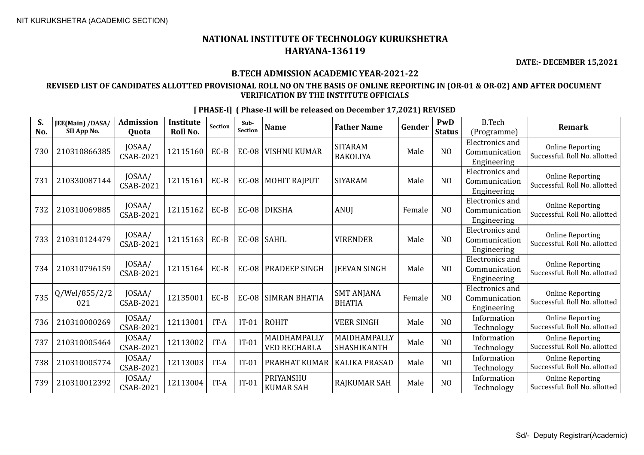**DATE:- DECEMBER 15,2021**

### **B.TECH ADMISSION ACADEMIC YEAR-2021-22**

## **REVISED LIST OF CANDIDATES ALLOTTED PROVISIONAL ROLL NO ON THE BASIS OF ONLINE REPORTING IN (OR-01 & OR-02) AND AFTER DOCUMENT VERIFICATION BY THE INSTITUTE OFFICIALS**

| S.<br>No. | JEE(Main) /DASA/<br>SII App No. | Admission<br>Quota         | <b>Institute</b><br>Roll No. | Section | Sub-<br><b>Section</b> | <b>Name</b>                         | <b>Father Name</b>                 | Gender | PwD<br><b>Status</b> | <b>B.Tech</b><br>(Programme)                           | <b>Remark</b>                                            |
|-----------|---------------------------------|----------------------------|------------------------------|---------|------------------------|-------------------------------------|------------------------------------|--------|----------------------|--------------------------------------------------------|----------------------------------------------------------|
| 730       | 210310866385                    | JOSAA/<br>CSAB-2021        | 12115160                     | $EC-B$  | $EC-08$                | <b>VISHNU KUMAR</b>                 | <b>SITARAM</b><br><b>BAKOLIYA</b>  | Male   | NO                   | Electronics and<br>Communication<br>Engineering        | <b>Online Reporting</b><br>Successful. Roll No. allotted |
| 731       | 210330087144                    | JOSAA/<br>CSAB-2021        | 12115161                     | $EC-B$  | $EC-08$                | MOHIT RAJPUT                        | <b>SIYARAM</b>                     | Male   | N <sub>O</sub>       | Electronics and<br>Communication<br>Engineering        | <b>Online Reporting</b><br>Successful. Roll No. allotted |
| 732       | 210310069885                    | JOSAA/<br>CSAB-2021        | 12115162                     | $EC-B$  |                        | EC-08 DIKSHA                        | ANUJ                               | Female | N <sub>O</sub>       | <b>Electronics</b> and<br>Communication<br>Engineering | <b>Online Reporting</b><br>Successful. Roll No. allotted |
| 733       | 210310124479                    | JOSAA/<br>CSAB-2021        | 12115163                     | $EC-B$  | EC-08 SAHIL            |                                     | <b>VIRENDER</b>                    | Male   | N <sub>O</sub>       | Electronics and<br>Communication<br>Engineering        | <b>Online Reporting</b><br>Successful. Roll No. allotted |
| 734       | 210310796159                    | JOSAA/<br>CSAB-2021        | 12115164                     | $EC-B$  | <b>EC-08</b>           | <b>PRADEEP SINGH</b>                | <b>JEEVAN SINGH</b>                | Male   | N <sub>O</sub>       | <b>Electronics and</b><br>Communication<br>Engineering | <b>Online Reporting</b><br>Successful. Roll No. allotted |
| 735       | Q/Wel/855/2/2<br>021            | JOSAA/<br><b>CSAB-2021</b> | 12135001                     | $EC-B$  | <b>EC-08</b>           | <b>SIMRAN BHATIA</b>                | <b>SMT ANJANA</b><br><b>BHATIA</b> | Female | NO                   | <b>Electronics and</b><br>Communication<br>Engineering | <b>Online Reporting</b><br>Successful. Roll No. allotted |
| 736       | 210310000269                    | JOSAA/<br>CSAB-2021        | 12113001                     | IT-A    | $IT-01$                | <b>ROHIT</b>                        | <b>VEER SINGH</b>                  | Male   | N <sub>O</sub>       | Information<br>Technology                              | <b>Online Reporting</b><br>Successful. Roll No. allotted |
| 737       | 210310005464                    | JOSAA/<br>CSAB-2021        | 12113002                     | IT-A    | $IT-01$                | MAIDHAMPALLY<br><b>VED RECHARLA</b> | MAIDHAMPALLY<br>SHASHIKANTH        | Male   | NO                   | Information<br>Technology                              | <b>Online Reporting</b><br>Successful. Roll No. allotted |
| 738       | 210310005774                    | JOSAA/<br>CSAB-2021        | 12113003                     | IT-A    | $IT-01$                | PRABHAT KUMAR                       | KALIKA PRASAD                      | Male   | N <sub>O</sub>       | Information<br>Technology                              | <b>Online Reporting</b><br>Successful. Roll No. allotted |
| 739       | 210310012392                    | JOSAA/<br>CSAB-2021        | 12113004                     | IT-A    | $IT-01$                | PRIYANSHU<br><b>KUMAR SAH</b>       | RAJKUMAR SAH                       | Male   | N <sub>O</sub>       | Information<br>Technology                              | <b>Online Reporting</b><br>Successful. Roll No. allotted |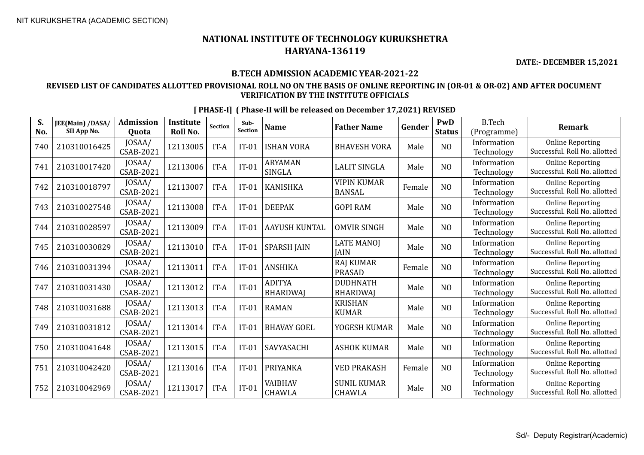**DATE:- DECEMBER 15,2021**

### **B.TECH ADMISSION ACADEMIC YEAR-2021-22**

## **REVISED LIST OF CANDIDATES ALLOTTED PROVISIONAL ROLL NO ON THE BASIS OF ONLINE REPORTING IN (OR-01 & OR-02) AND AFTER DOCUMENT VERIFICATION BY THE INSTITUTE OFFICIALS**

| S.<br>No. | JEE(Main) /DASA/<br>SII App No. | <b>Admission</b><br>Quota  | <b>Institute</b><br><b>Roll No.</b> | <b>Section</b> | Sub-<br><b>Section</b> | <b>Name</b>                      | <b>Father Name</b>                  | Gender | <b>PwD</b><br><b>Status</b> | <b>B.Tech</b><br>(Programme) | <b>Remark</b>                                            |
|-----------|---------------------------------|----------------------------|-------------------------------------|----------------|------------------------|----------------------------------|-------------------------------------|--------|-----------------------------|------------------------------|----------------------------------------------------------|
| 740       | 210310016425                    | JOSAA/<br>CSAB-2021        | 12113005                            | IT-A           | $IT-01$                | <b>ISHAN VORA</b>                | <b>BHAVESH VORA</b>                 | Male   | N <sub>O</sub>              | Information<br>Technology    | <b>Online Reporting</b><br>Successful. Roll No. allotted |
| 741       | 210310017420                    | JOSAA/<br>CSAB-2021        | 12113006                            | IT-A           | $IT-01$                | <b>ARYAMAN</b><br><b>SINGLA</b>  | <b>LALIT SINGLA</b>                 | Male   | NO                          | Information<br>Technology    | <b>Online Reporting</b><br>Successful. Roll No. allotted |
| 742       | 210310018797                    | JOSAA/<br><b>CSAB-2021</b> | 12113007                            | IT-A           | $IT-01$                | <b>KANISHKA</b>                  | <b>VIPIN KUMAR</b><br><b>BANSAL</b> | Female | N <sub>O</sub>              | Information<br>Technology    | <b>Online Reporting</b><br>Successful. Roll No. allotted |
| 743       | 210310027548                    | JOSAA/<br>CSAB-2021        | 12113008                            | IT-A           | $IT-01$                | <b>DEEPAK</b>                    | <b>GOPI RAM</b>                     | Male   | N <sub>O</sub>              | Information<br>Technology    | <b>Online Reporting</b><br>Successful. Roll No. allotted |
| 744       | 210310028597                    | JOSAA/<br>CSAB-2021        | 12113009                            | IT-A           | $IT-01$                | <b>AAYUSH KUNTAL</b>             | <b>OMVIR SINGH</b>                  | Male   | N <sub>O</sub>              | Information<br>Technology    | <b>Online Reporting</b><br>Successful. Roll No. allotted |
| 745       | 210310030829                    | JOSAA/<br><b>CSAB-2021</b> | 12113010                            | IT-A           | $IT-01$                | <b>SPARSH JAIN</b>               | <b>LATE MANOJ</b><br><b>IAIN</b>    | Male   | N <sub>O</sub>              | Information<br>Technology    | <b>Online Reporting</b><br>Successful. Roll No. allotted |
| 746       | 210310031394                    | JOSAA/<br><b>CSAB-2021</b> | 12113011                            | IT-A           | $IT-01$                | <b>ANSHIKA</b>                   | <b>RAJ KUMAR</b><br><b>PRASAD</b>   | Female | N <sub>O</sub>              | Information<br>Technology    | <b>Online Reporting</b><br>Successful. Roll No. allotted |
| 747       | 210310031430                    | JOSAA/<br>CSAB-2021        | 12113012                            | IT-A           | $IT-01$                | <b>ADITYA</b><br><b>BHARDWAJ</b> | <b>DUDHNATH</b><br><b>BHARDWAI</b>  | Male   | N <sub>O</sub>              | Information<br>Technology    | <b>Online Reporting</b><br>Successful. Roll No. allotted |
| 748       | 210310031688                    | JOSAA/<br>CSAB-2021        | 12113013                            | IT-A           | $IT-01$                | <b>RAMAN</b>                     | <b>KRISHAN</b><br><b>KUMAR</b>      | Male   | N <sub>O</sub>              | Information<br>Technology    | <b>Online Reporting</b><br>Successful. Roll No. allotted |
| 749       | 210310031812                    | JOSAA/<br><b>CSAB-2021</b> | 12113014                            | IT-A           | $IT-01$                | <b>BHAVAY GOEL</b>               | YOGESH KUMAR                        | Male   | N <sub>O</sub>              | Information<br>Technology    | <b>Online Reporting</b><br>Successful. Roll No. allotted |
| 750       | 210310041648                    | JOSAA/<br>CSAB-2021        | 12113015                            | IT-A           | $IT-01$                | SAVYASACHI                       | <b>ASHOK KUMAR</b>                  | Male   | N <sub>O</sub>              | Information<br>Technology    | <b>Online Reporting</b><br>Successful. Roll No. allotted |
| 751       | 210310042420                    | JOSAA/<br>CSAB-2021        | 12113016                            | IT-A           | $IT-01$                | PRIYANKA                         | <b>VED PRAKASH</b>                  | Female | NO                          | Information<br>Technology    | <b>Online Reporting</b><br>Successful. Roll No. allotted |
| 752       | 210310042969                    | JOSAA/<br>CSAB-2021        | 12113017                            | IT-A           | $IT-01$                | VAIBHAV<br><b>CHAWLA</b>         | <b>SUNIL KUMAR</b><br><b>CHAWLA</b> | Male   | N <sub>O</sub>              | Information<br>Technology    | <b>Online Reporting</b><br>Successful. Roll No. allotted |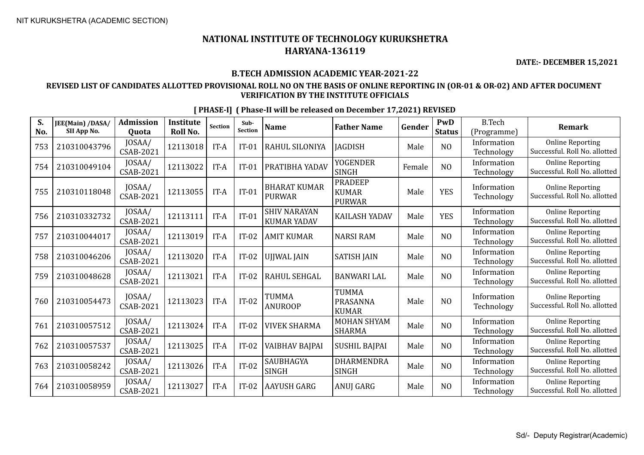**DATE:- DECEMBER 15,2021**

## **B.TECH ADMISSION ACADEMIC YEAR-2021-22**

## **REVISED LIST OF CANDIDATES ALLOTTED PROVISIONAL ROLL NO ON THE BASIS OF ONLINE REPORTING IN (OR-01 & OR-02) AND AFTER DOCUMENT VERIFICATION BY THE INSTITUTE OFFICIALS**

| S.<br>No. | JEE(Main) /DASA/<br>SII App No. | <b>Admission</b><br>Quota  | <b>Institute</b><br>Roll No. | Section | Sub-<br><b>Section</b> | <b>Name</b>                               | <b>Father Name</b>                              | Gender | PwD<br><b>Status</b> | <b>B.Tech</b><br>(Programme) | <b>Remark</b>                                            |
|-----------|---------------------------------|----------------------------|------------------------------|---------|------------------------|-------------------------------------------|-------------------------------------------------|--------|----------------------|------------------------------|----------------------------------------------------------|
| 753       | 210310043796                    | JOSAA/<br>CSAB-2021        | 12113018                     | IT-A    | $IT-01$                | RAHUL SILONIYA                            | <b>IAGDISH</b>                                  | Male   | N <sub>O</sub>       | Information<br>Technology    | <b>Online Reporting</b><br>Successful. Roll No. allotted |
| 754       | 210310049104                    | JOSAA/<br>CSAB-2021        | 12113022                     | IT-A    | $IT-01$                | PRATIBHA YADAV                            | YOGENDER<br><b>SINGH</b>                        | Female | N <sub>O</sub>       | Information<br>Technology    | <b>Online Reporting</b><br>Successful. Roll No. allotted |
| 755       | 210310118048                    | JOSAA/<br>CSAB-2021        | 12113055                     | IT-A    | $IT-01$                | <b>BHARAT KUMAR</b><br><b>PURWAR</b>      | <b>PRADEEP</b><br><b>KUMAR</b><br><b>PURWAR</b> | Male   | <b>YES</b>           | Information<br>Technology    | <b>Online Reporting</b><br>Successful. Roll No. allotted |
| 756       | 210310332732                    | JOSAA/<br>CSAB-2021        | 12113111                     | IT-A    | $IT-01$                | <b>SHIV NARAYAN</b><br><b>KUMAR YADAV</b> | <b>KAILASH YADAV</b>                            | Male   | <b>YES</b>           | Information<br>Technology    | <b>Online Reporting</b><br>Successful. Roll No. allotted |
| 757       | 210310044017                    | JOSAA/<br>CSAB-2021        | 12113019                     | IT-A    | $IT-02$                | <b>AMIT KUMAR</b>                         | <b>NARSI RAM</b>                                | Male   | N <sub>O</sub>       | Information<br>Technology    | <b>Online Reporting</b><br>Successful. Roll No. allotted |
| 758       | 210310046206                    | JOSAA/<br><b>CSAB-2021</b> | 12113020                     | IT-A    | $IT-02$                | UJJWAL JAIN                               | <b>SATISH JAIN</b>                              | Male   | N <sub>O</sub>       | Information<br>Technology    | <b>Online Reporting</b><br>Successful. Roll No. allotted |
| 759       | 210310048628                    | JOSAA/<br>CSAB-2021        | 12113021                     | IT-A    | $IT-02$                | RAHUL SEHGAL                              | <b>BANWARI LAL</b>                              | Male   | N <sub>O</sub>       | Information<br>Technology    | <b>Online Reporting</b><br>Successful. Roll No. allotted |
| 760       | 210310054473                    | JOSAA/<br>CSAB-2021        | 12113023                     | IT-A    | $IT-02$                | <b>TUMMA</b><br><b>ANUROOP</b>            | <b>TUMMA</b><br><b>PRASANNA</b><br><b>KUMAR</b> | Male   | N <sub>O</sub>       | Information<br>Technology    | <b>Online Reporting</b><br>Successful. Roll No. allotted |
| 761       | 210310057512                    | JOSAA/<br><b>CSAB-2021</b> | 12113024                     | IT-A    | $IT-02$                | <b>VIVEK SHARMA</b>                       | <b>MOHAN SHYAM</b><br><b>SHARMA</b>             | Male   | N <sub>O</sub>       | Information<br>Technology    | <b>Online Reporting</b><br>Successful. Roll No. allotted |
| 762       | 210310057537                    | JOSAA/<br><b>CSAB-2021</b> | 12113025                     | IT-A    | $IT-02$                | VAIBHAV BAJPAI                            | <b>SUSHIL BAJPAI</b>                            | Male   | N <sub>O</sub>       | Information<br>Technology    | <b>Online Reporting</b><br>Successful. Roll No. allotted |
| 763       | 210310058242                    | JOSAA/<br>CSAB-2021        | 12113026                     | IT-A    | $IT-02$                | SAUBHAGYA<br><b>SINGH</b>                 | <b>DHARMENDRA</b><br><b>SINGH</b>               | Male   | N <sub>O</sub>       | Information<br>Technology    | <b>Online Reporting</b><br>Successful. Roll No. allotted |
| 764       | 210310058959                    | JOSAA/<br>CSAB-2021        | 12113027                     | IT-A    | $IT-02$                | AAYUSH GARG                               | ANUJ GARG                                       | Male   | N <sub>O</sub>       | Information<br>Technology    | <b>Online Reporting</b><br>Successful. Roll No. allotted |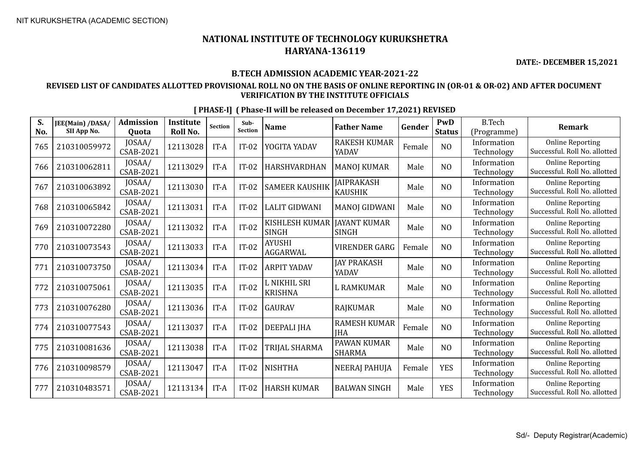**DATE:- DECEMBER 15,2021**

## **B.TECH ADMISSION ACADEMIC YEAR-2021-22**

## **REVISED LIST OF CANDIDATES ALLOTTED PROVISIONAL ROLL NO ON THE BASIS OF ONLINE REPORTING IN (OR-01 & OR-02) AND AFTER DOCUMENT VERIFICATION BY THE INSTITUTE OFFICIALS**

| S.<br>No. | JEE(Main) /DASA/<br>SII App No. | <b>Admission</b><br>Quota  | <b>Institute</b><br>Roll No. | <b>Section</b> | Sub-<br><b>Section</b> | <b>Name</b>                    | <b>Father Name</b>                  | Gender | PwD<br><b>Status</b> | <b>B.Tech</b><br>(Programme) | <b>Remark</b>                                            |
|-----------|---------------------------------|----------------------------|------------------------------|----------------|------------------------|--------------------------------|-------------------------------------|--------|----------------------|------------------------------|----------------------------------------------------------|
| 765       | 210310059972                    | JOSAA/<br><b>CSAB-2021</b> | 12113028                     | IT-A           | $IT-02$                | YOGITA YADAV                   | <b>RAKESH KUMAR</b><br>YADAV        | Female | NO                   | Information<br>Technology    | <b>Online Reporting</b><br>Successful. Roll No. allotted |
| 766       | 210310062811                    | JOSAA/<br>CSAB-2021        | 12113029                     | IT-A           | $IT-02$                | HARSHVARDHAN                   | <b>MANOJ KUMAR</b>                  | Male   | N <sub>O</sub>       | Information<br>Technology    | <b>Online Reporting</b><br>Successful. Roll No. allotted |
| 767       | 210310063892                    | JOSAA/<br>CSAB-2021        | 12113030                     | IT-A           | $IT-02$                | <b>SAMEER KAUSHIK</b>          | <b>JAIPRAKASH</b><br><b>KAUSHIK</b> | Male   | N <sub>O</sub>       | Information<br>Technology    | <b>Online Reporting</b><br>Successful. Roll No. allotted |
| 768       | 210310065842                    | JOSAA/<br>CSAB-2021        | 12113031                     | IT-A           | $IT-02$                | <b>LALIT GIDWANI</b>           | <b>MANOJ GIDWANI</b>                | Male   | N <sub>O</sub>       | Information<br>Technology    | <b>Online Reporting</b><br>Successful. Roll No. allotted |
| 769       | 210310072280                    | JOSAA/<br>CSAB-2021        | 12113032                     | IT-A           | $IT-02$                | KISHLESH KUMAR<br><b>SINGH</b> | <b>JAYANT KUMAR</b><br><b>SINGH</b> | Male   | N <sub>O</sub>       | Information<br>Technology    | <b>Online Reporting</b><br>Successful. Roll No. allotted |
| 770       | 210310073543                    | JOSAA/<br>CSAB-2021        | 12113033                     | IT-A           | $IT-02$                | AYUSHI<br>AGGARWAL             | <b>VIRENDER GARG</b>                | Female | N <sub>O</sub>       | Information<br>Technology    | <b>Online Reporting</b><br>Successful. Roll No. allotted |
| 771       | 210310073750                    | JOSAA/<br><b>CSAB-2021</b> | 12113034                     | IT-A           | $IT-02$                | <b>ARPIT YADAV</b>             | <b>JAY PRAKASH</b><br>YADAV         | Male   | N <sub>O</sub>       | Information<br>Technology    | <b>Online Reporting</b><br>Successful. Roll No. allotted |
| 772       | 210310075061                    | JOSAA/<br><b>CSAB-2021</b> | 12113035                     | IT-A           | $IT-02$                | L NIKHIL SRI<br><b>KRISHNA</b> | <b>L RAMKUMAR</b>                   | Male   | NO                   | Information<br>Technology    | <b>Online Reporting</b><br>Successful. Roll No. allotted |
| 773       | 210310076280                    | JOSAA/<br><b>CSAB-2021</b> | 12113036                     | IT-A           | $IT-02$                | GAURAV                         | <b>RAJKUMAR</b>                     | Male   | N <sub>O</sub>       | Information<br>Technology    | <b>Online Reporting</b><br>Successful. Roll No. allotted |
| 774       | 210310077543                    | JOSAA/<br>CSAB-2021        | 12113037                     | IT-A           | $IT-02$                | DEEPALI JHA                    | <b>RAMESH KUMAR</b><br><b>IHA</b>   | Female | N <sub>O</sub>       | Information<br>Technology    | <b>Online Reporting</b><br>Successful. Roll No. allotted |
| 775       | 210310081636                    | JOSAA/<br>CSAB-2021        | 12113038                     | IT-A           | $IT-02$                | TRIJAL SHARMA                  | PAWAN KUMAR<br><b>SHARMA</b>        | Male   | N <sub>O</sub>       | Information<br>Technology    | <b>Online Reporting</b><br>Successful. Roll No. allotted |
| 776       | 210310098579                    | JOSAA/<br>CSAB-2021        | 12113047                     | IT-A           | $IT-02$                | <b>NISHTHA</b>                 | <b>NEERAJ PAHUJA</b>                | Female | <b>YES</b>           | Information<br>Technology    | <b>Online Reporting</b><br>Successful. Roll No. allotted |
| 777       | 210310483571                    | JOSAA/<br><b>CSAB-2021</b> | 12113134                     | IT-A           | $IT-02$                | <b>HARSH KUMAR</b>             | <b>BALWAN SINGH</b>                 | Male   | <b>YES</b>           | Information<br>Technology    | <b>Online Reporting</b><br>Successful. Roll No. allotted |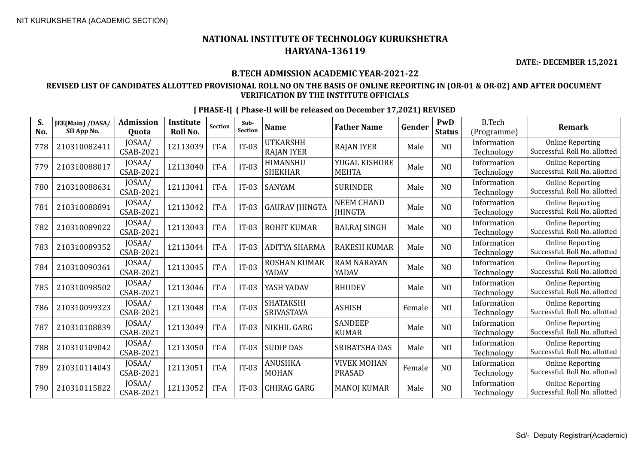**DATE:- DECEMBER 15,2021**

## **B.TECH ADMISSION ACADEMIC YEAR-2021-22**

## **REVISED LIST OF CANDIDATES ALLOTTED PROVISIONAL ROLL NO ON THE BASIS OF ONLINE REPORTING IN (OR-01 & OR-02) AND AFTER DOCUMENT VERIFICATION BY THE INSTITUTE OFFICIALS**

| S.<br>No. | JEE(Main) /DASA/<br>SII App No. | <b>Admission</b><br>Quota  | <b>Institute</b><br><b>Roll No.</b> | <b>Section</b> | Sub-<br><b>Section</b> | <b>Name</b>                          | <b>Father Name</b>                  | Gender | PwD<br><b>Status</b> | <b>B.Tech</b><br>(Programme) | <b>Remark</b>                                            |
|-----------|---------------------------------|----------------------------|-------------------------------------|----------------|------------------------|--------------------------------------|-------------------------------------|--------|----------------------|------------------------------|----------------------------------------------------------|
| 778       | 210310082411                    | JOSAA/<br>CSAB-2021        | 12113039                            | IT-A           | $IT-03$                | <b>UTKARSHH</b><br><b>RAJAN IYER</b> | <b>RAJAN IYER</b>                   | Male   | N <sub>O</sub>       | Information<br>Technology    | <b>Online Reporting</b><br>Successful. Roll No. allotted |
| 779       | 210310088017                    | JOSAA/<br>CSAB-2021        | 12113040                            | IT-A           | $IT-03$                | HIMANSHU<br><b>SHEKHAR</b>           | YUGAL KISHORE<br><b>MEHTA</b>       | Male   | N <sub>O</sub>       | Information<br>Technology    | <b>Online Reporting</b><br>Successful. Roll No. allotted |
| 780       | 210310088631                    | JOSAA/<br>CSAB-2021        | 12113041                            | IT-A           | $IT-03$                | <b>SANYAM</b>                        | <b>SURINDER</b>                     | Male   | N <sub>O</sub>       | Information<br>Technology    | <b>Online Reporting</b><br>Successful. Roll No. allotted |
| 781       | 210310088891                    | JOSAA/<br>CSAB-2021        | 12113042                            | IT-A           | $IT-03$                | <b>GAURAV JHINGTA</b>                | <b>NEEM CHAND</b><br><b>JHINGTA</b> | Male   | N <sub>O</sub>       | Information<br>Technology    | <b>Online Reporting</b><br>Successful. Roll No. allotted |
| 782       | 210310089022                    | JOSAA/<br>CSAB-2021        | 12113043                            | IT-A           | $IT-03$                | <b>ROHIT KUMAR</b>                   | <b>BALRAJ SINGH</b>                 | Male   | N <sub>O</sub>       | Information<br>Technology    | <b>Online Reporting</b><br>Successful. Roll No. allotted |
| 783       | 210310089352                    | JOSAA/<br><b>CSAB-2021</b> | 12113044                            | IT-A           | $IT-03$                | ADITYA SHARMA                        | <b>RAKESH KUMAR</b>                 | Male   | N <sub>O</sub>       | Information<br>Technology    | <b>Online Reporting</b><br>Successful. Roll No. allotted |
| 784       | 210310090361                    | JOSAA/<br>CSAB-2021        | 12113045                            | IT-A           | $IT-03$                | <b>ROSHAN KUMAR</b><br>YADAV         | <b>RAM NARAYAN</b><br>YADAV         | Male   | N <sub>O</sub>       | Information<br>Technology    | <b>Online Reporting</b><br>Successful. Roll No. allotted |
| 785       | 210310098502                    | JOSAA/<br><b>CSAB-2021</b> | 12113046                            | IT-A           | $IT-03$                | YASH YADAV                           | <b>BHUDEV</b>                       | Male   | N <sub>O</sub>       | Information<br>Technology    | <b>Online Reporting</b><br>Successful. Roll No. allotted |
| 786       | 210310099323                    | JOSAA/<br><b>CSAB-2021</b> | 12113048                            | IT-A           | $IT-03$                | <b>SHATAKSHI</b><br>SRIVASTAVA       | <b>ASHISH</b>                       | Female | N <sub>O</sub>       | Information<br>Technology    | <b>Online Reporting</b><br>Successful. Roll No. allotted |
| 787       | 210310108839                    | JOSAA/<br>CSAB-2021        | 12113049                            | IT-A           | $IT-03$                | NIKHIL GARG                          | <b>SANDEEP</b><br><b>KUMAR</b>      | Male   | N <sub>O</sub>       | Information<br>Technology    | <b>Online Reporting</b><br>Successful. Roll No. allotted |
| 788       | 210310109042                    | JOSAA/<br>CSAB-2021        | 12113050                            | IT-A           | $IT-03$                | <b>SUDIP DAS</b>                     | <b>SRIBATSHA DAS</b>                | Male   | N <sub>O</sub>       | Information<br>Technology    | <b>Online Reporting</b><br>Successful. Roll No. allotted |
| 789       | 210310114043                    | JOSAA/<br>CSAB-2021        | 12113051                            | IT-A           | $IT-03$                | <b>ANUSHKA</b><br><b>MOHAN</b>       | <b>VIVEK MOHAN</b><br>PRASAD        | Female | N <sub>O</sub>       | Information<br>Technology    | <b>Online Reporting</b><br>Successful. Roll No. allotted |
| 790       | 210310115822                    | JOSAA/<br>CSAB-2021        | 12113052                            | IT-A           | $IT-03$                | <b>CHIRAG GARG</b>                   | <b>MANOJ KUMAR</b>                  | Male   | NO                   | Information<br>Technology    | <b>Online Reporting</b><br>Successful. Roll No. allotted |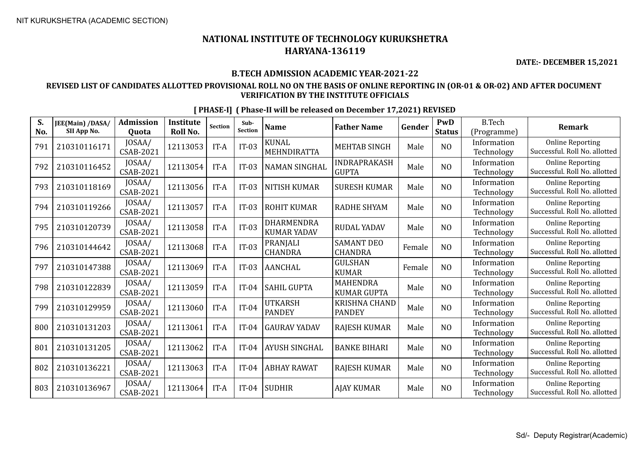**DATE:- DECEMBER 15,2021**

## **B.TECH ADMISSION ACADEMIC YEAR-2021-22**

## **REVISED LIST OF CANDIDATES ALLOTTED PROVISIONAL ROLL NO ON THE BASIS OF ONLINE REPORTING IN (OR-01 & OR-02) AND AFTER DOCUMENT VERIFICATION BY THE INSTITUTE OFFICIALS**

| S.<br>No. | JEE(Main) /DASA/<br>SII App No. | <b>Admission</b><br>Quota  | <b>Institute</b><br>Roll No. | <b>Section</b> | Sub-<br><b>Section</b> | <b>Name</b>                      | <b>Father Name</b>                    | Gender | PwD<br><b>Status</b> | <b>B.Tech</b><br>(Programme) | <b>Remark</b>                                            |
|-----------|---------------------------------|----------------------------|------------------------------|----------------|------------------------|----------------------------------|---------------------------------------|--------|----------------------|------------------------------|----------------------------------------------------------|
| 791       | 210310116171                    | JOSAA/<br>CSAB-2021        | 12113053                     | IT-A           | $IT-03$                | <b>KUNAL</b><br>MEHNDIRATTA      | <b>MEHTAB SINGH</b>                   | Male   | N <sub>O</sub>       | Information<br>Technology    | <b>Online Reporting</b><br>Successful. Roll No. allotted |
| 792       | 210310116452                    | JOSAA/<br>CSAB-2021        | 12113054                     | IT-A           | $IT-03$                | <b>NAMAN SINGHAL</b>             | <b>INDRAPRAKASH</b><br><b>GUPTA</b>   | Male   | N <sub>O</sub>       | Information<br>Technology    | <b>Online Reporting</b><br>Successful. Roll No. allotted |
| 793       | 210310118169                    | JOSAA/<br>CSAB-2021        | 12113056                     | IT-A           | $IT-03$                | NITISH KUMAR                     | <b>SURESH KUMAR</b>                   | Male   | N <sub>O</sub>       | Information<br>Technology    | <b>Online Reporting</b><br>Successful. Roll No. allotted |
| 794       | 210310119266                    | JOSAA/<br>CSAB-2021        | 12113057                     | IT-A           | $IT-03$                | <b>ROHIT KUMAR</b>               | <b>RADHE SHYAM</b>                    | Male   | NO                   | Information<br>Technology    | <b>Online Reporting</b><br>Successful. Roll No. allotted |
| 795       | 210310120739                    | JOSAA/<br>CSAB-2021        | 12113058                     | IT-A           | $IT-03$                | DHARMENDRA<br><b>KUMAR YADAV</b> | <b>RUDAL YADAV</b>                    | Male   | NO                   | Information<br>Technology    | <b>Online Reporting</b><br>Successful. Roll No. allotted |
| 796       | 210310144642                    | JOSAA/<br>CSAB-2021        | 12113068                     | IT-A           | $IT-03$                | PRANJALI<br><b>CHANDRA</b>       | <b>SAMANT DEO</b><br><b>CHANDRA</b>   | Female | N <sub>O</sub>       | Information<br>Technology    | <b>Online Reporting</b><br>Successful. Roll No. allotted |
| 797       | 210310147388                    | JOSAA/<br>CSAB-2021        | 12113069                     | IT-A           | $IT-03$                | AANCHAL                          | <b>GULSHAN</b><br><b>KUMAR</b>        | Female | NO                   | Information<br>Technology    | <b>Online Reporting</b><br>Successful. Roll No. allotted |
| 798       | 210310122839                    | JOSAA/<br>CSAB-2021        | 12113059                     | IT-A           | $IT-04$                | <b>SAHIL GUPTA</b>               | <b>MAHENDRA</b><br><b>KUMAR GUPTA</b> | Male   | N <sub>O</sub>       | Information<br>Technology    | <b>Online Reporting</b><br>Successful. Roll No. allotted |
| 799       | 210310129959                    | JOSAA/<br>CSAB-2021        | 12113060                     | IT-A           | $IT-04$                | <b>UTKARSH</b><br><b>PANDEY</b>  | <b>KRISHNA CHAND</b><br><b>PANDEY</b> | Male   | N <sub>O</sub>       | Information<br>Technology    | <b>Online Reporting</b><br>Successful. Roll No. allotted |
| 800       | 210310131203                    | JOSAA/<br><b>CSAB-2021</b> | 12113061                     | IT-A           | $IT-04$                | <b>GAURAV YADAV</b>              | <b>RAJESH KUMAR</b>                   | Male   | NO                   | Information<br>Technology    | <b>Online Reporting</b><br>Successful. Roll No. allotted |
| 801       | 210310131205                    | JOSAA/<br>CSAB-2021        | 12113062                     | IT-A           | $IT-04$                | <b>AYUSH SINGHAL</b>             | <b>BANKE BIHARI</b>                   | Male   | N <sub>O</sub>       | Information<br>Technology    | <b>Online Reporting</b><br>Successful. Roll No. allotted |
| 802       | 210310136221                    | JOSAA/<br>CSAB-2021        | 12113063                     | IT-A           | $IT-04$                | <b>ABHAY RAWAT</b>               | <b>RAJESH KUMAR</b>                   | Male   | N <sub>O</sub>       | Information<br>Technology    | <b>Online Reporting</b><br>Successful. Roll No. allotted |
| 803       | 210310136967                    | JOSAA/<br>CSAB-2021        | 12113064                     | IT-A           | $IT-04$                | <b>SUDHIR</b>                    | <b>AJAY KUMAR</b>                     | Male   | N <sub>0</sub>       | Information<br>Technology    | <b>Online Reporting</b><br>Successful. Roll No. allotted |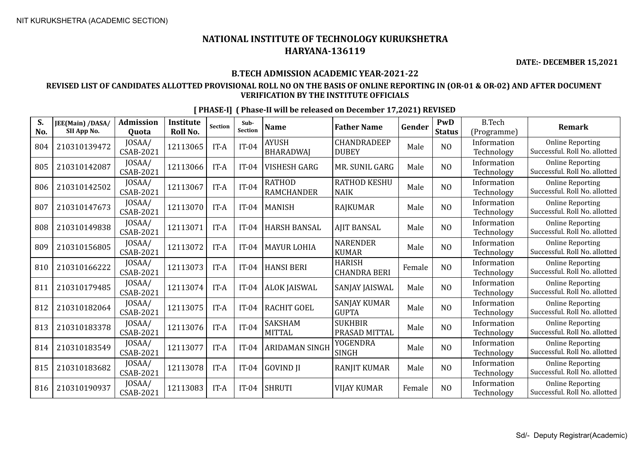**DATE:- DECEMBER 15,2021**

### **B.TECH ADMISSION ACADEMIC YEAR-2021-22**

## **REVISED LIST OF CANDIDATES ALLOTTED PROVISIONAL ROLL NO ON THE BASIS OF ONLINE REPORTING IN (OR-01 & OR-02) AND AFTER DOCUMENT VERIFICATION BY THE INSTITUTE OFFICIALS**

| S.<br>No. | JEE(Main) /DASA/<br>SII App No. | <b>Admission</b><br>Quota  | <b>Institute</b><br>Roll No. | <b>Section</b> | Sub-<br><b>Section</b> | <b>Name</b>                        | <b>Father Name</b>                   | Gender | PwD<br><b>Status</b> | <b>B.Tech</b><br>(Programme) | <b>Remark</b>                                            |
|-----------|---------------------------------|----------------------------|------------------------------|----------------|------------------------|------------------------------------|--------------------------------------|--------|----------------------|------------------------------|----------------------------------------------------------|
| 804       | 210310139472                    | JOSAA/<br>CSAB-2021        | 12113065                     | IT-A           | $IT-04$                | <b>AYUSH</b><br><b>BHARADWAJ</b>   | <b>CHANDRADEEP</b><br><b>DUBEY</b>   | Male   | NO                   | Information<br>Technology    | <b>Online Reporting</b><br>Successful. Roll No. allotted |
| 805       | 210310142087                    | JOSAA/<br>CSAB-2021        | 12113066                     | IT-A           | $IT-04$                | <b>VISHESH GARG</b>                | MR. SUNIL GARG                       | Male   | NO                   | Information<br>Technology    | <b>Online Reporting</b><br>Successful. Roll No. allotted |
| 806       | 210310142502                    | JOSAA/<br>CSAB-2021        | 12113067                     | IT-A           | $IT-04$                | <b>RATHOD</b><br><b>RAMCHANDER</b> | <b>RATHOD KESHU</b><br><b>NAIK</b>   | Male   | N <sub>O</sub>       | Information<br>Technology    | <b>Online Reporting</b><br>Successful. Roll No. allotted |
| 807       | 210310147673                    | JOSAA/<br>CSAB-2021        | 12113070                     | IT-A           | $IT-04$                | <b>MANISH</b>                      | <b>RAJKUMAR</b>                      | Male   | N <sub>O</sub>       | Information<br>Technology    | <b>Online Reporting</b><br>Successful. Roll No. allotted |
| 808       | 210310149838                    | JOSAA/<br>CSAB-2021        | 12113071                     | IT-A           | $IT-04$                | <b>HARSH BANSAL</b>                | <b>AJIT BANSAL</b>                   | Male   | NO                   | Information<br>Technology    | <b>Online Reporting</b><br>Successful. Roll No. allotted |
| 809       | 210310156805                    | JOSAA/<br>CSAB-2021        | 12113072                     | IT-A           | $IT-04$                | <b>MAYUR LOHIA</b>                 | <b>NARENDER</b><br><b>KUMAR</b>      | Male   | N <sub>O</sub>       | Information<br>Technology    | <b>Online Reporting</b><br>Successful. Roll No. allotted |
| 810       | 210310166222                    | JOSAA/<br>CSAB-2021        | 12113073                     | IT-A           | $IT-04$                | <b>HANSI BERI</b>                  | <b>HARISH</b><br><b>CHANDRA BERI</b> | Female | N <sub>O</sub>       | Information<br>Technology    | <b>Online Reporting</b><br>Successful. Roll No. allotted |
| 811       | 210310179485                    | JOSAA/<br>CSAB-2021        | 12113074                     | IT-A           | $IT-04$                | <b>ALOK JAISWAL</b>                | SANJAY JAISWAL                       | Male   | N <sub>O</sub>       | Information<br>Technology    | <b>Online Reporting</b><br>Successful. Roll No. allotted |
| 812       | 210310182064                    | JOSAA/<br>CSAB-2021        | 12113075                     | IT-A           | $IT-04$                | <b>RACHIT GOEL</b>                 | <b>SANJAY KUMAR</b><br><b>GUPTA</b>  | Male   | N <sub>O</sub>       | Information<br>Technology    | <b>Online Reporting</b><br>Successful. Roll No. allotted |
| 813       | 210310183378                    | JOSAA/<br><b>CSAB-2021</b> | 12113076                     | IT-A           | $IT-04$                | <b>SAKSHAM</b><br>MITTAL           | <b>SUKHBIR</b><br>PRASAD MITTAL      | Male   | N <sub>O</sub>       | Information<br>Technology    | <b>Online Reporting</b><br>Successful. Roll No. allotted |
| 814       | 210310183549                    | JOSAA/<br>CSAB-2021        | 12113077                     | IT-A           | $IT-04$                | ARIDAMAN SINGH                     | <b>YOGENDRA</b><br><b>SINGH</b>      | Male   | N <sub>O</sub>       | Information<br>Technology    | <b>Online Reporting</b><br>Successful. Roll No. allotted |
| 815       | 210310183682                    | JOSAA/<br>CSAB-2021        | 12113078                     | IT-A           | $IT-04$                | <b>GOVIND JI</b>                   | <b>RANJIT KUMAR</b>                  | Male   | N <sub>O</sub>       | Information<br>Technology    | <b>Online Reporting</b><br>Successful. Roll No. allotted |
| 816       | 210310190937                    | JOSAA/<br>CSAB-2021        | 12113083                     | IT-A           | $IT-04$                | <b>SHRUTI</b>                      | <b>VIJAY KUMAR</b>                   | Female | N <sub>0</sub>       | Information<br>Technology    | <b>Online Reporting</b><br>Successful. Roll No. allotted |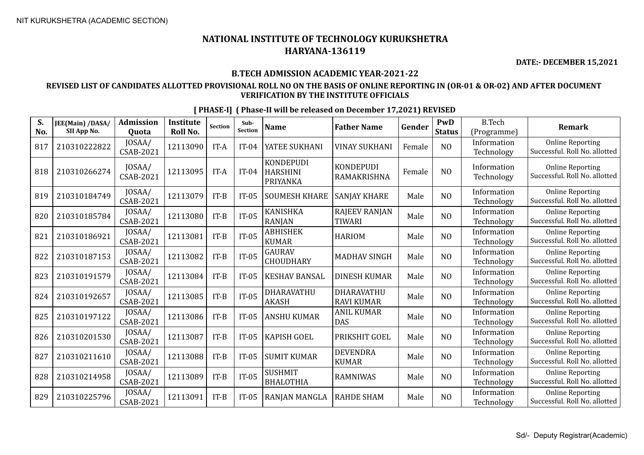829 210310225796 JOSAA/

**S. No.**

## **NATIONAL INSTITUTE OF TECHNOLOGY KURUKSHETRA HARYANA-136119**

**DATE:- DECEMBER 15,2021**

#### **B.TECH ADMISSION ACADEMIC YEAR-2021-22**

### **REVISED LIST OF CANDIDATES ALLOTTED PROVISIONAL ROLL NO ON THE BASIS OF ONLINE REPORTING IN (OR-01 & OR-02) AND AFTER DOCUMENT VERIFICATION BY THE INSTITUTE OFFICIALS**

**JEE(Main) /DASA/ SII App No. Admission Quota Institute Roll No.** Section **Sub-**<br>Section **Sub- Name Father Name Gender PWD Status** B.Tech (Programme) **Remark** 817 210310222822 JOSAA/ JOSAA/ 12113090 | IT-A | IT-04 | YATEE SUKHANI | VINAY SUKHANI | Female | NO | Information<br>CSAB-2021 | 12113090 | IT-A | IT-04 | YATEE SUKHANI | VINAY SUKHANI | Female | NO | Information Technology Online Reporting Successful. Roll No. allotted <sup>818</sup> <sup>210310266274</sup> JOSAA/ CSAB-2021 <sup>12113095</sup> IT-A IT-04 **KONDEPUDI** HARSHINI PRIYANKA KONDEPUDI KONDEPUDI | Female NO | Information<br>RAMAKRISHNA Female NO | Technology Technology Online Reporting Successful. Roll No. allotted  $819 \left| 210310184749 \right|$  JOSAA/  $\begin{array}{c|c|c|c} \text{JOSAA/} & 12113079 & \text{IT-B} & \text{IT-05} & \text{SOWESH KHARE} & \text{SANJAY KHARE} & \text{Male} & \text{NO} & \text{Information} \end{array}$ Technology Online Reporting Successful. Roll No. allotted  $820$  210310185784  $\Big|\begin{array}{c} 10SAA/ \\ CSAB-2021 \end{array}\Big|$ JOSAA/ 12113080 | IT-B | IT-05 | KANISHKA<br>CSAB-2021 | 12113080 | IT-B | IT-05 | RANJAN RANJAN RAJEEV RANJAN | Male | NO | Information<br>TIWARI | Male | NO | Technology Technology Online Reporting Successful. Roll No. allotted  $821 \Big| 210310186921 \Big| 10SAA/$ <br>CSAB-2021  $\begin{array}{c|c|c|c|c} \text{JOSAA/} & \text{12113081} & \text{IT-B} & \text{IT-05} & \text{ABHISHEK} \\ \text{CSAB-2021} & & & & \text{KUMAR} \end{array}$ ABHISHEK |<br>KUMAR | HARIOM | Male | NO | <sup>Information</sup><br>Technology Technology Online Reporting Successful. Roll No. allotted  $822 \begin{bmatrix} 210310187153 \end{bmatrix}$  JOSAA/<br>CSAB-2021  $\begin{array}{c|c}$  JOSAA/  $\end{array}$  12113082 IT-B TT-05 GAURAV CSAB-2021 GAURAV **MADHAV SINGH** Male NO Information<br>CHOUDHARY MADHAV SINGH Male NO Technology Technology Online Reporting Successful. Roll No. allotted  $823 \begin{array}{|c|c|c|c|c|} \hline 210310191579 & JOSAA/ \\ \hline & & & CSAB-2021 \end{array}$  $\begin{array}{c|c|c|c} \text{JOSAA/} & 12113084 & \text{IT-B} & \text{IT-05} & \text{KESHAV BANSAL} & \text{DINESH KUMAR} & \text{Male} & \text{NO} & \text{Information} \end{array}$ Technology Online Reporting Successful. Roll No. allotted  $824 \begin{bmatrix} 210310192657 \end{bmatrix}$  JOSAA/<br>CSAB-2021  $\begin{array}{c|c|c|c|c} \text{JOSAA/} & \text{12113085} & \text{IT-B} & \text{IT-05} & \text{DHARAVATHU} \\ \text{CSAB-2021} & & & & \text{I} & \text{I} & \text{I} & \text{I} \\ \text{SKASH} & & & & \text{I} & \text{I} & \text{I} \end{array}$ AKASH DHARAVATHU DHARAVATHU Male NO Information<br>RAVI KUMAR Male NO Technology Technology Online Reporting Successful. Roll No. allotted 825 210310197122 JOSAA/  $\begin{array}{c|c|c}\n & 0\text{SAA/} \\
\text{CSAB-2021} & 12113086 & \text{IT-B} \\
\end{array}$  IT-05 ANSHU KUMAR  $\begin{array}{c|c}\n & \text{ANIL KUMAR} \\
\text{DAS}\n\end{array}$ DAS Male NO Information Technology Online Reporting Successful. Roll No. allotted  $826 \Big| 210310201530 \Big| 10SAA/$ <br>CSAB-2021  $\begin{array}{c|c|c|c} \text{JOSAA/} & 12113087 & \text{IT-B} & \text{IT-05} & \text{KAPISH GOEL} & \text{PRIKSHIT GOEL} & \text{Male} & \text{NO} & \text{Information} \end{array}$ Technology Online Reporting Successful. Roll No. allotted  $827 \begin{array}{|c|c|c|c|c|} \hline 210310211610 & JOSAA/ \\ \hline & & & CSAB-2021 \hline \end{array}$  $\begin{array}{c|c|c} \text{JOSAA/} & \text{12113088} & \text{IT-B} & \text{IT-05} & \text{SUMIT KUMAR} & \text{KUMAR} \\ \text{CKAB-2021} & & & & \text{12113088} & \text{ST-B} & \text{ST-B} & \text{ST-B} \\ \end{array}$ KUMAR Male NO Information Technology Online Reporting Successful. Roll No. allotted 828 210310214958 JOSAA/  $\begin{array}{|c|c|c|c|c|c|}\n\hline\n\text{OSAA/} & 12113089 & \text{IT-B} & \text{IT-05} & \text{SBHMIT} \\
\hline\n\text{CSAB-2021} & & & & \text{I} & \text{I} & \text{I} & \text{BHALOTH} \\
\hline\n\end{array}$ SUSHMIT<br>BHALOTHIA RAMNIWAS Male NO Information Online Reporting

 $\begin{array}{c|c|c|c} \text{JOSAA/} & 12113091 & \text{IT-B} & \text{IT-05} & \text{RANJAN MANGLA} & \text{RAHDE SHAM} & \text{Male} & \text{NO} & \text{Information} \end{array}$ 

**[ PHASE-I] ( Phase-II will be released on December 17,2021) REVISED**

Successful. Roll No. allotted

Online Reporting Successful. Roll No. allotted

Technology

Technology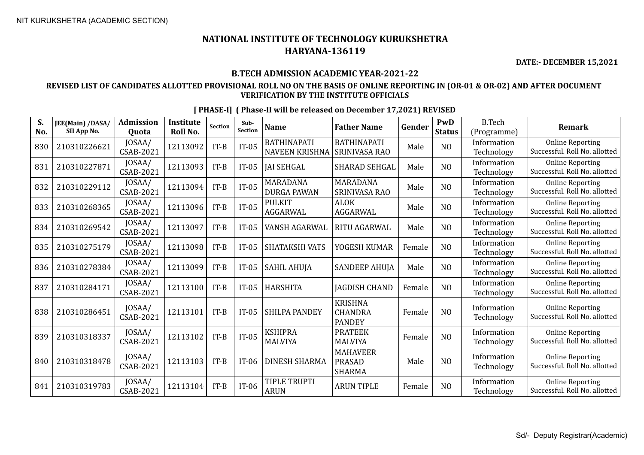**DATE:- DECEMBER 15,2021**

## **B.TECH ADMISSION ACADEMIC YEAR-2021-22**

## **REVISED LIST OF CANDIDATES ALLOTTED PROVISIONAL ROLL NO ON THE BASIS OF ONLINE REPORTING IN (OR-01 & OR-02) AND AFTER DOCUMENT VERIFICATION BY THE INSTITUTE OFFICIALS**

| S.<br>No. | JEE(Main) /DASA/<br>SII App No. | <b>Admission</b><br>Quota  | <b>Institute</b><br>Roll No. | Section | Sub-<br><b>Section</b> | <b>Name</b>                          | <b>Father Name</b>                                | Gender | <b>PwD</b><br><b>Status</b> | <b>B.Tech</b><br>(Programme) | <b>Remark</b>                                            |
|-----------|---------------------------------|----------------------------|------------------------------|---------|------------------------|--------------------------------------|---------------------------------------------------|--------|-----------------------------|------------------------------|----------------------------------------------------------|
| 830       | 210310226621                    | JOSAA/<br>CSAB-2021        | 12113092                     | $IT-B$  | $IT-05$                | <b>BATHINAPATI</b><br>NAVEEN KRISHNA | <b>BATHINAPATI</b><br><b>SRINIVASA RAO</b>        | Male   | N <sub>O</sub>              | Information<br>Technology    | <b>Online Reporting</b><br>Successful. Roll No. allotted |
| 831       | 210310227871                    | JOSAA/<br>CSAB-2021        | 12113093                     | $IT-B$  | $IT-05$                | <b>JAI SEHGAL</b>                    | <b>SHARAD SEHGAL</b>                              | Male   | N <sub>O</sub>              | Information<br>Technology    | <b>Online Reporting</b><br>Successful. Roll No. allotted |
| 832       | 210310229112                    | JOSAA/<br>CSAB-2021        | 12113094                     | $IT-B$  | $IT-05$                | MARADANA<br><b>DURGA PAWAN</b>       | <b>MARADANA</b><br><b>SRINIVASA RAO</b>           | Male   | N <sub>O</sub>              | Information<br>Technology    | <b>Online Reporting</b><br>Successful. Roll No. allotted |
| 833       | 210310268365                    | JOSAA/<br>CSAB-2021        | 12113096                     | $IT-B$  | $IT-05$                | <b>PULKIT</b><br>AGGARWAL            | <b>ALOK</b><br>AGGARWAL                           | Male   | N <sub>O</sub>              | Information<br>Technology    | <b>Online Reporting</b><br>Successful. Roll No. allotted |
| 834       | 210310269542                    | JOSAA/<br>CSAB-2021        | 12113097                     | $IT-B$  | $IT-05$                | VANSH AGARWAL                        | RITU AGARWAL                                      | Male   | N <sub>O</sub>              | Information<br>Technology    | <b>Online Reporting</b><br>Successful. Roll No. allotted |
| 835       | 210310275179                    | JOSAA/<br><b>CSAB-2021</b> | 12113098                     | $IT-B$  | $IT-05$                | <b>SHATAKSHI VATS</b>                | YOGESH KUMAR                                      | Female | N <sub>O</sub>              | Information<br>Technology    | <b>Online Reporting</b><br>Successful. Roll No. allotted |
| 836       | 210310278384                    | JOSAA/<br>CSAB-2021        | 12113099                     | $IT-B$  | $IT-05$                | <b>SAHIL AHUJA</b>                   | <b>SANDEEP AHUJA</b>                              | Male   | N <sub>O</sub>              | Information<br>Technology    | <b>Online Reporting</b><br>Successful. Roll No. allotted |
| 837       | 210310284171                    | JOSAA/<br>CSAB-2021        | 12113100                     | $IT-B$  | $IT-05$                | <b>HARSHITA</b>                      | <b>JAGDISH CHAND</b>                              | Female | N <sub>O</sub>              | Information<br>Technology    | <b>Online Reporting</b><br>Successful. Roll No. allotted |
| 838       | 210310286451                    | JOSAA/<br>CSAB-2021        | 12113101                     | $IT-B$  | $IT-05$                | SHILPA PANDEY                        | <b>KRISHNA</b><br><b>CHANDRA</b><br><b>PANDEY</b> | Female | N <sub>O</sub>              | Information<br>Technology    | <b>Online Reporting</b><br>Successful. Roll No. allotted |
| 839       | 210310318337                    | JOSAA/<br><b>CSAB-2021</b> | 12113102                     | $IT-B$  | $IT-05$                | <b>KSHIPRA</b><br><b>MALVIYA</b>     | <b>PRATEEK</b><br><b>MALVIYA</b>                  | Female | N <sub>O</sub>              | Information<br>Technology    | <b>Online Reporting</b><br>Successful. Roll No. allotted |
| 840       | 210310318478                    | JOSAA/<br><b>CSAB-2021</b> | 12113103                     | $IT-B$  | $IT-06$                | <b>DINESH SHARMA</b>                 | <b>MAHAVEER</b><br><b>PRASAD</b><br><b>SHARMA</b> | Male   | N <sub>O</sub>              | Information<br>Technology    | <b>Online Reporting</b><br>Successful. Roll No. allotted |
| 841       | 210310319783                    | JOSAA/<br>CSAB-2021        | 12113104                     | $IT-B$  | $IT-06$                | TIPLE TRUPTI<br><b>ARUN</b>          | <b>ARUN TIPLE</b>                                 | Female | NO                          | Information<br>Technology    | <b>Online Reporting</b><br>Successful. Roll No. allotted |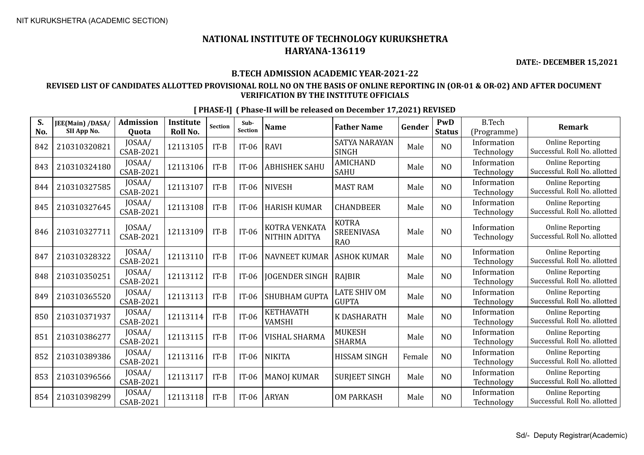**DATE:- DECEMBER 15,2021**

## **B.TECH ADMISSION ACADEMIC YEAR-2021-22**

## **REVISED LIST OF CANDIDATES ALLOTTED PROVISIONAL ROLL NO ON THE BASIS OF ONLINE REPORTING IN (OR-01 & OR-02) AND AFTER DOCUMENT VERIFICATION BY THE INSTITUTE OFFICIALS**

| S.<br>No. | JEE(Main) /DASA/<br>SII App No. | <b>Admission</b><br>Quota  | <b>Institute</b><br>Roll No. | Section | Sub-<br><b>Section</b> | <b>Name</b>                       | <b>Father Name</b>                            | Gender | PwD<br><b>Status</b> | <b>B.Tech</b><br>(Programme) | <b>Remark</b>                                            |
|-----------|---------------------------------|----------------------------|------------------------------|---------|------------------------|-----------------------------------|-----------------------------------------------|--------|----------------------|------------------------------|----------------------------------------------------------|
| 842       | 210310320821                    | JOSAA/<br>CSAB-2021        | 12113105                     | $IT-B$  | $IT-06$                | <b>RAVI</b>                       | <b>SATYA NARAYAN</b><br><b>SINGH</b>          | Male   | N <sub>O</sub>       | Information<br>Technology    | <b>Online Reporting</b><br>Successful. Roll No. allotted |
| 843       | 210310324180                    | JOSAA/<br><b>CSAB-2021</b> | 12113106                     | $IT-B$  | $IT-06$                | <b>ABHISHEK SAHU</b>              | <b>AMICHAND</b><br><b>SAHU</b>                | Male   | N <sub>O</sub>       | Information<br>Technology    | <b>Online Reporting</b><br>Successful. Roll No. allotted |
| 844       | 210310327585                    | JOSAA/<br>CSAB-2021        | 12113107                     | $IT-B$  | $IT-06$                | <b>NIVESH</b>                     | <b>MAST RAM</b>                               | Male   | N <sub>O</sub>       | Information<br>Technology    | <b>Online Reporting</b><br>Successful. Roll No. allotted |
| 845       | 210310327645                    | JOSAA/<br><b>CSAB-2021</b> | 12113108                     | $IT-B$  | $IT-06$                | <b>HARISH KUMAR</b>               | <b>CHANDBEER</b>                              | Male   | N <sub>O</sub>       | Information<br>Technology    | <b>Online Reporting</b><br>Successful. Roll No. allotted |
| 846       | 210310327711                    | JOSAA/<br><b>CSAB-2021</b> | 12113109                     | $IT-B$  | $IT-06$                | KOTRA VENKATA<br>NITHIN ADITYA    | <b>KOTRA</b><br>SREENIVASA<br>RA <sub>O</sub> | Male   | N <sub>O</sub>       | Information<br>Technology    | <b>Online Reporting</b><br>Successful. Roll No. allotted |
| 847       | 210310328322                    | JOSAA/<br><b>CSAB-2021</b> | 12113110                     | $IT-B$  | $IT-06$                | <b>NAVNEET KUMAR</b>              | <b>ASHOK KUMAR</b>                            | Male   | N <sub>O</sub>       | Information<br>Technology    | <b>Online Reporting</b><br>Successful. Roll No. allotted |
| 848       | 210310350251                    | JOSAA/<br><b>CSAB-2021</b> | 12113112                     | $IT-B$  | $IT-06$                | <b>JOGENDER SINGH</b>             | RAJBIR                                        | Male   | N <sub>O</sub>       | Information<br>Technology    | <b>Online Reporting</b><br>Successful. Roll No. allotted |
| 849       | 210310365520                    | JOSAA/<br>CSAB-2021        | 12113113                     | $IT-B$  | $IT-06$                | <b>SHUBHAM GUPTA</b>              | <b>LATE SHIV OM</b><br><b>GUPTA</b>           | Male   | N <sub>O</sub>       | Information<br>Technology    | <b>Online Reporting</b><br>Successful. Roll No. allotted |
| 850       | 210310371937                    | JOSAA/<br><b>CSAB-2021</b> | 12113114                     | $IT-B$  | $IT-06$                | <b>KETHAVATH</b><br><b>VAMSHI</b> | K DASHARATH                                   | Male   | N <sub>O</sub>       | Information<br>Technology    | <b>Online Reporting</b><br>Successful. Roll No. allotted |
| 851       | 210310386277                    | JOSAA/<br>CSAB-2021        | 12113115                     | $IT-B$  | $IT-06$                | <b>VISHAL SHARMA</b>              | <b>MUKESH</b><br><b>SHARMA</b>                | Male   | N <sub>O</sub>       | Information<br>Technology    | <b>Online Reporting</b><br>Successful. Roll No. allotted |
| 852       | 210310389386                    | JOSAA/<br><b>CSAB-2021</b> | 12113116                     | $IT-B$  | $IT-06$                | <b>NIKITA</b>                     | <b>HISSAM SINGH</b>                           | Female | N <sub>O</sub>       | Information<br>Technology    | <b>Online Reporting</b><br>Successful. Roll No. allotted |
| 853       | 210310396566                    | JOSAA/<br><b>CSAB-2021</b> | 12113117                     | $IT-B$  | $IT-06$                | <b>MANOJ KUMAR</b>                | <b>SURJEET SINGH</b>                          | Male   | N <sub>O</sub>       | Information<br>Technology    | <b>Online Reporting</b><br>Successful. Roll No. allotted |
| 854       | 210310398299                    | JOSAA/<br><b>CSAB-2021</b> | 12113118                     | $IT-B$  | $IT-06$                | <b>ARYAN</b>                      | <b>OM PARKASH</b>                             | Male   | N <sub>O</sub>       | Information<br>Technology    | <b>Online Reporting</b><br>Successful. Roll No. allotted |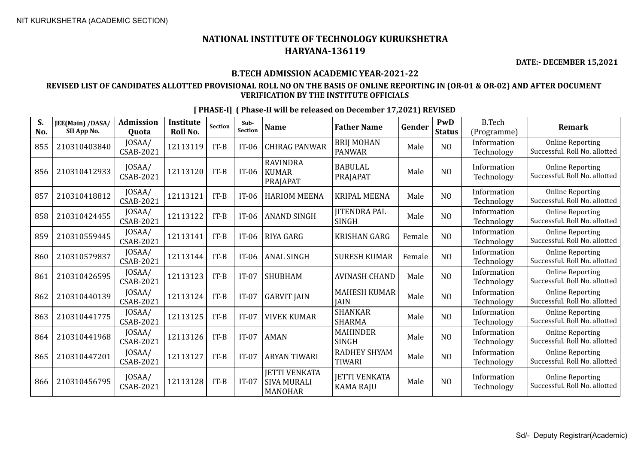**DATE:- DECEMBER 15,2021**

#### **B.TECH ADMISSION ACADEMIC YEAR-2021-22**

#### **REVISED LIST OF CANDIDATES ALLOTTED PROVISIONAL ROLL NO ON THE BASIS OF ONLINE REPORTING IN (OR-01 & OR-02) AND AFTER DOCUMENT VERIFICATION BY THE INSTITUTE OFFICIALS**

| S.<br>No. | JEE(Main) /DASA/<br>SII App No. | <b>Admission</b><br>Quota  | <b>Institute</b><br>Roll No. | <b>Section</b> | Sub-<br><b>Section</b> | <b>Name</b>                                                  | <b>Father Name</b>                       | Gender | PwD<br><b>Status</b> | <b>B.Tech</b><br>(Programme) | <b>Remark</b>                                            |
|-----------|---------------------------------|----------------------------|------------------------------|----------------|------------------------|--------------------------------------------------------------|------------------------------------------|--------|----------------------|------------------------------|----------------------------------------------------------|
| 855       | 210310403840                    | JOSAA/<br>CSAB-2021        | 12113119                     | $IT-B$         | $IT-06$                | <b>CHIRAG PANWAR</b>                                         | <b>BRIJ MOHAN</b><br><b>PANWAR</b>       | Male   | N <sub>O</sub>       | Information<br>Technology    | <b>Online Reporting</b><br>Successful. Roll No. allotted |
| 856       | 210310412933                    | JOSAA/<br>CSAB-2021        | 12113120                     | $IT-B$         | $IT-06$                | <b>RAVINDRA</b><br><b>KUMAR</b><br>PRAJAPAT                  | <b>BABULAL</b><br>PRAJAPAT               | Male   | N <sub>O</sub>       | Information<br>Technology    | <b>Online Reporting</b><br>Successful. Roll No. allotted |
| 857       | 210310418812                    | JOSAA/<br>CSAB-2021        | 12113121                     | $IT-B$         | $IT-06$                | <b>HARIOM MEENA</b>                                          | <b>KRIPAL MEENA</b>                      | Male   | N <sub>O</sub>       | Information<br>Technology    | <b>Online Reporting</b><br>Successful. Roll No. allotted |
| 858       | 210310424455                    | JOSAA/<br>CSAB-2021        | 12113122                     | $IT-B$         | $IT-06$                | <b>ANAND SINGH</b>                                           | <b>IITENDRA PAL</b><br><b>SINGH</b>      | Male   | N <sub>O</sub>       | Information<br>Technology    | <b>Online Reporting</b><br>Successful. Roll No. allotted |
| 859       | 210310559445                    | JOSAA/<br>CSAB-2021        | 12113141                     | $IT-B$         | $IT-06$                | <b>RIYA GARG</b>                                             | <b>KRISHAN GARG</b>                      | Female | N <sub>O</sub>       | Information<br>Technology    | <b>Online Reporting</b><br>Successful. Roll No. allotted |
| 860       | 210310579837                    | JOSAA/<br>CSAB-2021        | 12113144                     | $IT-B$         | $IT-06$                | <b>ANAL SINGH</b>                                            | <b>SURESH KUMAR</b>                      | Female | N <sub>O</sub>       | Information<br>Technology    | <b>Online Reporting</b><br>Successful. Roll No. allotted |
| 861       | 210310426595                    | JOSAA/<br>CSAB-2021        | 12113123                     | $IT-B$         | $IT-07$                | <b>SHUBHAM</b>                                               | <b>AVINASH CHAND</b>                     | Male   | N <sub>O</sub>       | Information<br>Technology    | <b>Online Reporting</b><br>Successful. Roll No. allotted |
| 862       | 210310440139                    | JOSAA/<br>CSAB-2021        | 12113124                     | $IT-B$         | $IT-07$                | <b>GARVIT JAIN</b>                                           | <b>MAHESH KUMAR</b><br><b>JAIN</b>       | Male   | N <sub>O</sub>       | Information<br>Technology    | <b>Online Reporting</b><br>Successful. Roll No. allotted |
| 863       | 210310441775                    | JOSAA/<br><b>CSAB-2021</b> | 12113125                     | $IT-B$         | $IT-07$                | <b>VIVEK KUMAR</b>                                           | <b>SHANKAR</b><br><b>SHARMA</b>          | Male   | N <sub>O</sub>       | Information<br>Technology    | <b>Online Reporting</b><br>Successful. Roll No. allotted |
| 864       | 210310441968                    | JOSAA/<br>CSAB-2021        | 12113126                     | $IT-B$         | $IT-07$                | <b>AMAN</b>                                                  | <b>MAHINDER</b><br><b>SINGH</b>          | Male   | N <sub>O</sub>       | Information<br>Technology    | <b>Online Reporting</b><br>Successful. Roll No. allotted |
| 865       | 210310447201                    | JOSAA/<br>CSAB-2021        | 12113127                     | $IT-B$         | $IT-07$                | <b>ARYAN TIWARI</b>                                          | <b>RADHEY SHYAM</b><br><b>TIWARI</b>     | Male   | N <sub>O</sub>       | Information<br>Technology    | <b>Online Reporting</b><br>Successful. Roll No. allotted |
| 866       | 210310456795                    | JOSAA/<br>CSAB-2021        | 12113128                     | $IT-B$         | $IT-07$                | <b>JETTI VENKATA</b><br><b>SIVA MURALI</b><br><b>MANOHAR</b> | <b>JETTI VENKATA</b><br><b>KAMA RAJU</b> | Male   | N <sub>O</sub>       | Information<br>Technology    | <b>Online Reporting</b><br>Successful. Roll No. allotted |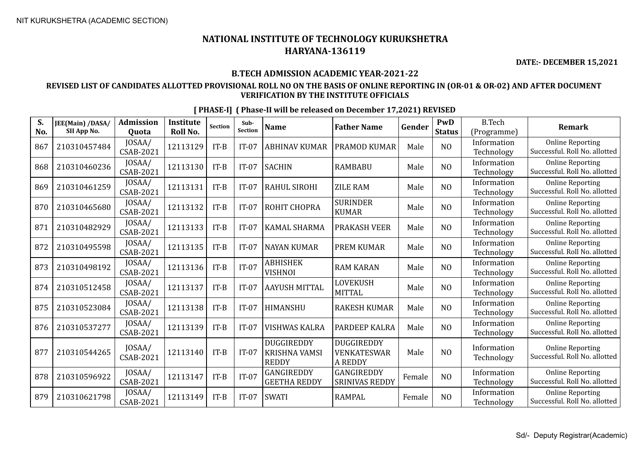# **NATIONAL INSTITUTE OF TECHNOLOGY KURUKSHETRA HARYANA-136119**

**DATE:- DECEMBER 15,2021**

#### **B.TECH ADMISSION ACADEMIC YEAR-2021-22**

#### **REVISED LIST OF CANDIDATES ALLOTTED PROVISIONAL ROLL NO ON THE BASIS OF ONLINE REPORTING IN (OR-01 & OR-02) AND AFTER DOCUMENT VERIFICATION BY THE INSTITUTE OFFICIALS**

| S.  | JEE(Main) /DASA/<br>SII App No. | <b>Admission</b>           | Institute       | <b>Section</b> | Sub-<br><b>Section</b> | <b>Name</b>                                        | <b>Father Name</b>                                 | Gender | PwD            | <b>B.Tech</b>              | <b>Remark</b>                                            |
|-----|---------------------------------|----------------------------|-----------------|----------------|------------------------|----------------------------------------------------|----------------------------------------------------|--------|----------------|----------------------------|----------------------------------------------------------|
| No. |                                 | Quota<br>JOSAA/            | <b>Roll No.</b> |                |                        |                                                    |                                                    |        | <b>Status</b>  | (Programme)<br>Information | <b>Online Reporting</b>                                  |
| 867 | 210310457484                    | CSAB-2021                  | 12113129        | $IT-B$         | $IT-07$                | <b>ABHINAV KUMAR</b>                               | <b>PRAMOD KUMAR</b>                                | Male   | N <sub>O</sub> | Technology                 | Successful. Roll No. allotted                            |
| 868 | 210310460236                    | JOSAA/<br><b>CSAB-2021</b> | 12113130        | $IT-B$         | $IT-07$                | <b>SACHIN</b>                                      | <b>RAMBABU</b>                                     | Male   | NO             | Information<br>Technology  | <b>Online Reporting</b><br>Successful. Roll No. allotted |
| 869 | 210310461259                    | JOSAA/<br>CSAB-2021        | 12113131        | $IT-B$         | $IT-07$                | RAHUL SIROHI                                       | <b>ZILE RAM</b>                                    | Male   | N <sub>O</sub> | Information<br>Technology  | <b>Online Reporting</b><br>Successful. Roll No. allotted |
| 870 | 210310465680                    | JOSAA/<br>CSAB-2021        | 12113132        | $IT-B$         | $IT-07$                | ROHIT CHOPRA                                       | <b>SURINDER</b><br><b>KUMAR</b>                    | Male   | N <sub>O</sub> | Information<br>Technology  | <b>Online Reporting</b><br>Successful. Roll No. allotted |
| 871 | 210310482929                    | JOSAA/<br>CSAB-2021        | 12113133        | $IT-B$         | $IT-07$                | <b>KAMAL SHARMA</b>                                | <b>PRAKASH VEER</b>                                | Male   | N <sub>O</sub> | Information<br>Technology  | <b>Online Reporting</b><br>Successful. Roll No. allotted |
| 872 | 210310495598                    | JOSAA/<br>CSAB-2021        | 12113135        | $IT-B$         | $IT-07$                | <b>NAYAN KUMAR</b>                                 | <b>PREM KUMAR</b>                                  | Male   | N <sub>O</sub> | Information<br>Technology  | <b>Online Reporting</b><br>Successful. Roll No. allotted |
| 873 | 210310498192                    | JOSAA/<br><b>CSAB-2021</b> | 12113136        | $IT-B$         | $IT-07$                | <b>ABHISHEK</b><br><b>VISHNOI</b>                  | <b>RAM KARAN</b>                                   | Male   | NO             | Information<br>Technology  | <b>Online Reporting</b><br>Successful. Roll No. allotted |
| 874 | 210310512458                    | JOSAA/<br>CSAB-2021        | 12113137        | $IT-B$         | $IT-07$                | <b>AAYUSH MITTAL</b>                               | <b>LOVEKUSH</b><br><b>MITTAL</b>                   | Male   | N <sub>O</sub> | Information<br>Technology  | <b>Online Reporting</b><br>Successful. Roll No. allotted |
| 875 | 210310523084                    | IOSAA/<br>CSAB-2021        | 12113138        | $IT-B$         | $IT-07$                | HIMANSHU                                           | <b>RAKESH KUMAR</b>                                | Male   | N <sub>O</sub> | Information<br>Technology  | <b>Online Reporting</b><br>Successful. Roll No. allotted |
| 876 | 210310537277                    | JOSAA/<br>CSAB-2021        | 12113139        | $IT-B$         | $IT-07$                | VISHWAS KALRA                                      | PARDEEP KALRA                                      | Male   | N <sub>O</sub> | Information<br>Technology  | <b>Online Reporting</b><br>Successful. Roll No. allotted |
| 877 | 210310544265                    | JOSAA/<br><b>CSAB-2021</b> | 12113140        | $IT-B$         | $IT-07$                | <b>DUGGIREDDY</b><br>KRISHNA VAMSI<br><b>REDDY</b> | <b>DUGGIREDDY</b><br>VENKATESWAR<br><b>A REDDY</b> | Male   | N <sub>O</sub> | Information<br>Technology  | <b>Online Reporting</b><br>Successful. Roll No. allotted |
| 878 | 210310596922                    | JOSAA/<br>CSAB-2021        | 12113147        | $IT-B$         | $IT-07$                | GANGIREDDY<br><b>GEETHA REDDY</b>                  | GANGIREDDY<br><b>SRINIVAS REDDY</b>                | Female | N <sub>O</sub> | Information<br>Technology  | <b>Online Reporting</b><br>Successful. Roll No. allotted |
| 879 | 210310621798                    | JOSAA/<br>CSAB-2021        | 12113149        | $IT-B$         | $IT-07$                | <b>SWATI</b>                                       | <b>RAMPAL</b>                                      | Female | N <sub>O</sub> | Information<br>Technology  | <b>Online Reporting</b><br>Successful. Roll No. allotted |

 $\begin{array}{c|c|c|c} \text{JOSAA/} & \text{12113149} & \text{IT-B} & \text{IT-07} & \text{SWATI} \end{array}$  RAMPAL  $\begin{array}{c|c|c} \text{Female} & \text{NO} & \text{Information} \end{array}$  Technology

**[ PHASE-I] ( Phase-II will be released on December 17,2021) REVISED**

Technology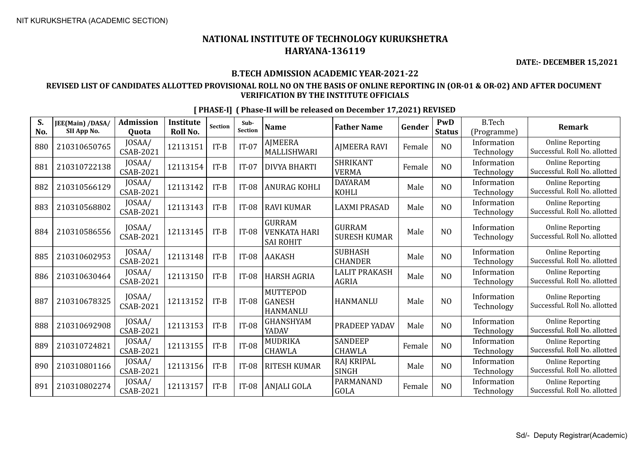**DATE:- DECEMBER 15,2021**

#### **B.TECH ADMISSION ACADEMIC YEAR-2021-22**

### **REVISED LIST OF CANDIDATES ALLOTTED PROVISIONAL ROLL NO ON THE BASIS OF ONLINE REPORTING IN (OR-01 & OR-02) AND AFTER DOCUMENT VERIFICATION BY THE INSTITUTE OFFICIALS**

| S.<br>No. | JEE(Main) /DASA/<br>SII App No. | <b>Admission</b><br>Quota  | Institute<br>Roll No. | Section | Sub-<br><b>Section</b> | <b>Name</b>                                              | <b>Father Name</b>                   | Gender | PwD<br><b>Status</b> | <b>B.Tech</b><br>(Programme) | Remark                                                   |
|-----------|---------------------------------|----------------------------|-----------------------|---------|------------------------|----------------------------------------------------------|--------------------------------------|--------|----------------------|------------------------------|----------------------------------------------------------|
| 880       | 210310650765                    | JOSAA/<br>CSAB-2021        | 12113151              | $IT-B$  | $IT-07$                | AJMEERA<br>MALLISHWARI                                   | <b>AJMEERA RAVI</b>                  | Female | N <sub>O</sub>       | Information<br>Technology    | <b>Online Reporting</b><br>Successful. Roll No. allotted |
| 881       | 210310722138                    | JOSAA/<br><b>CSAB-2021</b> | 12113154              | $IT-B$  | $IT-07$                | <b>DIVYA BHARTI</b>                                      | <b>SHRIKANT</b><br><b>VERMA</b>      | Female | N <sub>O</sub>       | Information<br>Technology    | <b>Online Reporting</b><br>Successful. Roll No. allotted |
| 882       | 210310566129                    | JOSAA/<br><b>CSAB-2021</b> | 12113142              | $IT-B$  | $IT-08$                | <b>ANURAG KOHLI</b>                                      | <b>DAYARAM</b><br><b>KOHLI</b>       | Male   | NO                   | Information<br>Technology    | <b>Online Reporting</b><br>Successful. Roll No. allotted |
| 883       | 210310568802                    | JOSAA/<br>CSAB-2021        | 12113143              | $IT-B$  | $IT-08$                | <b>RAVI KUMAR</b>                                        | <b>LAXMI PRASAD</b>                  | Male   | N <sub>O</sub>       | Information<br>Technology    | <b>Online Reporting</b><br>Successful. Roll No. allotted |
| 884       | 210310586556                    | JOSAA/<br>CSAB-2021        | 12113145              | $IT-B$  | $IT-08$                | <b>GURRAM</b><br><b>VENKATA HARI</b><br><b>SAI ROHIT</b> | <b>GURRAM</b><br><b>SURESH KUMAR</b> | Male   | NO                   | Information<br>Technology    | <b>Online Reporting</b><br>Successful. Roll No. allotted |
| 885       | 210310602953                    | JOSAA/<br>CSAB-2021        | 12113148              | $IT-B$  | $IT-08$                | <b>AAKASH</b>                                            | <b>SUBHASH</b><br><b>CHANDER</b>     | Male   | NO                   | Information<br>Technology    | <b>Online Reporting</b><br>Successful. Roll No. allotted |
| 886       | 210310630464                    | JOSAA/<br>CSAB-2021        | 12113150              | $IT-B$  | $IT-08$                | <b>HARSH AGRIA</b>                                       | <b>LALIT PRAKASH</b><br><b>AGRIA</b> | Male   | N <sub>O</sub>       | Information<br>Technology    | <b>Online Reporting</b><br>Successful. Roll No. allotted |
| 887       | 210310678325                    | JOSAA/<br><b>CSAB-2021</b> | 12113152              | $IT-B$  | IT-08                  | <b>MUTTEPOD</b><br><b>GANESH</b><br><b>HANMANLU</b>      | <b>HANMANLU</b>                      | Male   | N <sub>O</sub>       | Information<br>Technology    | <b>Online Reporting</b><br>Successful. Roll No. allotted |
| 888       | 210310692908                    | JOSAA/<br><b>CSAB-2021</b> | 12113153              | $IT-B$  | $IT-08$                | GHANSHYAM<br>YADAV                                       | PRADEEP YADAV                        | Male   | N <sub>O</sub>       | Information<br>Technology    | <b>Online Reporting</b><br>Successful. Roll No. allotted |
| 889       | 210310724821                    | JOSAA/<br><b>CSAB-2021</b> | 12113155              | $IT-B$  | $IT-08$                | MUDRIKA<br><b>CHAWLA</b>                                 | <b>SANDEEP</b><br><b>CHAWLA</b>      | Female | N <sub>O</sub>       | Information<br>Technology    | <b>Online Reporting</b><br>Successful. Roll No. allotted |
| 890       | 210310801166                    | JOSAA/<br>CSAB-2021        | 12113156              | $IT-B$  | <b>IT-08</b>           | <b>RITESH KUMAR</b>                                      | RAJ KRIPAL<br>SINGH                  | Male   | NO                   | Information<br>Technology    | <b>Online Reporting</b><br>Successful. Roll No. allotted |
| 891       | 210310802274                    | JOSAA/<br><b>CSAB-2021</b> | 12113157              | $IT-B$  | <b>IT-08</b>           | ANJALI GOLA                                              | PARMANAND<br>GOLA                    | Female | N <sub>O</sub>       | Information<br>Technology    | <b>Online Reporting</b><br>Successful. Roll No. allotted |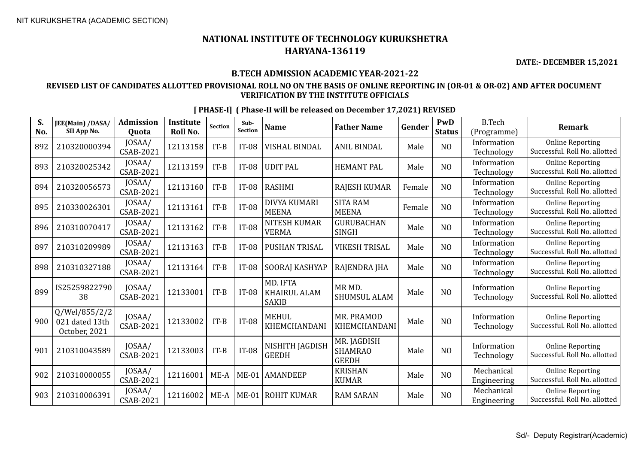# **NATIONAL INSTITUTE OF TECHNOLOGY KURUKSHETRA HARYANA-136119**

**DATE:- DECEMBER 15,2021**

#### **B.TECH ADMISSION ACADEMIC YEAR-2021-22**

#### **REVISED LIST OF CANDIDATES ALLOTTED PROVISIONAL ROLL NO ON THE BASIS OF ONLINE REPORTING IN (OR-01 & OR-02) AND AFTER DOCUMENT VERIFICATION BY THE INSTITUTE OFFICIALS**

| S.  | <b>JEE(Main) /DASA/</b>                          | <b>Admission</b>           | Institute | <b>Section</b> | Sub-           | <b>Name</b>                                     | <b>Father Name</b>                            | Gender | PwD            | <b>B.Tech</b>             | <b>Remark</b>                                            |
|-----|--------------------------------------------------|----------------------------|-----------|----------------|----------------|-------------------------------------------------|-----------------------------------------------|--------|----------------|---------------------------|----------------------------------------------------------|
| No. | SII App No.                                      | Quota                      | Roll No.  |                | <b>Section</b> |                                                 |                                               |        | <b>Status</b>  | (Programme)               |                                                          |
| 892 | 210320000394                                     | JOSAA/<br>CSAB-2021        | 12113158  | $IT-B$         | <b>IT-08</b>   | VISHAL BINDAL                                   | <b>ANIL BINDAL</b>                            | Male   | N <sub>O</sub> | Information<br>Technology | <b>Online Reporting</b><br>Successful. Roll No. allotted |
| 893 | 210320025342                                     | JOSAA/<br><b>CSAB-2021</b> | 12113159  | $IT-B$         | $IT-08$        | <b>UDIT PAL</b>                                 | <b>HEMANT PAL</b>                             | Male   | N <sub>O</sub> | Information<br>Technology | <b>Online Reporting</b><br>Successful. Roll No. allotted |
| 894 | 210320056573                                     | JOSAA/<br>CSAB-2021        | 12113160  | $IT-B$         | <b>IT-08</b>   | <b>RASHMI</b>                                   | <b>RAJESH KUMAR</b>                           | Female | N <sub>O</sub> | Information<br>Technology | <b>Online Reporting</b><br>Successful. Roll No. allotted |
| 895 | 210330026301                                     | JOSAA/<br>CSAB-2021        | 12113161  | $IT-B$         | <b>IT-08</b>   | DIVYA KUMARI<br><b>MEENA</b>                    | <b>SITA RAM</b><br><b>MEENA</b>               | Female | N <sub>O</sub> | Information<br>Technology | <b>Online Reporting</b><br>Successful. Roll No. allotted |
| 896 | 210310070417                                     | JOSAA/<br><b>CSAB-2021</b> | 12113162  | $IT-B$         | <b>IT-08</b>   | <b>NITESH KUMAR</b><br><b>VERMA</b>             | <b>GURUBACHAN</b><br><b>SINGH</b>             | Male   | N <sub>0</sub> | Information<br>Technology | <b>Online Reporting</b><br>Successful. Roll No. allotted |
| 897 | 210310209989                                     | JOSAA/<br><b>CSAB-2021</b> | 12113163  | $IT-B$         | <b>IT-08</b>   | <b>PUSHAN TRISAL</b>                            | <b>VIKESH TRISAL</b>                          | Male   | N <sub>O</sub> | Information<br>Technology | <b>Online Reporting</b><br>Successful. Roll No. allotted |
| 898 | 210310327188                                     | JOSAA/<br>CSAB-2021        | 12113164  | $IT-B$         | $IT-08$        | SOORAJ KASHYAP                                  | RAJENDRA JHA                                  | Male   | N <sub>O</sub> | Information<br>Technology | <b>Online Reporting</b><br>Successful. Roll No. allotted |
| 899 | IS25259822790<br>38                              | JOSAA/<br><b>CSAB-2021</b> | 12133001  | $IT-B$         | <b>IT-08</b>   | MD. IFTA<br><b>KHAIRUL ALAM</b><br><b>SAKIB</b> | MR MD.<br><b>SHUMSUL ALAM</b>                 | Male   | N <sub>O</sub> | Information<br>Technology | <b>Online Reporting</b><br>Successful. Roll No. allotted |
| 900 | Q/Wel/855/2/2<br>021 dated 13th<br>October, 2021 | IOSAA/<br>CSAB-2021        | 12133002  | $IT-B$         | <b>IT-08</b>   | <b>MEHUL</b><br>KHEMCHANDANI                    | MR. PRAMOD<br>KHEMCHANDANI                    | Male   | N <sub>O</sub> | Information<br>Technology | <b>Online Reporting</b><br>Successful. Roll No. allotted |
| 901 | 210310043589                                     | JOSAA/<br><b>CSAB-2021</b> | 12133003  | $IT-B$         | <b>IT-08</b>   | NISHITH JAGDISH<br><b>GEEDH</b>                 | MR. JAGDISH<br><b>SHAMRAO</b><br><b>GEEDH</b> | Male   | NO             | Information<br>Technology | <b>Online Reporting</b><br>Successful. Roll No. allotted |
| 902 | 210310000055                                     | JOSAA/<br>CSAB-2021        | 12116001  | $ME-A$         | $ME-01$        | <b>AMANDEEP</b>                                 | <b>KRISHAN</b><br><b>KUMAR</b>                | Male   | N <sub>0</sub> | Mechanical<br>Engineering | <b>Online Reporting</b><br>Successful. Roll No. allotted |
| 903 | 210310006391                                     | JOSAA/<br>CSAB-2021        | 12116002  | ME-A           | $ME-01$        | <b>ROHIT KUMAR</b>                              | <b>RAM SARAN</b>                              | Male   | N <sub>O</sub> | Mechanical<br>Engineering | <b>Online Reporting</b><br>Successful. Roll No. allotted |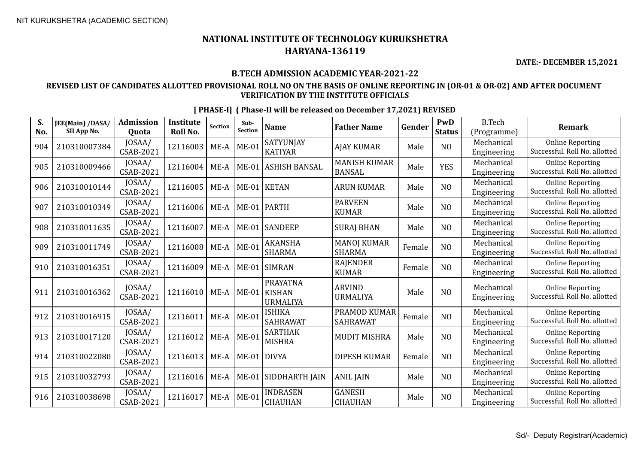**DATE:- DECEMBER 15,2021**

#### **B.TECH ADMISSION ACADEMIC YEAR-2021-22**

### **REVISED LIST OF CANDIDATES ALLOTTED PROVISIONAL ROLL NO ON THE BASIS OF ONLINE REPORTING IN (OR-01 & OR-02) AND AFTER DOCUMENT VERIFICATION BY THE INSTITUTE OFFICIALS**

| S.<br>No. | JEE(Main) /DASA/<br>SII App No. | <b>Admission</b><br><b>Ouota</b> | <b>Institute</b><br>Roll No. | <b>Section</b> | Sub-<br>Section | <b>Name</b>                                         | <b>Father Name</b>                   | Gender | PwD<br><b>Status</b> | <b>B.Tech</b><br>(Programme) | <b>Remark</b>                                            |
|-----------|---------------------------------|----------------------------------|------------------------------|----------------|-----------------|-----------------------------------------------------|--------------------------------------|--------|----------------------|------------------------------|----------------------------------------------------------|
| 904       | 210310007384                    | JOSAA/<br><b>CSAB-2021</b>       | 12116003                     | $ME-A$         | $ME-01$         | SATYUNJAY<br><b>KATIYAR</b>                         | <b>AJAY KUMAR</b>                    | Male   | N <sub>O</sub>       | Mechanical<br>Engineering    | <b>Online Reporting</b><br>Successful. Roll No. allotted |
| 905       | 210310009466                    | JOSAA/<br><b>CSAB-2021</b>       | 12116004                     | $ME-A$         | $ME-01$         | <b>ASHISH BANSAL</b>                                | <b>MANISH KUMAR</b><br><b>BANSAL</b> | Male   | <b>YES</b>           | Mechanical<br>Engineering    | <b>Online Reporting</b><br>Successful. Roll No. allotted |
| 906       | 210310010144                    | JOSAA/<br>CSAB-2021              | 12116005                     | $ME-A$         | $ME-01$         | <b>KETAN</b>                                        | <b>ARUN KUMAR</b>                    | Male   | N <sub>O</sub>       | Mechanical<br>Engineering    | <b>Online Reporting</b><br>Successful. Roll No. allotted |
| 907       | 210310010349                    | JOSAA/<br><b>CSAB-2021</b>       | 12116006                     | $ME-A$         | $ME-01$         | <b>PARTH</b>                                        | <b>PARVEEN</b><br><b>KUMAR</b>       | Male   | N <sub>O</sub>       | Mechanical<br>Engineering    | <b>Online Reporting</b><br>Successful. Roll No. allotted |
| 908       | 210310011635                    | IOSAA/<br>CSAB-2021              | 12116007                     | ME-A           | $ME-01$         | <b>SANDEEP</b>                                      | <b>SURAJ BHAN</b>                    | Male   | N <sub>O</sub>       | Mechanical<br>Engineering    | <b>Online Reporting</b><br>Successful. Roll No. allotted |
| 909       | 210310011749                    | JOSAA/<br>CSAB-2021              | 12116008                     | $ME-A$         | $ME-01$         | <b>AKANSHA</b><br><b>SHARMA</b>                     | <b>MANOJ KUMAR</b><br><b>SHARMA</b>  | Female | N <sub>O</sub>       | Mechanical<br>Engineering    | <b>Online Reporting</b><br>Successful. Roll No. allotted |
| 910       | 210310016351                    | JOSAA/<br><b>CSAB-2021</b>       | 12116009                     | $ME-A$         | $ME-01$         | <b>SIMRAN</b>                                       | <b>RAJENDER</b><br><b>KUMAR</b>      | Female | N <sub>O</sub>       | Mechanical<br>Engineering    | <b>Online Reporting</b><br>Successful. Roll No. allotted |
| 911       | 210310016362                    | JOSAA/<br>CSAB-2021              | 12116010                     | $ME-A$         | $ME-01$         | <b>PRAYATNA</b><br><b>KISHAN</b><br><b>URMALIYA</b> | <b>ARVIND</b><br><b>URMALIYA</b>     | Male   | N <sub>O</sub>       | Mechanical<br>Engineering    | <b>Online Reporting</b><br>Successful. Roll No. allotted |
| 912       | 210310016915                    | JOSAA/<br><b>CSAB-2021</b>       | 12116011                     | $ME-A$         | $ME-01$         | ISHIKA<br><b>SAHRAWAT</b>                           | PRAMOD KUMAR<br><b>SAHRAWAT</b>      | Female | N <sub>O</sub>       | Mechanical<br>Engineering    | <b>Online Reporting</b><br>Successful. Roll No. allotted |
| 913       | 210310017120                    | JOSAA/<br>CSAB-2021              | 12116012                     | $ME-A$         | $ME-01$         | <b>SARTHAK</b><br><b>MISHRA</b>                     | <b>MUDIT MISHRA</b>                  | Male   | NO                   | Mechanical<br>Engineering    | <b>Online Reporting</b><br>Successful. Roll No. allotted |
| 914       | 210310022080                    | JOSAA/<br>CSAB-2021              | 12116013                     | $ME-A$         | $ME-01$         | <b>DIVYA</b>                                        | <b>DIPESH KUMAR</b>                  | Female | N <sub>O</sub>       | Mechanical<br>Engineering    | <b>Online Reporting</b><br>Successful. Roll No. allotted |
| 915       | 210310032793                    | JOSAA/<br>CSAB-2021              | 12116016                     | $ME-A$         | $ME-01$         | SIDDHARTH JAIN                                      | <b>ANIL JAIN</b>                     | Male   | N <sub>O</sub>       | Mechanical<br>Engineering    | <b>Online Reporting</b><br>Successful. Roll No. allotted |
| 916       | 210310038698                    | JOSAA/<br>CSAB-2021              | 12116017                     | $ME-A$         | $ME-01$         | <b>INDRASEN</b><br><b>CHAUHAN</b>                   | <b>GANESH</b><br><b>CHAUHAN</b>      | Male   | N <sub>O</sub>       | Mechanical<br>Engineering    | <b>Online Reporting</b><br>Successful. Roll No. allotted |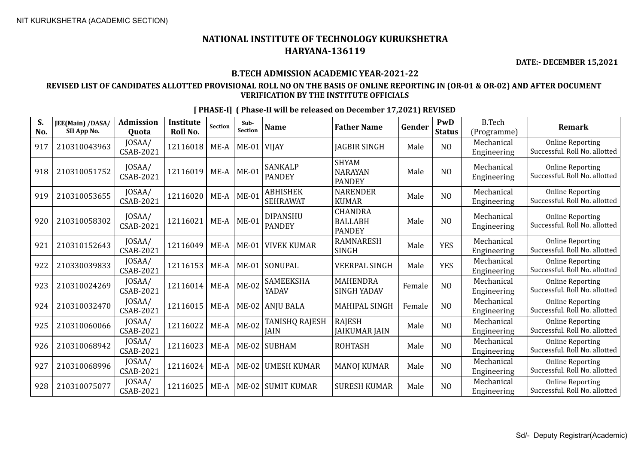**DATE:- DECEMBER 15,2021**

#### **B.TECH ADMISSION ACADEMIC YEAR-2021-22**

### **REVISED LIST OF CANDIDATES ALLOTTED PROVISIONAL ROLL NO ON THE BASIS OF ONLINE REPORTING IN (OR-01 & OR-02) AND AFTER DOCUMENT VERIFICATION BY THE INSTITUTE OFFICIALS**

| S.<br>No. | JEE(Main) /DASA/<br>SII App No. | <b>Admission</b><br><b>Ouota</b> | <b>Institute</b><br><b>Roll No.</b> | Section | Sub-<br><b>Section</b> | <b>Name</b>                          | <b>Father Name</b>                                | Gender | PwD<br><b>Status</b> | <b>B.Tech</b><br>(Programme) | <b>Remark</b>                                            |
|-----------|---------------------------------|----------------------------------|-------------------------------------|---------|------------------------|--------------------------------------|---------------------------------------------------|--------|----------------------|------------------------------|----------------------------------------------------------|
| 917       | 210310043963                    | JOSAA/<br>CSAB-2021              | 12116018                            | $ME-A$  | $ME-01$                | <b>VIJAY</b>                         | JAGBIR SINGH                                      | Male   | N <sub>O</sub>       | Mechanical<br>Engineering    | <b>Online Reporting</b><br>Successful. Roll No. allotted |
| 918       | 210310051752                    | JOSAA/<br>CSAB-2021              | 12116019                            | $ME-A$  | $ME-01$                | <b>SANKALP</b><br><b>PANDEY</b>      | <b>SHYAM</b><br><b>NARAYAN</b><br><b>PANDEY</b>   | Male   | N <sub>O</sub>       | Mechanical<br>Engineering    | <b>Online Reporting</b><br>Successful. Roll No. allotted |
| 919       | 210310053655                    | JOSAA/<br>CSAB-2021              | 12116020                            | $ME-A$  | <b>ME-01</b>           | <b>ABHISHEK</b><br><b>SEHRAWAT</b>   | <b>NARENDER</b><br><b>KUMAR</b>                   | Male   | N <sub>O</sub>       | Mechanical<br>Engineering    | <b>Online Reporting</b><br>Successful. Roll No. allotted |
| 920       | 210310058302                    | JOSAA/<br>CSAB-2021              | 12116021                            | $ME-A$  | $ ME-01$               | <b>DIPANSHU</b><br><b>PANDEY</b>     | <b>CHANDRA</b><br><b>BALLABH</b><br><b>PANDEY</b> | Male   | N <sub>O</sub>       | Mechanical<br>Engineering    | <b>Online Reporting</b><br>Successful. Roll No. allotted |
| 921       | 210310152643                    | JOSAA/<br>CSAB-2021              | 12116049                            | ME-A    | $ME-01$                | <b>VIVEK KUMAR</b>                   | <b>RAMNARESH</b><br>SINGH                         | Male   | <b>YES</b>           | Mechanical<br>Engineering    | <b>Online Reporting</b><br>Successful. Roll No. allotted |
| 922       | 210330039833                    | JOSAA/<br><b>CSAB-2021</b>       | 12116153                            | $ME-A$  | <b>ME-01</b>           | SONUPAL                              | <b>VEERPAL SINGH</b>                              | Male   | <b>YES</b>           | Mechanical<br>Engineering    | <b>Online Reporting</b><br>Successful. Roll No. allotted |
| 923       | 210310024269                    | JOSAA/<br><b>CSAB-2021</b>       | 12116014                            | $ME-A$  | ME-02                  | <b>SAMEEKSHA</b><br>YADAV            | <b>MAHENDRA</b><br><b>SINGH YADAV</b>             | Female | N <sub>O</sub>       | Mechanical<br>Engineering    | <b>Online Reporting</b><br>Successful. Roll No. allotted |
| 924       | 210310032470                    | JOSAA/<br>CSAB-2021              | 12116015                            | $ME-A$  | $ME-02$                | ANJU BALA                            | <b>MAHIPAL SINGH</b>                              | Female | N <sub>O</sub>       | Mechanical<br>Engineering    | <b>Online Reporting</b><br>Successful. Roll No. allotted |
| 925       | 210310060066                    | JOSAA/<br>CSAB-2021              | 12116022                            | $ME-A$  | $ME-02$                | <b>TANISHQ RAJESH</b><br><b>JAIN</b> | <b>RAJESH</b><br><b>JAIKUMAR JAIN</b>             | Male   | N <sub>O</sub>       | Mechanical<br>Engineering    | <b>Online Reporting</b><br>Successful. Roll No. allotted |
| 926       | 210310068942                    | JOSAA/<br><b>CSAB-2021</b>       | 12116023                            | $ME-A$  | $ME-02$                | SUBHAM                               | <b>ROHTASH</b>                                    | Male   | N <sub>O</sub>       | Mechanical<br>Engineering    | <b>Online Reporting</b><br>Successful. Roll No. allotted |
| 927       | 210310068996                    | JOSAA/<br>CSAB-2021              | 12116024                            | $ME-A$  |                        | ME-02  UMESH KUMAR                   | <b>MANOJ KUMAR</b>                                | Male   | N <sub>O</sub>       | Mechanical<br>Engineering    | <b>Online Reporting</b><br>Successful. Roll No. allotted |
| 928       | 210310075077                    | JOSAA/<br>CSAB-2021              | 12116025                            | $ME-A$  | ME-02                  | <b>SUMIT KUMAR</b>                   | <b>SURESH KUMAR</b>                               | Male   | N <sub>O</sub>       | Mechanical<br>Engineering    | <b>Online Reporting</b><br>Successful. Roll No. allotted |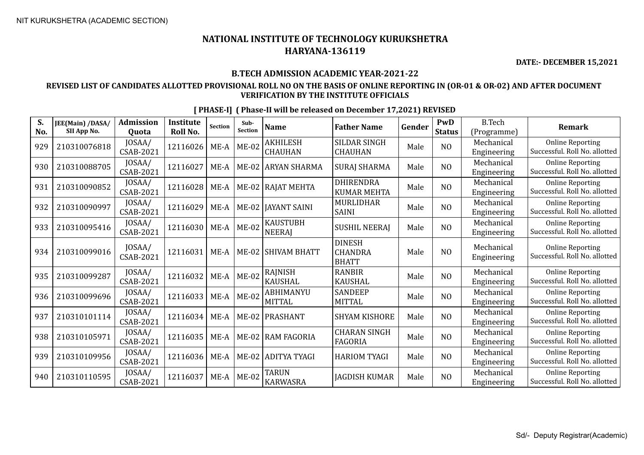**DATE:- DECEMBER 15,2021**

#### **B.TECH ADMISSION ACADEMIC YEAR-2021-22**

### **REVISED LIST OF CANDIDATES ALLOTTED PROVISIONAL ROLL NO ON THE BASIS OF ONLINE REPORTING IN (OR-01 & OR-02) AND AFTER DOCUMENT VERIFICATION BY THE INSTITUTE OFFICIALS**

| S.<br>No. | JEE(Main) /DASA/<br>SII App No. | <b>Admission</b><br>Quota  | <b>Institute</b><br>Roll No. | <b>Section</b> | Sub-<br><b>Section</b> | <b>Name</b>                       | <b>Father Name</b>                              | Gender | PwD<br><b>Status</b> | <b>B.Tech</b><br>(Programme) | <b>Remark</b>                                            |
|-----------|---------------------------------|----------------------------|------------------------------|----------------|------------------------|-----------------------------------|-------------------------------------------------|--------|----------------------|------------------------------|----------------------------------------------------------|
| 929       | 210310076818                    | JOSAA/<br>CSAB-2021        | 12116026                     | ME-A           | $ME-02$                | <b>AKHILESH</b><br><b>CHAUHAN</b> | <b>SILDAR SINGH</b><br><b>CHAUHAN</b>           | Male   | NO                   | Mechanical<br>Engineering    | <b>Online Reporting</b><br>Successful. Roll No. allotted |
| 930       | 210310088705                    | JOSAA/<br>CSAB-2021        | 12116027                     | ME-A           | $ME-02$                | <b>ARYAN SHARMA</b>               | <b>SURAJ SHARMA</b>                             | Male   | N <sub>O</sub>       | Mechanical<br>Engineering    | <b>Online Reporting</b><br>Successful. Roll No. allotted |
| 931       | 210310090852                    | JOSAA/<br>CSAB-2021        | 12116028                     | $ME-A$         | $ME-02$                | <b>RAJAT MEHTA</b>                | <b>DHIRENDRA</b><br><b>KUMAR MEHTA</b>          | Male   | N <sub>O</sub>       | Mechanical<br>Engineering    | <b>Online Reporting</b><br>Successful. Roll No. allotted |
| 932       | 210310090997                    | JOSAA/<br>CSAB-2021        | 12116029                     | $ME-A$         | ME-02                  | <b>JAYANT SAINI</b>               | MURLIDHAR<br><b>SAINI</b>                       | Male   | N <sub>O</sub>       | Mechanical<br>Engineering    | <b>Online Reporting</b><br>Successful. Roll No. allotted |
| 933       | 210310095416                    | JOSAA/<br>CSAB-2021        | 12116030                     | $ME-A$         | ME-02                  | <b>KAUSTUBH</b><br><b>NEERAJ</b>  | <b>SUSHIL NEERAJ</b>                            | Male   | NO                   | Mechanical<br>Engineering    | <b>Online Reporting</b><br>Successful. Roll No. allotted |
| 934       | 210310099016                    | JOSAA/<br>CSAB-2021        | 12116031                     | $ME-A$         |                        | ME-02   SHIVAM BHATT              | <b>DINESH</b><br><b>CHANDRA</b><br><b>BHATT</b> | Male   | N <sub>O</sub>       | Mechanical<br>Engineering    | <b>Online Reporting</b><br>Successful. Roll No. allotted |
| 935       | 210310099287                    | JOSAA/<br>CSAB-2021        | 12116032                     | $ME-A$         | <b>ME-02</b>           | RAJNISH<br><b>KAUSHAL</b>         | <b>RANBIR</b><br><b>KAUSHAL</b>                 | Male   | N <sub>O</sub>       | Mechanical<br>Engineering    | <b>Online Reporting</b><br>Successful. Roll No. allotted |
| 936       | 210310099696                    | JOSAA/<br>CSAB-2021        | 12116033                     | ME-A           | <b>ME-02</b>           | ABHIMANYU<br><b>MITTAL</b>        | <b>SANDEEP</b><br><b>MITTAL</b>                 | Male   | N <sub>O</sub>       | Mechanical<br>Engineering    | <b>Online Reporting</b><br>Successful. Roll No. allotted |
| 937       | 210310101114                    | JOSAA/<br>CSAB-2021        | 12116034                     | $ME-A$         | ME-02                  | <b>PRASHANT</b>                   | <b>SHYAM KISHORE</b>                            | Male   | N <sub>O</sub>       | Mechanical<br>Engineering    | <b>Online Reporting</b><br>Successful. Roll No. allotted |
| 938       | 210310105971                    | JOSAA/<br><b>CSAB-2021</b> | 12116035                     | $ME-A$         | <b>ME-02</b>           | <b>RAM FAGORIA</b>                | <b>CHARAN SINGH</b><br><b>FAGORIA</b>           | Male   | N <sub>O</sub>       | Mechanical<br>Engineering    | <b>Online Reporting</b><br>Successful. Roll No. allotted |
| 939       | 210310109956                    | JOSAA/<br>CSAB-2021        | 12116036                     | ME-A           | $ME-02$                | <b>ADITYA TYAGI</b>               | <b>HARIOM TYAGI</b>                             | Male   | N <sub>O</sub>       | Mechanical<br>Engineering    | <b>Online Reporting</b><br>Successful. Roll No. allotted |
| 940       | 210310110595                    | JOSAA/<br>CSAB-2021        | 12116037                     | $ME-A$         | $ ME-02$               | <b>TARUN</b><br><b>KARWASRA</b>   | <b>JAGDISH KUMAR</b>                            | Male   | N <sub>O</sub>       | Mechanical<br>Engineering    | <b>Online Reporting</b><br>Successful. Roll No. allotted |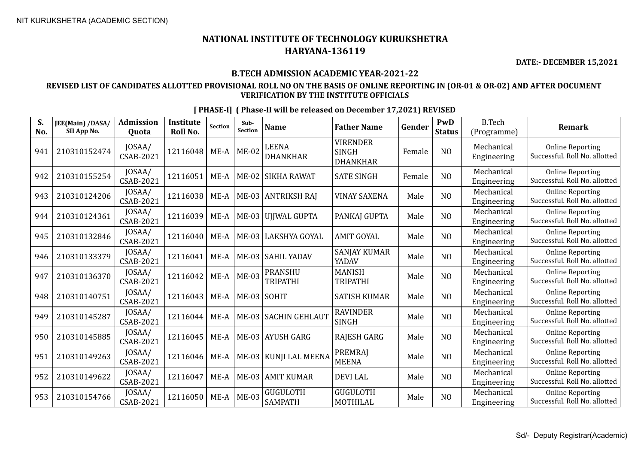**DATE:- DECEMBER 15,2021**

#### **B.TECH ADMISSION ACADEMIC YEAR-2021-22**

### **REVISED LIST OF CANDIDATES ALLOTTED PROVISIONAL ROLL NO ON THE BASIS OF ONLINE REPORTING IN (OR-01 & OR-02) AND AFTER DOCUMENT VERIFICATION BY THE INSTITUTE OFFICIALS**

| S.<br>No. | JEE(Main) /DASA/<br>SII App No. | <b>Admission</b><br>Quota  | Institute<br>Roll No. | Section | Sub-<br><b>Section</b> | <b>Name</b>                       | <b>Father Name</b>                                 | Gender | PwD<br><b>Status</b> | <b>B.Tech</b><br>(Programme) | <b>Remark</b>                                            |
|-----------|---------------------------------|----------------------------|-----------------------|---------|------------------------|-----------------------------------|----------------------------------------------------|--------|----------------------|------------------------------|----------------------------------------------------------|
| 941       | 210310152474                    | JOSAA/<br><b>CSAB-2021</b> | 12116048              | $ME-A$  | <b>ME-02</b>           | <b>LEENA</b><br><b>DHANKHAR</b>   | <b>VIRENDER</b><br><b>SINGH</b><br><b>DHANKHAR</b> | Female | N <sub>O</sub>       | Mechanical<br>Engineering    | <b>Online Reporting</b><br>Successful. Roll No. allotted |
| 942       | 210310155254                    | JOSAA/<br>CSAB-2021        | 12116051              | ME-A    | $ME-02$                | <b>SIKHA RAWAT</b>                | <b>SATE SINGH</b>                                  | Female | N <sub>O</sub>       | Mechanical<br>Engineering    | <b>Online Reporting</b><br>Successful. Roll No. allotted |
| 943       | 210310124206                    | JOSAA/<br>CSAB-2021        | 12116038              | $ME-A$  |                        | ME-03 ANTRIKSH RAJ                | <b>VINAY SAXENA</b>                                | Male   | N <sub>O</sub>       | Mechanical<br>Engineering    | <b>Online Reporting</b><br>Successful. Roll No. allotted |
| 944       | 210310124361                    | JOSAA/<br>CSAB-2021        | 12116039              | $ME-A$  |                        | ME-03 UJJWAL GUPTA                | PANKAJ GUPTA                                       | Male   | N <sub>O</sub>       | Mechanical<br>Engineering    | <b>Online Reporting</b><br>Successful. Roll No. allotted |
| 945       | 210310132846                    | JOSAA/<br><b>CSAB-2021</b> | 12116040              | $ME-A$  |                        | ME-03   LAKSHYA GOYAL             | <b>AMIT GOYAL</b>                                  | Male   | N <sub>O</sub>       | Mechanical<br>Engineering    | <b>Online Reporting</b><br>Successful. Roll No. allotted |
| 946       | 210310133379                    | JOSAA/<br><b>CSAB-2021</b> | 12116041              | $ME-A$  |                        | ME-03 SAHIL YADAV                 | <b>SANJAY KUMAR</b><br>YADAV                       | Male   | N <sub>O</sub>       | Mechanical<br>Engineering    | <b>Online Reporting</b><br>Successful. Roll No. allotted |
| 947       | 210310136370                    | JOSAA/<br><b>CSAB-2021</b> | 12116042              | $ME-A$  | $ME-03$                | <b>PRANSHU</b><br><b>TRIPATHI</b> | <b>MANISH</b><br><b>TRIPATHI</b>                   | Male   | N <sub>O</sub>       | Mechanical<br>Engineering    | <b>Online Reporting</b><br>Successful. Roll No. allotted |
| 948       | 210310140751                    | JOSAA/<br><b>CSAB-2021</b> | 12116043              | $ME-A$  | ME-03 SOHIT            |                                   | <b>SATISH KUMAR</b>                                | Male   | N <sub>O</sub>       | Mechanical<br>Engineering    | <b>Online Reporting</b><br>Successful. Roll No. allotted |
| 949       | 210310145287                    | JOSAA/<br>CSAB-2021        | 12116044              | $ME-A$  |                        | ME-03 SACHIN GEHLAUT              | <b>RAVINDER</b><br><b>SINGH</b>                    | Male   | N <sub>O</sub>       | Mechanical<br>Engineering    | <b>Online Reporting</b><br>Successful. Roll No. allotted |
| 950       | 210310145885                    | JOSAA/<br><b>CSAB-2021</b> | 12116045              | $ME-A$  |                        | ME-03 AYUSH GARG                  | <b>RAJESH GARG</b>                                 | Male   | N <sub>O</sub>       | Mechanical<br>Engineering    | <b>Online Reporting</b><br>Successful. Roll No. allotted |
| 951       | 210310149263                    | JOSAA/<br><b>CSAB-2021</b> | 12116046              | $ME-A$  |                        | ME-03   KUNJI LAL MEENA           | <b>PREMRAJ</b><br><b>MEENA</b>                     | Male   | N <sub>O</sub>       | Mechanical<br>Engineering    | <b>Online Reporting</b><br>Successful. Roll No. allotted |
| 952       | 210310149622                    | JOSAA/<br><b>CSAB-2021</b> | 12116047              | $ME-A$  |                        | ME-03 AMIT KUMAR                  | <b>DEVILAL</b>                                     | Male   | N <sub>O</sub>       | Mechanical<br>Engineering    | <b>Online Reporting</b><br>Successful. Roll No. allotted |
| 953       | 210310154766                    | JOSAA/<br>CSAB-2021        | 12116050              | $ME-A$  | <b>ME-03</b>           | <b>GUGULOTH</b><br><b>SAMPATH</b> | <b>GUGULOTH</b><br>MOTHILAL                        | Male   | N <sub>O</sub>       | Mechanical<br>Engineering    | <b>Online Reporting</b><br>Successful. Roll No. allotted |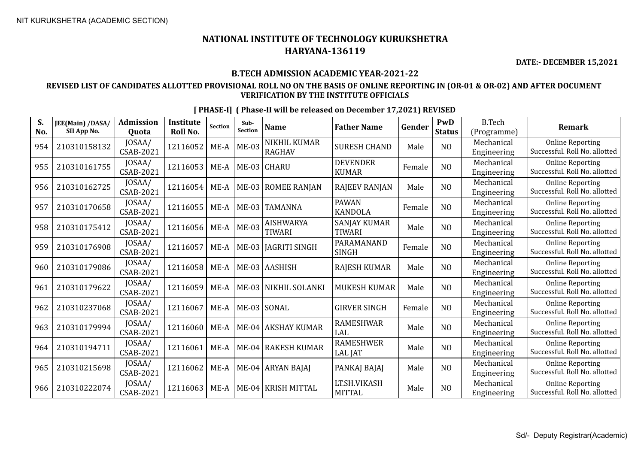**DATE:- DECEMBER 15,2021**

#### **B.TECH ADMISSION ACADEMIC YEAR-2021-22**

### **REVISED LIST OF CANDIDATES ALLOTTED PROVISIONAL ROLL NO ON THE BASIS OF ONLINE REPORTING IN (OR-01 & OR-02) AND AFTER DOCUMENT VERIFICATION BY THE INSTITUTE OFFICIALS**

| S.<br>No. | JEE(Main) /DASA/<br>SII App No. | <b>Admission</b><br>Quota  | <b>Institute</b><br>Roll No. | <b>Section</b> | Sub-<br>Section | Name                              | <b>Father Name</b>                   | Gender | PwD<br><b>Status</b> | <b>B.Tech</b><br>(Programme) | <b>Remark</b>                                            |
|-----------|---------------------------------|----------------------------|------------------------------|----------------|-----------------|-----------------------------------|--------------------------------------|--------|----------------------|------------------------------|----------------------------------------------------------|
| 954       | 210310158132                    | JOSAA/<br><b>CSAB-2021</b> | 12116052                     | $ME-A$         | <b>ME-03</b>    | NIKHIL KUMAR<br><b>RAGHAV</b>     | <b>SURESH CHAND</b>                  | Male   | N <sub>O</sub>       | Mechanical<br>Engineering    | <b>Online Reporting</b><br>Successful. Roll No. allotted |
| 955       | 210310161755                    | JOSAA/<br><b>CSAB-2021</b> | 12116053                     | $ME-A$         |                 | ME-03 CHARU                       | <b>DEVENDER</b><br><b>KUMAR</b>      | Female | N <sub>O</sub>       | Mechanical<br>Engineering    | <b>Online Reporting</b><br>Successful. Roll No. allotted |
| 956       | 210310162725                    | JOSAA/<br><b>CSAB-2021</b> | 12116054                     | ME-A           |                 | ME-03   ROMEE RANJAN              | <b>RAJEEV RANJAN</b>                 | Male   | N <sub>O</sub>       | Mechanical<br>Engineering    | <b>Online Reporting</b><br>Successful. Roll No. allotted |
| 957       | 210310170658                    | JOSAA/<br><b>CSAB-2021</b> | 12116055                     | $ME-A$         | $ME-03$         | <b>TAMANNA</b>                    | <b>PAWAN</b><br><b>KANDOLA</b>       | Female | N <sub>O</sub>       | Mechanical<br>Engineering    | <b>Online Reporting</b><br>Successful. Roll No. allotted |
| 958       | 210310175412                    | JOSAA/<br><b>CSAB-2021</b> | 12116056                     | $ME-A$         | $ME-03$         | <b>AISHWARYA</b><br><b>TIWARI</b> | <b>SANJAY KUMAR</b><br><b>TIWARI</b> | Male   | NO                   | Mechanical<br>Engineering    | <b>Online Reporting</b><br>Successful. Roll No. allotted |
| 959       | 210310176908                    | JOSAA/<br><b>CSAB-2021</b> | 12116057                     | $ME-A$         | $ME-03$         | JAGRITI SINGH                     | PARAMANAND<br><b>SINGH</b>           | Female | N <sub>O</sub>       | Mechanical<br>Engineering    | <b>Online Reporting</b><br>Successful. Roll No. allotted |
| 960       | 210310179086                    | JOSAA/<br><b>CSAB-2021</b> | 12116058                     | $ME-A$         |                 | ME-03 AASHISH                     | <b>RAJESH KUMAR</b>                  | Male   | N <sub>O</sub>       | Mechanical<br>Engineering    | <b>Online Reporting</b><br>Successful. Roll No. allotted |
| 961       | 210310179622                    | JOSAA/<br><b>CSAB-2021</b> | 12116059                     | $ME-A$         |                 | ME-03 NIKHIL SOLANKI              | <b>MUKESH KUMAR</b>                  | Male   | N <sub>O</sub>       | Mechanical<br>Engineering    | <b>Online Reporting</b><br>Successful. Roll No. allotted |
| 962       | 210310237068                    | JOSAA/<br><b>CSAB-2021</b> | 12116067                     | ME-A           |                 | ME-03 SONAL                       | <b>GIRVER SINGH</b>                  | Female | N <sub>O</sub>       | Mechanical<br>Engineering    | <b>Online Reporting</b><br>Successful. Roll No. allotted |
| 963       | 210310179994                    | JOSAA/<br><b>CSAB-2021</b> | 12116060                     | ME-A           |                 | ME-04 AKSHAY KUMAR                | <b>RAMESHWAR</b><br>LAL              | Male   | N <sub>O</sub>       | Mechanical<br>Engineering    | <b>Online Reporting</b><br>Successful. Roll No. allotted |
| 964       | 210310194711                    | JOSAA/<br><b>CSAB-2021</b> | 12116061                     | $ME-A$         |                 | ME-04 RAKESH KUMAR                | <b>RAMESHWER</b><br><b>LAL JAT</b>   | Male   | N <sub>O</sub>       | Mechanical<br>Engineering    | <b>Online Reporting</b><br>Successful. Roll No. allotted |
| 965       | 210310215698                    | JOSAA/<br><b>CSAB-2021</b> | 12116062                     | $ME-A$         |                 | ME-04 ARYAN BAJAJ                 | PANKAJ BAJAJ                         | Male   | N <sub>O</sub>       | Mechanical<br>Engineering    | <b>Online Reporting</b><br>Successful. Roll No. allotted |
| 966       | 210310222074                    | JOSAA/<br>CSAB-2021        | 12116063                     | $ME-A$         |                 | ME-04   KRISH MITTAL              | LT.SH.VIKASH<br><b>MITTAL</b>        | Male   | N <sub>O</sub>       | Mechanical<br>Engineering    | <b>Online Reporting</b><br>Successful. Roll No. allotted |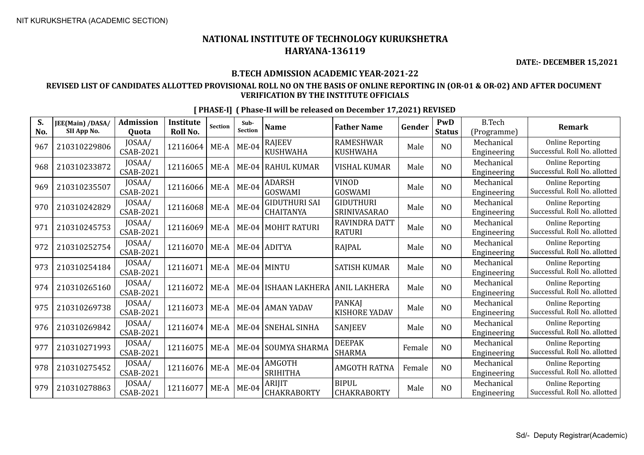**DATE:- DECEMBER 15,2021**

#### **B.TECH ADMISSION ACADEMIC YEAR-2021-22**

### **REVISED LIST OF CANDIDATES ALLOTTED PROVISIONAL ROLL NO ON THE BASIS OF ONLINE REPORTING IN (OR-01 & OR-02) AND AFTER DOCUMENT VERIFICATION BY THE INSTITUTE OFFICIALS**

| S.<br>No. | JEE(Main) /DASA/<br>SII App No. | <b>Admission</b><br><b>Ouota</b> | <b>Institute</b><br>Roll No. | <b>Section</b> | Sub-<br><b>Section</b> | <b>Name</b>                              | <b>Father Name</b>                      | Gender | <b>PwD</b><br><b>Status</b> | <b>B.Tech</b><br>(Programme) | <b>Remark</b>                                            |
|-----------|---------------------------------|----------------------------------|------------------------------|----------------|------------------------|------------------------------------------|-----------------------------------------|--------|-----------------------------|------------------------------|----------------------------------------------------------|
| 967       | 210310229806                    | JOSAA/<br><b>CSAB-2021</b>       | 12116064                     | $ME-A$         | $ME-04$                | <b>RAJEEV</b><br><b>KUSHWAHA</b>         | <b>RAMESHWAR</b><br><b>KUSHWAHA</b>     | Male   | N <sub>O</sub>              | Mechanical<br>Engineering    | <b>Online Reporting</b><br>Successful. Roll No. allotted |
| 968       | 210310233872                    | JOSAA/<br>CSAB-2021              | 12116065                     | ME-A           |                        | ME-04 RAHUL KUMAR                        | <b>VISHAL KUMAR</b>                     | Male   | N <sub>O</sub>              | Mechanical<br>Engineering    | <b>Online Reporting</b><br>Successful. Roll No. allotted |
| 969       | 210310235507                    | JOSAA/<br><b>CSAB-2021</b>       | 12116066                     | $ME-A$         | $ME-04$                | <b>ADARSH</b><br>GOSWAMI                 | <b>VINOD</b><br><b>GOSWAMI</b>          | Male   | N <sub>O</sub>              | Mechanical<br>Engineering    | <b>Online Reporting</b><br>Successful. Roll No. allotted |
| 970       | 210310242829                    | JOSAA/<br><b>CSAB-2021</b>       | 12116068                     | ME-A           | $ME-04$                | <b>GIDUTHURI SAI</b><br><b>CHAITANYA</b> | <b>GIDUTHURI</b><br><b>SRINIVASARAO</b> | Male   | NO                          | Mechanical<br>Engineering    | <b>Online Reporting</b><br>Successful. Roll No. allotted |
| 971       | 210310245753                    | JOSAA/<br><b>CSAB-2021</b>       | 12116069                     | ME-A           |                        | ME-04 MOHIT RATURI                       | RAVINDRA DATT<br><b>RATURI</b>          | Male   | N <sub>O</sub>              | Mechanical<br>Engineering    | <b>Online Reporting</b><br>Successful. Roll No. allotted |
| 972       | 210310252754                    | JOSAA/<br><b>CSAB-2021</b>       | 12116070                     | ME-A           |                        | ME-04 ADITYA                             | RAJPAL                                  | Male   | NO                          | Mechanical<br>Engineering    | <b>Online Reporting</b><br>Successful. Roll No. allotted |
| 973       | 210310254184                    | JOSAA/<br><b>CSAB-2021</b>       | 12116071                     | ME-A           |                        | ME-04 MINTU                              | <b>SATISH KUMAR</b>                     | Male   | N <sub>O</sub>              | Mechanical<br>Engineering    | <b>Online Reporting</b><br>Successful, Roll No. allotted |
| 974       | 210310265160                    | JOSAA/<br><b>CSAB-2021</b>       | 12116072                     | $ME-A$         | $ME-04$                | <b>ISHAAN LAKHERA</b>                    | <b>ANIL LAKHERA</b>                     | Male   | N <sub>O</sub>              | Mechanical<br>Engineering    | <b>Online Reporting</b><br>Successful. Roll No. allotted |
| 975       | 210310269738                    | JOSAA/<br><b>CSAB-2021</b>       | 12116073                     | $ME-A$         |                        | ME-04   AMAN YADAV                       | <b>PANKAI</b><br>KISHORE YADAV          | Male   | N <sub>O</sub>              | Mechanical<br>Engineering    | <b>Online Reporting</b><br>Successful. Roll No. allotted |
| 976       | 210310269842                    | JOSAA/<br><b>CSAB-2021</b>       | 12116074                     | ME-A           | $ME-04$                | <b>SNEHAL SINHA</b>                      | SANJEEV                                 | Male   | N <sub>O</sub>              | Mechanical<br>Engineering    | <b>Online Reporting</b><br>Successful. Roll No. allotted |
| 977       | 210310271993                    | JOSAA/<br><b>CSAB-2021</b>       | 12116075                     | ME-A           | $ME-04$                | SOUMYA SHARMA                            | <b>DEEPAK</b><br><b>SHARMA</b>          | Female | NO                          | Mechanical<br>Engineering    | <b>Online Reporting</b><br>Successful. Roll No. allotted |
| 978       | 210310275452                    | JOSAA/<br><b>CSAB-2021</b>       | 12116076                     | ME-A           | $ME-04$                | AMGOTH<br><b>SRIHITHA</b>                | <b>AMGOTH RATNA</b>                     | Female | N <sub>O</sub>              | Mechanical<br>Engineering    | <b>Online Reporting</b><br>Successful. Roll No. allotted |
| 979       | 210310278863                    | JOSAA/<br><b>CSAB-2021</b>       | 12116077                     | $ME-A$         | $ME-04$                | <b>ARIJIT</b><br>CHAKRABORTY             | <b>BIPUL</b><br>CHAKRABORTY             | Male   | N <sub>O</sub>              | Mechanical<br>Engineering    | <b>Online Reporting</b><br>Successful. Roll No. allotted |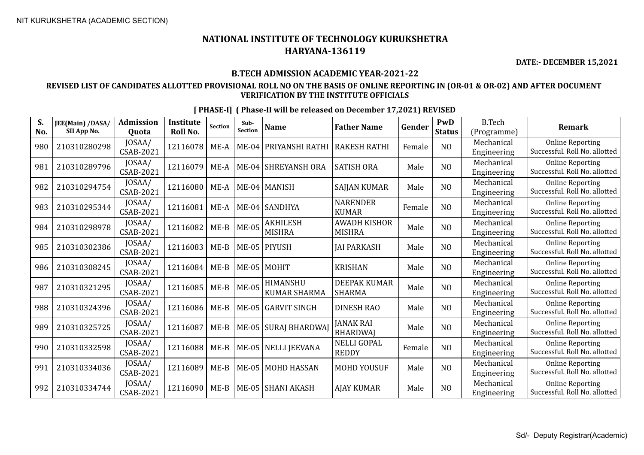**DATE:- DECEMBER 15,2021**

#### **B.TECH ADMISSION ACADEMIC YEAR-2021-22**

#### **REVISED LIST OF CANDIDATES ALLOTTED PROVISIONAL ROLL NO ON THE BASIS OF ONLINE REPORTING IN (OR-01 & OR-02) AND AFTER DOCUMENT VERIFICATION BY THE INSTITUTE OFFICIALS**

| S.  | JEE(Main) /DASA/ | <b>Admission</b> | <b>Institute</b> | <b>Section</b> | Sub-<br><b>Section</b> | <b>Name</b>           | <b>Father Name</b>  | Gender | PwD            | <b>B.Tech</b> | <b>Remark</b>                 |
|-----|------------------|------------------|------------------|----------------|------------------------|-----------------------|---------------------|--------|----------------|---------------|-------------------------------|
| No. | SII App No.      | Quota            | Roll No.         |                |                        |                       |                     |        | <b>Status</b>  | (Programme)   |                               |
| 980 | 210310280298     | JOSAA/           | 12116078         | $ME-A$         | $ME-04$                | PRIYANSHI RATHI       | <b>RAKESH RATHI</b> | Female | NO             | Mechanical    | <b>Online Reporting</b>       |
|     |                  | <b>CSAB-2021</b> |                  |                |                        |                       |                     |        |                | Engineering   | Successful. Roll No. allotted |
| 981 | 210310289796     | JOSAA/           | 12116079         | $ME-A$         |                        | ME-04 SHREYANSH ORA   | <b>SATISH ORA</b>   | Male   | N <sub>O</sub> | Mechanical    | <b>Online Reporting</b>       |
|     |                  | <b>CSAB-2021</b> |                  |                |                        |                       |                     |        |                | Engineering   | Successful. Roll No. allotted |
| 982 | 210310294754     | JOSAA/           | 12116080         | ME-A           |                        | ME-04   MANISH        | <b>SAJJAN KUMAR</b> | Male   | N <sub>O</sub> | Mechanical    | <b>Online Reporting</b>       |
|     |                  | <b>CSAB-2021</b> |                  |                |                        |                       |                     |        |                | Engineering   | Successful. Roll No. allotted |
| 983 | 210310295344     | JOSAA/           | 12116081         | ME-A           |                        | ME-04 SANDHYA         | <b>NARENDER</b>     | Female | N <sub>O</sub> | Mechanical    | <b>Online Reporting</b>       |
|     |                  | <b>CSAB-2021</b> |                  |                |                        |                       | <b>KUMAR</b>        |        |                | Engineering   | Successful. Roll No. allotted |
| 984 | 210310298978     | JOSAA/           | 12116082         | $ME-B$         | $ME-05$                | <b>AKHILESH</b>       | <b>AWADH KISHOR</b> | Male   | N <sub>O</sub> | Mechanical    | <b>Online Reporting</b>       |
|     |                  | CSAB-2021        |                  |                |                        | <b>MISHRA</b>         | <b>MISHRA</b>       |        |                | Engineering   | Successful. Roll No. allotted |
| 985 | 210310302386     | JOSAA/           | 12116083         | $ME-B$         | <b>ME-05</b>           | <b>PIYUSH</b>         | <b>JAI PARKASH</b>  | Male   | N <sub>0</sub> | Mechanical    | <b>Online Reporting</b>       |
|     |                  | <b>CSAB-2021</b> |                  |                |                        |                       |                     |        |                | Engineering   | Successful. Roll No. allotted |
| 986 | 210310308245     | JOSAA/           | 12116084         | $ME-B$         |                        | ME-05 MOHIT           | <b>KRISHAN</b>      | Male   | N <sub>O</sub> | Mechanical    | <b>Online Reporting</b>       |
|     |                  | <b>CSAB-2021</b> |                  |                |                        |                       |                     |        |                | Engineering   | Successful. Roll No. allotted |
| 987 | 210310321295     | JOSAA/           | 12116085         | $ME-B$         | <b>ME-05</b>           | HIMANSHU              | <b>DEEPAK KUMAR</b> | Male   | NO             | Mechanical    | <b>Online Reporting</b>       |
|     |                  | <b>CSAB-2021</b> |                  |                |                        | KUMAR SHARMA          | <b>SHARMA</b>       |        |                | Engineering   | Successful. Roll No. allotted |
| 988 | 210310324396     | JOSAA/           | 12116086         | $ME-B$         | $ME-05$                | <b>GARVIT SINGH</b>   | <b>DINESH RAO</b>   | Male   | N <sub>O</sub> | Mechanical    | <b>Online Reporting</b>       |
|     |                  | <b>CSAB-2021</b> |                  |                |                        |                       |                     |        |                | Engineering   | Successful. Roll No. allotted |
| 989 | 210310325725     | JOSAA/           | 12116087         | $ME-B$         | <b>ME-05</b>           | <b>SURAJ BHARDWAJ</b> | <b>JANAK RAI</b>    | Male   | N <sub>O</sub> | Mechanical    | <b>Online Reporting</b>       |
|     |                  | <b>CSAB-2021</b> |                  |                |                        |                       | <b>BHARDWAJ</b>     |        |                | Engineering   | Successful. Roll No. allotted |
| 990 | 210310332598     | JOSAA/           | 12116088         | $ME-B$         |                        | ME-05   NELLI JEEVANA | <b>NELLI GOPAL</b>  | Female | N <sub>O</sub> | Mechanical    | <b>Online Reporting</b>       |
|     |                  | <b>CSAB-2021</b> |                  |                |                        |                       | <b>REDDY</b>        |        |                | Engineering   | Successful. Roll No. allotted |
| 991 | 210310334036     | JOSAA/           | 12116089         | $ME-B$         | $ME-05$                | MOHD HASSAN           | <b>MOHD YOUSUF</b>  | Male   | N <sub>O</sub> | Mechanical    | <b>Online Reporting</b>       |
|     |                  | CSAB-2021        |                  |                |                        |                       |                     |        |                | Engineering   | Successful. Roll No. allotted |
| 992 | 210310334744     | JOSAA/           | 12116090         | $ME-B$         | <b>ME-05</b>           | <b>SHANI AKASH</b>    | <b>AJAY KUMAR</b>   | Male   | NO             | Mechanical    | <b>Online Reporting</b>       |
|     |                  | <b>CSAB-2021</b> |                  |                |                        |                       |                     |        |                | Engineering   | Successful. Roll No. allotted |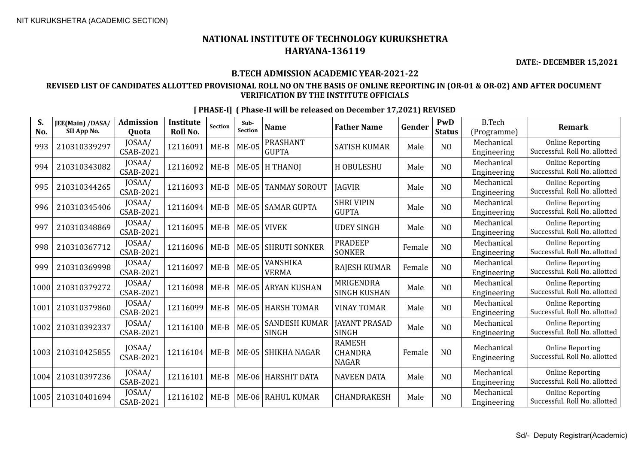**DATE:- DECEMBER 15,2021**

#### **B.TECH ADMISSION ACADEMIC YEAR-2021-22**

### **REVISED LIST OF CANDIDATES ALLOTTED PROVISIONAL ROLL NO ON THE BASIS OF ONLINE REPORTING IN (OR-01 & OR-02) AND AFTER DOCUMENT VERIFICATION BY THE INSTITUTE OFFICIALS**

| S.<br>No. | JEE(Main) /DASA/<br>SII App No. | <b>Admission</b><br><b>Ouota</b> | <b>Institute</b><br>Roll No. | <b>Section</b> | Sub-<br><b>Section</b> | <b>Name</b>                          | <b>Father Name</b>                              | Gender | PwD<br><b>Status</b> | <b>B.Tech</b><br>(Programme) | <b>Remark</b>                                            |
|-----------|---------------------------------|----------------------------------|------------------------------|----------------|------------------------|--------------------------------------|-------------------------------------------------|--------|----------------------|------------------------------|----------------------------------------------------------|
| 993       | 210310339297                    | JOSAA/<br><b>CSAB-2021</b>       | 12116091                     | $ME-B$         | <b>ME-05</b>           | <b>PRASHANT</b><br><b>GUPTA</b>      | <b>SATISH KUMAR</b>                             | Male   | N <sub>O</sub>       | Mechanical<br>Engineering    | <b>Online Reporting</b><br>Successful. Roll No. allotted |
| 994       | 210310343082                    | JOSAA/<br><b>CSAB-2021</b>       | 12116092                     | $ME-B$         |                        | $ME-05$  H THANOJ                    | H OBULESHU                                      | Male   | N <sub>O</sub>       | Mechanical<br>Engineering    | <b>Online Reporting</b><br>Successful. Roll No. allotted |
| 995       | 210310344265                    | JOSAA/<br><b>CSAB-2021</b>       | 12116093                     | $ME-B$         | $ME-05$                | <b>TANMAY SOROUT</b>                 | <b>IAGVIR</b>                                   | Male   | N <sub>O</sub>       | Mechanical<br>Engineering    | <b>Online Reporting</b><br>Successful. Roll No. allotted |
| 996       | 210310345406                    | JOSAA/<br><b>CSAB-2021</b>       | 12116094                     | $ME-B$         | $ME-05$                | <b>SAMAR GUPTA</b>                   | <b>SHRI VIPIN</b><br><b>GUPTA</b>               | Male   | N <sub>O</sub>       | Mechanical<br>Engineering    | <b>Online Reporting</b><br>Successful. Roll No. allotted |
| 997       | 210310348869                    | JOSAA/<br><b>CSAB-2021</b>       | 12116095                     | $ME-B$         | $ME-05$                | <b>VIVEK</b>                         | <b>UDEY SINGH</b>                               | Male   | N <sub>O</sub>       | Mechanical<br>Engineering    | <b>Online Reporting</b><br>Successful. Roll No. allotted |
| 998       | 210310367712                    | JOSAA/<br><b>CSAB-2021</b>       | 12116096                     | $ME-B$         | $ME-05$                | <b>SHRUTI SONKER</b>                 | <b>PRADEEP</b><br><b>SONKER</b>                 | Female | N <sub>O</sub>       | Mechanical<br>Engineering    | <b>Online Reporting</b><br>Successful. Roll No. allotted |
| 999       | 210310369998                    | JOSAA/<br><b>CSAB-2021</b>       | 12116097                     | $ME-B$         | <b>ME-05</b>           | VANSHIKA<br><b>VERMA</b>             | RAJESH KUMAR                                    | Female | N <sub>O</sub>       | Mechanical<br>Engineering    | <b>Online Reporting</b><br>Successful. Roll No. allotted |
| 1000      | 210310379272                    | JOSAA/<br>CSAB-2021              | 12116098                     | $ME-B$         | $ME-05$                | <b>ARYAN KUSHAN</b>                  | MRIGENDRA<br><b>SINGH KUSHAN</b>                | Male   | N <sub>O</sub>       | Mechanical<br>Engineering    | <b>Online Reporting</b><br>Successful. Roll No. allotted |
| 1001      | 210310379860                    | JOSAA/<br><b>CSAB-2021</b>       | 12116099                     | $ME-B$         | $ME-05$                | <b>HARSH TOMAR</b>                   | <b>VINAY TOMAR</b>                              | Male   | N <sub>O</sub>       | Mechanical<br>Engineering    | <b>Online Reporting</b><br>Successful. Roll No. allotted |
| 1002      | 210310392337                    | JOSAA/<br>CSAB-2021              | 12116100                     | $ME-B$         | <b>ME-05</b>           | <b>SANDESH KUMAR</b><br><b>SINGH</b> | <b>JAYANT PRASAD</b><br><b>SINGH</b>            | Male   | N <sub>O</sub>       | Mechanical<br>Engineering    | <b>Online Reporting</b><br>Successful. Roll No. allotted |
| 1003      | 210310425855                    | JOSAA/<br>CSAB-2021              | 12116104                     | $ME-B$         | <b>ME-05</b>           | <b>SHIKHA NAGAR</b>                  | <b>RAMESH</b><br><b>CHANDRA</b><br><b>NAGAR</b> | Female | NO                   | Mechanical<br>Engineering    | <b>Online Reporting</b><br>Successful. Roll No. allotted |
| 1004      | 210310397236                    | JOSAA/<br><b>CSAB-2021</b>       | 12116101                     | $ME-B$         |                        | ME-06   HARSHIT DATA                 | <b>NAVEEN DATA</b>                              | Male   | N <sub>O</sub>       | Mechanical<br>Engineering    | <b>Online Reporting</b><br>Successful. Roll No. allotted |
| 1005      | 210310401694                    | JOSAA/<br>CSAB-2021              | 12116102                     | $ME-B$         | <b>ME-06</b>           | <b>RAHUL KUMAR</b>                   | CHANDRAKESH                                     | Male   | N <sub>O</sub>       | Mechanical<br>Engineering    | <b>Online Reporting</b><br>Successful. Roll No. allotted |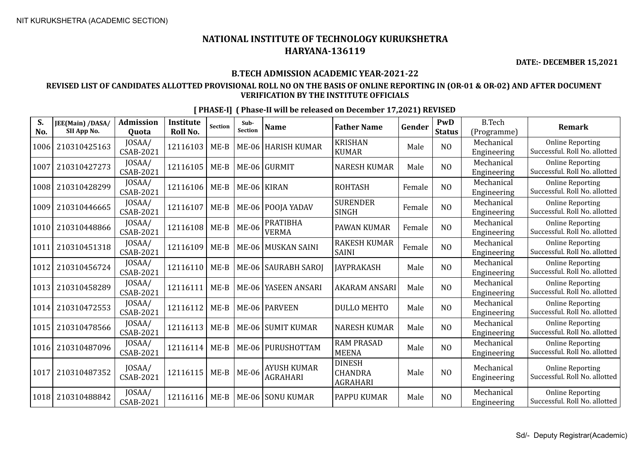**DATE:- DECEMBER 15,2021**

#### **B.TECH ADMISSION ACADEMIC YEAR-2021-22**

### **REVISED LIST OF CANDIDATES ALLOTTED PROVISIONAL ROLL NO ON THE BASIS OF ONLINE REPORTING IN (OR-01 & OR-02) AND AFTER DOCUMENT VERIFICATION BY THE INSTITUTE OFFICIALS**

| S.<br>No. | JEE(Main) /DASA/<br>SII App No. | <b>Admission</b><br>Quota  | <b>Institute</b><br>Roll No. | <b>Section</b> | Sub-<br><b>Section</b> | <b>Name</b>                           | <b>Father Name</b>                                 | Gender | PwD<br><b>Status</b> | <b>B.Tech</b><br>(Programme) | <b>Remark</b>                                            |
|-----------|---------------------------------|----------------------------|------------------------------|----------------|------------------------|---------------------------------------|----------------------------------------------------|--------|----------------------|------------------------------|----------------------------------------------------------|
| 1006      | 210310425163                    | JOSAA/<br>CSAB-2021        | 12116103                     | $ME-B$         | <b>ME-06</b>           | <b>HARISH KUMAR</b>                   | <b>KRISHAN</b><br><b>KUMAR</b>                     | Male   | N <sub>O</sub>       | Mechanical<br>Engineering    | <b>Online Reporting</b><br>Successful. Roll No. allotted |
| 1007      | 210310427273                    | JOSAA/<br><b>CSAB-2021</b> | 12116105                     | $ME-B$         |                        | ME-06 GURMIT                          | <b>NARESH KUMAR</b>                                | Male   | NO                   | Mechanical<br>Engineering    | <b>Online Reporting</b><br>Successful. Roll No. allotted |
| 1008      | 210310428299                    | JOSAA/<br>CSAB-2021        | 12116106                     | $ME-B$         |                        | ME-06 KIRAN                           | <b>ROHTASH</b>                                     | Female | N <sub>O</sub>       | Mechanical<br>Engineering    | <b>Online Reporting</b><br>Successful. Roll No. allotted |
| 1009      | 210310446665                    | JOSAA/<br>CSAB-2021        | 12116107                     | $ME-B$         | $ME-06$                | <b>POOJA YADAV</b>                    | <b>SURENDER</b><br><b>SINGH</b>                    | Female | N <sub>O</sub>       | Mechanical<br>Engineering    | <b>Online Reporting</b><br>Successful. Roll No. allotted |
| 1010      | 210310448866                    | JOSAA/<br>CSAB-2021        | 12116108                     | $ME-B$         | <b>ME-06</b>           | <b>PRATIBHA</b><br><b>VERMA</b>       | PAWAN KUMAR                                        | Female | N <sub>O</sub>       | Mechanical<br>Engineering    | <b>Online Reporting</b><br>Successful. Roll No. allotted |
| 1011      | 210310451318                    | JOSAA/<br>CSAB-2021        | 12116109                     | $ME-B$         | $ME-06$                | MUSKAN SAINI                          | <b>RAKESH KUMAR</b><br><b>SAINI</b>                | Female | N <sub>O</sub>       | Mechanical<br>Engineering    | <b>Online Reporting</b><br>Successful. Roll No. allotted |
| 1012      | 210310456724                    | JOSAA/<br><b>CSAB-2021</b> | 12116110                     | $ME-B$         |                        | ME-06   SAURABH SAROJ                 | <b>JAYPRAKASH</b>                                  | Male   | NO                   | Mechanical<br>Engineering    | <b>Online Reporting</b><br>Successful. Roll No. allotted |
| 1013      | 210310458289                    | JOSAA/<br>CSAB-2021        | 12116111                     | $ME-B$         |                        | ME-06 YASEEN ANSARI                   | <b>AKARAM ANSARI</b>                               | Male   | N <sub>O</sub>       | Mechanical<br>Engineering    | <b>Online Reporting</b><br>Successful. Roll No. allotted |
| 1014      | 210310472553                    | JOSAA/<br>CSAB-2021        | 12116112                     | $ME-B$         |                        | ME-06   PARVEEN                       | <b>DULLO MEHTO</b>                                 | Male   | NO                   | Mechanical<br>Engineering    | <b>Online Reporting</b><br>Successful. Roll No. allotted |
| 1015      | 210310478566                    | JOSAA/<br><b>CSAB-2021</b> | 12116113                     | $ME-B$         |                        | ME-06 SUMIT KUMAR                     | <b>NARESH KUMAR</b>                                | Male   | NO                   | Mechanical<br>Engineering    | <b>Online Reporting</b><br>Successful. Roll No. allotted |
| 1016      | 210310487096                    | JOSAA/<br>CSAB-2021        | 12116114                     | $ME-B$         |                        | ME-06 PURUSHOTTAM                     | <b>RAM PRASAD</b><br><b>MEENA</b>                  | Male   | NO                   | Mechanical<br>Engineering    | <b>Online Reporting</b><br>Successful. Roll No. allotted |
| 1017      | 210310487352                    | JOSAA/<br>CSAB-2021        | 12116115                     | $ME-B$         | <b>ME-06</b>           | <b>AYUSH KUMAR</b><br><b>AGRAHARI</b> | <b>DINESH</b><br><b>CHANDRA</b><br><b>AGRAHARI</b> | Male   | NO                   | Mechanical<br>Engineering    | <b>Online Reporting</b><br>Successful. Roll No. allotted |
| 1018      | 210310488842                    | JOSAA/<br>CSAB-2021        | 12116116                     | $ME-B$         |                        | ME-06 SONU KUMAR                      | PAPPU KUMAR                                        | Male   | NO                   | Mechanical<br>Engineering    | <b>Online Reporting</b><br>Successful. Roll No. allotted |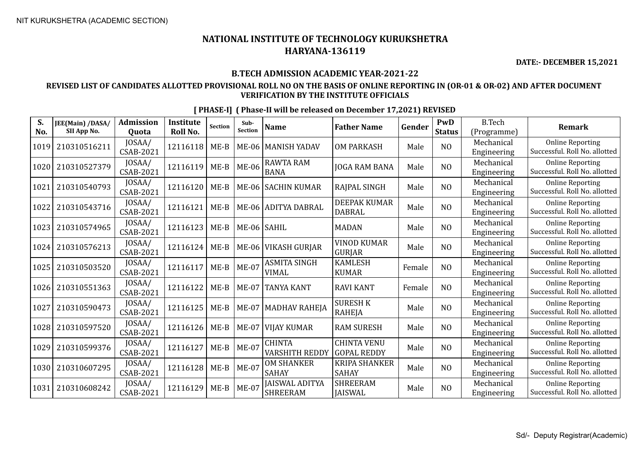**DATE:- DECEMBER 15,2021**

#### **B.TECH ADMISSION ACADEMIC YEAR-2021-22**

### **REVISED LIST OF CANDIDATES ALLOTTED PROVISIONAL ROLL NO ON THE BASIS OF ONLINE REPORTING IN (OR-01 & OR-02) AND AFTER DOCUMENT VERIFICATION BY THE INSTITUTE OFFICIALS**

| S.<br>No. | JEE(Main) /DASA/<br>SII App No. | <b>Admission</b><br>Quota  | <b>Institute</b><br>Roll No. | <b>Section</b> | Sub-<br>Section | <b>Name</b>                              | <b>Father Name</b>                       | Gender | PwD<br><b>Status</b> | <b>B.Tech</b><br>(Programme) | <b>Remark</b>                                            |
|-----------|---------------------------------|----------------------------|------------------------------|----------------|-----------------|------------------------------------------|------------------------------------------|--------|----------------------|------------------------------|----------------------------------------------------------|
| 1019      | 210310516211                    | JOSAA/<br><b>CSAB-2021</b> | 12116118                     | $ME-B$         | <b>ME-06</b>    | <b>MANISH YADAV</b>                      | <b>OM PARKASH</b>                        | Male   | N <sub>O</sub>       | Mechanical<br>Engineering    | <b>Online Reporting</b><br>Successful. Roll No. allotted |
| 1020      | 210310527379                    | JOSAA/<br>CSAB-2021        | 12116119                     | $ME-B$         | <b>ME-06</b>    | <b>RAWTA RAM</b><br><b>BANA</b>          | <b>JOGA RAM BANA</b>                     | Male   | NO                   | Mechanical<br>Engineering    | <b>Online Reporting</b><br>Successful. Roll No. allotted |
| 1021      | 210310540793                    | JOSAA/<br>CSAB-2021        | 12116120                     | $ME-B$         | <b>ME-06</b>    | <b>SACHIN KUMAR</b>                      | RAJPAL SINGH                             | Male   | N <sub>O</sub>       | Mechanical<br>Engineering    | <b>Online Reporting</b><br>Successful. Roll No. allotted |
| 1022      | 210310543716                    | JOSAA/<br><b>CSAB-2021</b> | 12116121                     | $ME-B$         |                 | ME-06 ADITYA DABRAL                      | <b>DEEPAK KUMAR</b><br><b>DABRAL</b>     | Male   | N <sub>O</sub>       | Mechanical<br>Engineering    | <b>Online Reporting</b><br>Successful. Roll No. allotted |
| 1023      | 210310574965                    | JOSAA/<br>CSAB-2021        | 12116123                     | $ME-B$         | ME-06 SAHIL     |                                          | <b>MADAN</b>                             | Male   | N <sub>O</sub>       | Mechanical<br>Engineering    | <b>Online Reporting</b><br>Successful. Roll No. allotted |
| 1024      | 210310576213                    | JOSAA/<br>CSAB-2021        | 12116124                     | $ME-B$         | ME-06           | <b>VIKASH GURJAR</b>                     | <b>VINOD KUMAR</b><br><b>GURJAR</b>      | Male   | N <sub>O</sub>       | Mechanical<br>Engineering    | <b>Online Reporting</b><br>Successful. Roll No. allotted |
| 1025      | 210310503520                    | JOSAA/<br><b>CSAB-2021</b> | 12116117                     | $ME-B$         | <b>ME-07</b>    | <b>ASMITA SINGH</b><br><b>VIMAL</b>      | <b>KAMLESH</b><br><b>KUMAR</b>           | Female | N <sub>O</sub>       | Mechanical<br>Engineering    | <b>Online Reporting</b><br>Successful. Roll No. allotted |
| 1026      | 210310551363                    | JOSAA/<br>CSAB-2021        | 12116122                     | $ME-B$         | $ME-07$         | <b>TANYA KANT</b>                        | <b>RAVI KANT</b>                         | Female | N <sub>O</sub>       | Mechanical<br>Engineering    | <b>Online Reporting</b><br>Successful. Roll No. allotted |
| 1027      | 210310590473                    | JOSAA/<br><b>CSAB-2021</b> | 12116125                     | $ME-B$         | $ME-07$         | <b>MADHAV RAHEJA</b>                     | <b>SURESH K</b><br><b>RAHEJA</b>         | Male   | N <sub>O</sub>       | Mechanical<br>Engineering    | <b>Online Reporting</b><br>Successful. Roll No. allotted |
| 1028      | 210310597520                    | JOSAA/<br><b>CSAB-2021</b> | 12116126                     | $ME-B$         | $ME-07$         | <b>VIJAY KUMAR</b>                       | <b>RAM SURESH</b>                        | Male   | N <sub>O</sub>       | Mechanical<br>Engineering    | <b>Online Reporting</b><br>Successful. Roll No. allotted |
| 1029      | 210310599376                    | JOSAA/<br><b>CSAB-2021</b> | 12116127                     | $ME-B$         | $ME-07$         | <b>CHINTA</b><br><b>VARSHITH REDDY</b>   | <b>CHINTA VENU</b><br><b>GOPAL REDDY</b> | Male   | N <sub>O</sub>       | Mechanical<br>Engineering    | <b>Online Reporting</b><br>Successful. Roll No. allotted |
| 1030      | 210310607295                    | JOSAA/<br><b>CSAB-2021</b> | 12116128                     | $ME-B$         | <b>ME-07</b>    | <b>OM SHANKER</b><br><b>SAHAY</b>        | <b>KRIPA SHANKER</b><br><b>SAHAY</b>     | Male   | N <sub>O</sub>       | Mechanical<br>Engineering    | <b>Online Reporting</b><br>Successful. Roll No. allotted |
| 1031      | 210310608242                    | JOSAA/<br>CSAB-2021        | 12116129                     | $ME-B$         | <b>ME-07</b>    | <b>JAISWAL ADITYA</b><br><b>SHREERAM</b> | <b>SHREERAM</b><br><b>JAISWAL</b>        | Male   | NO                   | Mechanical<br>Engineering    | <b>Online Reporting</b><br>Successful. Roll No. allotted |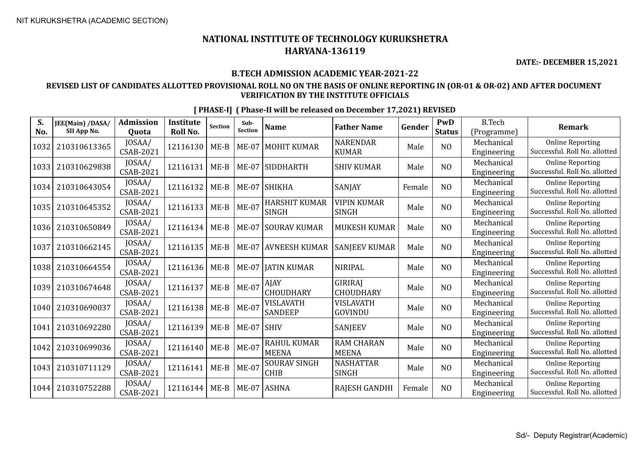**DATE:- DECEMBER 15,2021**

#### **B.TECH ADMISSION ACADEMIC YEAR-2021-22**

#### **REVISED LIST OF CANDIDATES ALLOTTED PROVISIONAL ROLL NO ON THE BASIS OF ONLINE REPORTING IN (OR-01 & OR-02) AND AFTER DOCUMENT VERIFICATION BY THE INSTITUTE OFFICIALS**

| S.<br>No. | JEE(Main) /DASA/<br>SII App No. | <b>Admission</b><br>Quota  | <b>Institute</b><br>Roll No. | <b>Section</b> | Sub-<br><b>Section</b> | <b>Name</b>                        | <b>Father Name</b>                | Gender | PwD<br><b>Status</b> | <b>B.Tech</b><br>(Programme) | <b>Remark</b>                                            |
|-----------|---------------------------------|----------------------------|------------------------------|----------------|------------------------|------------------------------------|-----------------------------------|--------|----------------------|------------------------------|----------------------------------------------------------|
| 1032      | 210310613365                    | JOSAA/<br><b>CSAB-2021</b> | 12116130                     | $ME-B$         | $ME-07$                | <b>MOHIT KUMAR</b>                 | <b>NARENDAR</b><br><b>KUMAR</b>   | Male   | N <sub>O</sub>       | Mechanical<br>Engineering    | <b>Online Reporting</b><br>Successful. Roll No. allotted |
| 1033      | 210310629838                    | JOSAA/<br><b>CSAB-2021</b> | 12116131                     | $ME-B$         | $ME-07$                | SIDDHARTH                          | SHIV KUMAR                        | Male   | N <sub>O</sub>       | Mechanical<br>Engineering    | <b>Online Reporting</b><br>Successful. Roll No. allotted |
| 1034      | 210310643054                    | JOSAA/<br><b>CSAB-2021</b> | 12116132                     | $ME-B$         | $ME-07$                | SHIKHA                             | <b>SANJAY</b>                     | Female | N <sub>O</sub>       | Mechanical<br>Engineering    | <b>Online Reporting</b><br>Successful. Roll No. allotted |
| 1035      | 210310645352                    | JOSAA/<br><b>CSAB-2021</b> | 12116133                     | $ME-B$         | <b>ME-07</b>           | HARSHIT KUMAR<br><b>SINGH</b>      | VIPIN KUMAR<br>SINGH              | Male   | N <sub>O</sub>       | Mechanical<br>Engineering    | <b>Online Reporting</b><br>Successful. Roll No. allotted |
| 1036      | 210310650849                    | JOSAA/<br><b>CSAB-2021</b> | 12116134                     | $ME-B$         | $ME-07$                | <b>SOURAV KUMAR</b>                | <b>MUKESH KUMAR</b>               | Male   | NO                   | Mechanical<br>Engineering    | <b>Online Reporting</b><br>Successful. Roll No. allotted |
| 1037      | 210310662145                    | JOSAA/<br><b>CSAB-2021</b> | 12116135                     | $ME-B$         | $ME-07$                | <b>AVNEESH KUMAR</b>               | <b>SANJEEV KUMAR</b>              | Male   | N <sub>O</sub>       | Mechanical<br>Engineering    | <b>Online Reporting</b><br>Successful. Roll No. allotted |
| 1038      | 210310664554                    | JOSAA/<br>CSAB-2021        | 12116136                     | $ME-B$         | $ME-07$                | <b>JATIN KUMAR</b>                 | <b>NIRIPAL</b>                    | Male   | NO                   | Mechanical<br>Engineering    | <b>Online Reporting</b><br>Successful. Roll No. allotted |
| 1039      | 210310674648                    | JOSAA/<br><b>CSAB-2021</b> | 12116137                     | $ME-B$         | $ME-07$                | AJAY<br><b>CHOUDHARY</b>           | GIRIRAJ<br>CHOUDHARY              | Male   | N <sub>O</sub>       | Mechanical<br>Engineering    | <b>Online Reporting</b><br>Successful. Roll No. allotted |
| 1040      | 210310690037                    | JOSAA/<br><b>CSAB-2021</b> | 12116138                     | $ME-B$         | $ME-07$                | VISLAVATH<br>SANDEEP               | <b>VISLAVATH</b><br>GOVINDU       | Male   | N <sub>O</sub>       | Mechanical<br>Engineering    | <b>Online Reporting</b><br>Successful. Roll No. allotted |
| 1041      | 210310692280                    | JOSAA/<br><b>CSAB-2021</b> | 12116139                     | $ME-B$         | $ME-07$                | <b>SHIV</b>                        | <b>SANJEEV</b>                    | Male   | N <sub>O</sub>       | Mechanical<br>Engineering    | <b>Online Reporting</b><br>Successful. Roll No. allotted |
| 1042      | 210310699036                    | JOSAA/<br><b>CSAB-2021</b> | 12116140                     | $ME-B$         | <b>ME-07</b>           | <b>RAHUL KUMAR</b><br><b>MEENA</b> | <b>RAM CHARAN</b><br><b>MEENA</b> | Male   | N <sub>O</sub>       | Mechanical<br>Engineering    | <b>Online Reporting</b><br>Successful. Roll No. allotted |
| 1043      | 210310711129                    | JOSAA/<br>CSAB-2021        | 12116141                     | $ME-B$         | $ME-07$                | <b>SOURAV SINGH</b><br><b>CHIB</b> | <b>NASHATTAR</b><br><b>SINGH</b>  | Male   | N <sub>O</sub>       | Mechanical<br>Engineering    | <b>Online Reporting</b><br>Successful. Roll No. allotted |
| 1044      | 210310752288                    | JOSAA/<br><b>CSAB-2021</b> | 12116144                     | $ME-B$         | $ME-07$                | <b>ASHNA</b>                       | <b>RAJESH GANDHI</b>              | Female | N <sub>O</sub>       | Mechanical<br>Engineering    | <b>Online Reporting</b><br>Successful. Roll No. allotted |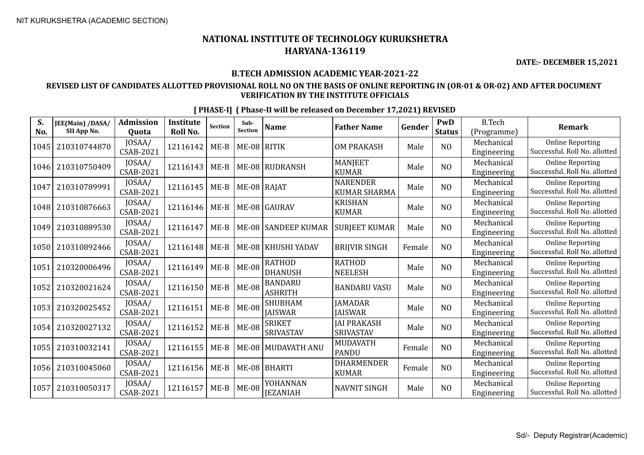**DATE:- DECEMBER 15,2021**

#### **B.TECH ADMISSION ACADEMIC YEAR-2021-22**

### **REVISED LIST OF CANDIDATES ALLOTTED PROVISIONAL ROLL NO ON THE BASIS OF ONLINE REPORTING IN (OR-01 & OR-02) AND AFTER DOCUMENT VERIFICATION BY THE INSTITUTE OFFICIALS**

|  | [PHASE-I] (Phase-II will be released on December 17,2021) REVISED |
|--|-------------------------------------------------------------------|
|--|-------------------------------------------------------------------|

| S.<br>No. | JEE(Main) /DASA/<br>SII App No. | <b>Admission</b><br><b>Quota</b> | <b>Institute</b><br><b>Roll No.</b> | <b>Section</b> | Sub-<br><b>Section</b> | <b>Name</b>                       | <b>Father Name</b>                     | Gender | PwD<br><b>Status</b> | <b>B.Tech</b><br>(Programme) | <b>Remark</b>                                            |
|-----------|---------------------------------|----------------------------------|-------------------------------------|----------------|------------------------|-----------------------------------|----------------------------------------|--------|----------------------|------------------------------|----------------------------------------------------------|
| 1045      | 210310744870                    | JOSAA/<br><b>CSAB-2021</b>       | 12116142                            | $ME-B$         | ME-08 RITIK            |                                   | <b>OM PRAKASH</b>                      | Male   | NO                   | Mechanical<br>Engineering    | <b>Online Reporting</b><br>Successful. Roll No. allotted |
| 1046      | 210310750409                    | JOSAA/<br>CSAB-2021              | 12116143                            | $ME-B$         |                        | ME-08 RUDRANSH                    | <b>MANJEET</b><br><b>KUMAR</b>         | Male   | N <sub>O</sub>       | Mechanical<br>Engineering    | <b>Online Reporting</b><br>Successful. Roll No. allotted |
| 1047      | 210310789991                    | JOSAA/<br><b>CSAB-2021</b>       | 12116145                            | $ME-B$         | ME-08   RAJAT          |                                   | <b>NARENDER</b><br><b>KUMAR SHARMA</b> | Male   | N <sub>O</sub>       | Mechanical<br>Engineering    | <b>Online Reporting</b><br>Successful. Roll No. allotted |
| 1048      | 210310876663                    | JOSAA/<br><b>CSAB-2021</b>       | 12116146                            | $ME-B$         |                        | ME-08 GAURAV                      | <b>KRISHAN</b><br><b>KUMAR</b>         | Male   | N <sub>O</sub>       | Mechanical<br>Engineering    | <b>Online Reporting</b><br>Successful. Roll No. allotted |
| 1049      | 210310889530                    | JOSAA/<br>CSAB-2021              | 12116147                            | $ME-B$         |                        | ME-08 SANDEEP KUMAR               | <b>SURJEET KUMAR</b>                   | Male   | N <sub>O</sub>       | Mechanical<br>Engineering    | <b>Online Reporting</b><br>Successful. Roll No. allotted |
| 1050      | 210310892466                    | JOSAA/<br><b>CSAB-2021</b>       | 12116148                            | $ME-B$         | <b>ME-08</b>           | KHUSHI YADAV                      | <b>BRIJVIR SINGH</b>                   | Female | N <sub>O</sub>       | Mechanical<br>Engineering    | <b>Online Reporting</b><br>Successful. Roll No. allotted |
| 1051      | 210320006496                    | JOSAA/<br>CSAB-2021              | 12116149                            | $ME-B$         | <b>ME-08</b>           | <b>RATHOD</b><br><b>DHANUSH</b>   | <b>RATHOD</b><br><b>NEELESH</b>        | Male   | NO                   | Mechanical<br>Engineering    | <b>Online Reporting</b><br>Successful. Roll No. allotted |
| 1052      | 210320021624                    | JOSAA/<br><b>CSAB-2021</b>       | 12116150                            | $ME-B$         | <b>ME-08</b>           | <b>BANDARU</b><br><b>ASHRITH</b>  | <b>BANDARU VASU</b>                    | Male   | N <sub>O</sub>       | Mechanical<br>Engineering    | <b>Online Reporting</b><br>Successful. Roll No. allotted |
| 1053      | 210320025452                    | JOSAA/<br><b>CSAB-2021</b>       | 12116151                            | $ME-B$         | <b>ME-08</b>           | <b>SHUBHAM</b><br><b>JAISWAR</b>  | <b>JAMADAR</b><br><b>IAISWAR</b>       | Male   | NO                   | Mechanical<br>Engineering    | <b>Online Reporting</b><br>Successful. Roll No. allotted |
| 1054      | 210320027132                    | JOSAA/<br><b>CSAB-2021</b>       | 12116152                            | $ME-B$         | $ME-08$                | <b>SRIKET</b><br><b>SRIVASTAV</b> | <b>JAI PRAKASH</b><br><b>SRIVASTAV</b> | Male   | N <sub>O</sub>       | Mechanical<br>Engineering    | <b>Online Reporting</b><br>Successful. Roll No. allotted |
| 1055      | 210310032141                    | JOSAA/<br><b>CSAB-2021</b>       | 12116155                            | $ME-B$         | $ME-08$                | MUDAVATH ANU                      | <b>MUDAVATH</b><br><b>PANDU</b>        | Female | N <sub>O</sub>       | Mechanical<br>Engineering    | <b>Online Reporting</b><br>Successful. Roll No. allotted |
| 1056      | 210310045060                    | JOSAA/<br>CSAB-2021              | 12116156                            | $ME-B$         | <b>ME-08</b>           | BHARTI                            | <b>DHARMENDER</b><br><b>KUMAR</b>      | Female | N <sub>O</sub>       | Mechanical<br>Engineering    | <b>Online Reporting</b><br>Successful. Roll No. allotted |
| 1057      | 210310050317                    | JOSAA/<br><b>CSAB-2021</b>       | 12116157                            | $ME-B$         | <b>ME-08</b>           | YOHANNAN<br><b>JEZANIAH</b>       | <b>NAVNIT SINGH</b>                    | Male   | N <sub>O</sub>       | Mechanical<br>Engineering    | <b>Online Reporting</b><br>Successful. Roll No. allotted |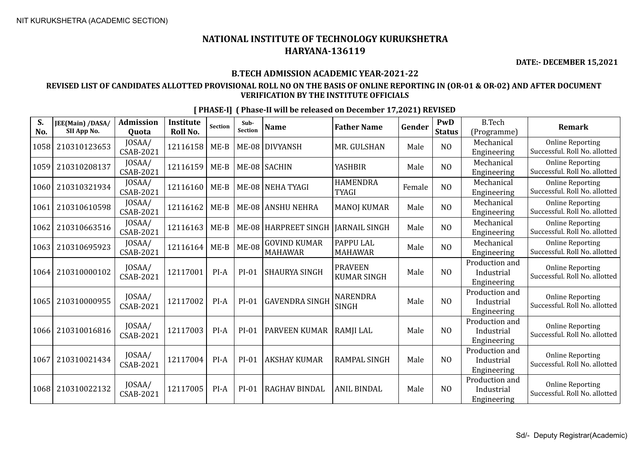**DATE:- DECEMBER 15,2021**

#### **B.TECH ADMISSION ACADEMIC YEAR-2021-22**

### **REVISED LIST OF CANDIDATES ALLOTTED PROVISIONAL ROLL NO ON THE BASIS OF ONLINE REPORTING IN (OR-01 & OR-02) AND AFTER DOCUMENT VERIFICATION BY THE INSTITUTE OFFICIALS**

| [PHASE-I] (Phase-II will be released on December 17,2021) REVISED |
|-------------------------------------------------------------------|
|-------------------------------------------------------------------|

| S.<br>No. | JEE(Main) /DASA/<br>SII App No. | <b>Admission</b><br><b>Quota</b> | <b>Institute</b><br>Roll No. | <b>Section</b> | Sub-<br><b>Section</b> | <b>Name</b>                           | <b>Father Name</b>                   | Gender | PwD<br><b>Status</b> | <b>B.Tech</b><br>(Programme)                | <b>Remark</b>                                            |
|-----------|---------------------------------|----------------------------------|------------------------------|----------------|------------------------|---------------------------------------|--------------------------------------|--------|----------------------|---------------------------------------------|----------------------------------------------------------|
| 1058      | 210310123653                    | JOSAA/<br><b>CSAB-2021</b>       | 12116158                     | $ME-B$         | <b>ME-08</b>           | DIVYANSH                              | MR. GULSHAN                          | Male   | N <sub>O</sub>       | Mechanical<br>Engineering                   | <b>Online Reporting</b><br>Successful. Roll No. allotted |
| 1059      | 210310208137                    | JOSAA/<br><b>CSAB-2021</b>       | 12116159                     | $ME-B$         |                        | ME-08 SACHIN                          | <b>YASHBIR</b>                       | Male   | N <sub>O</sub>       | Mechanical<br>Engineering                   | <b>Online Reporting</b><br>Successful. Roll No. allotted |
| 1060      | 210310321934                    | JOSAA/<br><b>CSAB-2021</b>       | 12116160                     | $ME-B$         |                        | ME-08 NEHA TYAGI                      | <b>HAMENDRA</b><br><b>TYAGI</b>      | Female | NO                   | Mechanical<br>Engineering                   | <b>Online Reporting</b><br>Successful. Roll No. allotted |
| 1061      | 210310610598                    | JOSAA/<br>CSAB-2021              | 12116162                     | $ME-B$         |                        | ME-08 ANSHU NEHRA                     | <b>MANOJ KUMAR</b>                   | Male   | N <sub>O</sub>       | Mechanical<br>Engineering                   | <b>Online Reporting</b><br>Successful. Roll No. allotted |
| 1062      | 210310663516                    | JOSAA/<br><b>CSAB-2021</b>       | 12116163                     | $ME-B$         | <b>ME-08</b>           | HARPREET SINGH                        | IARNAIL SINGH                        | Male   | N <sub>O</sub>       | Mechanical<br>Engineering                   | <b>Online Reporting</b><br>Successful. Roll No. allotted |
| 1063      | 210310695923                    | JOSAA/<br>CSAB-2021              | 12116164                     | $ME-B$         | <b>ME-08</b>           | <b>GOVIND KUMAR</b><br><b>MAHAWAR</b> | <b>PAPPU LAL</b><br><b>MAHAWAR</b>   | Male   | NO                   | Mechanical<br>Engineering                   | <b>Online Reporting</b><br>Successful. Roll No. allotted |
| 1064      | 210310000102                    | JOSAA/<br>CSAB-2021              | 12117001                     | $PI-A$         | $PI-01$                | <b>SHAURYA SINGH</b>                  | <b>PRAVEEN</b><br><b>KUMAR SINGH</b> | Male   | N <sub>O</sub>       | Production and<br>Industrial<br>Engineering | <b>Online Reporting</b><br>Successful. Roll No. allotted |
| 1065      | 210310000955                    | JOSAA/<br>CSAB-2021              | 12117002                     | $PI-A$         | $PI-01$                | <b>GAVENDRA SINGH</b>                 | <b>NARENDRA</b><br><b>SINGH</b>      | Male   | NO                   | Production and<br>Industrial<br>Engineering | <b>Online Reporting</b><br>Successful. Roll No. allotted |
| 1066      | 210310016816                    | JOSAA/<br><b>CSAB-2021</b>       | 12117003                     | $PI-A$         | PI-01                  | PARVEEN KUMAR                         | RAMJI LAL                            | Male   | N <sub>0</sub>       | Production and<br>Industrial<br>Engineering | <b>Online Reporting</b><br>Successful. Roll No. allotted |
| 1067      | 210310021434                    | JOSAA/<br><b>CSAB-2021</b>       | 12117004                     | $PI-A$         | $PI-01$                | <b>AKSHAY KUMAR</b>                   | <b>RAMPAL SINGH</b>                  | Male   | N <sub>0</sub>       | Production and<br>Industrial<br>Engineering | <b>Online Reporting</b><br>Successful. Roll No. allotted |
| 1068      | 210310022132                    | JOSAA/<br>CSAB-2021              | 12117005                     | $PI-A$         | $PI-01$                | RAGHAV BINDAL                         | <b>ANIL BINDAL</b>                   | Male   | N <sub>0</sub>       | Production and<br>Industrial<br>Engineering | <b>Online Reporting</b><br>Successful. Roll No. allotted |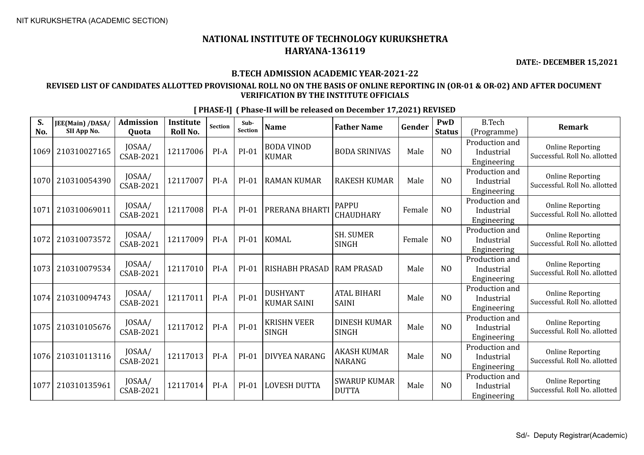**DATE:- DECEMBER 15,2021**

#### **B.TECH ADMISSION ACADEMIC YEAR-2021-22**

### **REVISED LIST OF CANDIDATES ALLOTTED PROVISIONAL ROLL NO ON THE BASIS OF ONLINE REPORTING IN (OR-01 & OR-02) AND AFTER DOCUMENT VERIFICATION BY THE INSTITUTE OFFICIALS**

| S.<br>No. | JEE(Main) /DASA/<br>SII App No. | <b>Admission</b><br>Quota  | <b>Institute</b><br>Roll No. | Section | Sub-<br>Section | <b>Name</b>                           | <b>Father Name</b>                  | Gender | PwD<br><b>Status</b> | <b>B.Tech</b><br>(Programme)                | <b>Remark</b>                                            |
|-----------|---------------------------------|----------------------------|------------------------------|---------|-----------------|---------------------------------------|-------------------------------------|--------|----------------------|---------------------------------------------|----------------------------------------------------------|
| 1069      | 210310027165                    | JOSAA/<br><b>CSAB-2021</b> | 12117006                     | PI-A    | $PI-01$         | <b>BODA VINOD</b><br><b>KUMAR</b>     | <b>BODA SRINIVAS</b>                | Male   | N <sub>O</sub>       | Production and<br>Industrial<br>Engineering | <b>Online Reporting</b><br>Successful. Roll No. allotted |
| 1070      | 210310054390                    | JOSAA/<br>CSAB-2021        | 12117007                     | $PI-A$  | $PI-01$         | <b>RAMAN KUMAR</b>                    | <b>RAKESH KUMAR</b>                 | Male   | N <sub>0</sub>       | Production and<br>Industrial<br>Engineering | <b>Online Reporting</b><br>Successful. Roll No. allotted |
| 1071      | 210310069011                    | JOSAA/<br>CSAB-2021        | 12117008                     | PI-A    | $PI-01$         | PRERANA BHARTI                        | <b>PAPPU</b><br><b>CHAUDHARY</b>    | Female | NO                   | Production and<br>Industrial<br>Engineering | <b>Online Reporting</b><br>Successful. Roll No. allotted |
| 1072      | 210310073572                    | JOSAA/<br><b>CSAB-2021</b> | 12117009                     | $PI-A$  | $PI-01$         | <b>KOMAL</b>                          | <b>SH. SUMER</b><br><b>SINGH</b>    | Female | N <sub>O</sub>       | Production and<br>Industrial<br>Engineering | <b>Online Reporting</b><br>Successful. Roll No. allotted |
| 1073      | 210310079534                    | JOSAA/<br><b>CSAB-2021</b> | 12117010                     | $PI-A$  | $PI-01$         | <b>RISHABH PRASAD</b>                 | <b>RAM PRASAD</b>                   | Male   | N <sub>O</sub>       | Production and<br>Industrial<br>Engineering | <b>Online Reporting</b><br>Successful. Roll No. allotted |
| 1074      | 210310094743                    | JOSAA/<br><b>CSAB-2021</b> | 12117011                     | PI-A    | $PI-01$         | <b>DUSHYANT</b><br><b>KUMAR SAINI</b> | <b>ATAL BIHARI</b><br><b>SAINI</b>  | Male   | N <sub>O</sub>       | Production and<br>Industrial<br>Engineering | <b>Online Reporting</b><br>Successful. Roll No. allotted |
| 1075      | 210310105676                    | JOSAA/<br>CSAB-2021        | 12117012                     | PI-A    | $PI-01$         | <b>KRISHN VEER</b><br>SINGH           | <b>DINESH KUMAR</b><br><b>SINGH</b> | Male   | NO                   | Production and<br>Industrial<br>Engineering | <b>Online Reporting</b><br>Successful. Roll No. allotted |
| 1076      | 210310113116                    | JOSAA/<br><b>CSAB-2021</b> | 12117013                     | PI-A    | $PI-01$         | <b>DIVYEA NARANG</b>                  | <b>AKASH KUMAR</b><br><b>NARANG</b> | Male   | NO                   | Production and<br>Industrial<br>Engineering | <b>Online Reporting</b><br>Successful. Roll No. allotted |
| 1077      | 210310135961                    | JOSAA/<br>CSAB-2021        | 12117014                     | PI-A    | $PI-01$         | <b>LOVESH DUTTA</b>                   | <b>SWARUP KUMAR</b><br><b>DUTTA</b> | Male   | N <sub>O</sub>       | Production and<br>Industrial<br>Engineering | <b>Online Reporting</b><br>Successful. Roll No. allotted |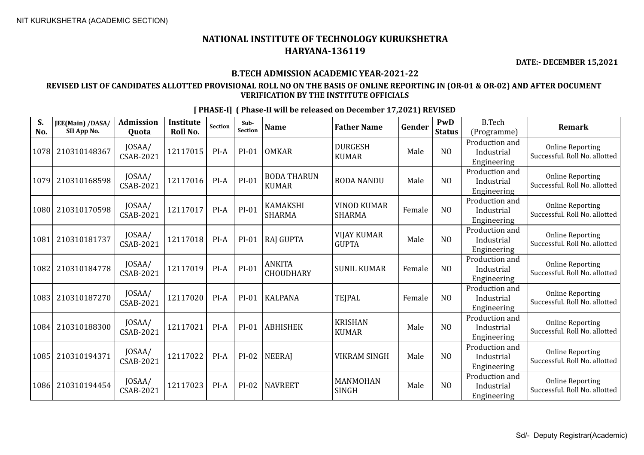**DATE:- DECEMBER 15,2021**

#### **B.TECH ADMISSION ACADEMIC YEAR-2021-22**

#### **REVISED LIST OF CANDIDATES ALLOTTED PROVISIONAL ROLL NO ON THE BASIS OF ONLINE REPORTING IN (OR-01 & OR-02) AND AFTER DOCUMENT VERIFICATION BY THE INSTITUTE OFFICIALS**

**S. No. JEE(Main) /DASA/ SII App No. Admission Quota Institute Roll No.** Section **Sub-**<br>Section **Sub- Name Father Name Gender PWD Status** B.Tech (Programme) **Remark** 1078 210310148367 JOSAA/  $\begin{array}{c|c|c} \text{JOSAA/} & \text{12117015} & \text{PI-A} & \text{PI-01} & \text{OMKAR} \end{array}$  EURGESH DURGESH | Male | NO Production and Industrial Engineering Online Reporting Successful. Roll No. allotted 1079 210310168598 JOSAA/  $\begin{array}{c|c}$  JOSAA/ 12117016 PI-A PI-01 BODA THARUN CSAB-2021 BODA THARUN |BODA NANDU | Male | NO Production and Industrial Engineering Online Reporting Successful. Roll No. allotted 1080 210310170598 JOSAA/ | 10SAA/ 12117017 | PI-A | PI-01 | KAMAKSHI<br>CSAB-2021 | 12117017 | PI-A | PI-01 | SHARMA SHARMA VINOD KUMAR SHARMA | Female | NO Production and Industrial Engineering Online Reporting Successful. Roll No. allotted 1081 210310181737 | JOSAA/  $\begin{array}{c|c|c} \text{JOSAA/} & 12117018 & \text{PI-A} & \text{PI-01} & \text{RAJ GUPTA} \end{array}$  WIJAY KUMAR GOAB-2021 VIJAY KUMAR | Male | NO Production and Industrial Engineering Online Reporting Successful. Roll No. allotted <sup>1082</sup> <sup>210310184778</sup> JOSAA/  $\begin{array}{c|c}\n \text{JOSAA/} \\
\text{CSAB-2021}\n \end{array}$  12117019 PI-A PI-01  $\begin{array}{c}\n \text{ANKITA} \\
\text{CHOUDB}\n \end{array}$ ANNITA<br>CHOUDHARY SUNIL KUMAR Female NO Production and Industrial Engineering Online Reporting Successful. Roll No. allotted 1083 210310187270 JOSAA/ CSAB-2021 <sup>12117020</sup> PI-A PI-01 KALPANA TEJPAL Female NO Production and Industrial Engineering Online Reporting Successful. Roll No. allotted 1084 210310188300 JOSAA/  $\begin{array}{c|c|c|c} \text{JOSAA/} & \text{12117021} & \text{PI-A} & \text{PI-01} & \text{ABHISHEK} & & \text{KRISHAN} \\ \text{CSAB-2021} & & & & \text{PUAR} \end{array}$ KRISHAN<br>KIIMAR Male NO Production and Industrial Engineering Online Reporting Successful. Roll No. allotted 1085 210310194371 | JOSAA/ CSAB-2021 <sup>12117022</sup> PI-A PI-02 NEERAJ VIKRAM SINGH Male NO Production and Industrial Engineering Online Reporting Successful. Roll No. allotted 1086 210310194454 JOSAA/  $\begin{array}{c|c|c} \text{JOSAA/} & \text{12117023} & \text{PI-A} & \text{PI-02} & \text{NAVREET} & \text{SIMOHAN} \\ \text{CSAB-2021} & & & & \text{SINGH} \end{array}$ NANMOTAN<br>SINGH Male NO Production and Industrial Engineering Online Reporting Successful. Roll No. allotted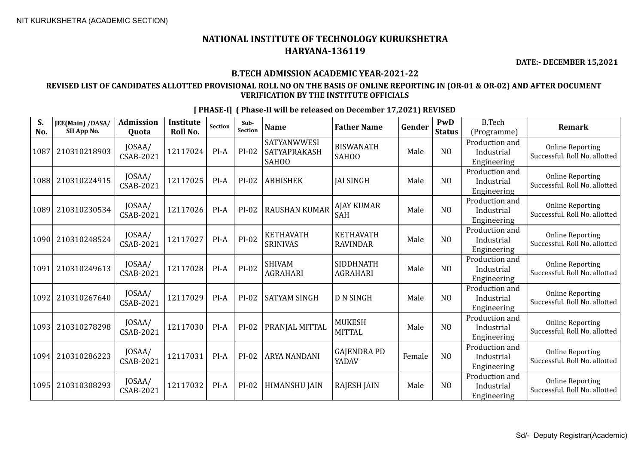**DATE:- DECEMBER 15,2021**

#### **B.TECH ADMISSION ACADEMIC YEAR-2021-22**

### **REVISED LIST OF CANDIDATES ALLOTTED PROVISIONAL ROLL NO ON THE BASIS OF ONLINE REPORTING IN (OR-01 & OR-02) AND AFTER DOCUMENT VERIFICATION BY THE INSTITUTE OFFICIALS**

| S.<br>No. | JEE(Main) /DASA/<br>SII App No. | <b>Admission</b><br>Quota  | <b>Institute</b><br>Roll No. | <b>Section</b> | Sub-<br>Section | <b>Name</b>                                        | <b>Father Name</b>                  | Gender | PwD<br><b>Status</b> | <b>B.Tech</b><br>(Programme)                | <b>Remark</b>                                            |
|-----------|---------------------------------|----------------------------|------------------------------|----------------|-----------------|----------------------------------------------------|-------------------------------------|--------|----------------------|---------------------------------------------|----------------------------------------------------------|
| 1087      | 210310218903                    | JOSAA/<br>CSAB-2021        | 12117024                     | $PI-A$         | PI-02           | <b>SATYANWWESI</b><br><b>SATYAPRAKASH</b><br>SAH00 | <b>BISWANATH</b><br><b>SAHOO</b>    | Male   | N <sub>O</sub>       | Production and<br>Industrial<br>Engineering | <b>Online Reporting</b><br>Successful. Roll No. allotted |
| 1088      | 210310224915                    | JOSAA/<br>CSAB-2021        | 12117025                     | $PI-A$         | $PI-02$         | <b>ABHISHEK</b>                                    | <b>JAI SINGH</b>                    | Male   | N <sub>0</sub>       | Production and<br>Industrial<br>Engineering | <b>Online Reporting</b><br>Successful. Roll No. allotted |
| 1089      | 210310230534                    | JOSAA/<br>CSAB-2021        | 12117026                     | $PI-A$         | $PI-02$         | <b>RAUSHAN KUMAR</b>                               | <b>AJAY KUMAR</b><br><b>SAH</b>     | Male   | NO                   | Production and<br>Industrial<br>Engineering | <b>Online Reporting</b><br>Successful. Roll No. allotted |
| 1090      | 210310248524                    | JOSAA/<br><b>CSAB-2021</b> | 12117027                     | $PI-A$         | $PI-02$         | <b>KETHAVATH</b><br><b>SRINIVAS</b>                | <b>KETHAVATH</b><br><b>RAVINDAR</b> | Male   | NO                   | Production and<br>Industrial<br>Engineering | <b>Online Reporting</b><br>Successful. Roll No. allotted |
| 1091      | 210310249613                    | JOSAA/<br>CSAB-2021        | 12117028                     | $PI-A$         | $PI-02$         | <b>SHIVAM</b><br><b>AGRAHARI</b>                   | <b>SIDDHNATH</b><br><b>AGRAHARI</b> | Male   | NO                   | Production and<br>Industrial<br>Engineering | <b>Online Reporting</b><br>Successful. Roll No. allotted |
| 1092      | 210310267640                    | JOSAA/<br><b>CSAB-2021</b> | 12117029                     | $PI-A$         | $PI-02$         | <b>SATYAM SINGH</b>                                | <b>D N SINGH</b>                    | Male   | N <sub>0</sub>       | Production and<br>Industrial<br>Engineering | <b>Online Reporting</b><br>Successful. Roll No. allotted |
| 1093      | 210310278298                    | JOSAA/<br><b>CSAB-2021</b> | 12117030                     | $PI-A$         | PI-02           | PRANJAL MITTAL                                     | <b>MUKESH</b><br><b>MITTAL</b>      | Male   | NO                   | Production and<br>Industrial<br>Engineering | <b>Online Reporting</b><br>Successful. Roll No. allotted |
| 1094      | 210310286223                    | JOSAA/<br><b>CSAB-2021</b> | 12117031                     | $PI-A$         | $PI-02$         | <b>ARYA NANDANI</b>                                | <b>GAJENDRA PD</b><br>YADAV         | Female | N <sub>0</sub>       | Production and<br>Industrial<br>Engineering | <b>Online Reporting</b><br>Successful. Roll No. allotted |
| 1095      | 210310308293                    | JOSAA/<br>CSAB-2021        | 12117032                     | $PI-A$         | PI-02           | <b>HIMANSHU JAIN</b>                               | <b>RAJESH JAIN</b>                  | Male   | N <sub>0</sub>       | Production and<br>Industrial<br>Engineering | <b>Online Reporting</b><br>Successful. Roll No. allotted |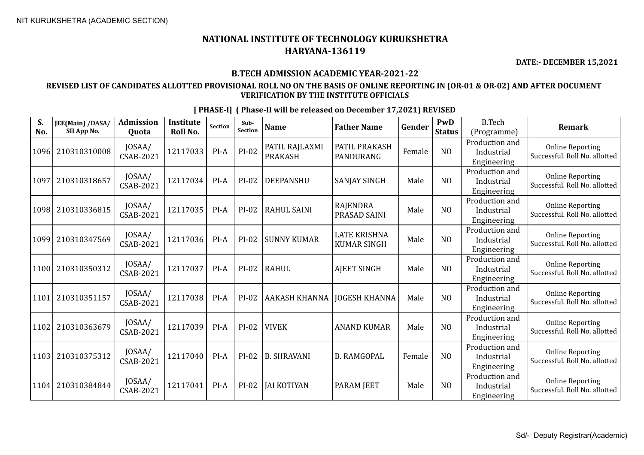**DATE:- DECEMBER 15,2021**

#### **B.TECH ADMISSION ACADEMIC YEAR-2021-22**

### **REVISED LIST OF CANDIDATES ALLOTTED PROVISIONAL ROLL NO ON THE BASIS OF ONLINE REPORTING IN (OR-01 & OR-02) AND AFTER DOCUMENT VERIFICATION BY THE INSTITUTE OFFICIALS**

| S.<br>No. | JEE(Main) /DASA/<br>SII App No. | <b>Admission</b><br>Quota  | <b>Institute</b><br>Roll No. | <b>Section</b> | Sub-<br><b>Section</b> | <b>Name</b>                      | <b>Father Name</b>                        | Gender | PwD<br><b>Status</b> | <b>B.Tech</b><br>(Programme)                | <b>Remark</b>                                            |
|-----------|---------------------------------|----------------------------|------------------------------|----------------|------------------------|----------------------------------|-------------------------------------------|--------|----------------------|---------------------------------------------|----------------------------------------------------------|
| 1096      | 210310310008                    | JOSAA/<br>CSAB-2021        | 12117033                     | PI-A           | $PI-02$                | PATIL RAJLAXMI<br><b>PRAKASH</b> | PATIL PRAKASH<br>PANDURANG                | Female | N <sub>O</sub>       | Production and<br>Industrial<br>Engineering | <b>Online Reporting</b><br>Successful. Roll No. allotted |
| 1097      | 210310318657                    | JOSAA/<br><b>CSAB-2021</b> | 12117034                     | PI-A           | $PI-02$                | <b>DEEPANSHU</b>                 | <b>SANJAY SINGH</b>                       | Male   | N <sub>O</sub>       | Production and<br>Industrial<br>Engineering | <b>Online Reporting</b><br>Successful. Roll No. allotted |
| 1098      | 210310336815                    | JOSAA/<br>CSAB-2021        | 12117035                     | PI-A           | $PI-02$                | <b>RAHUL SAINI</b>               | RAJENDRA<br><b>PRASAD SAINI</b>           | Male   | N <sub>O</sub>       | Production and<br>Industrial<br>Engineering | <b>Online Reporting</b><br>Successful. Roll No. allotted |
| 1099      | 210310347569                    | JOSAA/<br>CSAB-2021        | 12117036                     | $PI-A$         | $PI-02$                | <b>SUNNY KUMAR</b>               | <b>LATE KRISHNA</b><br><b>KUMAR SINGH</b> | Male   | N <sub>O</sub>       | Production and<br>Industrial<br>Engineering | <b>Online Reporting</b><br>Successful. Roll No. allotted |
| 1100      | 210310350312                    | JOSAA/<br><b>CSAB-2021</b> | 12117037                     | $PI-A$         | $PI-02$                | <b>RAHUL</b>                     | <b>AJEET SINGH</b>                        | Male   | N <sub>O</sub>       | Production and<br>Industrial<br>Engineering | <b>Online Reporting</b><br>Successful. Roll No. allotted |
| 1101      | 210310351157                    | JOSAA/<br>CSAB-2021        | 12117038                     | $PI-A$         | $PI-02$                | AAKASH KHANNA                    | <b>IOGESH KHANNA</b>                      | Male   | N <sub>0</sub>       | Production and<br>Industrial<br>Engineering | <b>Online Reporting</b><br>Successful. Roll No. allotted |
| 1102      | 210310363679                    | JOSAA/<br><b>CSAB-2021</b> | 12117039                     | $PI-A$         | $PI-02$                | <b>VIVEK</b>                     | <b>ANAND KUMAR</b>                        | Male   | N <sub>O</sub>       | Production and<br>Industrial<br>Engineering | <b>Online Reporting</b><br>Successful. Roll No. allotted |
| 1103      | 210310375312                    | JOSAA/<br><b>CSAB-2021</b> | 12117040                     | $PI-A$         | $PI-02$                | <b>B. SHRAVANI</b>               | <b>B. RAMGOPAL</b>                        | Female | N <sub>O</sub>       | Production and<br>Industrial<br>Engineering | <b>Online Reporting</b><br>Successful. Roll No. allotted |
| 1104      | 210310384844                    | JOSAA/<br>CSAB-2021        | 12117041                     | PI-A           | $PI-02$                | <b>JAI KOTIYAN</b>               | <b>PARAM JEET</b>                         | Male   | N <sub>O</sub>       | Production and<br>Industrial<br>Engineering | <b>Online Reporting</b><br>Successful. Roll No. allotted |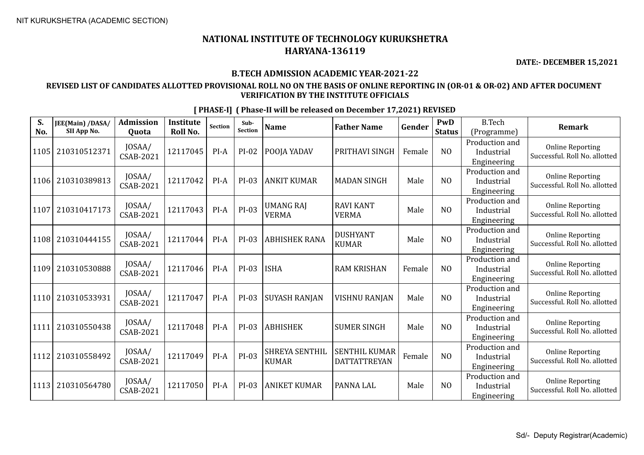**DATE:- DECEMBER 15,2021**

#### **B.TECH ADMISSION ACADEMIC YEAR-2021-22**

#### **REVISED LIST OF CANDIDATES ALLOTTED PROVISIONAL ROLL NO ON THE BASIS OF ONLINE REPORTING IN (OR-01 & OR-02) AND AFTER DOCUMENT VERIFICATION BY THE INSTITUTE OFFICIALS**

**S. No. JEE(Main) /DASA/ SII App No. Admission Quota Institute Roll No.** Section **Sub-**<br>Section **Sub- Name Father Name Gender PWD Status** B.Tech (Programme) **Remark**  $1105 \Big| 210310512371 \Big| 10SAA / CSAB-2021$ CSAB-2021 <sup>12117045</sup> PI-A PI-02 POOJA YADAV PRITHAVI SINGH Female NO Production and Industrial Engineering Online Reporting Successful. Roll No. allotted  $1106 \Big| 210310389813 \Big| 10SAA/$ <br>CSAB-2021  $\begin{bmatrix} 0.03 \ \text{NAB} & 2.021 \end{bmatrix}$  12117042 PI-A PI-03 ANKIT KUMAR MADAN SINGH Male MO Production and Industrial Engineering Online Reporting Successful. Roll No. allotted  $1107 \Big| 210310417173 \Big| 10SAA / CSAB-2021$ JOSAA/ 12117043 PI-A PI-03 UMANG RAJ<br>CSAB-2021 12117043 PI-A PI-03 VERMA VERMA RAVI KANT NAVI NAIVI Male NO Production and Industrial Engineering Online Reporting Successful. Roll No. allotted 1108 210310444155 JOSAA/  $\begin{array}{c|c}$  JOSAA/ 12117044 PI-A PI-03 ABHISHEK RANA DUSHYANT DUSHYANT | Male | NO Production and Industrial Engineering Online Reporting Successful. Roll No. allotted  $|1109|210310530888|0$  JOSAA/ CSAB-2021 <sup>12117046</sup> PI-A PI-03 ISHA RAM KRISHAN Female NO Production and Industrial Engineering Online Reporting Successful. Roll No. allotted  $1110$  210310533931  $\Big|\begin{array}{c}$  JOSAA/<br>CSAB-2021 CSAB-2021 <sup>12117047</sup> PI-A PI-03 SUYASH RANJAN VISHNU RANJAN Male NO Production and Industrial Engineering Online Reporting Successful. Roll No. allotted  $1111$  210310550438  $\Big|\begin{array}{c}$  JOSAA/<br>CSAB-2021  $\begin{array}{|c|c|c|c|c|c|c|c|c|} \hline \text{CSAB-2021} & \text{12117048} & \text{PI-A} & \text{PI-O3} & \text{ABHISHEK} & \text{SUMER SINGH} & \text{Male} & \text{Male} & \text{NO} \ \hline \end{array}$ Production and Industrial Engineering Online Reporting Successful. Roll No. allotted 1112 210310558492 JOSAA/ CSAB-2021 <sup>12117049</sup> PI-A PI-03 SHREYA SENTHIL KUMAR SENTHIL KUMAR DATTATTREYAN Female | NO Production and Industrial Engineering Online Reporting Successful. Roll No. allotted 1113 210310564780 JOSAA/ CSAB-2021 <sup>12117050</sup> PI-A PI-03 ANIKET KUMAR PANNA LAL Male NO Production and Industrial Engineering Online Reporting Successful. Roll No. allotted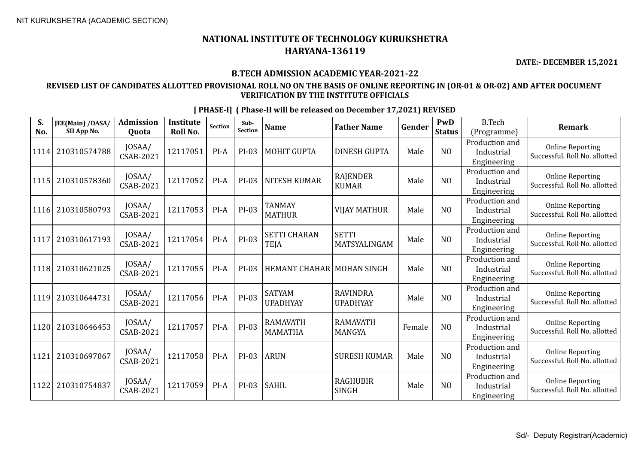**DATE:- DECEMBER 15,2021**

#### **B.TECH ADMISSION ACADEMIC YEAR-2021-22**

### **REVISED LIST OF CANDIDATES ALLOTTED PROVISIONAL ROLL NO ON THE BASIS OF ONLINE REPORTING IN (OR-01 & OR-02) AND AFTER DOCUMENT VERIFICATION BY THE INSTITUTE OFFICIALS**

| JEE(Main) /DASA/<br>SII App No. | <b>Admission</b><br>Quota  | <b>Institute</b><br>Roll No. | Section | Sub-<br>Section | <b>Name</b>                       | <b>Father Name</b>                 | Gender                             | PwD<br><b>Status</b> | <b>B.Tech</b><br>(Programme)                | <b>Remark</b>                                            |
|---------------------------------|----------------------------|------------------------------|---------|-----------------|-----------------------------------|------------------------------------|------------------------------------|----------------------|---------------------------------------------|----------------------------------------------------------|
| 210310574788                    | JOSAA/<br>CSAB-2021        | 12117051                     | PI-A    | PI-03           | <b>MOHIT GUPTA</b>                | <b>DINESH GUPTA</b>                | Male                               | NO                   | Production and<br>Industrial<br>Engineering | <b>Online Reporting</b><br>Successful. Roll No. allotted |
| 210310578360                    | JOSAA/<br>CSAB-2021        | 12117052                     | PI-A    | PI-03           | <b>NITESH KUMAR</b>               | <b>RAJENDER</b><br><b>KUMAR</b>    | Male                               | NO                   | Production and<br>Industrial<br>Engineering | <b>Online Reporting</b><br>Successful. Roll No. allotted |
| 210310580793                    | JOSAA/<br>CSAB-2021        | 12117053                     | PI-A    | PI-03           | TANMAY<br><b>MATHUR</b>           | <b>VIJAY MATHUR</b>                | Male                               | N <sub>O</sub>       | Production and<br>Industrial<br>Engineering | <b>Online Reporting</b><br>Successful. Roll No. allotted |
| 210310617193                    | JOSAA/<br><b>CSAB-2021</b> | 12117054                     | PI-A    | $PI-03$         | <b>SETTI CHARAN</b><br>TEJA       | <b>SETTI</b><br>MATSYALINGAM       | Male                               | NO                   | Production and<br>Industrial<br>Engineering | <b>Online Reporting</b><br>Successful. Roll No. allotted |
| 210310621025                    | JOSAA/<br>CSAB-2021        | 12117055                     | $PI-A$  | PI-03           |                                   |                                    | Male                               | N <sub>0</sub>       | Production and<br>Industrial<br>Engineering | <b>Online Reporting</b><br>Successful. Roll No. allotted |
| 210310644731                    | JOSAA/<br>CSAB-2021        | 12117056                     | $PI-A$  | $PI-03$         | <b>SATYAM</b><br><b>UPADHYAY</b>  | <b>RAVINDRA</b><br><b>UPADHYAY</b> | Male                               | N <sub>0</sub>       | Production and<br>Industrial<br>Engineering | <b>Online Reporting</b><br>Successful. Roll No. allotted |
| 210310646453                    | JOSAA/<br>CSAB-2021        | 12117057                     | PI-A    | $PI-03$         | <b>RAMAVATH</b><br><b>MAMATHA</b> | <b>RAMAVATH</b><br>MANGYA          | Female                             | N <sub>O</sub>       | Production and<br>Industrial<br>Engineering | <b>Online Reporting</b><br>Successful. Roll No. allotted |
| 210310697067                    | JOSAA/<br>CSAB-2021        | 12117058                     | $PI-A$  | PI-03           | <b>ARUN</b>                       | <b>SURESH KUMAR</b>                | Male                               | N <sub>0</sub>       | Production and<br>Industrial<br>Engineering | <b>Online Reporting</b><br>Successful. Roll No. allotted |
| 210310754837                    | JOSAA/<br>CSAB-2021        | 12117059                     | $PI-A$  | $PI-03$         | <b>SAHIL</b>                      | <b>RAGHUBIR</b><br><b>SINGH</b>    | Male                               | N <sub>O</sub>       | Production and<br>Industrial<br>Engineering | <b>Online Reporting</b><br>Successful. Roll No. allotted |
|                                 |                            |                              |         |                 |                                   |                                    | <b>HEMANT CHAHAR   MOHAN SINGH</b> |                      |                                             |                                                          |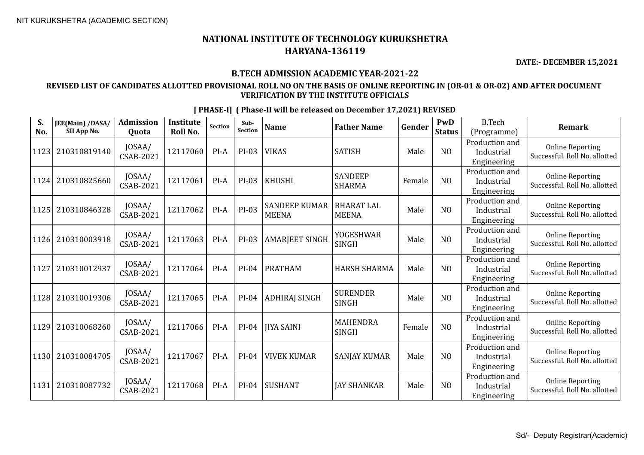**DATE:- DECEMBER 15,2021**

#### **B.TECH ADMISSION ACADEMIC YEAR-2021-22**

### **REVISED LIST OF CANDIDATES ALLOTTED PROVISIONAL ROLL NO ON THE BASIS OF ONLINE REPORTING IN (OR-01 & OR-02) AND AFTER DOCUMENT VERIFICATION BY THE INSTITUTE OFFICIALS**

| S.<br>No. | JEE(Main) /DASA/<br>SII App No. | <b>Admission</b><br>Quota  | <b>Institute</b><br>Roll No. | Section | Sub-<br>Section | <b>Name</b>                          | <b>Father Name</b>                | Gender | <b>PwD</b><br><b>Status</b> | <b>B.Tech</b><br>(Programme)                | <b>Remark</b>                                            |
|-----------|---------------------------------|----------------------------|------------------------------|---------|-----------------|--------------------------------------|-----------------------------------|--------|-----------------------------|---------------------------------------------|----------------------------------------------------------|
| 1123      | 210310819140                    | JOSAA/<br>CSAB-2021        | 12117060                     | $PI-A$  | PI-03           | <b>VIKAS</b>                         | <b>SATISH</b>                     | Male   | NO                          | Production and<br>Industrial<br>Engineering | <b>Online Reporting</b><br>Successful. Roll No. allotted |
| 1124      | 210310825660                    | JOSAA/<br>CSAB-2021        | 12117061                     | $PI-A$  | PI-03           | <b>KHUSHI</b>                        | <b>SANDEEP</b><br><b>SHARMA</b>   | Female | N <sub>O</sub>              | Production and<br>Industrial<br>Engineering | <b>Online Reporting</b><br>Successful. Roll No. allotted |
| 1125      | 210310846328                    | JOSAA/<br>CSAB-2021        | 12117062                     | $PI-A$  | PI-03           | <b>SANDEEP KUMAR</b><br><b>MEENA</b> | <b>BHARAT LAL</b><br><b>MEENA</b> | Male   | NO                          | Production and<br>Industrial<br>Engineering | <b>Online Reporting</b><br>Successful. Roll No. allotted |
| 1126      | 210310003918                    | JOSAA/<br>CSAB-2021        | 12117063                     | $PI-A$  | PI-03           | <b>AMARJEET SINGH</b>                | YOGESHWAR<br>SINGH                | Male   | N <sub>O</sub>              | Production and<br>Industrial<br>Engineering | <b>Online Reporting</b><br>Successful. Roll No. allotted |
| 1127      | 210310012937                    | JOSAA/<br>CSAB-2021        | 12117064                     | $PI-A$  | $PI-04$         | <b>PRATHAM</b>                       | HARSH SHARMA                      | Male   | N <sub>0</sub>              | Production and<br>Industrial<br>Engineering | <b>Online Reporting</b><br>Successful. Roll No. allotted |
| 1128      | 210310019306                    | JOSAA/<br><b>CSAB-2021</b> | 12117065                     | $PI-A$  | $PI-04$         | <b>ADHIRAJ SINGH</b>                 | <b>SURENDER</b><br><b>SINGH</b>   | Male   | NO                          | Production and<br>Industrial<br>Engineering | <b>Online Reporting</b><br>Successful. Roll No. allotted |
| 1129      | 210310068260                    | JOSAA/<br><b>CSAB-2021</b> | 12117066                     | PI-A    | $PI-04$         | JIYA SAINI                           | MAHENDRA<br><b>SINGH</b>          | Female | N <sub>0</sub>              | Production and<br>Industrial<br>Engineering | <b>Online Reporting</b><br>Successful. Roll No. allotted |
| 1130      | 210310084705                    | JOSAA/<br><b>CSAB-2021</b> | 12117067                     | $PI-A$  | PI-04           | <b>VIVEK KUMAR</b>                   | <b>SANJAY KUMAR</b>               | Male   | N <sub>O</sub>              | Production and<br>Industrial<br>Engineering | <b>Online Reporting</b><br>Successful. Roll No. allotted |
| 1131      | 210310087732                    | JOSAA/<br>CSAB-2021        | 12117068                     | $PI-A$  | $PI-04$         | <b>SUSHANT</b>                       | <b>JAY SHANKAR</b>                | Male   | N <sub>O</sub>              | Production and<br>Industrial<br>Engineering | <b>Online Reporting</b><br>Successful. Roll No. allotted |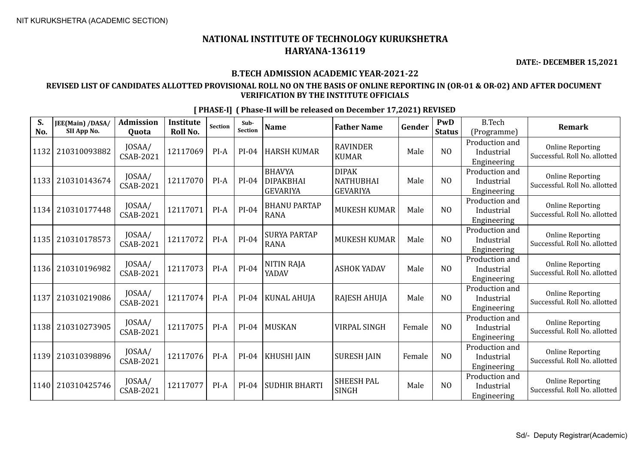**DATE:- DECEMBER 15,2021**

#### **B.TECH ADMISSION ACADEMIC YEAR-2021-22**

#### **REVISED LIST OF CANDIDATES ALLOTTED PROVISIONAL ROLL NO ON THE BASIS OF ONLINE REPORTING IN (OR-01 & OR-02) AND AFTER DOCUMENT VERIFICATION BY THE INSTITUTE OFFICIALS**

**S. No. JEE(Main) /DASA/ SII App No. Admission Quota Institute Roll No.** Section **Sub-**<br>Section **Sub- Name Father Name Gender PWD Status** B.Tech (Programme) **Remark** 1132 210310093882 JOSAA/  $\begin{array}{c|c|c} \text{JOSAA/} & \text{12117069} & \text{PI-A} & \text{PI-04} & \text{HARSH KUMAR} & \text{KUMAR} \\ \text{CSAB-2021} & & & & \text{VUMAR} \end{array}$ RAVINDER<br>KUMAR Male NO Production and Industrial Engineering Online Reporting Successful. Roll No. allotted <sup>1133</sup> <sup>210310143674</sup> JOSAA/  $\text{CSAB-2021}$  12117070 PI-A PI-04 BHAVYA DIPAKBHAI GEVARIYA DIPAK **NATHUBHAI** GEVARIYA Male NO Production and Industrial Engineering Online Reporting Successful. Roll No. allotted 1134 210310177448 JOSAA/  $\begin{array}{c|c|c|c|c} \text{JOSAA/} & \text{12117071} & \text{PI-A} & \text{PI-04} & \text{BHANU PARTAP} \\ \text{CSAB-2021} & & & \text{PI-A} & \text{RANA} \end{array}$ BHANU PARTAP | MUKESH KUMAR | Male | NO Production and Industrial Engineering Online Reporting Successful. Roll No. allotted  $1135 \Big| 210310178573 \Big| 10SAA / CSAB-2021$ JOSAA/ 12117072 PI-A PI-04 SURYA PARTAP<br>CSAB-2021 12117072 PI-A RANA SURYA PARTAP | MUKESH KUMAR | Male | NO Production and Industrial Engineering Online Reporting Successful. Roll No. allotted 1136 210310196982 JOSAA/  $\begin{array}{c|c|c|c} \text{JOSAA/} & \text{12117073} & \text{PI-A} & \text{PI-04} & \text{NITIN RAJA} \\ \text{CSAB-2021} & & & & \text{YADAV} \end{array}$ YADAV ASHOK YADAV Male NO Production and Industrial Engineering Online Reporting Successful. Roll No. allotted 1137 210310219086 JOSAA/ CSAB-2021 <sup>12117074</sup> PI-A PI-04 KUNAL AHUJA RAJESH AHUJA Male NO Production and Industrial Engineering Online Reporting Successful. Roll No. allotted 1138 210310273905 JOSAA/ CSAB-2021 <sup>12117075</sup> PI-A PI-04 MUSKAN VIRPAL SINGH Female NO Production and Industrial Engineering Online Reporting Successful. Roll No. allotted 1139 210310398896 JOSAA/ CSAB-2021 <sup>12117076</sup> PI-A PI-04 KHUSHI JAIN SURESH JAIN Female NO Production and Industrial Engineering Online Reporting Successful. Roll No. allotted 1140 210310425746 JOSAA/  $\begin{array}{c|c|c} \text{JOSAA/} & \text{12117077} & \text{PI-A} & \text{PI-04} & \text{SUBHIR BHARTI} & \text{SHEESH PAL} \\ \text{CSAB-2021} & & & & \text{PI-04} & \text{SUDHIR BHARTI} & \text{SINGH} \end{array}$ SILLESH TAL Male NO Production and Industrial Engineering Online Reporting Successful. Roll No. allotted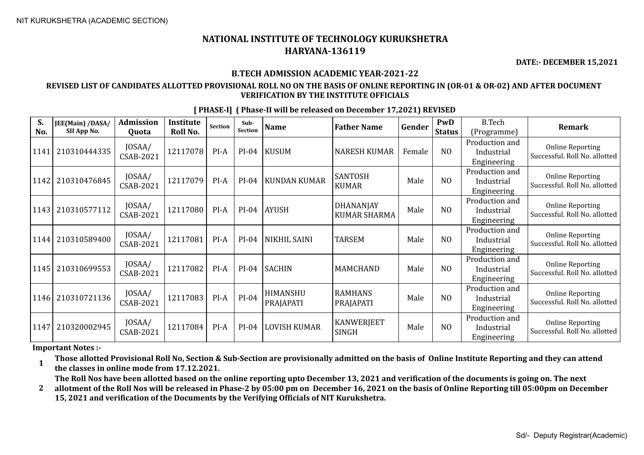**DATE:- DECEMBER 15,2021**

#### **B.TECH ADMISSION ACADEMIC YEAR-2021-22**

#### **REVISED LIST OF CANDIDATES ALLOTTED PROVISIONAL ROLL NO ON THE BASIS OF ONLINE REPORTING IN (OR-01 & OR-02) AND AFTER DOCUMENT VERIFICATION BY THE INSTITUTE OFFICIALS**

| S.          | JEE(Main) /DASA/            | <b>Admission</b>                    | <b>Institute</b>     | Section | Sub-<br><b>Section</b> | <b>Name</b>           | <b>Father Name</b>               | Gender | PwD                             | <b>B.Tech</b>                                              | <b>Remark</b>                                            |
|-------------|-----------------------------|-------------------------------------|----------------------|---------|------------------------|-----------------------|----------------------------------|--------|---------------------------------|------------------------------------------------------------|----------------------------------------------------------|
| No.<br>1141 | SII App No.<br>210310444335 | Quota<br>JOSAA/<br><b>CSAB-2021</b> | Roll No.<br>12117078 | PI-A    | $PI-04$                | <b>KUSUM</b>          | <b>NARESH KUMAR</b>              | Female | <b>Status</b><br>N <sub>0</sub> | (Programme)<br>Production and<br>Industrial<br>Engineering | <b>Online Reporting</b><br>Successful. Roll No. allotted |
| 1142        | 210310476845                | JOSAA/<br><b>CSAB-2021</b>          | 12117079             | $PI-A$  | $PI-04$                | KUNDAN KUMAR          | <b>SANTOSH</b><br><b>KUMAR</b>   | Male   | N <sub>0</sub>                  | Production and<br>Industrial<br>Engineering                | <b>Online Reporting</b><br>Successful. Roll No. allotted |
| 1143        | 210310577112                | JOSAA/<br><b>CSAB-2021</b>          | 12117080             | PI-A    | $PI-04$                | <b>AYUSH</b>          | DHANANJAY<br><b>KUMAR SHARMA</b> | Male   | N <sub>0</sub>                  | Production and<br>Industrial<br>Engineering                | <b>Online Reporting</b><br>Successful. Roll No. allotted |
| 1144        | 210310589400                | JOSAA/<br>CSAB-2021                 | 12117081             | PI-A    | $PI-04$                | NIKHIL SAINI          | <b>TARSEM</b>                    | Male   | N <sub>0</sub>                  | Production and<br>Industrial<br>Engineering                | <b>Online Reporting</b><br>Successful. Roll No. allotted |
| 1145        | 210310699553                | JOSAA/<br><b>CSAB-2021</b>          | 12117082             | PI-A    | $PI-04$                | <b>SACHIN</b>         | <b>MAMCHAND</b>                  | Male   | N <sub>0</sub>                  | Production and<br>Industrial<br>Engineering                | <b>Online Reporting</b><br>Successful. Roll No. allotted |
| 1146        | 210310721136                | JOSAA/<br><b>CSAB-2021</b>          | 12117083             | PI-A    | PI-04                  | HIMANSHU<br>PRAJAPATI | <b>RAMHANS</b><br>PRAJAPATI      | Male   | NO                              | Production and<br>Industrial<br>Engineering                | <b>Online Reporting</b><br>Successful. Roll No. allotted |
| 1147        | 210320002945                | JOSAA/<br>CSAB-2021                 | 12117084             | PI-A    | $PI-04$                | <b>LOVISH KUMAR</b>   | KANWERJEET<br>SINGH              | Male   | N <sub>O</sub>                  | Production and<br>Industrial<br>Engineering                | <b>Online Reporting</b><br>Successful. Roll No. allotted |

**[ PHASE-I] ( Phase-II will be released on December 17,2021) REVISED**

**Important Notes :-**

**1 Those allotted Provisional Roll No, Section & Sub-Section are provisionally admitted on the basis of Online Institute Reporting and they can attend the classes in online mode from 17.12.2021.** 

**The Roll Nos have been allotted based on the online reporting upto December 13, 2021 and verification of the documents is going on. The next** 

**2 allotment of the Roll Nos will be released in Phase-2 by 05:00 pm on December 16, 2021 on the basis of Online Reporting till 05:00pm on December 15, 2021 and verification of the Documents by the Verifying Officials of NIT Kurukshetra.**